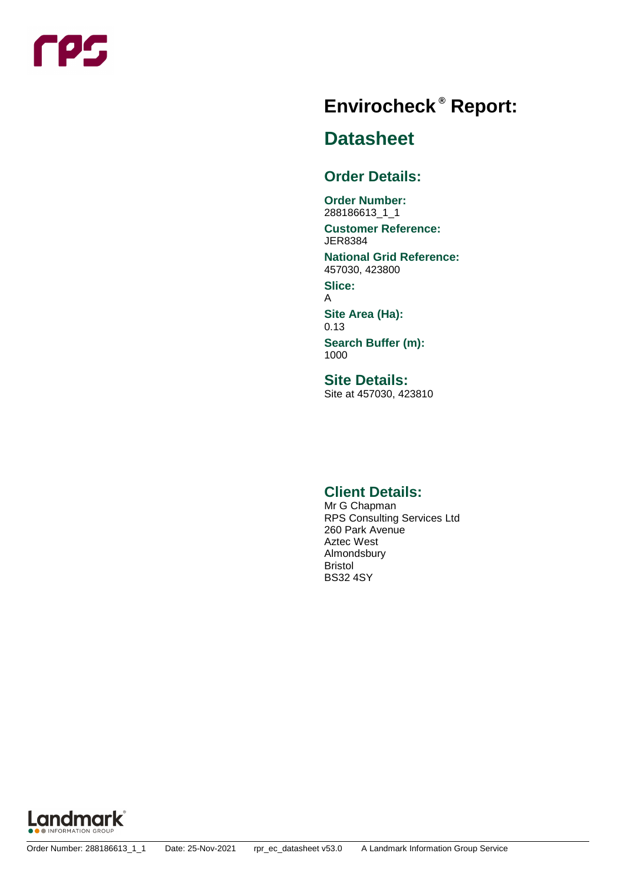

# **Report: ® Envirocheck**

#### **Datasheet**

#### **Order Details:**

**Order Number:** 288186613\_1\_1

#### **Customer Reference:** JER8384

**National Grid Reference:** 457030, 423800

**Slice:** A

**Site Area (Ha):** 0.13

**Search Buffer (m):** 1000

**Site Details:** Site at 457030, 423810

#### **Client Details:**

Mr G Chapman RPS Consulting Services Ltd 260 Park Avenue Aztec West Almondsbury Bristol BS32 4SY

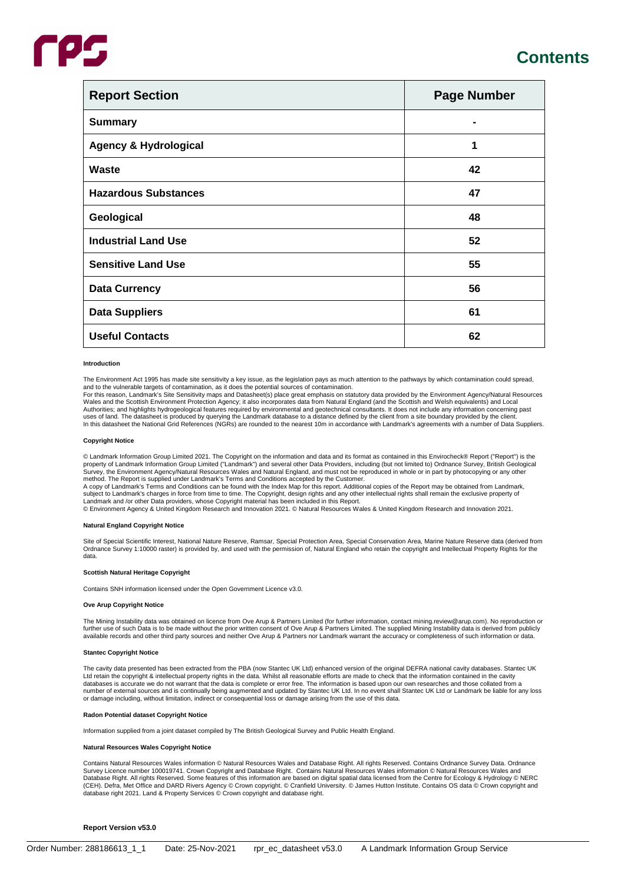| <b>Report Section</b>            | <b>Page Number</b> |
|----------------------------------|--------------------|
| <b>Summary</b>                   |                    |
| <b>Agency &amp; Hydrological</b> | 1                  |
| Waste                            | 42                 |
| <b>Hazardous Substances</b>      | 47                 |
| Geological                       | 48                 |
| <b>Industrial Land Use</b>       | 52                 |
| <b>Sensitive Land Use</b>        | 55                 |
| <b>Data Currency</b>             | 56                 |
| <b>Data Suppliers</b>            | 61                 |
| <b>Useful Contacts</b>           | 62                 |

#### **Introduction**

The Environment Act 1995 has made site sensitivity a key issue, as the legislation pays as much attention to the pathways by which contamination could spread, and to the vulnerable targets of contamination, as it does the potential sources of contamination.

For this reason, Landmark's Site Sensitivity maps and Datasheet(s) place great emphasis on statutory data provided by the Environment Agency/Natural Resources Wales and the Scottish Environment Protection Agency; it also incorporates data from Natural England (and the Scottish and Welsh equivalents) and Local<br>Authorities; and highlights hydrogeological features required by envir uses of land. The datasheet is produced by querying the Landmark database to a distance defined by the client from a site boundary provided by the client.<br>In this datasheet the National Grid References (NGRs) are rounded t

#### **Copyright Notice**

© Landmark Information Group Limited 2021. The Copyright on the information and data and its format as contained in this Envirocheck® Report ("Report") is the property of Landmark Information Group Limited ("Landmark") and several other Data Providers, including (but not limited to) Ordnance Survey, British Geological<br>Survey, the Environment Agency/Natural Resources Wales and Na method. The Report is supplied under Landmark's Terms and Conditions accepted by the Customer.

A copy of Landmark's Terms and Conditions can be found with the Index Map for this report. Additional copies of the Report may be obtained from Landmark,<br>subject to Landmark's charges in force from time to time. The Copyri

Landmark and /or other Data providers, whose Copyright material has been included in this Report.<br>© Environment Agency & United Kingdom Research and Innovation 2021. © Natural Resources Wales & United Kingdom Research and

#### **Natural England Copyright Notice**

Site of Special Scientific Interest, National Nature Reserve, Ramsar, Special Protection Area, Special Conservation Area, Marine Nature Reserve data (derived from Ordnance Survey 1:10000 raster) is provided by, and used with the permission of, Natural England who retain the copyright and Intellectual Property Rights for the data.

#### **Scottish Natural Heritage Copyright**

Contains SNH information licensed under the Open Government Licence v3.0.

#### **Ove Arup Copyright Notice**

The Mining Instability data was obtained on licence from Ove Arup & Partners Limited (for further information, contact mining.review@arup.com). No reproduction or further use of such Data is to be made without the prior written consent of Ove Arup & Partners Limited. The supplied Mining Instability data is derived from publicly available records and other third party sources and neither Ove Arup & Partners nor Landmark warrant the accuracy or completeness of such information or data.

#### **Stantec Copyright Notice**

The cavity data presented has been extracted from the PBA (now Stantec UK Ltd) enhanced version of the original DEFRA national cavity databases. Stantec UK Ltd retain the copyright & intellectual property rights in the data. Whilst all reasonable efforts are made to check that the information contained in the cavity<br>databases is accurate we do not warrant that the data is com number of external sources and is continually being augmented and updated by Stantec UK Ltd. In no event shall Stantec UK Ltd or Landmark be liable for any loss<br>or damage including, without limitation, indirect or conseque

#### **Radon Potential dataset Copyright Notice**

Information supplied from a joint dataset compiled by The British Geological Survey and Public Health England.

#### **Natural Resources Wales Copyright Notice**

Contains Natural Resources Wales information © Natural Resources Wales and Database Right. All rights Reserved. Contains Ordnance Survey Data. Ordnance<br>Survey Licence number 100019741. Crown Copyright and Database Right. Database Right. All rights Reserved. Some features of this information are based on digital spatial data licensed from the Centre for Ecology & Hydrology © NERC<br>(CEH). Defra, Met Office and DARD Rivers Agency © Crown copy

#### **Report Version v53.0**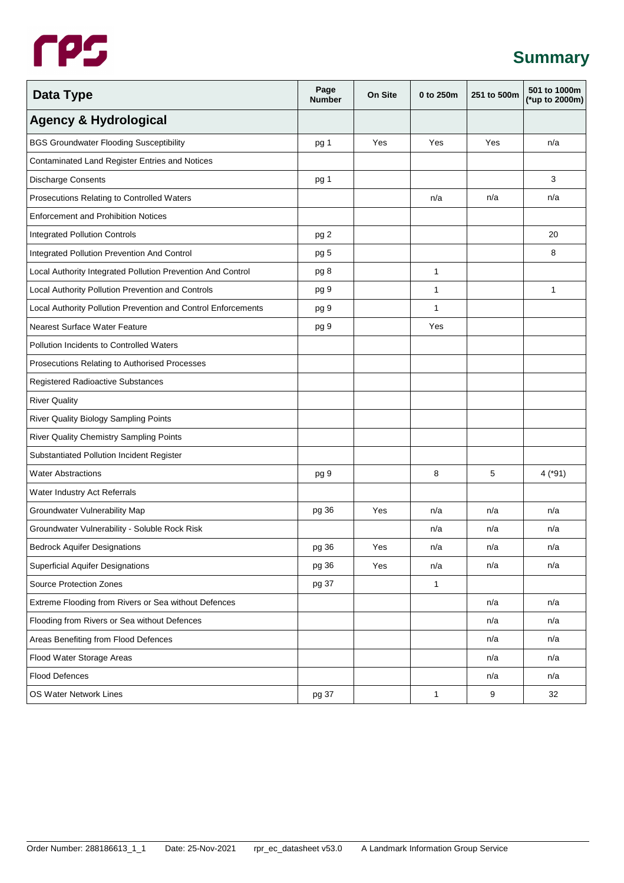#### **Summary**

| Data Type                                                     | Page<br><b>Number</b> | <b>On Site</b> | 0 to 250m    | 251 to 500m | 501 to 1000m<br>(*up to 2000m) |
|---------------------------------------------------------------|-----------------------|----------------|--------------|-------------|--------------------------------|
| <b>Agency &amp; Hydrological</b>                              |                       |                |              |             |                                |
| <b>BGS Groundwater Flooding Susceptibility</b>                | pg 1                  | Yes            | Yes          | Yes         | n/a                            |
| Contaminated Land Register Entries and Notices                |                       |                |              |             |                                |
| <b>Discharge Consents</b>                                     | pg 1                  |                |              |             | 3                              |
| Prosecutions Relating to Controlled Waters                    |                       |                | n/a          | n/a         | n/a                            |
| <b>Enforcement and Prohibition Notices</b>                    |                       |                |              |             |                                |
| <b>Integrated Pollution Controls</b>                          | pg 2                  |                |              |             | 20                             |
| Integrated Pollution Prevention And Control                   | pg 5                  |                |              |             | 8                              |
| Local Authority Integrated Pollution Prevention And Control   | pg 8                  |                | 1            |             |                                |
| Local Authority Pollution Prevention and Controls             | pg 9                  |                | 1            |             | 1                              |
| Local Authority Pollution Prevention and Control Enforcements | pg 9                  |                | 1            |             |                                |
| Nearest Surface Water Feature                                 | pg 9                  |                | Yes          |             |                                |
| <b>Pollution Incidents to Controlled Waters</b>               |                       |                |              |             |                                |
| Prosecutions Relating to Authorised Processes                 |                       |                |              |             |                                |
| <b>Registered Radioactive Substances</b>                      |                       |                |              |             |                                |
| <b>River Quality</b>                                          |                       |                |              |             |                                |
| River Quality Biology Sampling Points                         |                       |                |              |             |                                |
| River Quality Chemistry Sampling Points                       |                       |                |              |             |                                |
| Substantiated Pollution Incident Register                     |                       |                |              |             |                                |
| <b>Water Abstractions</b>                                     | pg 9                  |                | 8            | 5           | $4$ (*91)                      |
| Water Industry Act Referrals                                  |                       |                |              |             |                                |
| Groundwater Vulnerability Map                                 | pg 36                 | Yes            | n/a          | n/a         | n/a                            |
| Groundwater Vulnerability - Soluble Rock Risk                 |                       |                | n/a          | n/a         | n/a                            |
| <b>Bedrock Aquifer Designations</b>                           | pg 36                 | Yes            | n/a          | n/a         | n/a                            |
| <b>Superficial Aquifer Designations</b>                       | pg 36                 | Yes            | n/a          | n/a         | n/a                            |
| <b>Source Protection Zones</b>                                | pg 37                 |                | $\mathbf{1}$ |             |                                |
| Extreme Flooding from Rivers or Sea without Defences          |                       |                |              | n/a         | n/a                            |
| Flooding from Rivers or Sea without Defences                  |                       |                |              | n/a         | n/a                            |
| Areas Benefiting from Flood Defences                          |                       |                |              | n/a         | n/a                            |
| Flood Water Storage Areas                                     |                       |                |              | n/a         | n/a                            |
| <b>Flood Defences</b>                                         |                       |                |              | n/a         | n/a                            |
| OS Water Network Lines                                        | pg 37                 |                | $\mathbf{1}$ | 9           | 32                             |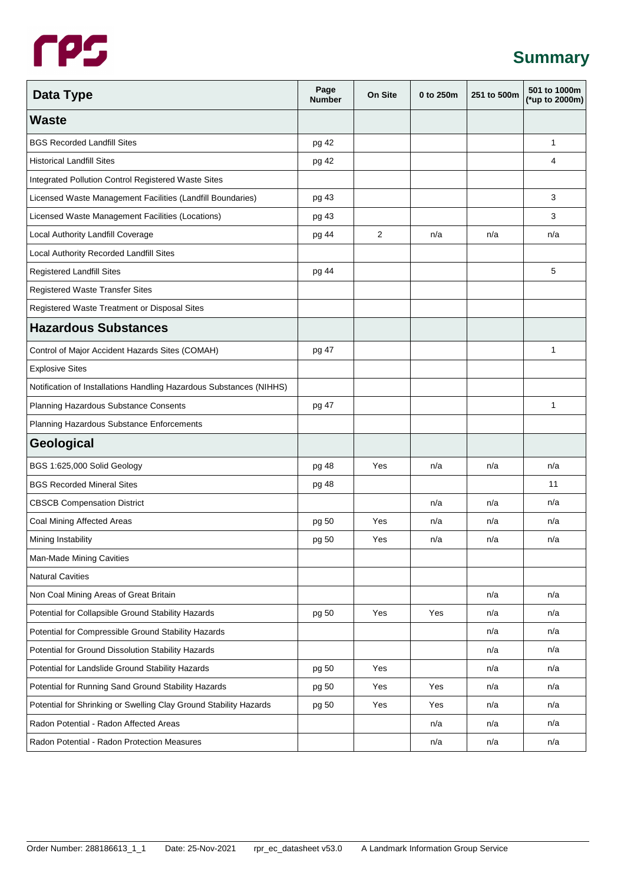# **Summary**

| Data Type                                                           | Page<br><b>Number</b> | On Site        | 0 to 250m | 251 to 500m | 501 to 1000m<br>(*up to 2000m) |
|---------------------------------------------------------------------|-----------------------|----------------|-----------|-------------|--------------------------------|
| <b>Waste</b>                                                        |                       |                |           |             |                                |
| <b>BGS Recorded Landfill Sites</b>                                  | pg 42                 |                |           |             | $\mathbf{1}$                   |
| <b>Historical Landfill Sites</b>                                    | pg 42                 |                |           |             | 4                              |
| Integrated Pollution Control Registered Waste Sites                 |                       |                |           |             |                                |
| Licensed Waste Management Facilities (Landfill Boundaries)          | pg 43                 |                |           |             | 3                              |
| Licensed Waste Management Facilities (Locations)                    | pg 43                 |                |           |             | 3                              |
| Local Authority Landfill Coverage                                   | pg 44                 | $\overline{2}$ | n/a       | n/a         | n/a                            |
| Local Authority Recorded Landfill Sites                             |                       |                |           |             |                                |
| Registered Landfill Sites                                           | pg 44                 |                |           |             | 5                              |
| <b>Registered Waste Transfer Sites</b>                              |                       |                |           |             |                                |
| Registered Waste Treatment or Disposal Sites                        |                       |                |           |             |                                |
| <b>Hazardous Substances</b>                                         |                       |                |           |             |                                |
| Control of Major Accident Hazards Sites (COMAH)                     | pg 47                 |                |           |             | 1                              |
| <b>Explosive Sites</b>                                              |                       |                |           |             |                                |
| Notification of Installations Handling Hazardous Substances (NIHHS) |                       |                |           |             |                                |
| Planning Hazardous Substance Consents                               | pg 47                 |                |           |             | $\mathbf{1}$                   |
| Planning Hazardous Substance Enforcements                           |                       |                |           |             |                                |
| Geological                                                          |                       |                |           |             |                                |
| BGS 1:625,000 Solid Geology                                         | pg 48                 | Yes            | n/a       | n/a         | n/a                            |
| <b>BGS Recorded Mineral Sites</b>                                   | pg 48                 |                |           |             | 11                             |
| <b>CBSCB Compensation District</b>                                  |                       |                | n/a       | n/a         | n/a                            |
| Coal Mining Affected Areas                                          | pg 50                 | Yes            | n/a       | n/a         | n/a                            |
| Mining Instability                                                  | pg 50                 | Yes            | n/a       | n/a         | n/a                            |
| Man-Made Mining Cavities                                            |                       |                |           |             |                                |
| <b>Natural Cavities</b>                                             |                       |                |           |             |                                |
| Non Coal Mining Areas of Great Britain                              |                       |                |           | n/a         | n/a                            |
| Potential for Collapsible Ground Stability Hazards                  | pg 50                 | Yes            | Yes       | n/a         | n/a                            |
| Potential for Compressible Ground Stability Hazards                 |                       |                |           | n/a         | n/a                            |
| Potential for Ground Dissolution Stability Hazards                  |                       |                |           | n/a         | n/a                            |
| Potential for Landslide Ground Stability Hazards                    | pg 50                 | Yes            |           | n/a         | n/a                            |
| Potential for Running Sand Ground Stability Hazards                 | pg 50                 | Yes            | Yes       | n/a         | n/a                            |
| Potential for Shrinking or Swelling Clay Ground Stability Hazards   | pg 50                 | Yes            | Yes       | n/a         | n/a                            |
| Radon Potential - Radon Affected Areas                              |                       |                | n/a       | n/a         | n/a                            |
| Radon Potential - Radon Protection Measures                         |                       |                | n/a       | n/a         | n/a                            |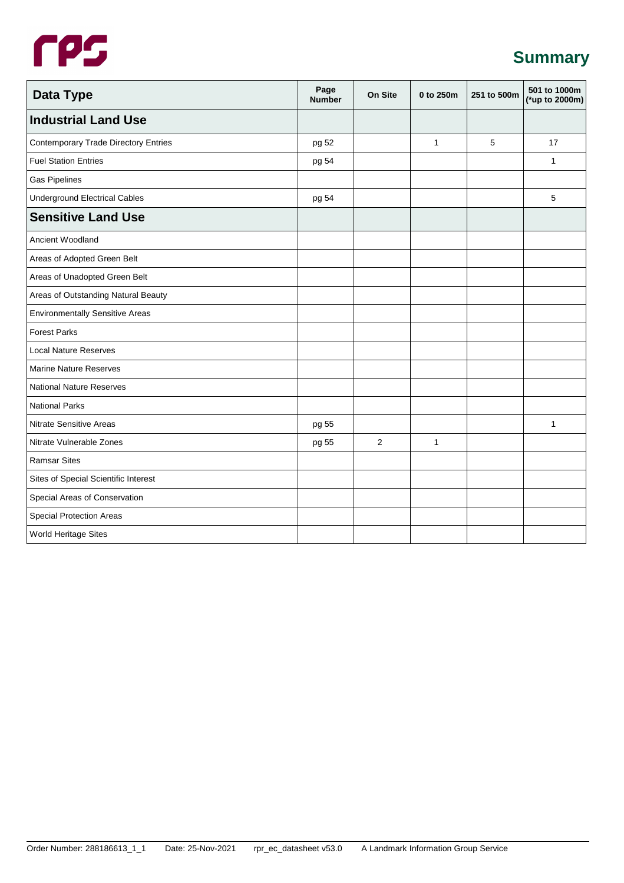# **Summary**

| <b>Data Type</b>                            | Page<br><b>Number</b> | On Site | 0 to 250m    | 251 to 500m | 501 to 1000m<br>(*up to 2000m) |
|---------------------------------------------|-----------------------|---------|--------------|-------------|--------------------------------|
| <b>Industrial Land Use</b>                  |                       |         |              |             |                                |
| <b>Contemporary Trade Directory Entries</b> | pg 52                 |         | $\mathbf{1}$ | 5           | 17                             |
| <b>Fuel Station Entries</b>                 | pg 54                 |         |              |             | $\mathbf{1}$                   |
| <b>Gas Pipelines</b>                        |                       |         |              |             |                                |
| <b>Underground Electrical Cables</b>        | pg 54                 |         |              |             | 5                              |
| <b>Sensitive Land Use</b>                   |                       |         |              |             |                                |
| Ancient Woodland                            |                       |         |              |             |                                |
| Areas of Adopted Green Belt                 |                       |         |              |             |                                |
| Areas of Unadopted Green Belt               |                       |         |              |             |                                |
| Areas of Outstanding Natural Beauty         |                       |         |              |             |                                |
| <b>Environmentally Sensitive Areas</b>      |                       |         |              |             |                                |
| <b>Forest Parks</b>                         |                       |         |              |             |                                |
| <b>Local Nature Reserves</b>                |                       |         |              |             |                                |
| <b>Marine Nature Reserves</b>               |                       |         |              |             |                                |
| <b>National Nature Reserves</b>             |                       |         |              |             |                                |
| <b>National Parks</b>                       |                       |         |              |             |                                |
| <b>Nitrate Sensitive Areas</b>              | pg 55                 |         |              |             | $\mathbf{1}$                   |
| Nitrate Vulnerable Zones                    | pg 55                 | 2       | $\mathbf{1}$ |             |                                |
| <b>Ramsar Sites</b>                         |                       |         |              |             |                                |
| Sites of Special Scientific Interest        |                       |         |              |             |                                |
| Special Areas of Conservation               |                       |         |              |             |                                |
| <b>Special Protection Areas</b>             |                       |         |              |             |                                |
| World Heritage Sites                        |                       |         |              |             |                                |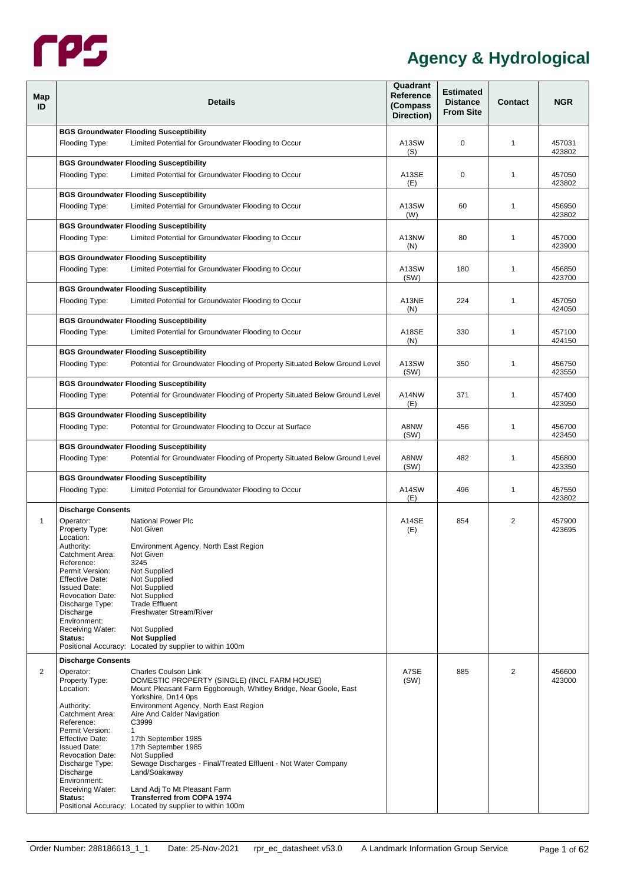

<span id="page-5-2"></span><span id="page-5-1"></span><span id="page-5-0"></span>

| Map<br>ID | <b>Details</b>                                                                                                                                                                                                                                                                                                                                                                                                                                                                                                                                                                                                                                                                                                                                                                                                                                            | Quadrant<br>Reference<br>(Compass<br>Direction) | <b>Estimated</b><br><b>Distance</b><br><b>From Site</b> | <b>Contact</b> | <b>NGR</b>       |
|-----------|-----------------------------------------------------------------------------------------------------------------------------------------------------------------------------------------------------------------------------------------------------------------------------------------------------------------------------------------------------------------------------------------------------------------------------------------------------------------------------------------------------------------------------------------------------------------------------------------------------------------------------------------------------------------------------------------------------------------------------------------------------------------------------------------------------------------------------------------------------------|-------------------------------------------------|---------------------------------------------------------|----------------|------------------|
|           | <b>BGS Groundwater Flooding Susceptibility</b><br>Flooding Type:<br>Limited Potential for Groundwater Flooding to Occur                                                                                                                                                                                                                                                                                                                                                                                                                                                                                                                                                                                                                                                                                                                                   | A13SW<br>(S)                                    | 0                                                       | $\mathbf{1}$   | 457031<br>423802 |
|           | <b>BGS Groundwater Flooding Susceptibility</b><br>Flooding Type:<br>Limited Potential for Groundwater Flooding to Occur                                                                                                                                                                                                                                                                                                                                                                                                                                                                                                                                                                                                                                                                                                                                   | A13SE<br>(E)                                    | 0                                                       | $\mathbf{1}$   | 457050<br>423802 |
|           | <b>BGS Groundwater Flooding Susceptibility</b><br>Flooding Type:<br>Limited Potential for Groundwater Flooding to Occur                                                                                                                                                                                                                                                                                                                                                                                                                                                                                                                                                                                                                                                                                                                                   | A13SW<br>(W)                                    | 60                                                      | $\mathbf{1}$   | 456950<br>423802 |
|           | <b>BGS Groundwater Flooding Susceptibility</b><br>Limited Potential for Groundwater Flooding to Occur<br>Flooding Type:                                                                                                                                                                                                                                                                                                                                                                                                                                                                                                                                                                                                                                                                                                                                   | A13NW<br>(N)                                    | 80                                                      | $\mathbf{1}$   | 457000<br>423900 |
|           | <b>BGS Groundwater Flooding Susceptibility</b><br>Flooding Type:<br>Limited Potential for Groundwater Flooding to Occur                                                                                                                                                                                                                                                                                                                                                                                                                                                                                                                                                                                                                                                                                                                                   | A13SW<br>(SW)                                   | 180                                                     | 1              | 456850<br>423700 |
|           | <b>BGS Groundwater Flooding Susceptibility</b><br>Limited Potential for Groundwater Flooding to Occur<br>Flooding Type:                                                                                                                                                                                                                                                                                                                                                                                                                                                                                                                                                                                                                                                                                                                                   | A13NE<br>(N)                                    | 224                                                     | $\mathbf{1}$   | 457050<br>424050 |
|           | <b>BGS Groundwater Flooding Susceptibility</b><br>Flooding Type:<br>Limited Potential for Groundwater Flooding to Occur                                                                                                                                                                                                                                                                                                                                                                                                                                                                                                                                                                                                                                                                                                                                   | A18SE<br>(N)                                    | 330                                                     | 1              | 457100<br>424150 |
|           | <b>BGS Groundwater Flooding Susceptibility</b><br>Potential for Groundwater Flooding of Property Situated Below Ground Level<br>Flooding Type:                                                                                                                                                                                                                                                                                                                                                                                                                                                                                                                                                                                                                                                                                                            | A13SW<br>(SW)                                   | 350                                                     | $\mathbf{1}$   | 456750<br>423550 |
|           | <b>BGS Groundwater Flooding Susceptibility</b><br>Potential for Groundwater Flooding of Property Situated Below Ground Level<br>Flooding Type:                                                                                                                                                                                                                                                                                                                                                                                                                                                                                                                                                                                                                                                                                                            | A14NW<br>(E)                                    | 371                                                     | $\mathbf{1}$   | 457400<br>423950 |
|           | <b>BGS Groundwater Flooding Susceptibility</b><br>Potential for Groundwater Flooding to Occur at Surface<br>Flooding Type:                                                                                                                                                                                                                                                                                                                                                                                                                                                                                                                                                                                                                                                                                                                                | A8NW<br>(SW)                                    | 456                                                     | $\mathbf{1}$   | 456700<br>423450 |
|           | <b>BGS Groundwater Flooding Susceptibility</b><br>Potential for Groundwater Flooding of Property Situated Below Ground Level<br>Flooding Type:                                                                                                                                                                                                                                                                                                                                                                                                                                                                                                                                                                                                                                                                                                            | A8NW<br>(SW)                                    | 482                                                     | $\mathbf{1}$   | 456800<br>423350 |
|           | <b>BGS Groundwater Flooding Susceptibility</b><br>Limited Potential for Groundwater Flooding to Occur<br>Flooding Type:                                                                                                                                                                                                                                                                                                                                                                                                                                                                                                                                                                                                                                                                                                                                   | A14SW<br>(E)                                    | 496                                                     | $\mathbf{1}$   | 457550<br>423802 |
| 1         | <b>Discharge Consents</b><br>Operator:<br>National Power Plc<br>Property Type:<br>Not Given<br>Location:<br>Authority:<br>Environment Agency, North East Region<br>Catchment Area:<br>Not Given<br>Reference:<br>3245<br>Permit Version:<br>Not Supplied<br>Not Supplied<br>Effective Date:<br>Not Supplied<br><b>Issued Date:</b><br>Not Supplied<br><b>Revocation Date:</b><br><b>Trade Effluent</b><br>Discharge Type:<br>Freshwater Stream/River<br>Discharge<br>Environment:<br>Receiving Water:<br>Not Supplied<br><b>Not Supplied</b><br>Status:<br>Positional Accuracy: Located by supplier to within 100m                                                                                                                                                                                                                                        | A14SE<br>(E)                                    | 854                                                     | 2              | 457900<br>423695 |
| 2         | <b>Discharge Consents</b><br>Operator:<br><b>Charles Coulson Link</b><br>Property Type:<br>DOMESTIC PROPERTY (SINGLE) (INCL FARM HOUSE)<br>Mount Pleasant Farm Eggborough, Whitley Bridge, Near Goole, East<br>Location:<br>Yorkshire, Dn14 Ops<br>Environment Agency, North East Region<br>Authority:<br>Aire And Calder Navigation<br>Catchment Area:<br>C3999<br>Reference:<br>Permit Version:<br>1<br><b>Effective Date:</b><br>17th September 1985<br><b>Issued Date:</b><br>17th September 1985<br><b>Revocation Date:</b><br><b>Not Supplied</b><br>Sewage Discharges - Final/Treated Effluent - Not Water Company<br>Discharge Type:<br>Discharge<br>Land/Soakaway<br>Environment:<br>Receiving Water:<br>Land Adj To Mt Pleasant Farm<br><b>Transferred from COPA 1974</b><br>Status:<br>Positional Accuracy: Located by supplier to within 100m | A7SE<br>(SW)                                    | 885                                                     | 2              | 456600<br>423000 |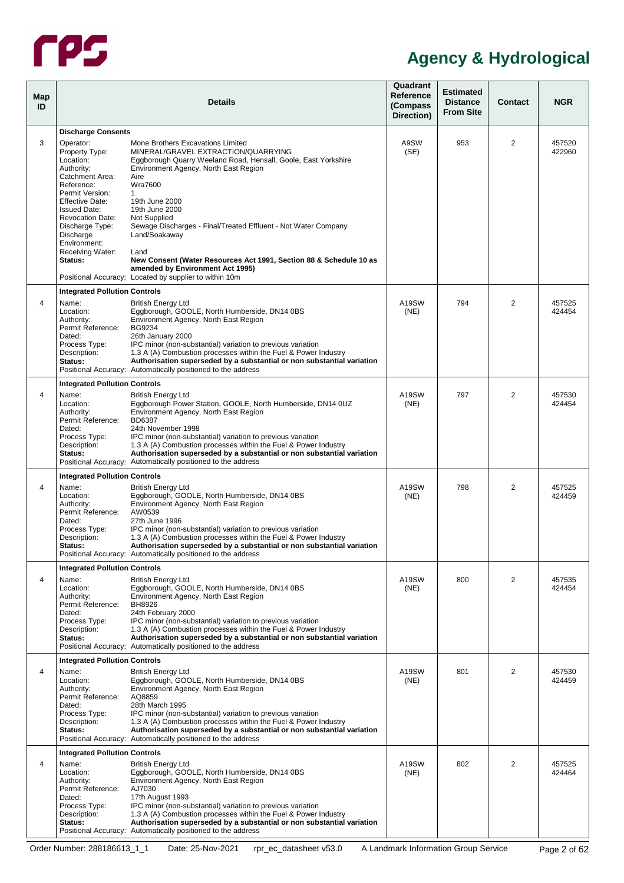

<span id="page-6-0"></span>

| Map<br>ID |                                                                                                             | <b>Details</b>                                                                                                                                                                                                                                                                                                                                                                                                               | Quadrant<br>Reference<br>(Compass<br>Direction) | <b>Estimated</b><br><b>Distance</b><br><b>From Site</b> | Contact        | <b>NGR</b>       |
|-----------|-------------------------------------------------------------------------------------------------------------|------------------------------------------------------------------------------------------------------------------------------------------------------------------------------------------------------------------------------------------------------------------------------------------------------------------------------------------------------------------------------------------------------------------------------|-------------------------------------------------|---------------------------------------------------------|----------------|------------------|
| 3         | <b>Discharge Consents</b><br>Operator:<br>Property Type:                                                    | Mone Brothers Excavations Limited<br>MINERAL/GRAVEL EXTRACTION/QUARRYING                                                                                                                                                                                                                                                                                                                                                     | A9SW<br>(SE)                                    | 953                                                     | $\overline{2}$ | 457520<br>422960 |
|           | Location:<br>Authority:<br>Catchment Area:<br>Reference:                                                    | Eggborough Quarry Weeland Road, Hensall, Goole, East Yorkshire<br>Environment Agency, North East Region<br>Aire<br><b>Wra7600</b>                                                                                                                                                                                                                                                                                            |                                                 |                                                         |                |                  |
|           | Permit Version:<br><b>Effective Date:</b><br><b>Issued Date:</b><br><b>Revocation Date:</b>                 | $\mathbf{1}$<br>19th June 2000<br>19th June 2000<br>Not Supplied                                                                                                                                                                                                                                                                                                                                                             |                                                 |                                                         |                |                  |
|           | Discharge Type:<br>Discharge<br>Environment:<br>Receiving Water:                                            | Sewage Discharges - Final/Treated Effluent - Not Water Company<br>Land/Soakaway<br>Land                                                                                                                                                                                                                                                                                                                                      |                                                 |                                                         |                |                  |
|           | Status:                                                                                                     | New Consent (Water Resources Act 1991, Section 88 & Schedule 10 as<br>amended by Environment Act 1995)<br>Positional Accuracy: Located by supplier to within 10m                                                                                                                                                                                                                                                             |                                                 |                                                         |                |                  |
|           |                                                                                                             |                                                                                                                                                                                                                                                                                                                                                                                                                              |                                                 |                                                         |                |                  |
| 4         | <b>Integrated Pollution Controls</b><br>Name:<br>Location:<br>Authority:<br>Permit Reference:               | <b>British Energy Ltd</b><br>Eggborough, GOOLE, North Humberside, DN14 0BS<br>Environment Agency, North East Region<br>BG9234                                                                                                                                                                                                                                                                                                | A19SW<br>(NE)                                   | 794                                                     | $\overline{2}$ | 457525<br>424454 |
|           | Dated:<br>Process Type:<br>Description:<br>Status:                                                          | 26th January 2000<br>IPC minor (non-substantial) variation to previous variation<br>1.3 A (A) Combustion processes within the Fuel & Power Industry<br>Authorisation superseded by a substantial or non substantial variation<br>Positional Accuracy: Automatically positioned to the address                                                                                                                                |                                                 |                                                         |                |                  |
| 4         | <b>Integrated Pollution Controls</b><br>Name:<br>Location:<br>Authority:<br>Permit Reference:               | <b>British Energy Ltd</b><br>Eggborough Power Station, GOOLE, North Humberside, DN14 0UZ<br>Environment Agency, North East Region<br><b>BD6387</b>                                                                                                                                                                                                                                                                           | A19SW<br>(NE)                                   | 797                                                     | $\overline{2}$ | 457530<br>424454 |
|           | Dated:<br>Process Type:<br>Description:<br>Status:                                                          | 24th November 1998<br>IPC minor (non-substantial) variation to previous variation<br>1.3 A (A) Combustion processes within the Fuel & Power Industry<br>Authorisation superseded by a substantial or non substantial variation<br>Positional Accuracy: Automatically positioned to the address                                                                                                                               |                                                 |                                                         |                |                  |
|           | <b>Integrated Pollution Controls</b>                                                                        |                                                                                                                                                                                                                                                                                                                                                                                                                              |                                                 |                                                         |                |                  |
| 4         | Name:<br>Location:<br>Authority:<br>Permit Reference:<br>Dated:<br>Process Type:                            | <b>British Energy Ltd</b><br>Eggborough, GOOLE, North Humberside, DN14 0BS<br>Environment Agency, North East Region<br>AW0539<br>27th June 1996<br>IPC minor (non-substantial) variation to previous variation                                                                                                                                                                                                               | A19SW<br>(NE)                                   | 798                                                     | $\overline{2}$ | 457525<br>424459 |
|           | Description:<br>Status:                                                                                     | 1.3 A (A) Combustion processes within the Fuel & Power Industry<br>Authorisation superseded by a substantial or non substantial variation<br>Positional Accuracy: Automatically positioned to the address                                                                                                                                                                                                                    |                                                 |                                                         |                |                  |
| 4         | <b>Integrated Pollution Controls</b><br>Name:<br>Location:<br>Authority:<br>Permit Reference:<br>Dated:     | <b>British Energy Ltd</b><br>Eggborough, GOOLE, North Humberside, DN14 0BS<br>Environment Agency, North East Region<br>BH8926<br>24th February 2000                                                                                                                                                                                                                                                                          | A19SW<br>(NE)                                   | 800                                                     | 2              | 457535<br>424454 |
|           | Process Type:<br>Description:<br>Status:                                                                    | IPC minor (non-substantial) variation to previous variation<br>1.3 A (A) Combustion processes within the Fuel & Power Industry<br>Authorisation superseded by a substantial or non substantial variation<br>Positional Accuracy: Automatically positioned to the address                                                                                                                                                     |                                                 |                                                         |                |                  |
|           | <b>Integrated Pollution Controls</b>                                                                        |                                                                                                                                                                                                                                                                                                                                                                                                                              |                                                 |                                                         |                |                  |
| 4         | Name:<br>Location:<br>Authority:<br>Permit Reference:<br>Dated:<br>Process Type:<br>Description:<br>Status: | <b>British Energy Ltd</b><br>Eggborough, GOOLE, North Humberside, DN14 0BS<br>Environment Agency, North East Region<br>AQ8859<br>28th March 1995<br>IPC minor (non-substantial) variation to previous variation<br>1.3 A (A) Combustion processes within the Fuel & Power Industry<br>Authorisation superseded by a substantial or non substantial variation<br>Positional Accuracy: Automatically positioned to the address | A19SW<br>(NE)                                   | 801                                                     | $\overline{2}$ | 457530<br>424459 |
|           | <b>Integrated Pollution Controls</b>                                                                        |                                                                                                                                                                                                                                                                                                                                                                                                                              |                                                 |                                                         |                |                  |
| 4         | Name:<br>Location:<br>Authority:<br>Permit Reference:<br>Dated:<br>Process Type:<br>Description:<br>Status: | <b>British Energy Ltd</b><br>Eggborough, GOOLE, North Humberside, DN14 0BS<br>Environment Agency, North East Region<br>AJ7030<br>17th August 1993<br>IPC minor (non-substantial) variation to previous variation<br>1.3 A (A) Combustion processes within the Fuel & Power Industry<br>Authorisation superseded by a substantial or non substantial variation                                                                | A19SW<br>(NE)                                   | 802                                                     | $\overline{2}$ | 457525<br>424464 |
|           |                                                                                                             | Positional Accuracy: Automatically positioned to the address                                                                                                                                                                                                                                                                                                                                                                 |                                                 |                                                         |                |                  |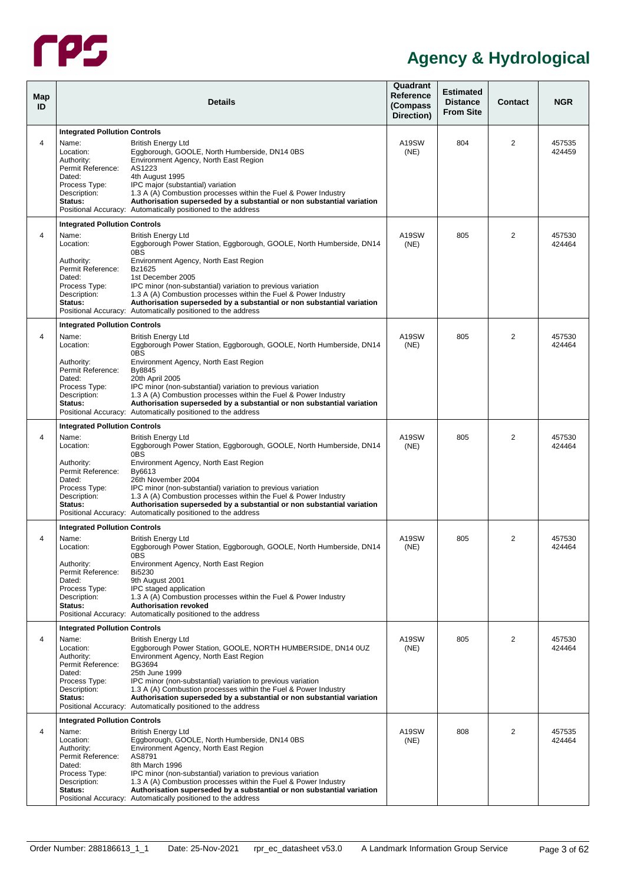

| Map<br>ID |                                                                                                                                          | <b>Details</b>                                                                                                                                                                                                                                                                                                                                                                                                                                               | Quadrant<br>Reference<br>(Compass<br>Direction) | <b>Estimated</b><br><b>Distance</b><br><b>From Site</b> | Contact        | <b>NGR</b>       |
|-----------|------------------------------------------------------------------------------------------------------------------------------------------|--------------------------------------------------------------------------------------------------------------------------------------------------------------------------------------------------------------------------------------------------------------------------------------------------------------------------------------------------------------------------------------------------------------------------------------------------------------|-------------------------------------------------|---------------------------------------------------------|----------------|------------------|
|           | <b>Integrated Pollution Controls</b>                                                                                                     |                                                                                                                                                                                                                                                                                                                                                                                                                                                              |                                                 |                                                         |                |                  |
| 4         | Name:<br>Location:<br>Authority:<br>Permit Reference:<br>Dated:<br>Process Type:<br>Description:<br>Status:                              | <b>British Energy Ltd</b><br>Eggborough, GOOLE, North Humberside, DN14 0BS<br>Environment Agency, North East Region<br>AS1223<br>4th August 1995<br>IPC major (substantial) variation<br>1.3 A (A) Combustion processes within the Fuel & Power Industry<br>Authorisation superseded by a substantial or non substantial variation<br>Positional Accuracy: Automatically positioned to the address                                                           | A19SW<br>(NE)                                   | 804                                                     | 2              | 457535<br>424459 |
|           |                                                                                                                                          |                                                                                                                                                                                                                                                                                                                                                                                                                                                              |                                                 |                                                         |                |                  |
| 4         | <b>Integrated Pollution Controls</b><br>Name:<br>Location:<br>Authority:<br>Permit Reference:<br>Dated:<br>Process Type:<br>Description: | <b>British Energy Ltd</b><br>Eggborough Power Station, Eggborough, GOOLE, North Humberside, DN14<br>0BS<br>Environment Agency, North East Region<br>Bz1625<br>1st December 2005<br>IPC minor (non-substantial) variation to previous variation<br>1.3 A (A) Combustion processes within the Fuel & Power Industry                                                                                                                                            | A19SW<br>(NE)                                   | 805                                                     | 2              | 457530<br>424464 |
|           | Status:                                                                                                                                  | Authorisation superseded by a substantial or non substantial variation                                                                                                                                                                                                                                                                                                                                                                                       |                                                 |                                                         |                |                  |
|           |                                                                                                                                          | Positional Accuracy: Automatically positioned to the address                                                                                                                                                                                                                                                                                                                                                                                                 |                                                 |                                                         |                |                  |
|           | <b>Integrated Pollution Controls</b>                                                                                                     |                                                                                                                                                                                                                                                                                                                                                                                                                                                              |                                                 |                                                         |                |                  |
| 4         | Name:<br>Location:                                                                                                                       | <b>British Energy Ltd</b><br>Eggborough Power Station, Eggborough, GOOLE, North Humberside, DN14<br>0BS                                                                                                                                                                                                                                                                                                                                                      | A19SW<br>(NE)                                   | 805                                                     | $\overline{2}$ | 457530<br>424464 |
|           | Authority:<br>Permit Reference:<br>Dated:<br>Process Type:<br>Description:<br>Status:                                                    | Environment Agency, North East Region<br>By8845<br>20th April 2005<br>IPC minor (non-substantial) variation to previous variation<br>1.3 A (A) Combustion processes within the Fuel & Power Industry<br>Authorisation superseded by a substantial or non substantial variation<br>Positional Accuracy: Automatically positioned to the address                                                                                                               |                                                 |                                                         |                |                  |
|           | <b>Integrated Pollution Controls</b>                                                                                                     |                                                                                                                                                                                                                                                                                                                                                                                                                                                              |                                                 |                                                         |                |                  |
| 4         | Name:<br>Location:<br>Authority:<br>Permit Reference:<br>Dated:<br>Process Type:<br>Description:<br>Status:                              | <b>British Energy Ltd</b><br>Eggborough Power Station, Eggborough, GOOLE, North Humberside, DN14<br>0BS<br>Environment Agency, North East Region<br>By6613<br>26th November 2004<br>IPC minor (non-substantial) variation to previous variation<br>1.3 A (A) Combustion processes within the Fuel & Power Industry<br>Authorisation superseded by a substantial or non substantial variation<br>Positional Accuracy: Automatically positioned to the address | A19SW<br>(NE)                                   | 805                                                     | $\overline{2}$ | 457530<br>424464 |
|           | <b>Integrated Pollution Controls</b>                                                                                                     |                                                                                                                                                                                                                                                                                                                                                                                                                                                              |                                                 |                                                         |                |                  |
| 4         | Name:<br>Location:<br>Authority:<br>Permit Reference:<br>Dated:<br>Process Type:<br>Description:<br>Status:                              | <b>British Energy Ltd</b><br>Eggborough Power Station, Eggborough, GOOLE, North Humberside, DN14<br>0BS<br>Environment Agency, North East Region<br><b>Bi5230</b><br>9th August 2001<br>IPC staged application<br>1.3 A (A) Combustion processes within the Fuel & Power Industry<br><b>Authorisation revoked</b><br>Positional Accuracy: Automatically positioned to the address                                                                            | A19SW<br>(NE)                                   | 805                                                     | 2              | 457530<br>424464 |
|           | <b>Integrated Pollution Controls</b>                                                                                                     |                                                                                                                                                                                                                                                                                                                                                                                                                                                              |                                                 |                                                         |                |                  |
| 4         | Name:<br>Location:<br>Authority:<br>Permit Reference:<br>Dated:<br>Process Type:<br>Description:<br>Status:                              | <b>British Energy Ltd</b><br>Eggborough Power Station, GOOLE, NORTH HUMBERSIDE, DN14 0UZ<br>Environment Agency, North East Region<br><b>BG3694</b><br>25th June 1999<br>IPC minor (non-substantial) variation to previous variation<br>1.3 A (A) Combustion processes within the Fuel & Power Industry<br>Authorisation superseded by a substantial or non substantial variation<br>Positional Accuracy: Automatically positioned to the address             | A19SW<br>(NE)                                   | 805                                                     | 2              | 457530<br>424464 |
|           | <b>Integrated Pollution Controls</b>                                                                                                     |                                                                                                                                                                                                                                                                                                                                                                                                                                                              |                                                 |                                                         |                |                  |
| 4         | Name:<br>Location:<br>Authority:<br>Permit Reference:<br>Dated:<br>Process Type:<br>Description:<br>Status:                              | <b>British Energy Ltd</b><br>Eggborough, GOOLE, North Humberside, DN14 0BS<br>Environment Agency, North East Region<br>AS8791<br>8th March 1996<br>IPC minor (non-substantial) variation to previous variation<br>1.3 A (A) Combustion processes within the Fuel & Power Industry<br>Authorisation superseded by a substantial or non substantial variation<br>Positional Accuracy: Automatically positioned to the address                                  | A19SW<br>(NE)                                   | 808                                                     | $\overline{2}$ | 457535<br>424464 |
|           |                                                                                                                                          |                                                                                                                                                                                                                                                                                                                                                                                                                                                              |                                                 |                                                         |                |                  |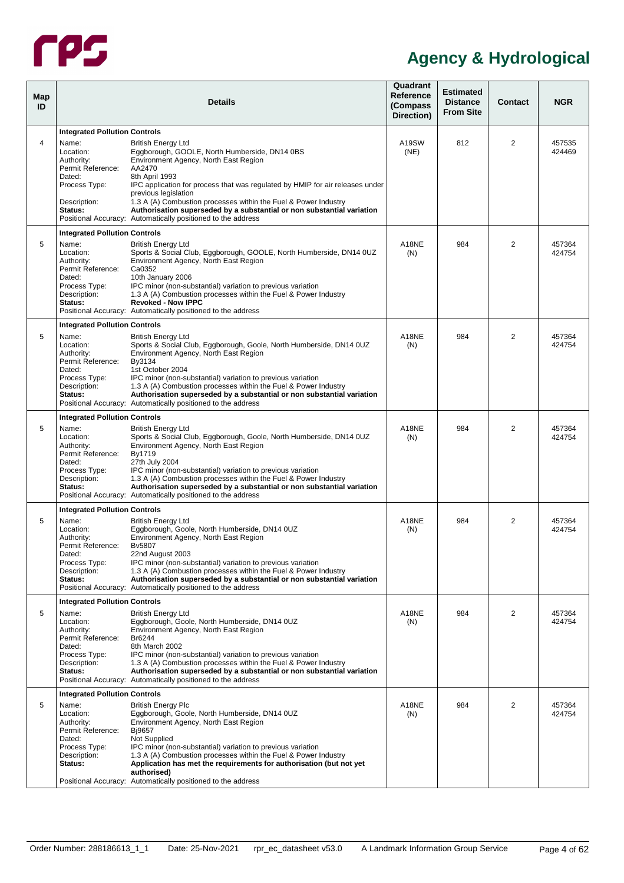

| Map<br>ID      |                                                                                                                                                     | <b>Details</b>                                                                                                                                                                                                                                                                                                                                                                                                                                      | Quadrant<br><b>Reference</b><br>(Compass<br>Direction) | <b>Estimated</b><br><b>Distance</b><br><b>From Site</b> | <b>Contact</b> | <b>NGR</b>       |
|----------------|-----------------------------------------------------------------------------------------------------------------------------------------------------|-----------------------------------------------------------------------------------------------------------------------------------------------------------------------------------------------------------------------------------------------------------------------------------------------------------------------------------------------------------------------------------------------------------------------------------------------------|--------------------------------------------------------|---------------------------------------------------------|----------------|------------------|
| $\overline{4}$ | <b>Integrated Pollution Controls</b><br>Name:<br>Location:<br>Authority:<br>Permit Reference:<br>Dated:<br>Process Type:<br>Description:<br>Status: | <b>British Enerav Ltd</b><br>Eggborough, GOOLE, North Humberside, DN14 0BS<br>Environment Agency, North East Region<br>AA2470<br>8th April 1993<br>IPC application for process that was regulated by HMIP for air releases under<br>previous legislation<br>1.3 A (A) Combustion processes within the Fuel & Power Industry<br>Authorisation superseded by a substantial or non substantial variation                                               | A19SW<br>(NE)                                          | 812                                                     | 2              | 457535<br>424469 |
|                |                                                                                                                                                     | Positional Accuracy: Automatically positioned to the address                                                                                                                                                                                                                                                                                                                                                                                        |                                                        |                                                         |                |                  |
| 5              | <b>Integrated Pollution Controls</b><br>Name:<br>Location:<br>Authority:<br>Permit Reference:<br>Dated:<br>Process Type:<br>Description:<br>Status: | <b>British Energy Ltd</b><br>Sports & Social Club, Eggborough, GOOLE, North Humberside, DN14 0UZ<br>Environment Agency, North East Region<br>Ca0352<br>10th January 2006<br>IPC minor (non-substantial) variation to previous variation<br>1.3 A (A) Combustion processes within the Fuel & Power Industry<br><b>Revoked - Now IPPC</b><br>Positional Accuracy: Automatically positioned to the address                                             | A18NE<br>(N)                                           | 984                                                     | $\overline{2}$ | 457364<br>424754 |
|                | <b>Integrated Pollution Controls</b>                                                                                                                |                                                                                                                                                                                                                                                                                                                                                                                                                                                     |                                                        |                                                         |                |                  |
| 5              | Name:<br>Location:<br>Authority:<br>Permit Reference:<br>Dated:<br>Process Type:<br>Description:<br>Status:                                         | <b>British Energy Ltd</b><br>Sports & Social Club, Eggborough, Goole, North Humberside, DN14 0UZ<br>Environment Agency, North East Region<br>By3134<br>1st October 2004<br>IPC minor (non-substantial) variation to previous variation<br>1.3 A (A) Combustion processes within the Fuel & Power Industry<br>Authorisation superseded by a substantial or non substantial variation<br>Positional Accuracy: Automatically positioned to the address | A18NE<br>(N)                                           | 984                                                     | 2              | 457364<br>424754 |
|                | <b>Integrated Pollution Controls</b>                                                                                                                |                                                                                                                                                                                                                                                                                                                                                                                                                                                     |                                                        |                                                         |                |                  |
| 5              | Name:<br>Location:<br>Authority:<br>Permit Reference:<br>Dated:<br>Process Type:<br>Description:<br>Status:                                         | <b>British Energy Ltd</b><br>Sports & Social Club, Eggborough, Goole, North Humberside, DN14 0UZ<br>Environment Agency, North East Region<br>By1719<br>27th July 2004<br>IPC minor (non-substantial) variation to previous variation<br>1.3 A (A) Combustion processes within the Fuel & Power Industry<br>Authorisation superseded by a substantial or non substantial variation<br>Positional Accuracy: Automatically positioned to the address   | A18NE<br>(N)                                           | 984                                                     | 2              | 457364<br>424754 |
|                | <b>Integrated Pollution Controls</b>                                                                                                                |                                                                                                                                                                                                                                                                                                                                                                                                                                                     |                                                        |                                                         |                |                  |
| 5              | Name:<br>Location:<br>Authority:<br>Permit Reference:<br>Dated:<br>Process Type:<br>Description:<br>Status:                                         | <b>British Energy Ltd</b><br>Eggborough, Goole, North Humberside, DN14 0UZ<br>Environment Agency, North East Region<br><b>Bv5807</b><br>22nd August 2003<br>IPC minor (non-substantial) variation to previous variation<br>1.3 A (A) Combustion processes within the Fuel & Power Industry<br>Authorisation superseded by a substantial or non substantial variation<br>Positional Accuracy: Automatically positioned to the address                | A18NE<br>(N)                                           | 984                                                     | $\overline{2}$ | 457364<br>424754 |
|                | <b>Integrated Pollution Controls</b>                                                                                                                |                                                                                                                                                                                                                                                                                                                                                                                                                                                     |                                                        |                                                         |                |                  |
| 5              | Name:<br>Location:<br>Authority:<br>Permit Reference:<br>Dated:<br>Process Type:<br>Description:<br>Status:                                         | <b>British Energy Ltd</b><br>Eggborough, Goole, North Humberside, DN14 0UZ<br>Environment Agency, North East Region<br>Br6244<br>8th March 2002<br>IPC minor (non-substantial) variation to previous variation<br>1.3 A (A) Combustion processes within the Fuel & Power Industry<br>Authorisation superseded by a substantial or non substantial variation<br>Positional Accuracy: Automatically positioned to the address                         | A18NE<br>(N)                                           | 984                                                     | $\overline{2}$ | 457364<br>424754 |
|                | <b>Integrated Pollution Controls</b>                                                                                                                |                                                                                                                                                                                                                                                                                                                                                                                                                                                     |                                                        |                                                         |                |                  |
| 5              | Name:<br>Location:<br>Authority:<br>Permit Reference:<br>Dated:<br>Process Type:<br>Description:<br>Status:                                         | <b>British Energy Plc</b><br>Eggborough, Goole, North Humberside, DN14 0UZ<br>Environment Agency, North East Region<br>Bj9657<br>Not Supplied<br>IPC minor (non-substantial) variation to previous variation<br>1.3 A (A) Combustion processes within the Fuel & Power Industry<br>Application has met the requirements for authorisation (but not yet<br>authorised)<br>Positional Accuracy: Automatically positioned to the address               | A18NE<br>(N)                                           | 984                                                     | $\overline{2}$ | 457364<br>424754 |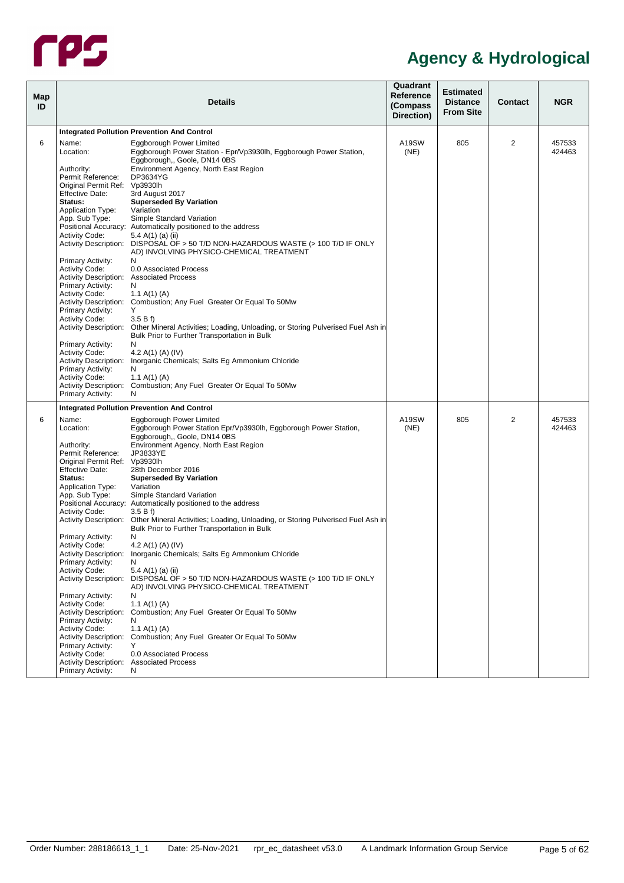

<span id="page-9-0"></span>

| Map<br>ID |                                                                                                                                                                                                                                                                                                                                                                                                                                                                                                                                    | <b>Details</b>                                                                                                                                                                                                                                                                                                                                                                                                                                                                                                                                                                                                                                                                                                                                                                                                                                                                                                                                                                             | Quadrant<br>Reference<br>(Compass<br>Direction) | <b>Estimated</b><br><b>Distance</b><br><b>From Site</b> | <b>Contact</b> | <b>NGR</b>       |
|-----------|------------------------------------------------------------------------------------------------------------------------------------------------------------------------------------------------------------------------------------------------------------------------------------------------------------------------------------------------------------------------------------------------------------------------------------------------------------------------------------------------------------------------------------|--------------------------------------------------------------------------------------------------------------------------------------------------------------------------------------------------------------------------------------------------------------------------------------------------------------------------------------------------------------------------------------------------------------------------------------------------------------------------------------------------------------------------------------------------------------------------------------------------------------------------------------------------------------------------------------------------------------------------------------------------------------------------------------------------------------------------------------------------------------------------------------------------------------------------------------------------------------------------------------------|-------------------------------------------------|---------------------------------------------------------|----------------|------------------|
|           |                                                                                                                                                                                                                                                                                                                                                                                                                                                                                                                                    | <b>Integrated Pollution Prevention And Control</b>                                                                                                                                                                                                                                                                                                                                                                                                                                                                                                                                                                                                                                                                                                                                                                                                                                                                                                                                         |                                                 |                                                         |                |                  |
| 6         | Name:<br>Location:<br>Authority:<br>Permit Reference:<br>Original Permit Ref: Vp3930lh<br><b>Effective Date:</b><br>Status:<br><b>Application Type:</b><br>App. Sub Type:<br><b>Activity Code:</b><br><b>Primary Activity:</b><br><b>Activity Code:</b><br>Activity Description: Associated Process<br><b>Primary Activity:</b><br><b>Activity Code:</b><br><b>Primary Activity:</b><br><b>Activity Code:</b><br>Primary Activity:<br><b>Activity Code:</b>                                                                        | Eggborough Power Limited<br>Eggborough Power Station - Epr/Vp3930lh, Eggborough Power Station,<br>Eggborough,, Goole, DN14 0BS<br>Environment Agency, North East Region<br>DP3634YG<br>3rd August 2017<br><b>Superseded By Variation</b><br>Variation<br>Simple Standard Variation<br>Positional Accuracy: Automatically positioned to the address<br>5.4 A(1) (a) (ii)<br>Activity Description: DISPOSAL OF > 50 T/D NON-HAZARDOUS WASTE (> 100 T/D IF ONLY<br>AD) INVOLVING PHYSICO-CHEMICAL TREATMENT<br>N<br>0.0 Associated Process<br>N<br>1.1 A(1) (A)<br>Activity Description: Combustion; Any Fuel Greater Or Equal To 50Mw<br>Y<br>3.5Bf<br>Activity Description: Other Mineral Activities; Loading, Unloading, or Storing Pulverised Fuel Ash in<br>Bulk Prior to Further Transportation in Bulk<br>N<br>4.2 A(1) (A) (IV)                                                                                                                                                       | A19SW<br>(NE)                                   | 805                                                     | 2              | 457533<br>424463 |
|           | <b>Activity Description:</b><br><b>Primary Activity:</b><br><b>Activity Code:</b><br><b>Primary Activity:</b>                                                                                                                                                                                                                                                                                                                                                                                                                      | Inorganic Chemicals; Salts Eg Ammonium Chloride<br>N<br>1.1 A(1) (A)<br>Activity Description: Combustion; Any Fuel Greater Or Equal To 50Mw<br>N                                                                                                                                                                                                                                                                                                                                                                                                                                                                                                                                                                                                                                                                                                                                                                                                                                           |                                                 |                                                         |                |                  |
|           |                                                                                                                                                                                                                                                                                                                                                                                                                                                                                                                                    | <b>Integrated Pollution Prevention And Control</b>                                                                                                                                                                                                                                                                                                                                                                                                                                                                                                                                                                                                                                                                                                                                                                                                                                                                                                                                         |                                                 |                                                         |                |                  |
| 6         | Name:<br>Location:<br>Authority:<br>Permit Reference:<br>Original Permit Ref: Vp3930lh<br><b>Effective Date:</b><br>Status:<br>Application Type:<br>App. Sub Type:<br><b>Activity Code:</b><br>Primary Activity:<br><b>Activity Code:</b><br>Primary Activity:<br><b>Activity Code:</b><br><b>Activity Description:</b><br>Primary Activity:<br><b>Activity Code:</b><br>Primary Activity:<br><b>Activity Code:</b><br>Primary Activity:<br><b>Activity Code:</b><br>Activity Description: Associated Process<br>Primary Activity: | Eggborough Power Limited<br>Eggborough Power Station Epr/Vp3930lh, Eggborough Power Station,<br>Eggborough,, Goole, DN14 0BS<br>Environment Agency, North East Region<br>JP3833YE<br>28th December 2016<br><b>Superseded By Variation</b><br>Variation<br>Simple Standard Variation<br>Positional Accuracy: Automatically positioned to the address<br>3.5Bf<br>Activity Description: Other Mineral Activities; Loading, Unloading, or Storing Pulverised Fuel Ash in<br>Bulk Prior to Further Transportation in Bulk<br>N<br>4.2 A(1) (A) (IV)<br>Activity Description: Inorganic Chemicals; Salts Eg Ammonium Chloride<br>N.<br>5.4 A(1) (a) (ii)<br>DISPOSAL OF > 50 T/D NON-HAZARDOUS WASTE (> 100 T/D IF ONLY<br>AD) INVOLVING PHYSICO-CHEMICAL TREATMENT<br>N<br>1.1 A(1) (A)<br>Activity Description: Combustion; Any Fuel Greater Or Equal To 50Mw<br>N<br>1.1 A(1) (A)<br>Activity Description: Combustion; Any Fuel Greater Or Equal To 50Mw<br>Y<br>0.0 Associated Process<br>N | A19SW<br>(NE)                                   | 805                                                     | $\overline{2}$ | 457533<br>424463 |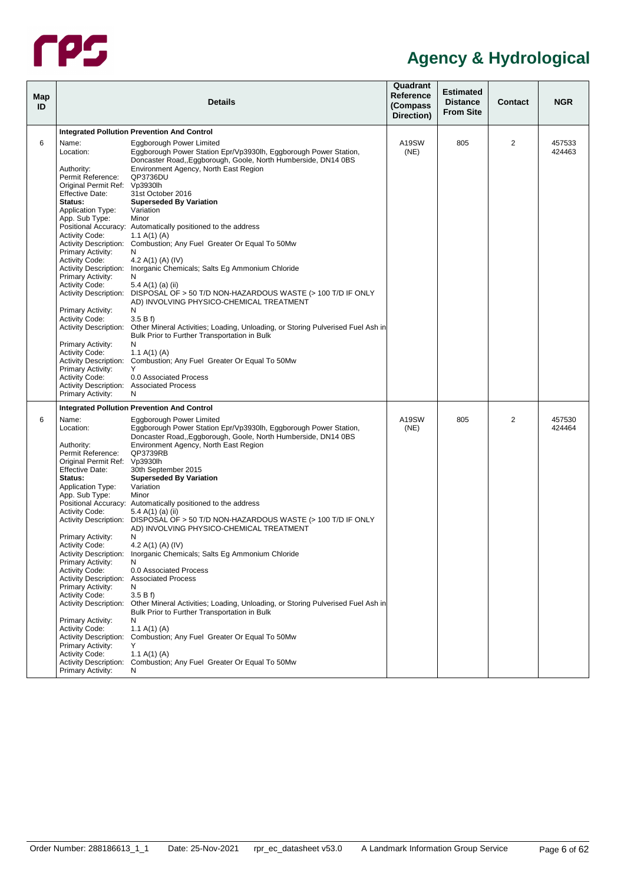

| Map<br>ID |                                                                                                                                                                                                                                                                                                                                                                                                                                                                                                                                                                    | <b>Details</b>                                                                                                                                                                                                                                                                                                                                                                                                                                                                                                                                                                                                                                                                                                                                                                                                                                                                                                                                                                                   | Quadrant<br>Reference<br>(Compass<br>Direction) | <b>Estimated</b><br><b>Distance</b><br><b>From Site</b> | <b>Contact</b> | <b>NGR</b>       |
|-----------|--------------------------------------------------------------------------------------------------------------------------------------------------------------------------------------------------------------------------------------------------------------------------------------------------------------------------------------------------------------------------------------------------------------------------------------------------------------------------------------------------------------------------------------------------------------------|--------------------------------------------------------------------------------------------------------------------------------------------------------------------------------------------------------------------------------------------------------------------------------------------------------------------------------------------------------------------------------------------------------------------------------------------------------------------------------------------------------------------------------------------------------------------------------------------------------------------------------------------------------------------------------------------------------------------------------------------------------------------------------------------------------------------------------------------------------------------------------------------------------------------------------------------------------------------------------------------------|-------------------------------------------------|---------------------------------------------------------|----------------|------------------|
|           |                                                                                                                                                                                                                                                                                                                                                                                                                                                                                                                                                                    | <b>Integrated Pollution Prevention And Control</b>                                                                                                                                                                                                                                                                                                                                                                                                                                                                                                                                                                                                                                                                                                                                                                                                                                                                                                                                               |                                                 |                                                         |                |                  |
| 6         | Name:<br>Location:<br>Authority:<br>Permit Reference:<br>Original Permit Ref: Vp3930lh<br><b>Effective Date:</b><br>Status:<br><b>Application Type:</b><br>App. Sub Type:<br><b>Activity Code:</b><br><b>Primary Activity:</b><br><b>Activity Code:</b><br><b>Primary Activity:</b><br><b>Activity Code:</b><br><b>Primary Activity:</b><br><b>Activity Code:</b><br><b>Activity Description:</b><br>Primary Activity:<br><b>Activity Code:</b><br>Primary Activity:<br><b>Activity Code:</b>                                                                      | Eggborough Power Limited<br>Eggborough Power Station Epr/Vp3930lh, Eggborough Power Station,<br>Doncaster Road, Eggborough, Goole, North Humberside, DN14 0BS<br>Environment Agency, North East Region<br>QP3736DU<br>31st October 2016<br><b>Superseded By Variation</b><br>Variation<br>Minor<br>Positional Accuracy: Automatically positioned to the address<br>1.1 A(1) (A)<br>Activity Description: Combustion; Any Fuel Greater Or Equal To 50Mw<br>N<br>4.2 A(1) (A) (IV)<br>Activity Description: Inorganic Chemicals; Salts Eg Ammonium Chloride<br>N<br>5.4 A(1) (a) (ii)<br>Activity Description: DISPOSAL OF > 50 T/D NON-HAZARDOUS WASTE (> 100 T/D IF ONLY<br>AD) INVOLVING PHYSICO-CHEMICAL TREATMENT<br>N<br>3.5Bf<br>Other Mineral Activities; Loading, Unloading, or Storing Pulverised Fuel Ash in<br>Bulk Prior to Further Transportation in Bulk<br>N<br>1.1 A(1) (A)<br>Activity Description: Combustion; Any Fuel Greater Or Equal To 50Mw<br>Y<br>0.0 Associated Process | A19SW<br>(NE)                                   | 805                                                     | 2              | 457533<br>424463 |
|           | <b>Activity Description: Associated Process</b>                                                                                                                                                                                                                                                                                                                                                                                                                                                                                                                    |                                                                                                                                                                                                                                                                                                                                                                                                                                                                                                                                                                                                                                                                                                                                                                                                                                                                                                                                                                                                  |                                                 |                                                         |                |                  |
|           | Primary Activity:                                                                                                                                                                                                                                                                                                                                                                                                                                                                                                                                                  | N                                                                                                                                                                                                                                                                                                                                                                                                                                                                                                                                                                                                                                                                                                                                                                                                                                                                                                                                                                                                |                                                 |                                                         |                |                  |
|           |                                                                                                                                                                                                                                                                                                                                                                                                                                                                                                                                                                    | <b>Integrated Pollution Prevention And Control</b>                                                                                                                                                                                                                                                                                                                                                                                                                                                                                                                                                                                                                                                                                                                                                                                                                                                                                                                                               |                                                 |                                                         |                |                  |
| 6         | Name:<br>Location:<br>Authority:<br>Permit Reference:<br>Original Permit Ref: Vp3930lh<br><b>Effective Date:</b><br>Status:<br>Application Type:<br>App. Sub Type:<br><b>Activity Code:</b><br>Primary Activity:<br><b>Activity Code:</b><br>Primary Activity:<br><b>Activity Code:</b><br>Activity Description: Associated Process<br>Primary Activity:<br><b>Activity Code:</b><br><b>Activity Description:</b><br>Primary Activity:<br><b>Activity Code:</b><br><b>Activity Description:</b><br>Primary Activity:<br><b>Activity Code:</b><br>Primary Activity: | Eggborough Power Limited<br>Eggborough Power Station Epr/Vp3930lh, Eggborough Power Station,<br>Doncaster Road, Eggborough, Goole, North Humberside, DN14 0BS<br>Environment Agency, North East Region<br>QP3739RB<br>30th September 2015<br><b>Superseded By Variation</b><br>Variation<br>Minor<br>Positional Accuracy: Automatically positioned to the address<br>5.4 A(1) (a) (ii)<br>Activity Description: DISPOSAL OF > 50 T/D NON-HAZARDOUS WASTE (> 100 T/D IF ONLY<br>AD) INVOLVING PHYSICO-CHEMICAL TREATMENT<br>N<br>4.2 A(1) (A) (IV)<br>Activity Description: Inorganic Chemicals; Salts Eg Ammonium Chloride<br>N.<br>0.0 Associated Process<br>N<br>3.5Bf<br>Other Mineral Activities; Loading, Unloading, or Storing Pulverised Fuel Ash in<br>Bulk Prior to Further Transportation in Bulk<br>N<br>1.1 A(1) (A)<br>Combustion; Any Fuel Greater Or Equal To 50Mw<br>Y<br>1.1 A(1) (A)<br>Activity Description: Combustion; Any Fuel Greater Or Equal To 50Mw<br>N               | A19SW<br>(NE)                                   | 805                                                     | 2              | 457530<br>424464 |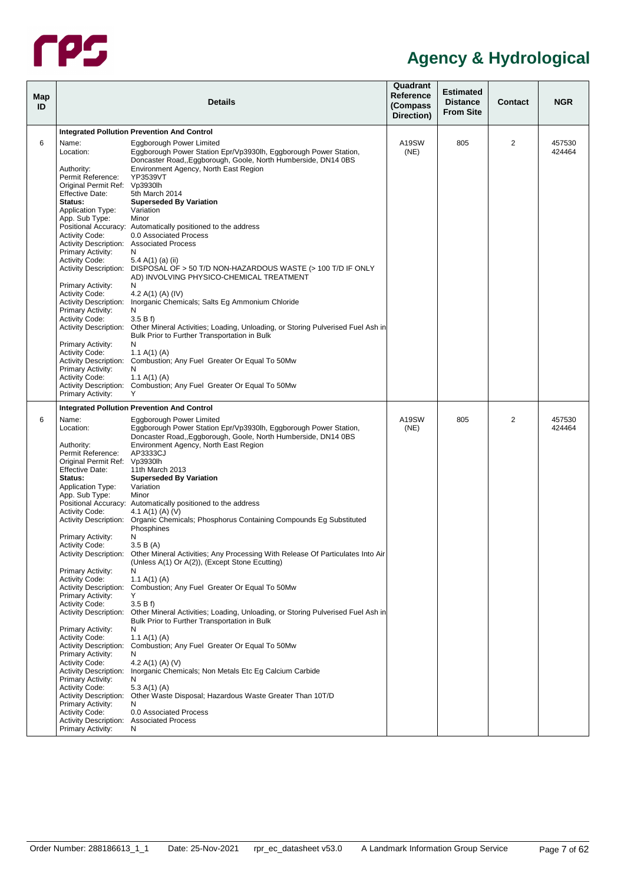

|                                                                            | <b>Details</b>                                                                                                                                                                                                                                                                | Quadrant<br>Reference<br>(Compass<br>Direction)                                                                                                                                                                                                                                                                                                                                                                                                                                                                                                                                                                                                                                                                                                                                                                                                                                                                                                                                                                                                                                                                                                                                                                                                                                                                                                                                                                                                                                                                                                                                   | <b>Estimated</b><br><b>Distance</b><br><b>From Site</b> | <b>Contact</b> | <b>NGR</b>       |
|----------------------------------------------------------------------------|-------------------------------------------------------------------------------------------------------------------------------------------------------------------------------------------------------------------------------------------------------------------------------|-----------------------------------------------------------------------------------------------------------------------------------------------------------------------------------------------------------------------------------------------------------------------------------------------------------------------------------------------------------------------------------------------------------------------------------------------------------------------------------------------------------------------------------------------------------------------------------------------------------------------------------------------------------------------------------------------------------------------------------------------------------------------------------------------------------------------------------------------------------------------------------------------------------------------------------------------------------------------------------------------------------------------------------------------------------------------------------------------------------------------------------------------------------------------------------------------------------------------------------------------------------------------------------------------------------------------------------------------------------------------------------------------------------------------------------------------------------------------------------------------------------------------------------------------------------------------------------|---------------------------------------------------------|----------------|------------------|
|                                                                            |                                                                                                                                                                                                                                                                               |                                                                                                                                                                                                                                                                                                                                                                                                                                                                                                                                                                                                                                                                                                                                                                                                                                                                                                                                                                                                                                                                                                                                                                                                                                                                                                                                                                                                                                                                                                                                                                                   |                                                         |                |                  |
| Name:<br>Location:                                                         | <b>Eggborough Power Limited</b><br>Eggborough Power Station Epr/Vp3930lh, Eggborough Power Station,<br>Doncaster Road, Eggborough, Goole, North Humberside, DN14 0BS                                                                                                          | A19SW<br>(NE)                                                                                                                                                                                                                                                                                                                                                                                                                                                                                                                                                                                                                                                                                                                                                                                                                                                                                                                                                                                                                                                                                                                                                                                                                                                                                                                                                                                                                                                                                                                                                                     | 805                                                     | $\overline{2}$ | 457530<br>424464 |
| Permit Reference:<br><b>Effective Date:</b><br>Status:                     | YP3539VT<br>5th March 2014                                                                                                                                                                                                                                                    |                                                                                                                                                                                                                                                                                                                                                                                                                                                                                                                                                                                                                                                                                                                                                                                                                                                                                                                                                                                                                                                                                                                                                                                                                                                                                                                                                                                                                                                                                                                                                                                   |                                                         |                |                  |
| Application Type:<br>App. Sub Type:                                        | Variation<br>Minor                                                                                                                                                                                                                                                            |                                                                                                                                                                                                                                                                                                                                                                                                                                                                                                                                                                                                                                                                                                                                                                                                                                                                                                                                                                                                                                                                                                                                                                                                                                                                                                                                                                                                                                                                                                                                                                                   |                                                         |                |                  |
| <b>Activity Code:</b><br><b>Primary Activity:</b>                          | 0.0 Associated Process<br>N                                                                                                                                                                                                                                                   |                                                                                                                                                                                                                                                                                                                                                                                                                                                                                                                                                                                                                                                                                                                                                                                                                                                                                                                                                                                                                                                                                                                                                                                                                                                                                                                                                                                                                                                                                                                                                                                   |                                                         |                |                  |
|                                                                            | AD) INVOLVING PHYSICO-CHEMICAL TREATMENT                                                                                                                                                                                                                                      |                                                                                                                                                                                                                                                                                                                                                                                                                                                                                                                                                                                                                                                                                                                                                                                                                                                                                                                                                                                                                                                                                                                                                                                                                                                                                                                                                                                                                                                                                                                                                                                   |                                                         |                |                  |
| <b>Activity Code:</b><br><b>Primary Activity:</b>                          | 4.2 A(1) (A) (IV)<br>N                                                                                                                                                                                                                                                        |                                                                                                                                                                                                                                                                                                                                                                                                                                                                                                                                                                                                                                                                                                                                                                                                                                                                                                                                                                                                                                                                                                                                                                                                                                                                                                                                                                                                                                                                                                                                                                                   |                                                         |                |                  |
| <b>Activity Code:</b>                                                      | 3.5 B f<br>Bulk Prior to Further Transportation in Bulk                                                                                                                                                                                                                       |                                                                                                                                                                                                                                                                                                                                                                                                                                                                                                                                                                                                                                                                                                                                                                                                                                                                                                                                                                                                                                                                                                                                                                                                                                                                                                                                                                                                                                                                                                                                                                                   |                                                         |                |                  |
| <b>Activity Code:</b>                                                      | 1.1 A(1) (A)                                                                                                                                                                                                                                                                  |                                                                                                                                                                                                                                                                                                                                                                                                                                                                                                                                                                                                                                                                                                                                                                                                                                                                                                                                                                                                                                                                                                                                                                                                                                                                                                                                                                                                                                                                                                                                                                                   |                                                         |                |                  |
| <b>Activity Code:</b><br><b>Primary Activity:</b>                          | 1.1 A(1) (A)<br>Y                                                                                                                                                                                                                                                             |                                                                                                                                                                                                                                                                                                                                                                                                                                                                                                                                                                                                                                                                                                                                                                                                                                                                                                                                                                                                                                                                                                                                                                                                                                                                                                                                                                                                                                                                                                                                                                                   |                                                         |                |                  |
|                                                                            |                                                                                                                                                                                                                                                                               |                                                                                                                                                                                                                                                                                                                                                                                                                                                                                                                                                                                                                                                                                                                                                                                                                                                                                                                                                                                                                                                                                                                                                                                                                                                                                                                                                                                                                                                                                                                                                                                   |                                                         |                |                  |
| Name:<br>Location:                                                         | Eggborough Power Limited<br>Eggborough Power Station Epr/Vp3930lh, Eggborough Power Station,<br>Doncaster Road, Eggborough, Goole, North Humberside, DN14 0BS                                                                                                                 | A19SW<br>(NE)                                                                                                                                                                                                                                                                                                                                                                                                                                                                                                                                                                                                                                                                                                                                                                                                                                                                                                                                                                                                                                                                                                                                                                                                                                                                                                                                                                                                                                                                                                                                                                     | 805                                                     | 2              | 457530<br>424464 |
| Authority:<br>Permit Reference:                                            | Environment Agency, North East Region<br>AP3333CJ                                                                                                                                                                                                                             |                                                                                                                                                                                                                                                                                                                                                                                                                                                                                                                                                                                                                                                                                                                                                                                                                                                                                                                                                                                                                                                                                                                                                                                                                                                                                                                                                                                                                                                                                                                                                                                   |                                                         |                |                  |
| Status:<br><b>Application Type:</b>                                        | <b>Superseded By Variation</b><br>Variation                                                                                                                                                                                                                                   |                                                                                                                                                                                                                                                                                                                                                                                                                                                                                                                                                                                                                                                                                                                                                                                                                                                                                                                                                                                                                                                                                                                                                                                                                                                                                                                                                                                                                                                                                                                                                                                   |                                                         |                |                  |
| <b>Activity Code:</b>                                                      | 4.1 A(1) (A) (V)                                                                                                                                                                                                                                                              |                                                                                                                                                                                                                                                                                                                                                                                                                                                                                                                                                                                                                                                                                                                                                                                                                                                                                                                                                                                                                                                                                                                                                                                                                                                                                                                                                                                                                                                                                                                                                                                   |                                                         |                |                  |
| Primary Activity:                                                          | Phosphines<br>N<br>3.5 B(A)                                                                                                                                                                                                                                                   |                                                                                                                                                                                                                                                                                                                                                                                                                                                                                                                                                                                                                                                                                                                                                                                                                                                                                                                                                                                                                                                                                                                                                                                                                                                                                                                                                                                                                                                                                                                                                                                   |                                                         |                |                  |
| <b>Primary Activity:</b>                                                   | (Unless A(1) Or A(2)), (Except Stone Ecutting)<br>N                                                                                                                                                                                                                           |                                                                                                                                                                                                                                                                                                                                                                                                                                                                                                                                                                                                                                                                                                                                                                                                                                                                                                                                                                                                                                                                                                                                                                                                                                                                                                                                                                                                                                                                                                                                                                                   |                                                         |                |                  |
| <b>Activity Code:</b><br><b>Primary Activity:</b>                          | 1.1 A(1) (A)<br>Υ                                                                                                                                                                                                                                                             |                                                                                                                                                                                                                                                                                                                                                                                                                                                                                                                                                                                                                                                                                                                                                                                                                                                                                                                                                                                                                                                                                                                                                                                                                                                                                                                                                                                                                                                                                                                                                                                   |                                                         |                |                  |
|                                                                            | Bulk Prior to Further Transportation in Bulk                                                                                                                                                                                                                                  |                                                                                                                                                                                                                                                                                                                                                                                                                                                                                                                                                                                                                                                                                                                                                                                                                                                                                                                                                                                                                                                                                                                                                                                                                                                                                                                                                                                                                                                                                                                                                                                   |                                                         |                |                  |
| <b>Activity Code:</b><br><b>Activity Description:</b>                      | 1.1 A(1) (A)                                                                                                                                                                                                                                                                  |                                                                                                                                                                                                                                                                                                                                                                                                                                                                                                                                                                                                                                                                                                                                                                                                                                                                                                                                                                                                                                                                                                                                                                                                                                                                                                                                                                                                                                                                                                                                                                                   |                                                         |                |                  |
| <b>Activity Code:</b><br><b>Activity Description:</b><br>Primary Activity: | 4.2 A(1) (A) (V)<br>N                                                                                                                                                                                                                                                         |                                                                                                                                                                                                                                                                                                                                                                                                                                                                                                                                                                                                                                                                                                                                                                                                                                                                                                                                                                                                                                                                                                                                                                                                                                                                                                                                                                                                                                                                                                                                                                                   |                                                         |                |                  |
| <b>Activity Code:</b><br><b>Primary Activity:</b>                          | 5.3 A(1) (A)<br>N                                                                                                                                                                                                                                                             |                                                                                                                                                                                                                                                                                                                                                                                                                                                                                                                                                                                                                                                                                                                                                                                                                                                                                                                                                                                                                                                                                                                                                                                                                                                                                                                                                                                                                                                                                                                                                                                   |                                                         |                |                  |
| Activity Code:<br>Primary Activity:                                        | 0.0 Associated Process<br>N                                                                                                                                                                                                                                                   |                                                                                                                                                                                                                                                                                                                                                                                                                                                                                                                                                                                                                                                                                                                                                                                                                                                                                                                                                                                                                                                                                                                                                                                                                                                                                                                                                                                                                                                                                                                                                                                   |                                                         |                |                  |
|                                                                            | Authority:<br><b>Activity Code:</b><br><b>Primary Activity:</b><br><b>Primary Activity:</b><br><b>Primary Activity:</b><br><b>Effective Date:</b><br>App. Sub Type:<br><b>Activity Code:</b><br><b>Activity Code:</b><br><b>Primary Activity:</b><br><b>Primary Activity:</b> | <b>Integrated Pollution Prevention And Control</b><br>Environment Agency, North East Region<br>Original Permit Ref: Vp3930lh<br><b>Superseded By Variation</b><br>Positional Accuracy: Automatically positioned to the address<br>Activity Description: Associated Process<br>5.4 A(1) (a) (ii)<br>Activity Description: DISPOSAL OF > 50 T/D NON-HAZARDOUS WASTE (> 100 T/D IF ONLY<br>N<br>Activity Description: Inorganic Chemicals; Salts Eg Ammonium Chloride<br>Activity Description: Other Mineral Activities; Loading, Unloading, or Storing Pulverised Fuel Ash in<br>N<br>Activity Description: Combustion; Any Fuel Greater Or Equal To 50Mw<br>N<br>Activity Description: Combustion; Any Fuel Greater Or Equal To 50Mw<br><b>Integrated Pollution Prevention And Control</b><br>Original Permit Ref: Vp3930lh<br>11th March 2013<br>Minor<br>Positional Accuracy: Automatically positioned to the address<br><b>Activity Description:</b><br>Organic Chemicals; Phosphorus Containing Compounds Eg Substituted<br>Activity Description: Other Mineral Activities; Any Processing With Release Of Particulates Into Air<br>Activity Description: Combustion; Any Fuel Greater Or Equal To 50Mw<br>3.5 B f<br>Activity Description: Other Mineral Activities; Loading, Unloading, or Storing Pulverised Fuel Ash in<br>N<br>Combustion; Any Fuel Greater Or Equal To 50Mw<br>N<br>Inorganic Chemicals; Non Metals Etc Eg Calcium Carbide<br>Activity Description: Other Waste Disposal; Hazardous Waste Greater Than 10T/D<br>Activity Description: Associated Process |                                                         |                |                  |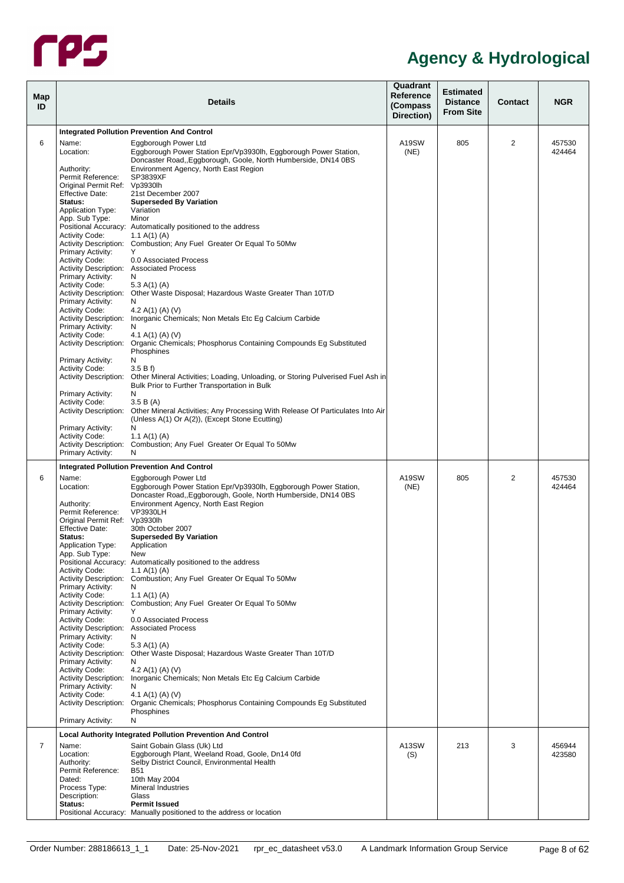

<span id="page-12-0"></span>

| Map<br>ID      |                                                                                                                                                                                                                                                                                                                                                                                                                                                                                                                                                                    | <b>Details</b>                                                                                                                                                                                                                                                                                                                                                                                                                                                                                                                                                                                                                                                                                                                                                                                                                                                                                                                                                                                                                                                                                                                                                   | Quadrant<br>Reference<br>(Compass<br>Direction) | <b>Estimated</b><br><b>Distance</b><br><b>From Site</b> | Contact        | <b>NGR</b>       |
|----------------|--------------------------------------------------------------------------------------------------------------------------------------------------------------------------------------------------------------------------------------------------------------------------------------------------------------------------------------------------------------------------------------------------------------------------------------------------------------------------------------------------------------------------------------------------------------------|------------------------------------------------------------------------------------------------------------------------------------------------------------------------------------------------------------------------------------------------------------------------------------------------------------------------------------------------------------------------------------------------------------------------------------------------------------------------------------------------------------------------------------------------------------------------------------------------------------------------------------------------------------------------------------------------------------------------------------------------------------------------------------------------------------------------------------------------------------------------------------------------------------------------------------------------------------------------------------------------------------------------------------------------------------------------------------------------------------------------------------------------------------------|-------------------------------------------------|---------------------------------------------------------|----------------|------------------|
|                |                                                                                                                                                                                                                                                                                                                                                                                                                                                                                                                                                                    | <b>Integrated Pollution Prevention And Control</b>                                                                                                                                                                                                                                                                                                                                                                                                                                                                                                                                                                                                                                                                                                                                                                                                                                                                                                                                                                                                                                                                                                               |                                                 |                                                         |                |                  |
| 6              | Name:<br>Location:<br>Authority:<br>Permit Reference:<br>Original Permit Ref: Vp3930lh<br><b>Effective Date:</b><br>Status:<br><b>Application Type:</b><br>App. Sub Type:<br><b>Activity Code:</b><br>Primary Activity:<br><b>Activity Code:</b><br>Activity Description: Associated Process<br>Primary Activity:<br><b>Activity Code:</b><br>Primary Activity:<br><b>Activity Code:</b><br>Primary Activity:<br><b>Activity Code:</b><br>Primary Activity:<br><b>Activity Code:</b><br><b>Activity Description:</b><br>Primary Activity:<br><b>Activity Code:</b> | Eggborough Power Ltd<br>Eggborough Power Station Epr/Vp3930lh, Eggborough Power Station,<br>Doncaster Road, Eggborough, Goole, North Humberside, DN14 0BS<br>Environment Agency, North East Region<br>SP3839XF<br>21st December 2007<br><b>Superseded By Variation</b><br>Variation<br>Minor<br>Positional Accuracy: Automatically positioned to the address<br>1.1 A(1) (A)<br>Activity Description: Combustion; Any Fuel Greater Or Equal To 50Mw<br>Υ<br>0.0 Associated Process<br>N<br>5.3 A(1) (A)<br>Activity Description: Other Waste Disposal; Hazardous Waste Greater Than 10T/D<br>N<br>4.2 A(1) (A) (V)<br>Activity Description: Inorganic Chemicals; Non Metals Etc Eg Calcium Carbide<br>N<br>4.1 A(1) (A) (V)<br>Activity Description: Organic Chemicals; Phosphorus Containing Compounds Eq Substituted<br>Phosphines<br>N<br>3.5Bf<br>Other Mineral Activities; Loading, Unloading, or Storing Pulverised Fuel Ash in<br>Bulk Prior to Further Transportation in Bulk<br>N<br>3.5 B(A)<br>Activity Description: Other Mineral Activities; Any Processing With Release Of Particulates Into Air<br>(Unless A(1) Or A(2)), (Except Stone Ecutting) | A19SW<br>(NE)                                   | 805                                                     | 2              | 457530<br>424464 |
|                | Primary Activity:<br><b>Activity Code:</b><br><b>Primary Activity:</b>                                                                                                                                                                                                                                                                                                                                                                                                                                                                                             | N<br>1.1 A(1) (A)<br>Activity Description: Combustion; Any Fuel Greater Or Equal To 50Mw<br>N                                                                                                                                                                                                                                                                                                                                                                                                                                                                                                                                                                                                                                                                                                                                                                                                                                                                                                                                                                                                                                                                    |                                                 |                                                         |                |                  |
|                |                                                                                                                                                                                                                                                                                                                                                                                                                                                                                                                                                                    | <b>Integrated Pollution Prevention And Control</b>                                                                                                                                                                                                                                                                                                                                                                                                                                                                                                                                                                                                                                                                                                                                                                                                                                                                                                                                                                                                                                                                                                               |                                                 |                                                         |                |                  |
| 6              | Name:<br>Location:<br>Authority:<br>Permit Reference:<br>Original Permit Ref: Vp3930lh<br><b>Effective Date:</b><br>Status:<br><b>Application Type:</b><br>App. Sub Type:<br><b>Activity Code:</b><br>Primary Activity:<br><b>Activity Code:</b><br>Primary Activity:<br><b>Activity Code:</b><br><b>Activity Description: Associated Process</b><br>Primary Activity:<br><b>Activity Code:</b><br>Primary Activity:<br><b>Activity Code:</b><br>Primary Activity:<br><b>Activity Code:</b><br><b>Primary Activity:</b>                                            | Eggborough Power Ltd<br>Eggborough Power Station Epr/Vp3930lh, Eggborough Power Station,<br>Doncaster Road, Eggborough, Goole, North Humberside, DN14 0BS<br>Environment Agency, North East Region<br><b>VP3930LH</b><br>30th October 2007<br><b>Superseded By Variation</b><br>Application<br><b>New</b><br>Positional Accuracy: Automatically positioned to the address<br>1.1 A(1) (A)<br>Activity Description: Combustion; Any Fuel Greater Or Equal To 50Mw<br>N<br>1.1 A(1) (A)<br>Activity Description: Combustion; Any Fuel Greater Or Equal To 50Mw<br>Y<br>0.0 Associated Process<br>N<br>5.3 A(1) (A)<br>Activity Description: Other Waste Disposal; Hazardous Waste Greater Than 10T/D<br>N<br>4.2 A(1) (A) (V)<br>Activity Description: Inorganic Chemicals; Non Metals Etc Eq Calcium Carbide<br>N<br>4.1 A(1) (A) (V)<br>Activity Description: Organic Chemicals; Phosphorus Containing Compounds Eg Substituted<br>Phosphines<br>Ν                                                                                                                                                                                                               | A19SW<br>(NE)                                   | 805                                                     | $\overline{2}$ | 457530<br>424464 |
|                |                                                                                                                                                                                                                                                                                                                                                                                                                                                                                                                                                                    | <b>Local Authority Integrated Pollution Prevention And Control</b>                                                                                                                                                                                                                                                                                                                                                                                                                                                                                                                                                                                                                                                                                                                                                                                                                                                                                                                                                                                                                                                                                               |                                                 |                                                         |                |                  |
| $\overline{7}$ | Name:<br>Location:<br>Authority:<br>Permit Reference:<br>Dated:<br>Process Type:<br>Description:<br>Status:                                                                                                                                                                                                                                                                                                                                                                                                                                                        | Saint Gobain Glass (Uk) Ltd<br>Eggborough Plant, Weeland Road, Goole, Dn14 0fd<br>Selby District Council, Environmental Health<br><b>B51</b><br>10th May 2004<br><b>Mineral Industries</b><br>Glass<br><b>Permit Issued</b><br>Positional Accuracy: Manually positioned to the address or location                                                                                                                                                                                                                                                                                                                                                                                                                                                                                                                                                                                                                                                                                                                                                                                                                                                               | A13SW<br>(S)                                    | 213                                                     | 3              | 456944<br>423580 |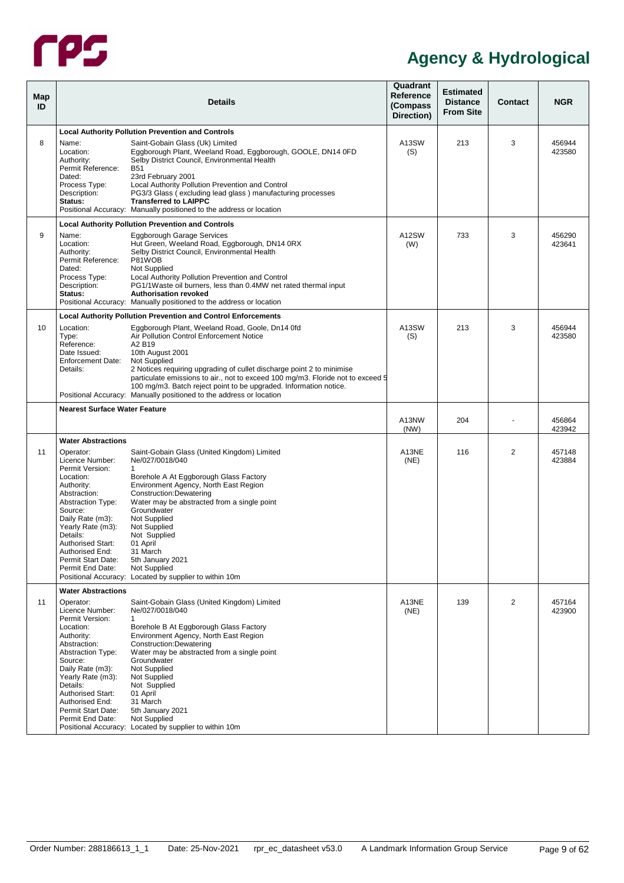

<span id="page-13-3"></span><span id="page-13-2"></span><span id="page-13-1"></span><span id="page-13-0"></span>

| <b>Map</b><br>ID |                                                                                                                                                                                                                                                                                 | <b>Details</b>                                                                                                                                                                                                                                                                                                                                                                                                         | Quadrant<br><b>Reference</b><br>(Compass<br>Direction) | <b>Estimated</b><br><b>Distance</b><br><b>From Site</b> | <b>Contact</b> | <b>NGR</b>       |
|------------------|---------------------------------------------------------------------------------------------------------------------------------------------------------------------------------------------------------------------------------------------------------------------------------|------------------------------------------------------------------------------------------------------------------------------------------------------------------------------------------------------------------------------------------------------------------------------------------------------------------------------------------------------------------------------------------------------------------------|--------------------------------------------------------|---------------------------------------------------------|----------------|------------------|
|                  |                                                                                                                                                                                                                                                                                 | <b>Local Authority Pollution Prevention and Controls</b>                                                                                                                                                                                                                                                                                                                                                               |                                                        |                                                         |                |                  |
| 8                | Name:<br>Location:<br>Authority:<br>Permit Reference:<br>Dated:<br>Process Type:<br>Description:<br>Status:                                                                                                                                                                     | Saint-Gobain Glass (Uk) Limited<br>Eggborough Plant, Weeland Road, Eggborough, GOOLE, DN14 0FD<br>Selby District Council, Environmental Health<br><b>B51</b><br>23rd February 2001<br>Local Authority Pollution Prevention and Control<br>PG3/3 Glass (excluding lead glass) manufacturing processes<br><b>Transferred to LAIPPC</b><br>Positional Accuracy: Manually positioned to the address or location            | A13SW<br>(S)                                           | 213                                                     | 3              | 456944<br>423580 |
|                  |                                                                                                                                                                                                                                                                                 | <b>Local Authority Pollution Prevention and Controls</b>                                                                                                                                                                                                                                                                                                                                                               |                                                        |                                                         |                |                  |
| 9                | Name:<br>Location:<br>Authority:<br>Permit Reference:<br>Dated:<br>Process Type:<br>Description:<br>Status:                                                                                                                                                                     | Eggborough Garage Services<br>Hut Green, Weeland Road, Eggborough, DN14 0RX<br>Selby District Council, Environmental Health<br>P81WOB<br>Not Supplied<br>Local Authority Pollution Prevention and Control<br>PG1/1Waste oil burners, less than 0.4MW net rated thermal input<br><b>Authorisation revoked</b><br>Positional Accuracy: Manually positioned to the address or location                                    | A12SW<br>(W)                                           | 733                                                     | 3              | 456290<br>423641 |
|                  |                                                                                                                                                                                                                                                                                 | <b>Local Authority Pollution Prevention and Control Enforcements</b>                                                                                                                                                                                                                                                                                                                                                   |                                                        |                                                         |                |                  |
| 10               | Location:<br>Type:<br>Reference:<br>Date Issued:<br><b>Enforcement Date:</b><br>Details:                                                                                                                                                                                        | Eggborough Plant, Weeland Road, Goole, Dn14 0fd<br>Air Pollution Control Enforcement Notice<br>A2 B19<br>10th August 2001<br>Not Supplied<br>2 Notices requiring upgrading of cullet discharge point 2 to minimise<br>particulate emissions to air., not to exceed 100 mg/m3. Floride not to exceed 5<br>100 mg/m3. Batch reject point to be upgraded. Information notice.                                             | A13SW<br>(S)                                           | 213                                                     | 3              | 456944<br>423580 |
|                  |                                                                                                                                                                                                                                                                                 | Positional Accuracy: Manually positioned to the address or location                                                                                                                                                                                                                                                                                                                                                    |                                                        |                                                         |                |                  |
|                  | <b>Nearest Surface Water Feature</b>                                                                                                                                                                                                                                            |                                                                                                                                                                                                                                                                                                                                                                                                                        | A13NW<br>(NW)                                          | 204                                                     |                | 456864<br>423942 |
|                  | <b>Water Abstractions</b>                                                                                                                                                                                                                                                       |                                                                                                                                                                                                                                                                                                                                                                                                                        |                                                        |                                                         |                |                  |
| 11               | Operator:<br>Licence Number:<br>Permit Version:<br>Location:<br>Authority:<br>Abstraction:<br><b>Abstraction Type:</b><br>Source:<br>Daily Rate (m3):<br>Yearly Rate (m3):<br>Details:<br><b>Authorised Start:</b><br>Authorised End:<br>Permit Start Date:<br>Permit End Date: | Saint-Gobain Glass (United Kingdom) Limited<br>Ne/027/0018/040<br>1<br>Borehole A At Eggborough Glass Factory<br>Environment Agency, North East Region<br>Construction: Dewatering<br>Water may be abstracted from a single point<br>Groundwater<br>Not Supplied<br>Not Supplied<br>Not Supplied<br>01 April<br>31 March<br>5th January 2021<br>Not Supplied<br>Positional Accuracy: Located by supplier to within 10m | A13NE<br>(NE)                                          | 116                                                     | $\overline{2}$ | 457148<br>423884 |
|                  | <b>Water Abstractions</b>                                                                                                                                                                                                                                                       |                                                                                                                                                                                                                                                                                                                                                                                                                        |                                                        |                                                         |                |                  |
| 11               | Operator:<br>Licence Number:<br>Permit Version:<br>Location:<br>Authority:<br>Abstraction:<br><b>Abstraction Type:</b><br>Source:<br>Daily Rate (m3):<br>Yearly Rate (m3):<br>Details:<br><b>Authorised Start:</b><br>Authorised End:<br>Permit Start Date:<br>Permit End Date: | Saint-Gobain Glass (United Kingdom) Limited<br>Ne/027/0018/040<br>1<br>Borehole B At Eggborough Glass Factory<br>Environment Agency, North East Region<br>Construction: Dewatering<br>Water may be abstracted from a single point<br>Groundwater<br>Not Supplied<br>Not Supplied<br>Not Supplied<br>01 April<br>31 March<br>5th January 2021<br>Not Supplied<br>Positional Accuracy: Located by supplier to within 10m | A13NE<br>(NE)                                          | 139                                                     | 2              | 457164<br>423900 |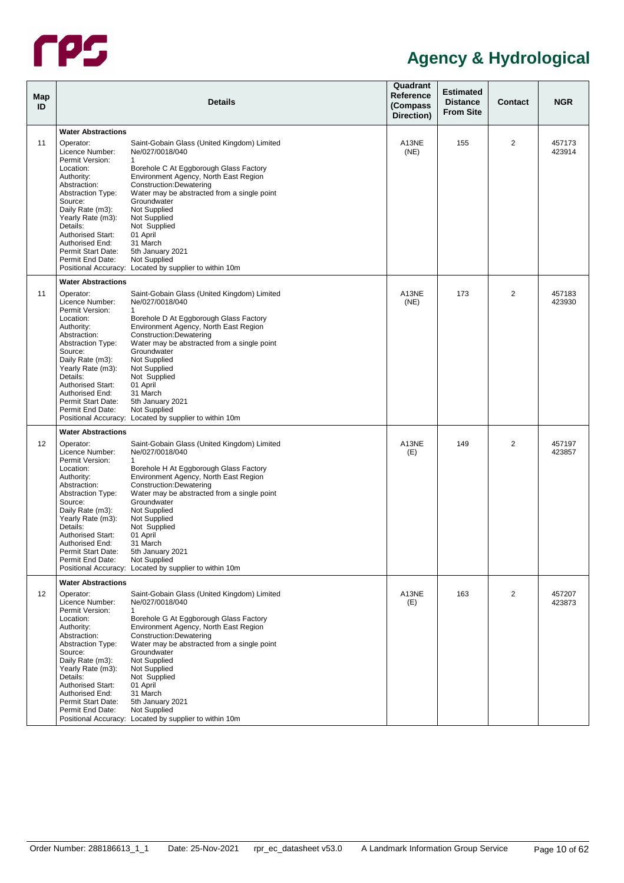

|                                             | <b>Details</b>                                                                                                                                                                                                                                                                                                                                                                                                                   | Quadrant<br>Reference<br>(Compass<br>Direction)                                                                                                                                                                                                                                                                                                                                                                                                                                                                                                                                                                                                                                                                                   | <b>Estimated</b><br><b>Distance</b><br><b>From Site</b> | Contact        | <b>NGR</b>          |
|---------------------------------------------|----------------------------------------------------------------------------------------------------------------------------------------------------------------------------------------------------------------------------------------------------------------------------------------------------------------------------------------------------------------------------------------------------------------------------------|-----------------------------------------------------------------------------------------------------------------------------------------------------------------------------------------------------------------------------------------------------------------------------------------------------------------------------------------------------------------------------------------------------------------------------------------------------------------------------------------------------------------------------------------------------------------------------------------------------------------------------------------------------------------------------------------------------------------------------------|---------------------------------------------------------|----------------|---------------------|
|                                             |                                                                                                                                                                                                                                                                                                                                                                                                                                  |                                                                                                                                                                                                                                                                                                                                                                                                                                                                                                                                                                                                                                                                                                                                   |                                                         |                |                     |
| Operator:                                   | Saint-Gobain Glass (United Kingdom) Limited                                                                                                                                                                                                                                                                                                                                                                                      | A13NE                                                                                                                                                                                                                                                                                                                                                                                                                                                                                                                                                                                                                                                                                                                             | 155                                                     | $\overline{2}$ | 457173<br>423914    |
| Permit Version:<br>Location:                | 1<br>Borehole C At Eggborough Glass Factory                                                                                                                                                                                                                                                                                                                                                                                      |                                                                                                                                                                                                                                                                                                                                                                                                                                                                                                                                                                                                                                                                                                                                   |                                                         |                |                     |
| Authority:<br>Abstraction:                  | Construction: Dewatering                                                                                                                                                                                                                                                                                                                                                                                                         |                                                                                                                                                                                                                                                                                                                                                                                                                                                                                                                                                                                                                                                                                                                                   |                                                         |                |                     |
| Source:<br>Daily Rate (m3):                 | Groundwater<br>Not Supplied                                                                                                                                                                                                                                                                                                                                                                                                      |                                                                                                                                                                                                                                                                                                                                                                                                                                                                                                                                                                                                                                                                                                                                   |                                                         |                |                     |
| Details:<br><b>Authorised Start:</b>        | Not Supplied<br>01 April                                                                                                                                                                                                                                                                                                                                                                                                         |                                                                                                                                                                                                                                                                                                                                                                                                                                                                                                                                                                                                                                                                                                                                   |                                                         |                |                     |
| Permit Start Date:<br>Permit End Date:      | 5th January 2021                                                                                                                                                                                                                                                                                                                                                                                                                 |                                                                                                                                                                                                                                                                                                                                                                                                                                                                                                                                                                                                                                                                                                                                   |                                                         |                |                     |
|                                             |                                                                                                                                                                                                                                                                                                                                                                                                                                  |                                                                                                                                                                                                                                                                                                                                                                                                                                                                                                                                                                                                                                                                                                                                   |                                                         |                |                     |
|                                             |                                                                                                                                                                                                                                                                                                                                                                                                                                  |                                                                                                                                                                                                                                                                                                                                                                                                                                                                                                                                                                                                                                                                                                                                   |                                                         |                | 457183              |
| Licence Number:<br>Permit Version:          | Ne/027/0018/040<br>$\mathbf{1}$                                                                                                                                                                                                                                                                                                                                                                                                  | (NE)                                                                                                                                                                                                                                                                                                                                                                                                                                                                                                                                                                                                                                                                                                                              |                                                         |                | 423930              |
| Location:<br>Authority:                     | Borehole D At Eggborough Glass Factory<br>Environment Agency, North East Region                                                                                                                                                                                                                                                                                                                                                  |                                                                                                                                                                                                                                                                                                                                                                                                                                                                                                                                                                                                                                                                                                                                   |                                                         |                |                     |
| <b>Abstraction Type:</b><br>Source:         | Water may be abstracted from a single point<br>Groundwater                                                                                                                                                                                                                                                                                                                                                                       |                                                                                                                                                                                                                                                                                                                                                                                                                                                                                                                                                                                                                                                                                                                                   |                                                         |                |                     |
| Yearly Rate (m3):                           | Not Supplied                                                                                                                                                                                                                                                                                                                                                                                                                     |                                                                                                                                                                                                                                                                                                                                                                                                                                                                                                                                                                                                                                                                                                                                   |                                                         |                |                     |
| <b>Authorised Start:</b><br>Authorised End: | 01 April<br>31 March                                                                                                                                                                                                                                                                                                                                                                                                             |                                                                                                                                                                                                                                                                                                                                                                                                                                                                                                                                                                                                                                                                                                                                   |                                                         |                |                     |
| Permit End Date:                            | Not Supplied                                                                                                                                                                                                                                                                                                                                                                                                                     |                                                                                                                                                                                                                                                                                                                                                                                                                                                                                                                                                                                                                                                                                                                                   |                                                         |                |                     |
|                                             |                                                                                                                                                                                                                                                                                                                                                                                                                                  |                                                                                                                                                                                                                                                                                                                                                                                                                                                                                                                                                                                                                                                                                                                                   |                                                         |                |                     |
| Operator:                                   | Saint-Gobain Glass (United Kingdom) Limited                                                                                                                                                                                                                                                                                                                                                                                      | A13NE                                                                                                                                                                                                                                                                                                                                                                                                                                                                                                                                                                                                                                                                                                                             | 149                                                     | 2              | 457197<br>423857    |
| Permit Version:<br>Location:                | $\mathbf{1}$<br>Borehole H At Eggborough Glass Factory                                                                                                                                                                                                                                                                                                                                                                           |                                                                                                                                                                                                                                                                                                                                                                                                                                                                                                                                                                                                                                                                                                                                   |                                                         |                |                     |
| Abstraction:<br><b>Abstraction Type:</b>    | Construction: Dewatering<br>Water may be abstracted from a single point                                                                                                                                                                                                                                                                                                                                                          |                                                                                                                                                                                                                                                                                                                                                                                                                                                                                                                                                                                                                                                                                                                                   |                                                         |                |                     |
| Source:<br>Daily Rate (m3):                 | Groundwater<br>Not Supplied                                                                                                                                                                                                                                                                                                                                                                                                      |                                                                                                                                                                                                                                                                                                                                                                                                                                                                                                                                                                                                                                                                                                                                   |                                                         |                |                     |
| Details:<br><b>Authorised Start:</b>        | Not Supplied<br>01 April                                                                                                                                                                                                                                                                                                                                                                                                         |                                                                                                                                                                                                                                                                                                                                                                                                                                                                                                                                                                                                                                                                                                                                   |                                                         |                |                     |
| Authorised End:<br>Permit Start Date:       | 31 March<br>5th January 2021                                                                                                                                                                                                                                                                                                                                                                                                     |                                                                                                                                                                                                                                                                                                                                                                                                                                                                                                                                                                                                                                                                                                                                   |                                                         |                |                     |
|                                             |                                                                                                                                                                                                                                                                                                                                                                                                                                  |                                                                                                                                                                                                                                                                                                                                                                                                                                                                                                                                                                                                                                                                                                                                   |                                                         |                |                     |
|                                             |                                                                                                                                                                                                                                                                                                                                                                                                                                  |                                                                                                                                                                                                                                                                                                                                                                                                                                                                                                                                                                                                                                                                                                                                   |                                                         |                |                     |
| Licence Number:                             | Ne/027/0018/040                                                                                                                                                                                                                                                                                                                                                                                                                  | (E)                                                                                                                                                                                                                                                                                                                                                                                                                                                                                                                                                                                                                                                                                                                               |                                                         |                | 457207<br>423873    |
| Location:<br>Authority:                     | Borehole G At Eggborough Glass Factory<br>Environment Agency, North East Region                                                                                                                                                                                                                                                                                                                                                  |                                                                                                                                                                                                                                                                                                                                                                                                                                                                                                                                                                                                                                                                                                                                   |                                                         |                |                     |
| <b>Abstraction Type:</b><br>Source:         | Water may be abstracted from a single point<br>Groundwater                                                                                                                                                                                                                                                                                                                                                                       |                                                                                                                                                                                                                                                                                                                                                                                                                                                                                                                                                                                                                                                                                                                                   |                                                         |                |                     |
| Daily Rate (m3):<br>Yearly Rate (m3):       | Not Supplied<br>Not Supplied                                                                                                                                                                                                                                                                                                                                                                                                     |                                                                                                                                                                                                                                                                                                                                                                                                                                                                                                                                                                                                                                                                                                                                   |                                                         |                |                     |
| Authorised Start:<br>Authorised End:        | 01 April<br>31 March                                                                                                                                                                                                                                                                                                                                                                                                             |                                                                                                                                                                                                                                                                                                                                                                                                                                                                                                                                                                                                                                                                                                                                   |                                                         |                |                     |
| Permit Start Date:<br>Permit End Date:      | 5th January 2021<br>Not Supplied                                                                                                                                                                                                                                                                                                                                                                                                 |                                                                                                                                                                                                                                                                                                                                                                                                                                                                                                                                                                                                                                                                                                                                   |                                                         |                |                     |
|                                             | <b>Water Abstractions</b><br>Licence Number:<br><b>Abstraction Type:</b><br>Yearly Rate (m3):<br>Authorised End:<br><b>Water Abstractions</b><br>Operator:<br>Abstraction:<br>Daily Rate (m3):<br>Details:<br>Permit Start Date:<br><b>Water Abstractions</b><br>Licence Number:<br>Authority:<br>Yearly Rate (m3):<br>Permit End Date:<br><b>Water Abstractions</b><br>Operator:<br>Permit Version:<br>Abstraction:<br>Details: | Ne/027/0018/040<br>Environment Agency, North East Region<br>Water may be abstracted from a single point<br>Not Supplied<br>31 March<br>Not Supplied<br>Positional Accuracy: Located by supplier to within 10m<br>Saint-Gobain Glass (United Kingdom) Limited<br>Construction: Dewatering<br>Not Supplied<br>Not Supplied<br>5th January 2021<br>Positional Accuracy: Located by supplier to within 10m<br>Ne/027/0018/040<br>Environment Agency, North East Region<br>Not Supplied<br>Not Supplied<br>Positional Accuracy: Located by supplier to within 10m<br>Saint-Gobain Glass (United Kingdom) Limited<br>$\mathbf{1}$<br>Construction: Dewatering<br>Not Supplied<br>Positional Accuracy: Located by supplier to within 10m | (NE)<br>A13NE<br>(E)<br>A13NE                           | 173<br>163     | $\overline{2}$<br>2 |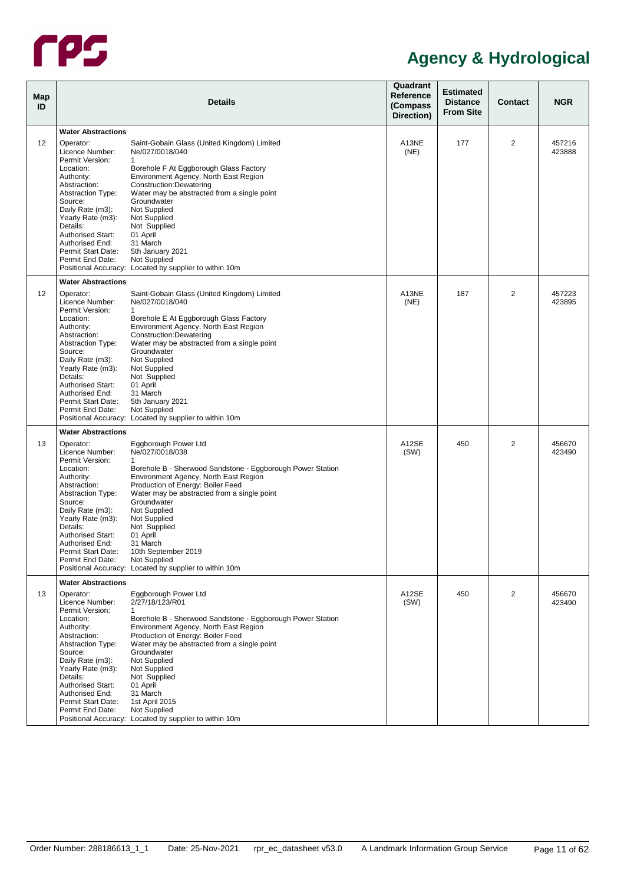

| Map<br>ID         |                                                                   | <b>Details</b>                                                                                      | Quadrant<br>Reference<br>(Compass<br>Direction) | <b>Estimated</b><br><b>Distance</b><br><b>From Site</b> | Contact        | <b>NGR</b>       |
|-------------------|-------------------------------------------------------------------|-----------------------------------------------------------------------------------------------------|-------------------------------------------------|---------------------------------------------------------|----------------|------------------|
|                   | <b>Water Abstractions</b>                                         |                                                                                                     |                                                 |                                                         |                |                  |
| $12 \overline{ }$ | Operator:<br>Licence Number:                                      | Saint-Gobain Glass (United Kingdom) Limited<br>Ne/027/0018/040                                      | A13NE<br>(NE)                                   | 177                                                     | $\overline{2}$ | 457216<br>423888 |
|                   | Permit Version:<br>Location:<br>Authority:                        | 1<br>Borehole F At Eggborough Glass Factory<br>Environment Agency, North East Region                |                                                 |                                                         |                |                  |
|                   | Abstraction:<br><b>Abstraction Type:</b><br>Source:               | Construction: Dewatering<br>Water may be abstracted from a single point<br>Groundwater              |                                                 |                                                         |                |                  |
|                   | Daily Rate (m3):<br>Yearly Rate (m3):                             | Not Supplied<br>Not Supplied                                                                        |                                                 |                                                         |                |                  |
|                   | Details:<br><b>Authorised Start:</b><br>Authorised End:           | Not Supplied<br>01 April<br>31 March                                                                |                                                 |                                                         |                |                  |
|                   | Permit Start Date:<br>Permit End Date:                            | 5th January 2021<br>Not Supplied<br>Positional Accuracy: Located by supplier to within 10m          |                                                 |                                                         |                |                  |
|                   | <b>Water Abstractions</b>                                         |                                                                                                     |                                                 |                                                         |                |                  |
| $12 \overline{ }$ | Operator:<br>Licence Number:                                      | Saint-Gobain Glass (United Kingdom) Limited<br>Ne/027/0018/040                                      | A13NE<br>(NE)                                   | 187                                                     | $\overline{2}$ | 457223<br>423895 |
|                   | Permit Version:<br>Location:<br>Authority:                        | $\mathbf{1}$<br>Borehole E At Eggborough Glass Factory<br>Environment Agency, North East Region     |                                                 |                                                         |                |                  |
|                   | Abstraction:<br><b>Abstraction Type:</b>                          | Construction: Dewatering<br>Water may be abstracted from a single point                             |                                                 |                                                         |                |                  |
|                   | Source:<br>Daily Rate (m3):<br>Yearly Rate (m3):                  | Groundwater<br>Not Supplied<br>Not Supplied                                                         |                                                 |                                                         |                |                  |
|                   | Details:<br><b>Authorised Start:</b><br>Authorised End:           | Not Supplied<br>01 April<br>31 March                                                                |                                                 |                                                         |                |                  |
|                   | Permit Start Date:<br>Permit End Date:                            | 5th January 2021<br>Not Supplied                                                                    |                                                 |                                                         |                |                  |
|                   |                                                                   | Positional Accuracy: Located by supplier to within 10m                                              |                                                 |                                                         |                |                  |
|                   | <b>Water Abstractions</b>                                         |                                                                                                     |                                                 |                                                         |                |                  |
| 13                | Operator:<br>Licence Number:<br>Permit Version:                   | Eggborough Power Ltd<br>Ne/027/0018/038<br>$\mathbf{1}$                                             | A12SE<br>(SW)                                   | 450                                                     | 2              | 456670<br>423490 |
|                   | Location:<br>Authority:                                           | Borehole B - Sherwood Sandstone - Eggborough Power Station<br>Environment Agency, North East Region |                                                 |                                                         |                |                  |
|                   | Abstraction:<br><b>Abstraction Type:</b><br>Source:               | Production of Energy: Boiler Feed<br>Water may be abstracted from a single point<br>Groundwater     |                                                 |                                                         |                |                  |
|                   | Daily Rate (m3):<br>Yearly Rate (m3):<br>Details:                 | Not Supplied<br>Not Supplied<br>Not Supplied                                                        |                                                 |                                                         |                |                  |
|                   | <b>Authorised Start:</b><br>Authorised End:                       | 01 April<br>31 March                                                                                |                                                 |                                                         |                |                  |
|                   | Permit Start Date:<br>Permit End Date:                            | 10th September 2019<br>Not Supplied<br>Positional Accuracy: Located by supplier to within 10m       |                                                 |                                                         |                |                  |
|                   | <b>Water Abstractions</b>                                         |                                                                                                     |                                                 |                                                         |                |                  |
| 13                | Operator:                                                         | Eggborough Power Ltd                                                                                | A12SE                                           | 450                                                     | 2              | 456670           |
|                   | Licence Number:<br>Permit Version:<br>Location:                   | 2/27/18/123/R01<br>1<br>Borehole B - Sherwood Sandstone - Eggborough Power Station                  | (SW)                                            |                                                         |                | 423490           |
|                   | Authority:<br>Abstraction:                                        | Environment Agency, North East Region<br>Production of Energy: Boiler Feed                          |                                                 |                                                         |                |                  |
|                   | <b>Abstraction Type:</b><br>Source:<br>Daily Rate (m3):           | Water may be abstracted from a single point<br>Groundwater<br>Not Supplied                          |                                                 |                                                         |                |                  |
|                   | Yearly Rate (m3):<br>Details:                                     | Not Supplied<br>Not Supplied                                                                        |                                                 |                                                         |                |                  |
|                   | <b>Authorised Start:</b><br>Authorised End:<br>Permit Start Date: | 01 April<br>31 March<br>1st April 2015                                                              |                                                 |                                                         |                |                  |
|                   | Permit End Date:                                                  | Not Supplied<br>Positional Accuracy: Located by supplier to within 10m                              |                                                 |                                                         |                |                  |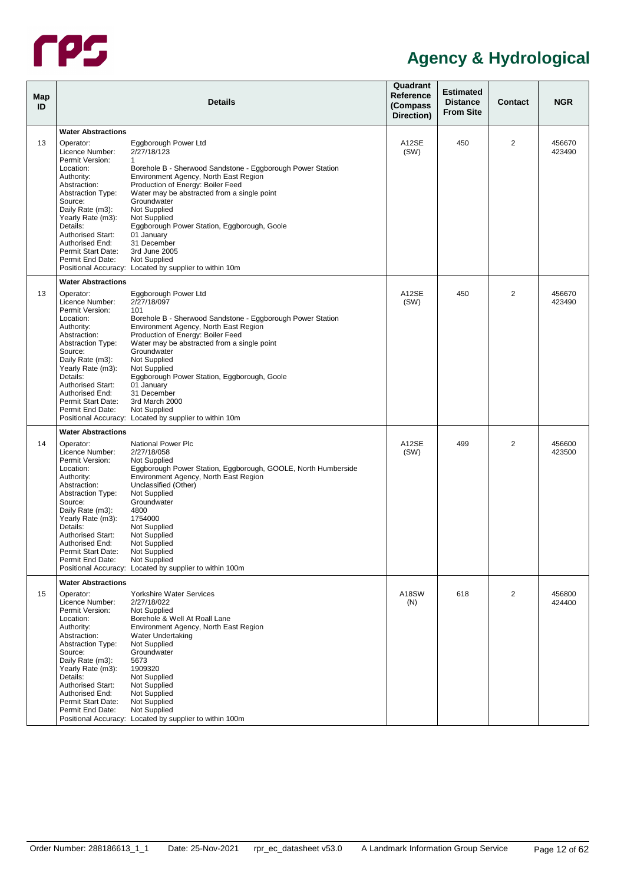

| Map<br>ID |                                                                                                                                                                                                                                                                                 | Details                                                                                                                                                                                                                                                                                                                                                                                                                                                             | Quadrant<br>Reference<br>(Compass<br>Direction) | <b>Estimated</b><br><b>Distance</b><br><b>From Site</b> | <b>Contact</b> | <b>NGR</b>       |
|-----------|---------------------------------------------------------------------------------------------------------------------------------------------------------------------------------------------------------------------------------------------------------------------------------|---------------------------------------------------------------------------------------------------------------------------------------------------------------------------------------------------------------------------------------------------------------------------------------------------------------------------------------------------------------------------------------------------------------------------------------------------------------------|-------------------------------------------------|---------------------------------------------------------|----------------|------------------|
|           | <b>Water Abstractions</b>                                                                                                                                                                                                                                                       |                                                                                                                                                                                                                                                                                                                                                                                                                                                                     |                                                 |                                                         |                |                  |
| 13        | Operator:<br>Licence Number:                                                                                                                                                                                                                                                    | Eggborough Power Ltd<br>2/27/18/123                                                                                                                                                                                                                                                                                                                                                                                                                                 | A12SE<br>(SW)                                   | 450                                                     | 2              | 456670<br>423490 |
|           | Permit Version:<br>Location:<br>Authority:<br>Abstraction:<br><b>Abstraction Type:</b><br>Source:<br>Daily Rate (m3):<br>Yearly Rate (m3):<br>Details:<br><b>Authorised Start:</b><br>Authorised End:<br>Permit Start Date:<br>Permit End Date:                                 | 1<br>Borehole B - Sherwood Sandstone - Eggborough Power Station<br>Environment Agency, North East Region<br>Production of Energy: Boiler Feed<br>Water may be abstracted from a single point<br>Groundwater<br>Not Supplied<br>Not Supplied<br>Eggborough Power Station, Eggborough, Goole<br>01 January<br>31 December<br>3rd June 2005<br>Not Supplied<br>Positional Accuracy: Located by supplier to within 10m                                                  |                                                 |                                                         |                |                  |
|           | <b>Water Abstractions</b>                                                                                                                                                                                                                                                       |                                                                                                                                                                                                                                                                                                                                                                                                                                                                     |                                                 |                                                         |                |                  |
| 13        | Operator:<br>Licence Number:<br>Permit Version:<br>Location:<br>Authority:<br>Abstraction:<br><b>Abstraction Type:</b><br>Source:<br>Daily Rate (m3):<br>Yearly Rate (m3):<br>Details:<br><b>Authorised Start:</b><br>Authorised End:<br>Permit Start Date:<br>Permit End Date: | Eggborough Power Ltd<br>2/27/18/097<br>101<br>Borehole B - Sherwood Sandstone - Eggborough Power Station<br>Environment Agency, North East Region<br>Production of Energy: Boiler Feed<br>Water may be abstracted from a single point<br>Groundwater<br>Not Supplied<br>Not Supplied<br>Eggborough Power Station, Eggborough, Goole<br>01 January<br>31 December<br>3rd March 2000<br><b>Not Supplied</b><br>Positional Accuracy: Located by supplier to within 10m | A12SE<br>(SW)                                   | 450                                                     | $\overline{2}$ | 456670<br>423490 |
|           | <b>Water Abstractions</b>                                                                                                                                                                                                                                                       |                                                                                                                                                                                                                                                                                                                                                                                                                                                                     |                                                 |                                                         |                |                  |
| 14        | Operator:<br>Licence Number:<br>Permit Version:<br>Location:<br>Authority:<br>Abstraction:<br><b>Abstraction Type:</b><br>Source:<br>Daily Rate (m3):<br>Yearly Rate (m3):<br>Details:<br><b>Authorised Start:</b><br>Authorised End:<br>Permit Start Date:<br>Permit End Date: | National Power Plc<br>2/27/18/058<br><b>Not Supplied</b><br>Eggborough Power Station, Eggborough, GOOLE, North Humberside<br>Environment Agency, North East Region<br>Unclassified (Other)<br>Not Supplied<br>Groundwater<br>4800<br>1754000<br><b>Not Supplied</b><br>Not Supplied<br>Not Supplied<br><b>Not Supplied</b><br>Not Supplied<br>Positional Accuracy: Located by supplier to within 100m                                                               | A12SE<br>(SW)                                   | 499                                                     | 2              | 456600<br>423500 |
|           | <b>Water Abstractions</b>                                                                                                                                                                                                                                                       |                                                                                                                                                                                                                                                                                                                                                                                                                                                                     |                                                 |                                                         |                |                  |
| 15        | Operator:<br>Licence Number:<br>Permit Version:<br>Location:<br>Authority:<br>Abstraction:<br><b>Abstraction Type:</b><br>Source:<br>Daily Rate (m3):<br>Yearly Rate (m3):<br>Details:<br><b>Authorised Start:</b><br>Authorised End:<br>Permit Start Date:<br>Permit End Date: | Yorkshire Water Services<br>2/27/18/022<br>Not Supplied<br>Borehole & Well At Roall Lane<br>Environment Agency, North East Region<br>Water Undertaking<br>Not Supplied<br>Groundwater<br>5673<br>1909320<br>Not Supplied<br>Not Supplied<br>Not Supplied<br>Not Supplied<br>Not Supplied<br>Positional Accuracy: Located by supplier to within 100m                                                                                                                 | A18SW<br>(N)                                    | 618                                                     | 2              | 456800<br>424400 |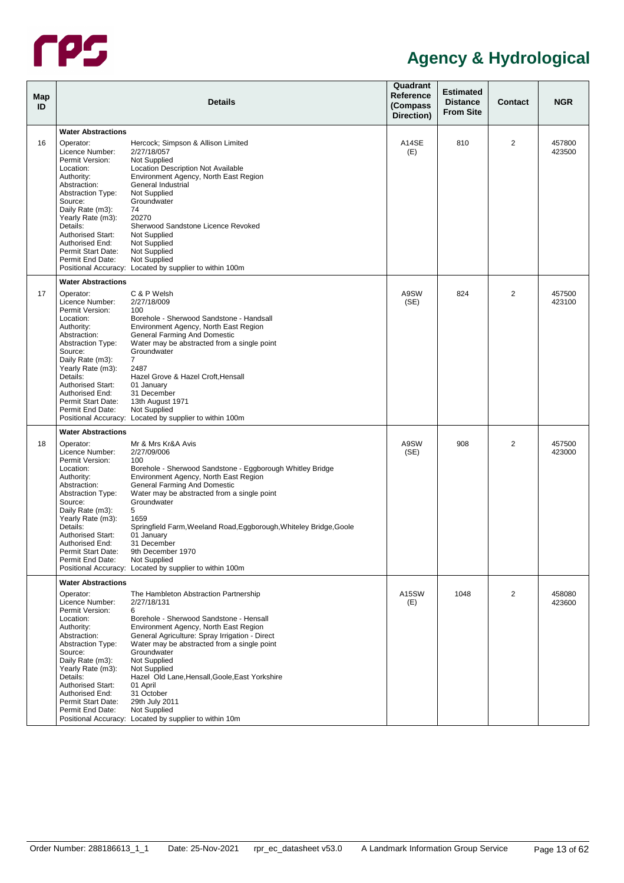

| Map<br>ID |                                                                                                                                                                                                                                                                                                              | <b>Details</b>                                                                                                                                                                                                                                                                                                                                                                                                                                                        | Quadrant<br>Reference<br>(Compass)<br>Direction) | <b>Estimated</b><br><b>Distance</b><br><b>From Site</b> | Contact        | <b>NGR</b>       |
|-----------|--------------------------------------------------------------------------------------------------------------------------------------------------------------------------------------------------------------------------------------------------------------------------------------------------------------|-----------------------------------------------------------------------------------------------------------------------------------------------------------------------------------------------------------------------------------------------------------------------------------------------------------------------------------------------------------------------------------------------------------------------------------------------------------------------|--------------------------------------------------|---------------------------------------------------------|----------------|------------------|
|           | <b>Water Abstractions</b>                                                                                                                                                                                                                                                                                    |                                                                                                                                                                                                                                                                                                                                                                                                                                                                       |                                                  |                                                         |                |                  |
| 16        | Operator:<br>Licence Number:<br>Permit Version:<br>Location:<br>Authority:<br>Abstraction:<br><b>Abstraction Type:</b><br>Source:<br>Daily Rate (m3):<br>Yearly Rate (m3):<br>Details:<br><b>Authorised Start:</b><br>Authorised End:<br>Permit Start Date:<br>Permit End Date:                              | Hercock; Simpson & Allison Limited<br>2/27/18/057<br>Not Supplied<br>Location Description Not Available<br>Environment Agency, North East Region<br>General Industrial<br>Not Supplied<br>Groundwater<br>74<br>20270<br>Sherwood Sandstone Licence Revoked<br>Not Supplied<br>Not Supplied<br>Not Supplied<br>Not Supplied<br>Positional Accuracy: Located by supplier to within 100m                                                                                 | A14SE<br>(E)                                     | 810                                                     | $\overline{2}$ | 457800<br>423500 |
| 17        | <b>Water Abstractions</b><br>Operator:<br>Licence Number:<br>Permit Version:<br>Location:<br>Authority:<br>Abstraction:<br><b>Abstraction Type:</b><br>Source:<br>Daily Rate (m3):<br>Yearly Rate (m3):<br>Details:<br><b>Authorised Start:</b><br>Authorised End:<br>Permit Start Date:<br>Permit End Date: | C & P Welsh<br>2/27/18/009<br>100<br>Borehole - Sherwood Sandstone - Handsall<br>Environment Agency, North East Region<br><b>General Farming And Domestic</b><br>Water may be abstracted from a single point<br>Groundwater<br>$\overline{7}$<br>2487<br>Hazel Grove & Hazel Croft, Hensall<br>01 January<br>31 December<br>13th August 1971<br>Not Supplied<br>Positional Accuracy: Located by supplier to within 100m                                               | A9SW<br>(SE)                                     | 824                                                     | 2              | 457500<br>423100 |
|           | <b>Water Abstractions</b>                                                                                                                                                                                                                                                                                    |                                                                                                                                                                                                                                                                                                                                                                                                                                                                       |                                                  |                                                         |                |                  |
| 18        | Operator:<br>Licence Number:<br>Permit Version:<br>Location:<br>Authority:<br>Abstraction:<br><b>Abstraction Type:</b><br>Source:<br>Daily Rate (m3):<br>Yearly Rate (m3):<br>Details:<br><b>Authorised Start:</b><br>Authorised End:<br>Permit Start Date:<br>Permit End Date:                              | Mr & Mrs Kr&A Avis<br>2/27/09/006<br>100<br>Borehole - Sherwood Sandstone - Eggborough Whitley Bridge<br>Environment Agency, North East Region<br>General Farming And Domestic<br>Water may be abstracted from a single point<br>Groundwater<br>5<br>1659<br>Springfield Farm, Weeland Road, Eggborough, Whiteley Bridge, Goole<br>01 Januarv<br>31 December<br>9th December 1970<br>Not Supplied<br>Positional Accuracy: Located by supplier to within 100m          | A9SW<br>(SE)                                     | 908                                                     | $\overline{2}$ | 457500<br>423000 |
|           | <b>Water Abstractions</b>                                                                                                                                                                                                                                                                                    |                                                                                                                                                                                                                                                                                                                                                                                                                                                                       |                                                  |                                                         |                |                  |
|           | Operator:<br>Licence Number:<br>Permit Version:<br>Location:<br>Authority:<br>Abstraction:<br><b>Abstraction Type:</b><br>Source:<br>Daily Rate (m3):<br>Yearly Rate (m3):<br>Details:<br><b>Authorised Start:</b><br>Authorised End:<br>Permit Start Date:<br>Permit End Date:                              | The Hambleton Abstraction Partnership<br>2/27/18/131<br>6<br>Borehole - Sherwood Sandstone - Hensall<br>Environment Agency, North East Region<br>General Agriculture: Spray Irrigation - Direct<br>Water may be abstracted from a single point<br>Groundwater<br>Not Supplied<br>Not Supplied<br>Hazel Old Lane, Hensall, Goole, East Yorkshire<br>01 April<br>31 October<br>29th July 2011<br>Not Supplied<br>Positional Accuracy: Located by supplier to within 10m | A15SW<br>(E)                                     | 1048                                                    | 2              | 458080<br>423600 |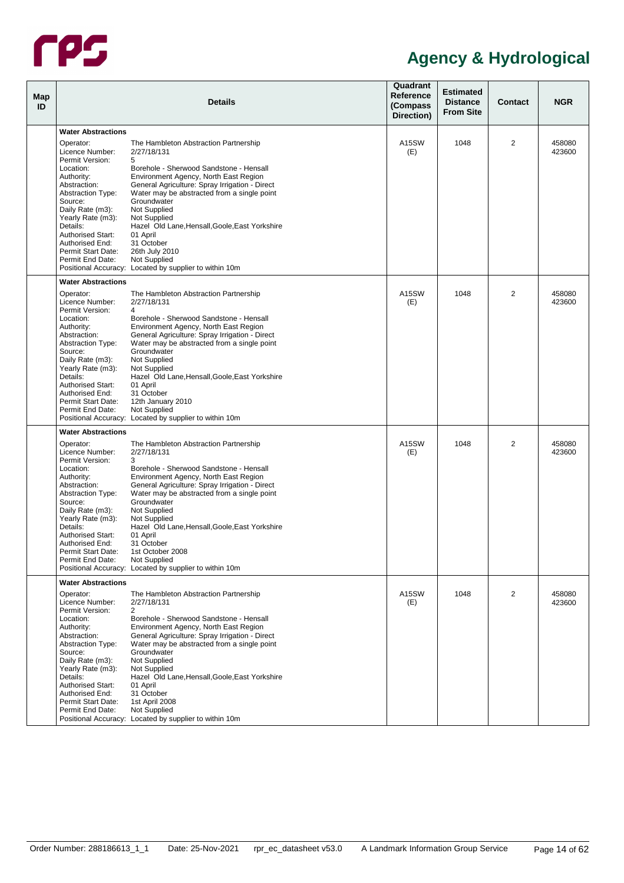

| <b>NGR</b><br><b>Contact</b> |
|------------------------------|
|                              |
| 2<br>458080<br>423600        |
|                              |
|                              |
|                              |
|                              |
|                              |
|                              |
| 2<br>458080<br>423600        |
|                              |
|                              |
|                              |
|                              |
|                              |
|                              |
|                              |
|                              |
| 2<br>458080<br>423600        |
|                              |
|                              |
|                              |
|                              |
|                              |
|                              |
|                              |
| 2<br>458080<br>423600        |
|                              |
|                              |
|                              |
|                              |
|                              |
|                              |
|                              |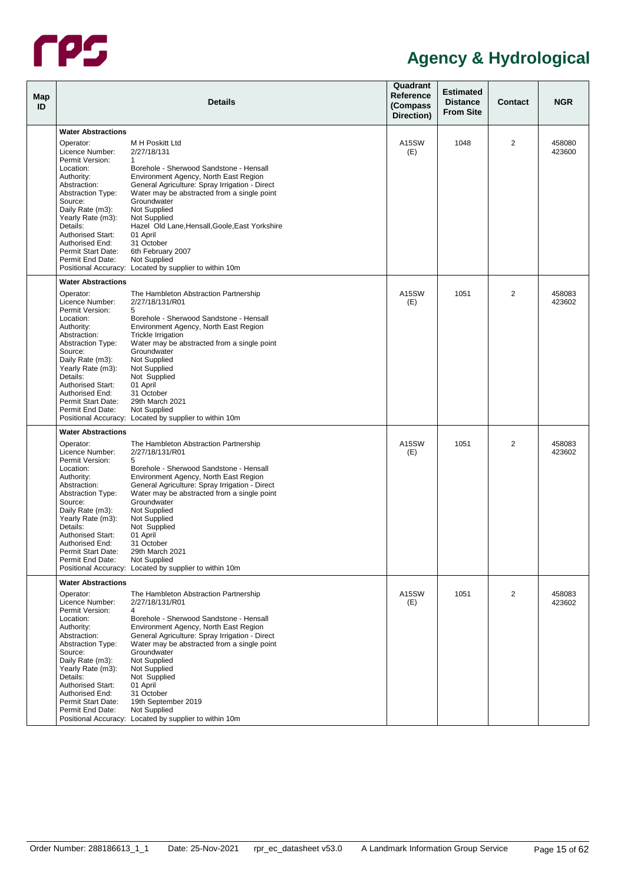

| Map<br>ID |                                                           | <b>Details</b>                                                                                               | Quadrant<br>Reference<br>(Compass<br>Direction) | <b>Estimated</b><br><b>Distance</b><br><b>From Site</b> | <b>Contact</b> | <b>NGR</b>       |
|-----------|-----------------------------------------------------------|--------------------------------------------------------------------------------------------------------------|-------------------------------------------------|---------------------------------------------------------|----------------|------------------|
|           | <b>Water Abstractions</b>                                 |                                                                                                              |                                                 |                                                         |                |                  |
|           |                                                           |                                                                                                              |                                                 |                                                         |                |                  |
|           | Operator:<br>Licence Number:<br>Permit Version:           | M H Poskitt Ltd<br>2/27/18/131<br>1                                                                          | A15SW<br>(E)                                    | 1048                                                    | 2              | 458080<br>423600 |
|           | Location:<br>Authority:                                   | Borehole - Sherwood Sandstone - Hensall<br>Environment Agency, North East Region                             |                                                 |                                                         |                |                  |
|           | Abstraction:<br><b>Abstraction Type:</b>                  | General Agriculture: Spray Irrigation - Direct<br>Water may be abstracted from a single point<br>Groundwater |                                                 |                                                         |                |                  |
|           | Source:<br>Daily Rate (m3):<br>Yearly Rate (m3):          | Not Supplied<br>Not Supplied                                                                                 |                                                 |                                                         |                |                  |
|           | Details:<br><b>Authorised Start:</b>                      | Hazel Old Lane, Hensall, Goole, East Yorkshire<br>01 April                                                   |                                                 |                                                         |                |                  |
|           | Authorised End:<br>Permit Start Date:<br>Permit End Date: | 31 October<br>6th February 2007<br>Not Supplied                                                              |                                                 |                                                         |                |                  |
|           |                                                           | Positional Accuracy: Located by supplier to within 10m                                                       |                                                 |                                                         |                |                  |
|           | <b>Water Abstractions</b>                                 |                                                                                                              |                                                 |                                                         |                |                  |
|           | Operator:<br>Licence Number:<br>Permit Version:           | The Hambleton Abstraction Partnership<br>2/27/18/131/R01<br>5                                                | A15SW<br>(E)                                    | 1051                                                    | 2              | 458083<br>423602 |
|           | Location:<br>Authority:                                   | Borehole - Sherwood Sandstone - Hensall<br>Environment Agency, North East Region                             |                                                 |                                                         |                |                  |
|           | Abstraction:<br><b>Abstraction Type:</b>                  | <b>Trickle Irrigation</b><br>Water may be abstracted from a single point                                     |                                                 |                                                         |                |                  |
|           | Source:<br>Daily Rate (m3):                               | Groundwater<br>Not Supplied                                                                                  |                                                 |                                                         |                |                  |
|           | Yearly Rate (m3):                                         | Not Supplied                                                                                                 |                                                 |                                                         |                |                  |
|           | Details:                                                  | Not Supplied                                                                                                 |                                                 |                                                         |                |                  |
|           | <b>Authorised Start:</b>                                  | 01 April                                                                                                     |                                                 |                                                         |                |                  |
|           | Authorised End:<br>Permit Start Date:                     | 31 October<br>29th March 2021                                                                                |                                                 |                                                         |                |                  |
|           | Permit End Date:                                          | Not Supplied                                                                                                 |                                                 |                                                         |                |                  |
|           |                                                           | Positional Accuracy: Located by supplier to within 10m                                                       |                                                 |                                                         |                |                  |
|           | <b>Water Abstractions</b>                                 |                                                                                                              |                                                 |                                                         |                |                  |
|           | Operator:<br>Licence Number:                              | The Hambleton Abstraction Partnership<br>2/27/18/131/R01                                                     | A15SW<br>(E)                                    | 1051                                                    | 2              | 458083<br>423602 |
|           | Permit Version:                                           | 5                                                                                                            |                                                 |                                                         |                |                  |
|           | Location:                                                 | Borehole - Sherwood Sandstone - Hensall                                                                      |                                                 |                                                         |                |                  |
|           | Authority:<br>Abstraction:                                | Environment Agency, North East Region<br>General Agriculture: Spray Irrigation - Direct                      |                                                 |                                                         |                |                  |
|           | <b>Abstraction Type:</b>                                  | Water may be abstracted from a single point                                                                  |                                                 |                                                         |                |                  |
|           | Source:                                                   | Groundwater                                                                                                  |                                                 |                                                         |                |                  |
|           | Daily Rate (m3):                                          | Not Supplied                                                                                                 |                                                 |                                                         |                |                  |
|           | Yearly Rate (m3):<br>Details:                             | Not Supplied                                                                                                 |                                                 |                                                         |                |                  |
|           | <b>Authorised Start:</b>                                  | Not Supplied<br>01 April                                                                                     |                                                 |                                                         |                |                  |
|           | Authorised End:                                           | 31 October                                                                                                   |                                                 |                                                         |                |                  |
|           | Permit Start Date:                                        | 29th March 2021                                                                                              |                                                 |                                                         |                |                  |
|           | Permit End Date:                                          | Not Supplied<br>Positional Accuracy: Located by supplier to within 10m                                       |                                                 |                                                         |                |                  |
|           | <b>Water Abstractions</b>                                 |                                                                                                              |                                                 |                                                         |                |                  |
|           | Operator:                                                 | The Hambleton Abstraction Partnership                                                                        | A15SW                                           | 1051                                                    | 2              | 458083           |
|           | Licence Number:<br>Permit Version:                        | 2/27/18/131/R01<br>4                                                                                         | (E)                                             |                                                         |                | 423602           |
|           | Location:                                                 | Borehole - Sherwood Sandstone - Hensall                                                                      |                                                 |                                                         |                |                  |
|           | Authority:                                                | Environment Agency, North East Region                                                                        |                                                 |                                                         |                |                  |
|           | Abstraction:                                              | General Agriculture: Spray Irrigation - Direct                                                               |                                                 |                                                         |                |                  |
|           | <b>Abstraction Type:</b><br>Source:                       | Water may be abstracted from a single point<br>Groundwater                                                   |                                                 |                                                         |                |                  |
|           | Daily Rate (m3):                                          | Not Supplied                                                                                                 |                                                 |                                                         |                |                  |
|           | Yearly Rate (m3):                                         | Not Supplied                                                                                                 |                                                 |                                                         |                |                  |
|           | Details:                                                  | Not Supplied                                                                                                 |                                                 |                                                         |                |                  |
|           | Authorised Start:                                         | 01 April                                                                                                     |                                                 |                                                         |                |                  |
|           | Authorised End:                                           | 31 October                                                                                                   |                                                 |                                                         |                |                  |
|           | Permit Start Date:<br>Permit End Date:                    | 19th September 2019<br>Not Supplied                                                                          |                                                 |                                                         |                |                  |
|           |                                                           | Positional Accuracy: Located by supplier to within 10m                                                       |                                                 |                                                         |                |                  |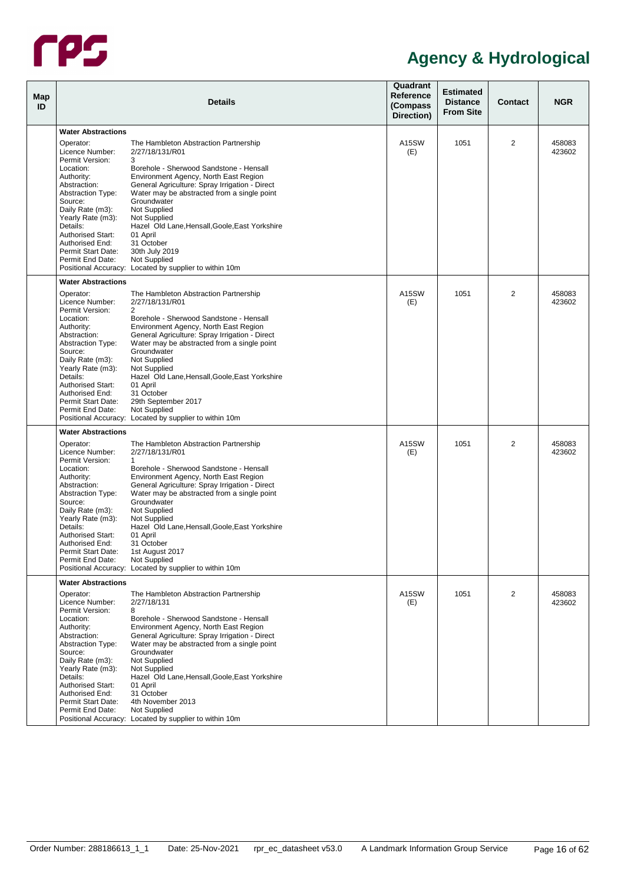

| Map<br>ID |                                                                                                                        | <b>Details</b>                                                                                                                                                                                        | Quadrant<br>Reference<br>(Compass<br>Direction) | <b>Estimated</b><br><b>Distance</b><br><b>From Site</b> | <b>Contact</b> | <b>NGR</b>       |
|-----------|------------------------------------------------------------------------------------------------------------------------|-------------------------------------------------------------------------------------------------------------------------------------------------------------------------------------------------------|-------------------------------------------------|---------------------------------------------------------|----------------|------------------|
|           | <b>Water Abstractions</b>                                                                                              |                                                                                                                                                                                                       |                                                 |                                                         |                |                  |
|           | Operator:<br>Licence Number:                                                                                           | The Hambleton Abstraction Partnership<br>2/27/18/131/R01                                                                                                                                              | A15SW<br>(E)                                    | 1051                                                    | 2              | 458083<br>423602 |
|           | Permit Version:<br>Location:<br>Authority:<br>Abstraction:<br><b>Abstraction Type:</b><br>Source:                      | 3<br>Borehole - Sherwood Sandstone - Hensall<br>Environment Agency, North East Region<br>General Agriculture: Spray Irrigation - Direct<br>Water may be abstracted from a single point<br>Groundwater |                                                 |                                                         |                |                  |
|           | Daily Rate (m3):<br>Yearly Rate (m3):<br>Details:<br><b>Authorised Start:</b><br>Authorised End:<br>Permit Start Date: | Not Supplied<br>Not Supplied<br>Hazel Old Lane, Hensall, Goole, East Yorkshire<br>01 April<br>31 October<br>30th July 2019                                                                            |                                                 |                                                         |                |                  |
|           | Permit End Date:                                                                                                       | Not Supplied<br>Positional Accuracy: Located by supplier to within 10m                                                                                                                                |                                                 |                                                         |                |                  |
|           | <b>Water Abstractions</b>                                                                                              |                                                                                                                                                                                                       |                                                 |                                                         |                |                  |
|           | Operator:<br>Licence Number:<br>Permit Version:<br>Location:<br>Authority:                                             | The Hambleton Abstraction Partnership<br>2/27/18/131/R01<br>$\overline{2}$<br>Borehole - Sherwood Sandstone - Hensall<br>Environment Agency, North East Region                                        | A15SW<br>(E)                                    | 1051                                                    | 2              | 458083<br>423602 |
|           | Abstraction:<br><b>Abstraction Type:</b><br>Source:<br>Daily Rate (m3):<br>Yearly Rate (m3):                           | General Agriculture: Spray Irrigation - Direct<br>Water may be abstracted from a single point<br>Groundwater<br>Not Supplied<br>Not Supplied                                                          |                                                 |                                                         |                |                  |
|           | Details:<br><b>Authorised Start:</b><br>Authorised End:<br>Permit Start Date:                                          | Hazel Old Lane, Hensall, Goole, East Yorkshire<br>01 April<br>31 October<br>29th September 2017                                                                                                       |                                                 |                                                         |                |                  |
|           | Permit End Date:                                                                                                       | Not Supplied<br>Positional Accuracy: Located by supplier to within 10m                                                                                                                                |                                                 |                                                         |                |                  |
|           | <b>Water Abstractions</b>                                                                                              |                                                                                                                                                                                                       |                                                 |                                                         |                |                  |
|           | Operator:<br>Licence Number:                                                                                           | The Hambleton Abstraction Partnership<br>2/27/18/131/R01<br>$\mathbf{1}$                                                                                                                              | A15SW<br>(E)                                    | 1051                                                    | 2              | 458083<br>423602 |
|           | Permit Version:<br>Location:<br>Authority:<br>Abstraction:                                                             | Borehole - Sherwood Sandstone - Hensall<br>Environment Agency, North East Region<br>General Agriculture: Spray Irrigation - Direct                                                                    |                                                 |                                                         |                |                  |
|           | <b>Abstraction Type:</b><br>Source:<br>Daily Rate (m3):                                                                | Water may be abstracted from a single point<br>Groundwater<br>Not Supplied                                                                                                                            |                                                 |                                                         |                |                  |
|           | Yearly Rate (m3):<br>Details:<br>Authorised Start:                                                                     | Not Supplied<br>Hazel Old Lane, Hensall, Goole, East Yorkshire<br>01 April                                                                                                                            |                                                 |                                                         |                |                  |
|           | Authorised End:<br>Permit Start Date:<br>Permit End Date:                                                              | 31 October<br>1st August 2017<br>Not Supplied                                                                                                                                                         |                                                 |                                                         |                |                  |
|           | <b>Water Abstractions</b>                                                                                              | Positional Accuracy: Located by supplier to within 10m                                                                                                                                                |                                                 |                                                         |                |                  |
|           | Operator:                                                                                                              | The Hambleton Abstraction Partnership                                                                                                                                                                 | A15SW                                           | 1051                                                    | 2              | 458083           |
|           | Licence Number:<br>Permit Version:                                                                                     | 2/27/18/131<br>8<br>Borehole - Sherwood Sandstone - Hensall                                                                                                                                           | (E)                                             |                                                         |                | 423602           |
|           | Location:<br>Authority:<br>Abstraction:<br><b>Abstraction Type:</b>                                                    | Environment Agency, North East Region<br>General Agriculture: Spray Irrigation - Direct<br>Water may be abstracted from a single point                                                                |                                                 |                                                         |                |                  |
|           | Source:<br>Daily Rate (m3):<br>Yearly Rate (m3):                                                                       | Groundwater<br>Not Supplied<br>Not Supplied                                                                                                                                                           |                                                 |                                                         |                |                  |
|           | Details:<br><b>Authorised Start:</b><br>Authorised End:                                                                | Hazel Old Lane, Hensall, Goole, East Yorkshire<br>01 April<br>31 October                                                                                                                              |                                                 |                                                         |                |                  |
|           | Permit Start Date:<br>Permit End Date:                                                                                 | 4th November 2013<br>Not Supplied<br>Positional Accuracy: Located by supplier to within 10m                                                                                                           |                                                 |                                                         |                |                  |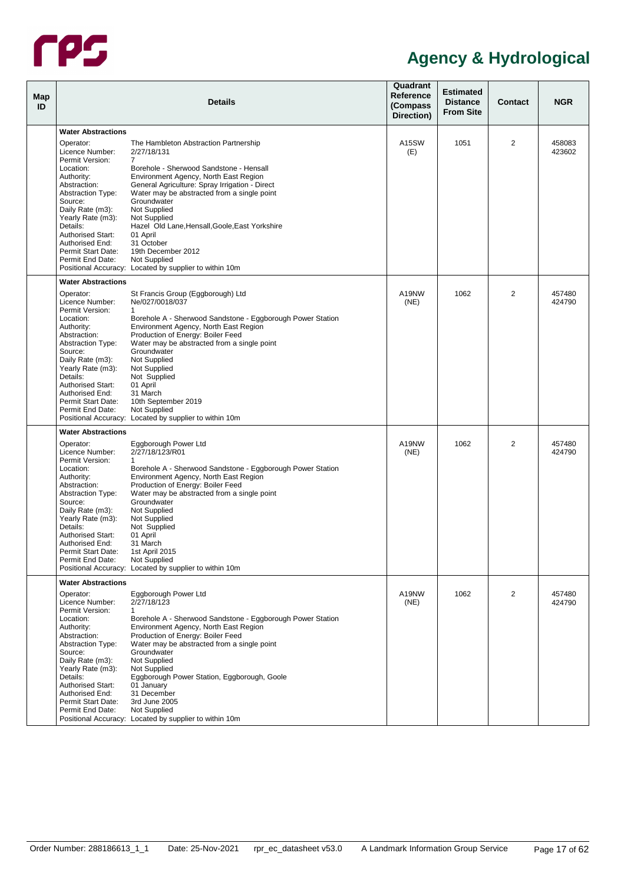

| Map<br>ID |                                                                              | <b>Details</b>                                                                                                                           | Quadrant<br>Reference<br>(Compass<br>Direction) | <b>Estimated</b><br><b>Distance</b><br><b>From Site</b> | <b>Contact</b> | <b>NGR</b>       |
|-----------|------------------------------------------------------------------------------|------------------------------------------------------------------------------------------------------------------------------------------|-------------------------------------------------|---------------------------------------------------------|----------------|------------------|
|           | <b>Water Abstractions</b>                                                    |                                                                                                                                          |                                                 |                                                         |                |                  |
|           | Operator:<br>Licence Number:                                                 | The Hambleton Abstraction Partnership<br>2/27/18/131                                                                                     | A15SW<br>(E)                                    | 1051                                                    | $\overline{2}$ | 458083<br>423602 |
|           | Permit Version:<br>Location:<br>Authority:<br>Abstraction:                   | 7<br>Borehole - Sherwood Sandstone - Hensall<br>Environment Agency, North East Region<br>General Agriculture: Spray Irrigation - Direct  |                                                 |                                                         |                |                  |
|           | <b>Abstraction Type:</b><br>Source:<br>Daily Rate (m3):<br>Yearly Rate (m3): | Water may be abstracted from a single point<br>Groundwater<br>Not Supplied<br>Not Supplied                                               |                                                 |                                                         |                |                  |
|           | Details:<br><b>Authorised Start:</b><br>Authorised End:                      | Hazel Old Lane, Hensall, Goole, East Yorkshire<br>01 April<br>31 October                                                                 |                                                 |                                                         |                |                  |
|           | Permit Start Date:<br>Permit End Date:                                       | 19th December 2012<br>Not Supplied<br>Positional Accuracy: Located by supplier to within 10m                                             |                                                 |                                                         |                |                  |
|           | <b>Water Abstractions</b>                                                    |                                                                                                                                          |                                                 |                                                         |                |                  |
|           | Operator:<br>Licence Number:<br>Permit Version:                              | St Francis Group (Eggborough) Ltd<br>Ne/027/0018/037<br>$\mathbf{1}$                                                                     | A19NW<br>(NE)                                   | 1062                                                    | $\overline{2}$ | 457480<br>424790 |
|           | Location:<br>Authority:<br>Abstraction:                                      | Borehole A - Sherwood Sandstone - Eggborough Power Station<br>Environment Agency, North East Region<br>Production of Energy: Boiler Feed |                                                 |                                                         |                |                  |
|           | <b>Abstraction Type:</b><br>Source:<br>Daily Rate (m3):                      | Water may be abstracted from a single point<br>Groundwater<br>Not Supplied                                                               |                                                 |                                                         |                |                  |
|           | Yearly Rate (m3):<br>Details:<br><b>Authorised Start:</b>                    | Not Supplied<br>Not Supplied<br>01 April                                                                                                 |                                                 |                                                         |                |                  |
|           | Authorised End:<br>Permit Start Date:<br>Permit End Date:                    | 31 March<br>10th September 2019<br>Not Supplied                                                                                          |                                                 |                                                         |                |                  |
|           |                                                                              | Positional Accuracy: Located by supplier to within 10m                                                                                   |                                                 |                                                         |                |                  |
|           | <b>Water Abstractions</b>                                                    |                                                                                                                                          |                                                 |                                                         |                |                  |
|           | Operator:                                                                    | Eggborough Power Ltd                                                                                                                     | A19NW                                           | 1062                                                    | 2              | 457480           |
|           | Licence Number:                                                              | 2/27/18/123/R01                                                                                                                          | (NE)                                            |                                                         |                | 424790           |
|           | Permit Version:                                                              | 1                                                                                                                                        |                                                 |                                                         |                |                  |
|           | Location:<br>Authority:                                                      | Borehole A - Sherwood Sandstone - Eggborough Power Station<br>Environment Agency, North East Region                                      |                                                 |                                                         |                |                  |
|           | Abstraction:                                                                 | Production of Energy: Boiler Feed                                                                                                        |                                                 |                                                         |                |                  |
|           | <b>Abstraction Type:</b>                                                     | Water may be abstracted from a single point                                                                                              |                                                 |                                                         |                |                  |
|           | Source:                                                                      | Groundwater                                                                                                                              |                                                 |                                                         |                |                  |
|           | Daily Rate (m3):                                                             | Not Supplied                                                                                                                             |                                                 |                                                         |                |                  |
|           | Yearly Rate (m3):<br>Details:                                                | <b>Not Supplied</b><br>Not Supplied                                                                                                      |                                                 |                                                         |                |                  |
|           | Authorised Start:                                                            | 01 April                                                                                                                                 |                                                 |                                                         |                |                  |
|           | Authorised End:                                                              | 31 March                                                                                                                                 |                                                 |                                                         |                |                  |
|           | Permit Start Date:                                                           | 1st April 2015                                                                                                                           |                                                 |                                                         |                |                  |
|           | Permit End Date:                                                             | Not Supplied<br>Positional Accuracy: Located by supplier to within 10m                                                                   |                                                 |                                                         |                |                  |
|           | <b>Water Abstractions</b>                                                    |                                                                                                                                          |                                                 |                                                         |                |                  |
|           | Operator:                                                                    | Eggborough Power Ltd                                                                                                                     | A19NW                                           | 1062                                                    | 2              | 457480           |
|           | Licence Number:                                                              | 2/27/18/123                                                                                                                              | (NE)                                            |                                                         |                | 424790           |
|           | Permit Version:<br>Location:                                                 | 1<br>Borehole A - Sherwood Sandstone - Eggborough Power Station                                                                          |                                                 |                                                         |                |                  |
|           | Authority:                                                                   | Environment Agency, North East Region                                                                                                    |                                                 |                                                         |                |                  |
|           | Abstraction:                                                                 | Production of Energy: Boiler Feed                                                                                                        |                                                 |                                                         |                |                  |
|           | <b>Abstraction Type:</b>                                                     | Water may be abstracted from a single point                                                                                              |                                                 |                                                         |                |                  |
|           | Source:                                                                      | Groundwater                                                                                                                              |                                                 |                                                         |                |                  |
|           | Daily Rate (m3):<br>Yearly Rate (m3):                                        | Not Supplied<br>Not Supplied                                                                                                             |                                                 |                                                         |                |                  |
|           | Details:                                                                     | Eggborough Power Station, Eggborough, Goole                                                                                              |                                                 |                                                         |                |                  |
|           | <b>Authorised Start:</b>                                                     | 01 January                                                                                                                               |                                                 |                                                         |                |                  |
|           | Authorised End:                                                              | 31 December                                                                                                                              |                                                 |                                                         |                |                  |
|           | Permit Start Date:<br>Permit End Date:                                       | 3rd June 2005<br>Not Supplied                                                                                                            |                                                 |                                                         |                |                  |
|           |                                                                              | Positional Accuracy: Located by supplier to within 10m                                                                                   |                                                 |                                                         |                |                  |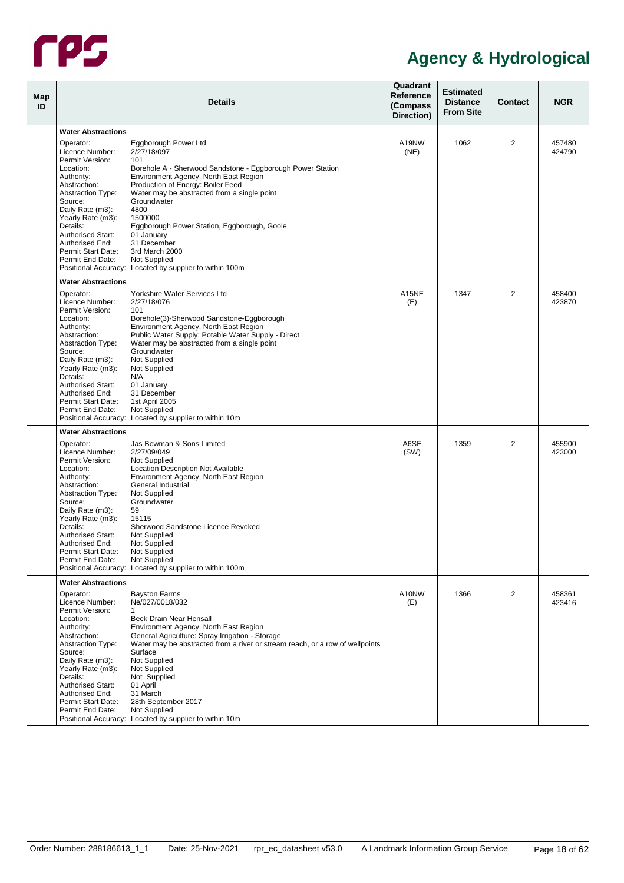

| Map<br>ID |                                                                                                                                                                                                                                                                              | <b>Details</b>                                                                                                                                                                                                                                                                                                                                                       | Quadrant<br>Reference<br>(Compass<br>Direction) | <b>Estimated</b><br><b>Distance</b><br><b>From Site</b> | <b>Contact</b> | <b>NGR</b>       |
|-----------|------------------------------------------------------------------------------------------------------------------------------------------------------------------------------------------------------------------------------------------------------------------------------|----------------------------------------------------------------------------------------------------------------------------------------------------------------------------------------------------------------------------------------------------------------------------------------------------------------------------------------------------------------------|-------------------------------------------------|---------------------------------------------------------|----------------|------------------|
|           |                                                                                                                                                                                                                                                                              |                                                                                                                                                                                                                                                                                                                                                                      |                                                 |                                                         |                |                  |
|           | <b>Water Abstractions</b><br>Operator:<br>Licence Number:<br>Permit Version:                                                                                                                                                                                                 | Eggborough Power Ltd<br>2/27/18/097<br>101                                                                                                                                                                                                                                                                                                                           | A19NW<br>(NE)                                   | 1062                                                    | 2              | 457480<br>424790 |
|           | Location:<br>Authority:<br>Abstraction:<br><b>Abstraction Type:</b><br>Source:                                                                                                                                                                                               | Borehole A - Sherwood Sandstone - Eggborough Power Station<br>Environment Agency, North East Region<br>Production of Energy: Boiler Feed<br>Water may be abstracted from a single point<br>Groundwater                                                                                                                                                               |                                                 |                                                         |                |                  |
|           | Daily Rate (m3):<br>Yearly Rate (m3):<br>Details:<br><b>Authorised Start:</b><br>Authorised End:<br>Permit Start Date:                                                                                                                                                       | 4800<br>1500000<br>Eggborough Power Station, Eggborough, Goole<br>01 January<br>31 December<br>3rd March 2000                                                                                                                                                                                                                                                        |                                                 |                                                         |                |                  |
|           | Permit End Date:                                                                                                                                                                                                                                                             | Not Supplied<br>Positional Accuracy: Located by supplier to within 100m                                                                                                                                                                                                                                                                                              |                                                 |                                                         |                |                  |
|           | <b>Water Abstractions</b>                                                                                                                                                                                                                                                    |                                                                                                                                                                                                                                                                                                                                                                      |                                                 |                                                         |                |                  |
|           | Operator:<br>Licence Number:<br>Permit Version:<br>Location:<br>Authority:<br>Abstraction:<br><b>Abstraction Type:</b><br>Source:<br>Daily Rate (m3):<br>Yearly Rate (m3):                                                                                                   | Yorkshire Water Services Ltd<br>2/27/18/076<br>101<br>Borehole(3)-Sherwood Sandstone-Eggborough<br>Environment Agency, North East Region<br>Public Water Supply: Potable Water Supply - Direct<br>Water may be abstracted from a single point<br>Groundwater<br>Not Supplied<br>Not Supplied                                                                         | A15NE<br>(E)                                    | 1347                                                    | $\overline{2}$ | 458400<br>423870 |
|           | Details:<br><b>Authorised Start:</b><br>Authorised End:<br>Permit Start Date:<br>Permit End Date:                                                                                                                                                                            | N/A<br>01 January<br>31 December<br>1st April 2005<br>Not Supplied<br>Positional Accuracy: Located by supplier to within 10m                                                                                                                                                                                                                                         |                                                 |                                                         |                |                  |
|           | <b>Water Abstractions</b>                                                                                                                                                                                                                                                    |                                                                                                                                                                                                                                                                                                                                                                      |                                                 |                                                         |                |                  |
|           | Operator:<br>Licence Number:                                                                                                                                                                                                                                                 | Jas Bowman & Sons Limited<br>2/27/09/049                                                                                                                                                                                                                                                                                                                             | A6SE<br>(SW)                                    | 1359                                                    | 2              | 455900<br>423000 |
|           | Permit Version:<br>Location:<br>Authority:<br>Abstraction:<br><b>Abstraction Type:</b><br>Source:<br>Daily Rate (m3):<br>Yearly Rate (m3):<br>Details:<br><b>Authorised Start:</b><br>Authorised End:<br>Permit Start Date:<br>Permit End Date:<br><b>Water Abstractions</b> | Not Supplied<br>Location Description Not Available<br>Environment Agency, North East Region<br>General Industrial<br>Not Supplied<br>Groundwater<br>59<br>15115<br>Sherwood Sandstone Licence Revoked<br>Not Supplied<br>Not Supplied<br>Not Supplied<br>Not Supplied<br>Positional Accuracy: Located by supplier to within 100m                                     |                                                 |                                                         |                |                  |
|           | Operator:<br>Licence Number:<br>Permit Version:<br>Location:<br>Authority:<br>Abstraction:<br><b>Abstraction Type:</b><br>Source:<br>Daily Rate (m3):<br>Yearly Rate (m3):<br>Details:<br><b>Authorised Start:</b><br>Authorised End:<br>Permit Start Date:                  | <b>Bayston Farms</b><br>Ne/027/0018/032<br>1<br><b>Beck Drain Near Hensall</b><br>Environment Agency, North East Region<br>General Agriculture: Spray Irrigation - Storage<br>Water may be abstracted from a river or stream reach, or a row of wellpoints<br>Surface<br>Not Supplied<br>Not Supplied<br>Not Supplied<br>01 April<br>31 March<br>28th September 2017 | A10NW<br>(E)                                    | 1366                                                    | 2              | 458361<br>423416 |
|           | Permit End Date:                                                                                                                                                                                                                                                             | Not Supplied<br>Positional Accuracy: Located by supplier to within 10m                                                                                                                                                                                                                                                                                               |                                                 |                                                         |                |                  |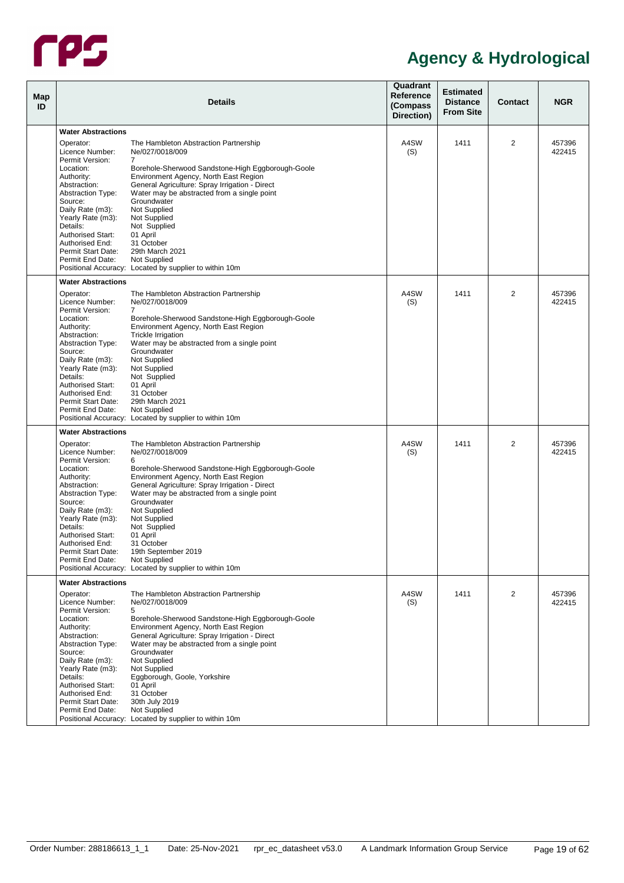

| Map<br>ID |                                                           | <b>Details</b>                                                                                                                         | Quadrant<br>Reference<br>(Compass<br>Direction) | <b>Estimated</b><br><b>Distance</b><br><b>From Site</b> | <b>Contact</b> | <b>NGR</b>       |
|-----------|-----------------------------------------------------------|----------------------------------------------------------------------------------------------------------------------------------------|-------------------------------------------------|---------------------------------------------------------|----------------|------------------|
|           | <b>Water Abstractions</b>                                 |                                                                                                                                        |                                                 |                                                         |                |                  |
|           | Operator:<br>Licence Number:                              | The Hambleton Abstraction Partnership<br>Ne/027/0018/009                                                                               | A4SW                                            | 1411                                                    | 2              | 457396<br>422415 |
|           | Permit Version:<br>Location:                              | 7<br>Borehole-Sherwood Sandstone-High Eggborough-Goole                                                                                 | (S)                                             |                                                         |                |                  |
|           | Authority:<br>Abstraction:<br><b>Abstraction Type:</b>    | Environment Agency, North East Region<br>General Agriculture: Spray Irrigation - Direct<br>Water may be abstracted from a single point |                                                 |                                                         |                |                  |
|           | Source:<br>Daily Rate (m3):<br>Yearly Rate (m3):          | Groundwater<br>Not Supplied<br>Not Supplied                                                                                            |                                                 |                                                         |                |                  |
|           | Details:<br><b>Authorised Start:</b>                      | Not Supplied<br>01 April                                                                                                               |                                                 |                                                         |                |                  |
|           | Authorised End:<br>Permit Start Date:<br>Permit End Date: | 31 October<br>29th March 2021<br>Not Supplied                                                                                          |                                                 |                                                         |                |                  |
|           | <b>Water Abstractions</b>                                 | Positional Accuracy: Located by supplier to within 10m                                                                                 |                                                 |                                                         |                |                  |
|           | Operator:                                                 | The Hambleton Abstraction Partnership                                                                                                  | A4SW                                            | 1411                                                    | $\overline{2}$ | 457396           |
|           | Licence Number:<br>Permit Version:                        | Ne/027/0018/009<br>$\overline{7}$                                                                                                      | (S)                                             |                                                         |                | 422415           |
|           | Location:<br>Authority:                                   | Borehole-Sherwood Sandstone-High Eggborough-Goole<br>Environment Agency, North East Region                                             |                                                 |                                                         |                |                  |
|           | Abstraction:<br><b>Abstraction Type:</b><br>Source:       | Trickle Irrigation<br>Water may be abstracted from a single point<br>Groundwater                                                       |                                                 |                                                         |                |                  |
|           | Daily Rate (m3):                                          | Not Supplied                                                                                                                           |                                                 |                                                         |                |                  |
|           | Yearly Rate (m3):<br>Details:                             | Not Supplied<br>Not Supplied                                                                                                           |                                                 |                                                         |                |                  |
|           | <b>Authorised Start:</b>                                  | 01 April                                                                                                                               |                                                 |                                                         |                |                  |
|           | Authorised End:<br>Permit Start Date:                     | 31 October<br>29th March 2021                                                                                                          |                                                 |                                                         |                |                  |
|           | Permit End Date:                                          | Not Supplied<br>Positional Accuracy: Located by supplier to within 10m                                                                 |                                                 |                                                         |                |                  |
|           | <b>Water Abstractions</b>                                 |                                                                                                                                        |                                                 |                                                         |                |                  |
|           | Operator:                                                 | The Hambleton Abstraction Partnership                                                                                                  | A4SW                                            | 1411                                                    | 2              | 457396           |
|           | Licence Number:                                           | Ne/027/0018/009                                                                                                                        | (S)                                             |                                                         |                | 422415           |
|           | Permit Version:<br>Location:                              | 6<br>Borehole-Sherwood Sandstone-High Eggborough-Goole                                                                                 |                                                 |                                                         |                |                  |
|           | Authority:                                                | Environment Agency, North East Region                                                                                                  |                                                 |                                                         |                |                  |
|           | Abstraction:<br><b>Abstraction Type:</b>                  | General Agriculture: Spray Irrigation - Direct<br>Water may be abstracted from a single point                                          |                                                 |                                                         |                |                  |
|           | Source:                                                   | Groundwater                                                                                                                            |                                                 |                                                         |                |                  |
|           | Daily Rate (m3):<br>Yearly Rate (m3):                     | Not Supplied<br>Not Supplied                                                                                                           |                                                 |                                                         |                |                  |
|           | Details:                                                  | Not Supplied                                                                                                                           |                                                 |                                                         |                |                  |
|           | Authorised Start:<br>Authorised End:                      | 01 April<br>31 October                                                                                                                 |                                                 |                                                         |                |                  |
|           | Permit Start Date:                                        | 19th September 2019                                                                                                                    |                                                 |                                                         |                |                  |
|           | Permit End Date:                                          | Not Supplied<br>Positional Accuracy: Located by supplier to within 10m                                                                 |                                                 |                                                         |                |                  |
|           | <b>Water Abstractions</b>                                 |                                                                                                                                        |                                                 |                                                         |                |                  |
|           | Operator:<br>Licence Number:                              | The Hambleton Abstraction Partnership<br>Ne/027/0018/009                                                                               | A4SW<br>(S)                                     | 1411                                                    | 2              | 457396<br>422415 |
|           | Permit Version:                                           | 5                                                                                                                                      |                                                 |                                                         |                |                  |
|           | Location:                                                 | Borehole-Sherwood Sandstone-High Eggborough-Goole                                                                                      |                                                 |                                                         |                |                  |
|           | Authority:<br>Abstraction:                                | Environment Agency, North East Region<br>General Agriculture: Spray Irrigation - Direct                                                |                                                 |                                                         |                |                  |
|           | <b>Abstraction Type:</b>                                  | Water may be abstracted from a single point                                                                                            |                                                 |                                                         |                |                  |
|           | Source:<br>Daily Rate (m3):                               | Groundwater<br>Not Supplied                                                                                                            |                                                 |                                                         |                |                  |
|           | Yearly Rate (m3):                                         | Not Supplied                                                                                                                           |                                                 |                                                         |                |                  |
|           | Details:<br><b>Authorised Start:</b>                      | Eggborough, Goole, Yorkshire<br>01 April                                                                                               |                                                 |                                                         |                |                  |
|           | Authorised End:                                           | 31 October                                                                                                                             |                                                 |                                                         |                |                  |
|           | Permit Start Date:<br>Permit End Date:                    | 30th July 2019<br>Not Supplied                                                                                                         |                                                 |                                                         |                |                  |
|           |                                                           | Positional Accuracy: Located by supplier to within 10m                                                                                 |                                                 |                                                         |                |                  |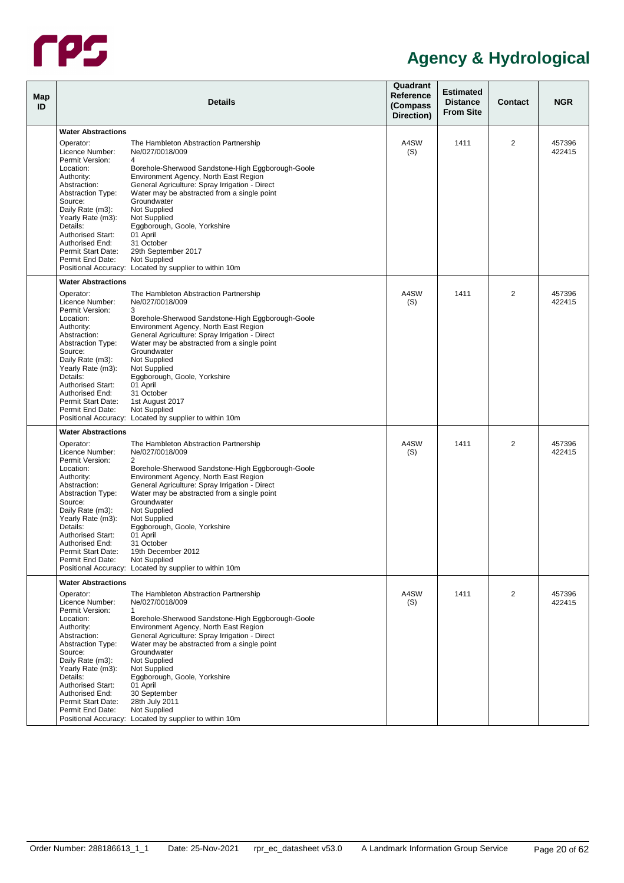

| Map<br>ID |                                                           | <b>Details</b>                                                                                                                         | Quadrant<br>Reference<br>(Compass<br>Direction) | <b>Estimated</b><br><b>Distance</b><br><b>From Site</b> | <b>Contact</b> | <b>NGR</b>       |
|-----------|-----------------------------------------------------------|----------------------------------------------------------------------------------------------------------------------------------------|-------------------------------------------------|---------------------------------------------------------|----------------|------------------|
|           | <b>Water Abstractions</b>                                 |                                                                                                                                        |                                                 |                                                         |                |                  |
|           | Operator:<br>Licence Number:                              | The Hambleton Abstraction Partnership<br>Ne/027/0018/009                                                                               | A4SW<br>(S)                                     | 1411                                                    | $\overline{2}$ | 457396<br>422415 |
|           | Permit Version:<br>Location:                              | 4<br>Borehole-Sherwood Sandstone-High Eggborough-Goole                                                                                 |                                                 |                                                         |                |                  |
|           | Authority:<br>Abstraction:<br><b>Abstraction Type:</b>    | Environment Agency, North East Region<br>General Agriculture: Spray Irrigation - Direct<br>Water may be abstracted from a single point |                                                 |                                                         |                |                  |
|           | Source:<br>Daily Rate (m3):<br>Yearly Rate (m3):          | Groundwater<br>Not Supplied<br>Not Supplied                                                                                            |                                                 |                                                         |                |                  |
|           | Details:<br><b>Authorised Start:</b><br>Authorised End:   | Eggborough, Goole, Yorkshire<br>01 April<br>31 October                                                                                 |                                                 |                                                         |                |                  |
|           | Permit Start Date:<br>Permit End Date:                    | 29th September 2017<br>Not Supplied                                                                                                    |                                                 |                                                         |                |                  |
|           | <b>Water Abstractions</b>                                 | Positional Accuracy: Located by supplier to within 10m                                                                                 |                                                 |                                                         |                |                  |
|           | Operator:                                                 | The Hambleton Abstraction Partnership                                                                                                  | A4SW                                            | 1411                                                    | $\overline{2}$ | 457396           |
|           | Licence Number:<br>Permit Version:                        | Ne/027/0018/009<br>3                                                                                                                   | (S)                                             |                                                         |                | 422415           |
|           | Location:<br>Authority:                                   | Borehole-Sherwood Sandstone-High Eggborough-Goole<br>Environment Agency, North East Region                                             |                                                 |                                                         |                |                  |
|           | Abstraction:<br><b>Abstraction Type:</b><br>Source:       | General Agriculture: Spray Irrigation - Direct<br>Water may be abstracted from a single point<br>Groundwater                           |                                                 |                                                         |                |                  |
|           | Daily Rate (m3):<br>Yearly Rate (m3):                     | Not Supplied<br>Not Supplied                                                                                                           |                                                 |                                                         |                |                  |
|           | Details:<br><b>Authorised Start:</b>                      | Eggborough, Goole, Yorkshire<br>01 April                                                                                               |                                                 |                                                         |                |                  |
|           | Authorised End:<br>Permit Start Date:<br>Permit End Date: | 31 October<br>1st August 2017<br>Not Supplied                                                                                          |                                                 |                                                         |                |                  |
|           |                                                           | Positional Accuracy: Located by supplier to within 10m                                                                                 |                                                 |                                                         |                |                  |
|           | <b>Water Abstractions</b>                                 |                                                                                                                                        |                                                 |                                                         |                |                  |
|           | Operator:<br>Licence Number:                              | The Hambleton Abstraction Partnership<br>Ne/027/0018/009                                                                               | A4SW<br>(S)                                     | 1411                                                    | 2              | 457396<br>422415 |
|           | Permit Version:<br>Location:<br>Authority:                | 2<br>Borehole-Sherwood Sandstone-High Eggborough-Goole<br>Environment Agency, North East Region                                        |                                                 |                                                         |                |                  |
|           | Abstraction:<br><b>Abstraction Type:</b>                  | General Agriculture: Spray Irrigation - Direct<br>Water may be abstracted from a single point                                          |                                                 |                                                         |                |                  |
|           | Source:<br>Daily Rate (m3):                               | Groundwater<br>Not Supplied                                                                                                            |                                                 |                                                         |                |                  |
|           | Yearly Rate (m3):<br>Details:<br><b>Authorised Start:</b> | Not Supplied<br>Eggborough, Goole, Yorkshire<br>01 April                                                                               |                                                 |                                                         |                |                  |
|           | Authorised End:<br>Permit Start Date:                     | 31 October<br>19th December 2012                                                                                                       |                                                 |                                                         |                |                  |
|           | Permit End Date:                                          | Not Supplied<br>Positional Accuracy: Located by supplier to within 10m                                                                 |                                                 |                                                         |                |                  |
|           | <b>Water Abstractions</b>                                 |                                                                                                                                        |                                                 |                                                         |                |                  |
|           | Operator:<br>Licence Number:                              | The Hambleton Abstraction Partnership<br>Ne/027/0018/009                                                                               | A4SW<br>(S)                                     | 1411                                                    | 2              | 457396<br>422415 |
|           | Permit Version:<br>Location:<br>Authority:                | 1<br>Borehole-Sherwood Sandstone-High Eggborough-Goole<br>Environment Agency, North East Region                                        |                                                 |                                                         |                |                  |
|           | Abstraction:<br><b>Abstraction Type:</b>                  | General Agriculture: Spray Irrigation - Direct<br>Water may be abstracted from a single point                                          |                                                 |                                                         |                |                  |
|           | Source:<br>Daily Rate (m3):                               | Groundwater<br>Not Supplied                                                                                                            |                                                 |                                                         |                |                  |
|           | Yearly Rate (m3):<br>Details:<br><b>Authorised Start:</b> | Not Supplied<br>Eggborough, Goole, Yorkshire<br>01 April                                                                               |                                                 |                                                         |                |                  |
|           | Authorised End:<br>Permit Start Date:                     | 30 September<br>28th July 2011                                                                                                         |                                                 |                                                         |                |                  |
|           | Permit End Date:                                          | Not Supplied<br>Positional Accuracy: Located by supplier to within 10m                                                                 |                                                 |                                                         |                |                  |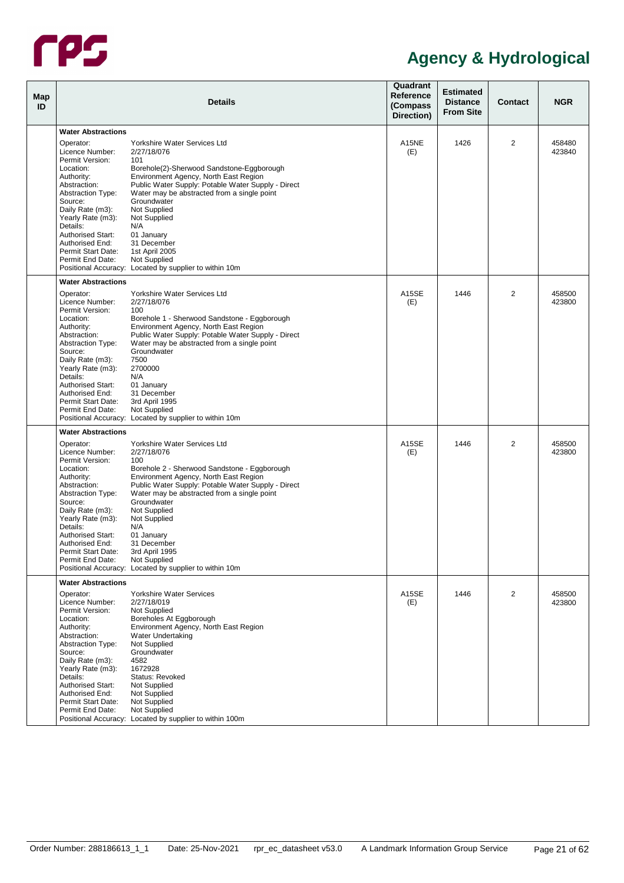

| Map<br>ID | <b>Details</b>                                                                                                                                                                                                                                                                                               |                                                                                                                                                                                                                                                                                                                                                                                                                                 | Quadrant<br>Reference<br>(Compass<br>Direction) | <b>Estimated</b><br><b>Distance</b><br><b>From Site</b> | <b>Contact</b> | <b>NGR</b>       |
|-----------|--------------------------------------------------------------------------------------------------------------------------------------------------------------------------------------------------------------------------------------------------------------------------------------------------------------|---------------------------------------------------------------------------------------------------------------------------------------------------------------------------------------------------------------------------------------------------------------------------------------------------------------------------------------------------------------------------------------------------------------------------------|-------------------------------------------------|---------------------------------------------------------|----------------|------------------|
|           |                                                                                                                                                                                                                                                                                                              |                                                                                                                                                                                                                                                                                                                                                                                                                                 |                                                 |                                                         |                |                  |
|           | <b>Water Abstractions</b><br>Operator:<br>Licence Number:<br>Permit Version:<br>Location:                                                                                                                                                                                                                    | Yorkshire Water Services Ltd<br>2/27/18/076<br>101<br>Borehole(2)-Sherwood Sandstone-Eggborough                                                                                                                                                                                                                                                                                                                                 | A15NE<br>(E)                                    | 1426                                                    | 2              | 458480<br>423840 |
|           | Authority:<br>Abstraction:<br><b>Abstraction Type:</b><br>Source:<br>Daily Rate (m3):<br>Yearly Rate (m3):<br>Details:<br><b>Authorised Start:</b><br>Authorised End:                                                                                                                                        | Environment Agency, North East Region<br>Public Water Supply: Potable Water Supply - Direct<br>Water may be abstracted from a single point<br>Groundwater<br>Not Supplied<br>Not Supplied<br>N/A<br>01 January<br>31 December                                                                                                                                                                                                   |                                                 |                                                         |                |                  |
|           | Permit Start Date:<br>Permit End Date:                                                                                                                                                                                                                                                                       | 1st April 2005<br>Not Supplied<br>Positional Accuracy: Located by supplier to within 10m                                                                                                                                                                                                                                                                                                                                        |                                                 |                                                         |                |                  |
|           | <b>Water Abstractions</b>                                                                                                                                                                                                                                                                                    |                                                                                                                                                                                                                                                                                                                                                                                                                                 |                                                 |                                                         |                |                  |
|           | Operator:<br>Licence Number:<br>Permit Version:<br>Location:<br>Authority:<br>Abstraction:<br><b>Abstraction Type:</b><br>Source:<br>Daily Rate (m3):<br>Yearly Rate (m3):<br>Details:<br><b>Authorised Start:</b><br>Authorised End:<br>Permit Start Date:<br>Permit End Date:                              | Yorkshire Water Services Ltd<br>2/27/18/076<br>100<br>Borehole 1 - Sherwood Sandstone - Eggborough<br>Environment Agency, North East Region<br>Public Water Supply: Potable Water Supply - Direct<br>Water may be abstracted from a single point<br>Groundwater<br>7500<br>2700000<br>N/A<br>01 January<br>31 December<br>3rd April 1995<br>Not Supplied<br>Positional Accuracy: Located by supplier to within 10m              | <b>A15SE</b><br>(E)                             | 1446                                                    | $\overline{2}$ | 458500<br>423800 |
|           | <b>Water Abstractions</b>                                                                                                                                                                                                                                                                                    |                                                                                                                                                                                                                                                                                                                                                                                                                                 |                                                 |                                                         |                |                  |
|           | Operator:<br>Licence Number:<br>Permit Version:<br>Location:<br>Authority:<br>Abstraction:<br><b>Abstraction Type:</b><br>Source:<br>Daily Rate (m3):<br>Yearly Rate (m3):<br>Details:<br><b>Authorised Start:</b><br>Authorised End:<br>Permit Start Date:<br>Permit End Date:<br><b>Water Abstractions</b> | Yorkshire Water Services Ltd<br>2/27/18/076<br>100<br>Borehole 2 - Sherwood Sandstone - Eggborough<br>Environment Agency, North East Region<br>Public Water Supply: Potable Water Supply - Direct<br>Water may be abstracted from a single point<br>Groundwater<br>Not Supplied<br>Not Supplied<br>N/A<br>01 January<br>31 December<br>3rd April 1995<br>Not Supplied<br>Positional Accuracy: Located by supplier to within 10m | A15SE<br>(E)                                    | 1446                                                    | 2              | 458500<br>423800 |
|           |                                                                                                                                                                                                                                                                                                              | Yorkshire Water Services                                                                                                                                                                                                                                                                                                                                                                                                        | A15SE                                           | 1446                                                    | 2              |                  |
|           | Operator:<br>Licence Number:<br>Permit Version:<br>Location:<br>Authority:<br>Abstraction:<br><b>Abstraction Type:</b><br>Source:<br>Daily Rate (m3):<br>Yearly Rate (m3):<br>Details:<br><b>Authorised Start:</b><br>Authorised End:<br>Permit Start Date:<br>Permit End Date:                              | 2/27/18/019<br>Not Supplied<br>Boreholes At Eggborough<br>Environment Agency, North East Region<br>Water Undertaking<br>Not Supplied<br>Groundwater<br>4582<br>1672928<br>Status: Revoked<br>Not Supplied<br>Not Supplied<br>Not Supplied<br>Not Supplied<br>Positional Accuracy: Located by supplier to within 100m                                                                                                            | (E)                                             |                                                         |                | 458500<br>423800 |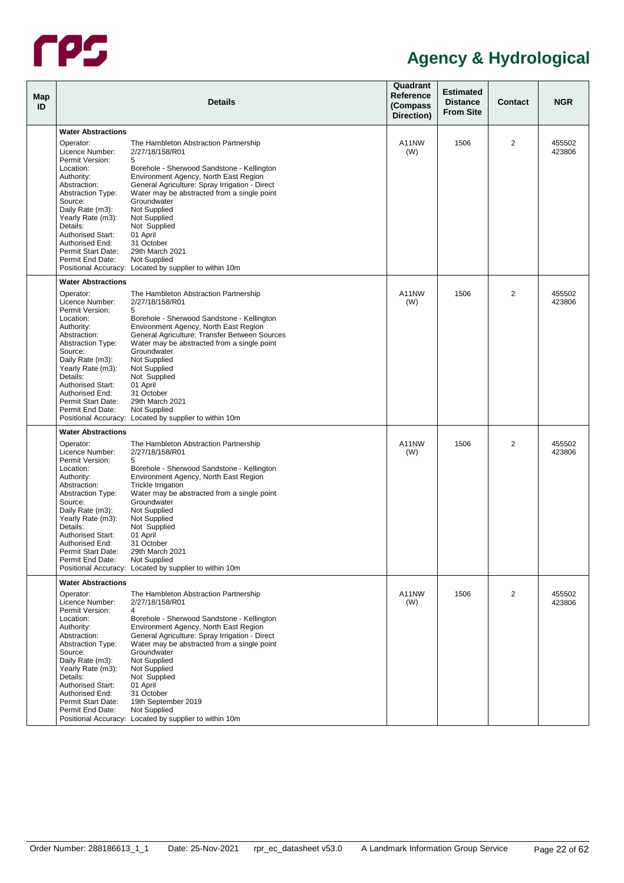

| Map<br>ID |                                                 | <b>Details</b>                                                                               | Quadrant<br>Reference<br>(Compass<br>Direction) | <b>Estimated</b><br><b>Distance</b><br><b>From Site</b> | <b>Contact</b> | <b>NGR</b>       |
|-----------|-------------------------------------------------|----------------------------------------------------------------------------------------------|-------------------------------------------------|---------------------------------------------------------|----------------|------------------|
|           | <b>Water Abstractions</b>                       |                                                                                              |                                                 |                                                         |                |                  |
|           |                                                 |                                                                                              |                                                 |                                                         |                |                  |
|           | Operator:<br>Licence Number:<br>Permit Version: | The Hambleton Abstraction Partnership<br>2/27/18/158/R01<br>5                                | A11NW<br>(W)                                    | 1506                                                    | 2              | 455502<br>423806 |
|           | Location:                                       | Borehole - Sherwood Sandstone - Kellington                                                   |                                                 |                                                         |                |                  |
|           | Authority:                                      | Environment Agency, North East Region                                                        |                                                 |                                                         |                |                  |
|           | Abstraction:                                    | General Agriculture: Spray Irrigation - Direct                                               |                                                 |                                                         |                |                  |
|           | <b>Abstraction Type:</b>                        | Water may be abstracted from a single point                                                  |                                                 |                                                         |                |                  |
|           | Source:<br>Daily Rate (m3):                     | Groundwater<br>Not Supplied                                                                  |                                                 |                                                         |                |                  |
|           | Yearly Rate (m3):                               | Not Supplied                                                                                 |                                                 |                                                         |                |                  |
|           | Details:                                        | Not Supplied                                                                                 |                                                 |                                                         |                |                  |
|           | <b>Authorised Start:</b>                        | 01 April                                                                                     |                                                 |                                                         |                |                  |
|           | Authorised End:                                 | 31 October                                                                                   |                                                 |                                                         |                |                  |
|           | Permit Start Date:<br>Permit End Date:          | 29th March 2021<br>Not Supplied                                                              |                                                 |                                                         |                |                  |
|           |                                                 | Positional Accuracy: Located by supplier to within 10m                                       |                                                 |                                                         |                |                  |
|           | <b>Water Abstractions</b>                       |                                                                                              |                                                 |                                                         |                |                  |
|           | Operator:                                       | The Hambleton Abstraction Partnership                                                        | A11NW                                           | 1506                                                    | 2              | 455502           |
|           | Licence Number:                                 | 2/27/18/158/R01                                                                              | (W)                                             |                                                         |                | 423806           |
|           | Permit Version:                                 | 5                                                                                            |                                                 |                                                         |                |                  |
|           | Location:                                       | Borehole - Sherwood Sandstone - Kellington                                                   |                                                 |                                                         |                |                  |
|           | Authority:                                      | Environment Agency, North East Region                                                        |                                                 |                                                         |                |                  |
|           | Abstraction:<br><b>Abstraction Type:</b>        | General Agriculture: Transfer Between Sources<br>Water may be abstracted from a single point |                                                 |                                                         |                |                  |
|           | Source:                                         | Groundwater                                                                                  |                                                 |                                                         |                |                  |
|           | Daily Rate (m3):                                | Not Supplied                                                                                 |                                                 |                                                         |                |                  |
|           | Yearly Rate (m3):                               | Not Supplied                                                                                 |                                                 |                                                         |                |                  |
|           | Details:                                        | Not Supplied                                                                                 |                                                 |                                                         |                |                  |
|           | <b>Authorised Start:</b><br>Authorised End:     | 01 April<br>31 October                                                                       |                                                 |                                                         |                |                  |
|           | Permit Start Date:                              | 29th March 2021                                                                              |                                                 |                                                         |                |                  |
|           | Permit End Date:                                | Not Supplied                                                                                 |                                                 |                                                         |                |                  |
|           |                                                 | Positional Accuracy: Located by supplier to within 10m                                       |                                                 |                                                         |                |                  |
|           | <b>Water Abstractions</b>                       |                                                                                              |                                                 |                                                         |                |                  |
|           | Operator:                                       | The Hambleton Abstraction Partnership                                                        | A11NW                                           | 1506                                                    | 2              | 455502           |
|           | Licence Number:                                 | 2/27/18/158/R01                                                                              | (W)                                             |                                                         |                | 423806           |
|           | Permit Version:<br>Location:                    | 5                                                                                            |                                                 |                                                         |                |                  |
|           | Authority:                                      | Borehole - Sherwood Sandstone - Kellington<br>Environment Agency, North East Region          |                                                 |                                                         |                |                  |
|           | Abstraction:                                    | Trickle Irrigation                                                                           |                                                 |                                                         |                |                  |
|           | <b>Abstraction Type:</b>                        | Water may be abstracted from a single point                                                  |                                                 |                                                         |                |                  |
|           | Source:                                         | Groundwater                                                                                  |                                                 |                                                         |                |                  |
|           | Daily Rate (m3):                                | Not Supplied                                                                                 |                                                 |                                                         |                |                  |
|           | Yearly Rate (m3):<br>Details:                   | Not Supplied<br>Not Supplied                                                                 |                                                 |                                                         |                |                  |
|           | Authorised Start:                               | 01 April                                                                                     |                                                 |                                                         |                |                  |
|           | Authorised End:                                 | 31 October                                                                                   |                                                 |                                                         |                |                  |
|           | Permit Start Date:<br>Permit End Date:          | 29th March 2021<br>Not Supplied                                                              |                                                 |                                                         |                |                  |
|           |                                                 | Positional Accuracy: Located by supplier to within 10m                                       |                                                 |                                                         |                |                  |
|           | <b>Water Abstractions</b>                       |                                                                                              |                                                 |                                                         |                |                  |
|           | Operator:                                       | The Hambleton Abstraction Partnership                                                        | A11NW                                           | 1506                                                    | 2              | 455502           |
|           | Licence Number:                                 | 2/27/18/158/R01                                                                              | (W)                                             |                                                         |                | 423806           |
|           | Permit Version:                                 | 4                                                                                            |                                                 |                                                         |                |                  |
|           | Location:<br>Authority:                         | Borehole - Sherwood Sandstone - Kellington<br>Environment Agency, North East Region          |                                                 |                                                         |                |                  |
|           | Abstraction:                                    | General Agriculture: Spray Irrigation - Direct                                               |                                                 |                                                         |                |                  |
|           | <b>Abstraction Type:</b>                        | Water may be abstracted from a single point                                                  |                                                 |                                                         |                |                  |
|           | Source:                                         | Groundwater                                                                                  |                                                 |                                                         |                |                  |
|           | Daily Rate (m3):                                | Not Supplied                                                                                 |                                                 |                                                         |                |                  |
|           | Yearly Rate (m3):<br>Details:                   | Not Supplied<br>Not Supplied                                                                 |                                                 |                                                         |                |                  |
|           | <b>Authorised Start:</b>                        | 01 April                                                                                     |                                                 |                                                         |                |                  |
|           | Authorised End:                                 | 31 October                                                                                   |                                                 |                                                         |                |                  |
|           | Permit Start Date:                              | 19th September 2019                                                                          |                                                 |                                                         |                |                  |
|           | Permit End Date:                                | <b>Not Supplied</b>                                                                          |                                                 |                                                         |                |                  |
|           |                                                 | Positional Accuracy: Located by supplier to within 10m                                       |                                                 |                                                         |                |                  |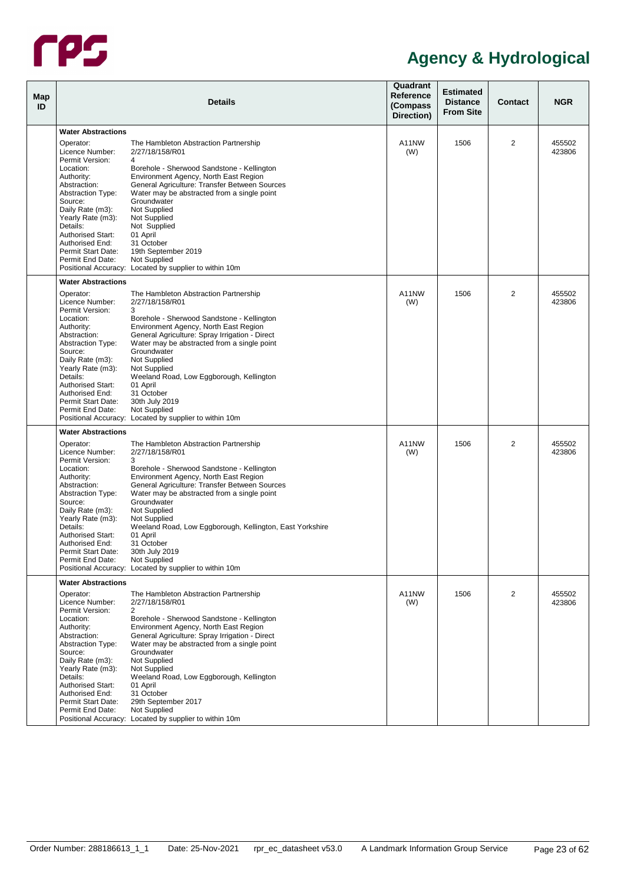

| Map<br>ID |                                                                                          | <b>Details</b>                                                                                                                                                                       | Quadrant<br>Reference<br>(Compass<br>Direction) | <b>Estimated</b><br><b>Distance</b><br><b>From Site</b> | <b>Contact</b> | <b>NGR</b>       |
|-----------|------------------------------------------------------------------------------------------|--------------------------------------------------------------------------------------------------------------------------------------------------------------------------------------|-------------------------------------------------|---------------------------------------------------------|----------------|------------------|
|           | <b>Water Abstractions</b>                                                                |                                                                                                                                                                                      |                                                 |                                                         |                |                  |
|           | Operator:<br>Licence Number:                                                             | The Hambleton Abstraction Partnership<br>2/27/18/158/R01                                                                                                                             | A11NW<br>(W)                                    | 1506                                                    | 2              | 455502<br>423806 |
|           | Permit Version:<br>Location:<br>Authority:<br>Abstraction:                               | 4<br>Borehole - Sherwood Sandstone - Kellington<br>Environment Agency, North East Region<br>General Agriculture: Transfer Between Sources                                            |                                                 |                                                         |                |                  |
|           | <b>Abstraction Type:</b><br>Source:<br>Daily Rate (m3):<br>Yearly Rate (m3):<br>Details: | Water may be abstracted from a single point<br>Groundwater<br>Not Supplied<br>Not Supplied<br>Not Supplied                                                                           |                                                 |                                                         |                |                  |
|           | <b>Authorised Start:</b><br>Authorised End:<br>Permit Start Date:                        | 01 April<br>31 October<br>19th September 2019                                                                                                                                        |                                                 |                                                         |                |                  |
|           | Permit End Date:                                                                         | Not Supplied<br>Positional Accuracy: Located by supplier to within 10m                                                                                                               |                                                 |                                                         |                |                  |
|           | <b>Water Abstractions</b>                                                                |                                                                                                                                                                                      |                                                 |                                                         |                |                  |
|           | Operator:<br>Licence Number:<br>Permit Version:<br>Location:                             | The Hambleton Abstraction Partnership<br>2/27/18/158/R01<br>3                                                                                                                        | A11NW<br>(W)                                    | 1506                                                    | 2              | 455502<br>423806 |
|           | Authority:<br>Abstraction:<br><b>Abstraction Type:</b>                                   | Borehole - Sherwood Sandstone - Kellington<br>Environment Agency, North East Region<br>General Agriculture: Spray Irrigation - Direct<br>Water may be abstracted from a single point |                                                 |                                                         |                |                  |
|           | Source:<br>Daily Rate (m3):<br>Yearly Rate (m3):                                         | Groundwater<br>Not Supplied<br>Not Supplied                                                                                                                                          |                                                 |                                                         |                |                  |
|           | Details:<br><b>Authorised Start:</b><br>Authorised End:<br>Permit Start Date:            | Weeland Road, Low Eggborough, Kellington<br>01 April<br>31 October                                                                                                                   |                                                 |                                                         |                |                  |
|           | Permit End Date:                                                                         | 30th July 2019<br>Not Supplied<br>Positional Accuracy: Located by supplier to within 10m                                                                                             |                                                 |                                                         |                |                  |
|           | <b>Water Abstractions</b>                                                                |                                                                                                                                                                                      |                                                 |                                                         |                |                  |
|           | Operator:<br>Licence Number:<br>Permit Version:                                          | The Hambleton Abstraction Partnership<br>2/27/18/158/R01<br>3                                                                                                                        | A11NW<br>(W)                                    | 1506                                                    | 2              | 455502<br>423806 |
|           | Location:<br>Authority:<br>Abstraction:                                                  | Borehole - Sherwood Sandstone - Kellington<br>Environment Agency, North East Region<br>General Agriculture: Transfer Between Sources                                                 |                                                 |                                                         |                |                  |
|           | <b>Abstraction Type:</b><br>Source:<br>Daily Rate (m3):                                  | Water may be abstracted from a single point<br>Groundwater<br>Not Supplied                                                                                                           |                                                 |                                                         |                |                  |
|           | Yearly Rate (m3):<br>Details:<br>Authorised Start:                                       | Not Supplied<br>Weeland Road, Low Eggborough, Kellington, East Yorkshire<br>01 April                                                                                                 |                                                 |                                                         |                |                  |
|           | Authorised End:<br>Permit Start Date:<br>Permit End Date:                                | 31 October<br>30th July 2019<br>Not Supplied<br>Positional Accuracy: Located by supplier to within 10m                                                                               |                                                 |                                                         |                |                  |
|           | <b>Water Abstractions</b>                                                                |                                                                                                                                                                                      |                                                 |                                                         |                |                  |
|           | Operator:<br>Licence Number:                                                             | The Hambleton Abstraction Partnership<br>2/27/18/158/R01                                                                                                                             | A11NW<br>(W)                                    | 1506                                                    | 2              | 455502<br>423806 |
|           | Permit Version:<br>Location:<br>Authority:<br>Abstraction:                               | 2<br>Borehole - Sherwood Sandstone - Kellington<br>Environment Agency, North East Region<br>General Agriculture: Spray Irrigation - Direct                                           |                                                 |                                                         |                |                  |
|           | <b>Abstraction Type:</b><br>Source:<br>Daily Rate (m3):                                  | Water may be abstracted from a single point<br>Groundwater<br>Not Supplied                                                                                                           |                                                 |                                                         |                |                  |
|           | Yearly Rate (m3):<br>Details:<br><b>Authorised Start:</b>                                | Not Supplied<br>Weeland Road, Low Eggborough, Kellington<br>01 April                                                                                                                 |                                                 |                                                         |                |                  |
|           | Authorised End:<br>Permit Start Date:<br>Permit End Date:                                | 31 October<br>29th September 2017<br>Not Supplied                                                                                                                                    |                                                 |                                                         |                |                  |
|           |                                                                                          | Positional Accuracy: Located by supplier to within 10m                                                                                                                               |                                                 |                                                         |                |                  |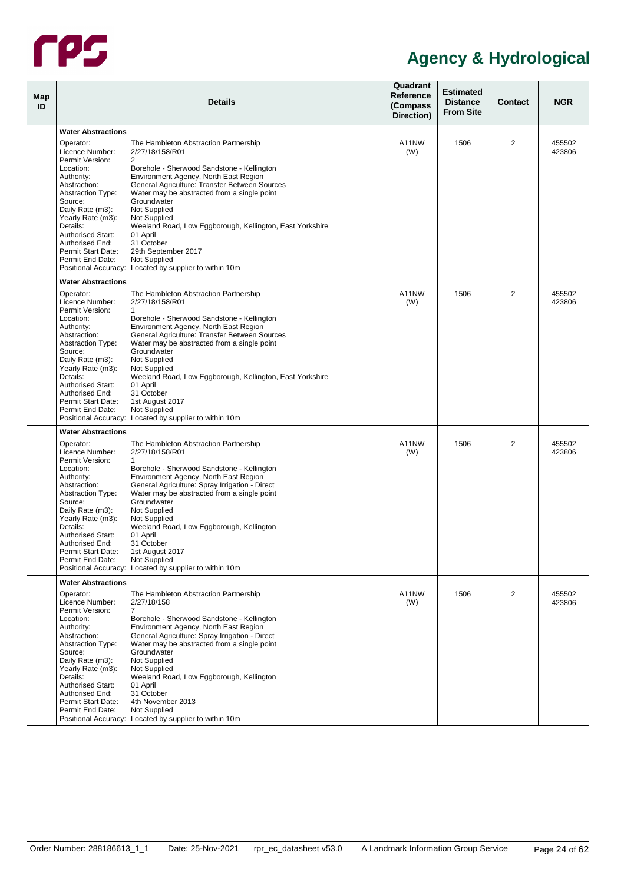

| Map<br>ID |                                                         | <b>Details</b>                                                                                              | Quadrant<br>Reference<br>(Compass<br>Direction) | <b>Estimated</b><br><b>Distance</b><br><b>From Site</b> | <b>Contact</b> | <b>NGR</b>       |
|-----------|---------------------------------------------------------|-------------------------------------------------------------------------------------------------------------|-------------------------------------------------|---------------------------------------------------------|----------------|------------------|
|           | <b>Water Abstractions</b>                               |                                                                                                             |                                                 |                                                         |                |                  |
|           |                                                         |                                                                                                             |                                                 |                                                         |                |                  |
|           | Operator:<br>Licence Number:<br>Permit Version:         | The Hambleton Abstraction Partnership<br>2/27/18/158/R01<br>2                                               | A11NW<br>(W)                                    | 1506                                                    | 2              | 455502<br>423806 |
|           | Location:<br>Authority:                                 | Borehole - Sherwood Sandstone - Kellington<br>Environment Agency, North East Region                         |                                                 |                                                         |                |                  |
|           | Abstraction:<br><b>Abstraction Type:</b><br>Source:     | General Agriculture: Transfer Between Sources<br>Water may be abstracted from a single point<br>Groundwater |                                                 |                                                         |                |                  |
|           | Daily Rate (m3):<br>Yearly Rate (m3):                   | Not Supplied<br>Not Supplied                                                                                |                                                 |                                                         |                |                  |
|           | Details:<br><b>Authorised Start:</b><br>Authorised End: | Weeland Road, Low Eggborough, Kellington, East Yorkshire<br>01 April<br>31 October                          |                                                 |                                                         |                |                  |
|           | Permit Start Date:<br>Permit End Date:                  | 29th September 2017<br>Not Supplied                                                                         |                                                 |                                                         |                |                  |
|           | <b>Water Abstractions</b>                               | Positional Accuracy: Located by supplier to within 10m                                                      |                                                 |                                                         |                |                  |
|           | Operator:                                               |                                                                                                             | A11NW                                           | 1506                                                    | 2              | 455502           |
|           | Licence Number:<br>Permit Version:                      | The Hambleton Abstraction Partnership<br>2/27/18/158/R01<br>$\mathbf{1}$                                    | (W)                                             |                                                         |                | 423806           |
|           | Location:<br>Authority:                                 | Borehole - Sherwood Sandstone - Kellington<br>Environment Agency, North East Region                         |                                                 |                                                         |                |                  |
|           | Abstraction:<br><b>Abstraction Type:</b><br>Source:     | General Agriculture: Transfer Between Sources<br>Water may be abstracted from a single point<br>Groundwater |                                                 |                                                         |                |                  |
|           | Daily Rate (m3):                                        | Not Supplied                                                                                                |                                                 |                                                         |                |                  |
|           | Yearly Rate (m3):<br>Details:                           | Not Supplied<br>Weeland Road, Low Eggborough, Kellington, East Yorkshire                                    |                                                 |                                                         |                |                  |
|           | Authorised Start:<br>Authorised End:                    | 01 April<br>31 October                                                                                      |                                                 |                                                         |                |                  |
|           | Permit Start Date:<br>Permit End Date:                  | 1st August 2017<br>Not Supplied                                                                             |                                                 |                                                         |                |                  |
|           |                                                         | Positional Accuracy: Located by supplier to within 10m                                                      |                                                 |                                                         |                |                  |
|           | <b>Water Abstractions</b>                               |                                                                                                             |                                                 |                                                         |                |                  |
|           | Operator:<br>Licence Number:                            | The Hambleton Abstraction Partnership<br>2/27/18/158/R01                                                    | A11NW<br>(W)                                    | 1506                                                    | 2              | 455502<br>423806 |
|           | Permit Version:<br>Location:                            | $\mathbf{1}$<br>Borehole - Sherwood Sandstone - Kellington                                                  |                                                 |                                                         |                |                  |
|           | Authority:<br>Abstraction:                              | Environment Agency, North East Region<br>General Agriculture: Spray Irrigation - Direct                     |                                                 |                                                         |                |                  |
|           | <b>Abstraction Type:</b><br>Source:                     | Water may be abstracted from a single point<br>Groundwater                                                  |                                                 |                                                         |                |                  |
|           | Daily Rate (m3):<br>Yearly Rate (m3):                   | Not Supplied<br>Not Supplied                                                                                |                                                 |                                                         |                |                  |
|           | Details:<br>Authorised Start:                           | Weeland Road, Low Eggborough, Kellington<br>01 April                                                        |                                                 |                                                         |                |                  |
|           | Authorised End:<br>Permit Start Date:                   | 31 October<br>1st August 2017                                                                               |                                                 |                                                         |                |                  |
|           | Permit End Date:                                        | Not Supplied<br>Positional Accuracy: Located by supplier to within 10m                                      |                                                 |                                                         |                |                  |
|           | <b>Water Abstractions</b>                               |                                                                                                             |                                                 |                                                         |                |                  |
|           | Operator:<br>Licence Number:                            | The Hambleton Abstraction Partnership<br>2/27/18/158                                                        | A11NW<br>(W)                                    | 1506                                                    | 2              | 455502<br>423806 |
|           | Permit Version:<br>Location:                            | $\overline{7}$<br>Borehole - Sherwood Sandstone - Kellington                                                |                                                 |                                                         |                |                  |
|           | Authority:<br>Abstraction:                              | Environment Agency, North East Region<br>General Agriculture: Spray Irrigation - Direct                     |                                                 |                                                         |                |                  |
|           | <b>Abstraction Type:</b><br>Source:                     | Water may be abstracted from a single point<br>Groundwater                                                  |                                                 |                                                         |                |                  |
|           | Daily Rate (m3):<br>Yearly Rate (m3):                   | Not Supplied<br>Not Supplied                                                                                |                                                 |                                                         |                |                  |
|           | Details:<br>Authorised Start:                           | Weeland Road, Low Eggborough, Kellington<br>01 April                                                        |                                                 |                                                         |                |                  |
|           | Authorised End:<br>Permit Start Date:                   | 31 October<br>4th November 2013                                                                             |                                                 |                                                         |                |                  |
|           | Permit End Date:                                        | Not Supplied                                                                                                |                                                 |                                                         |                |                  |
|           |                                                         | Positional Accuracy: Located by supplier to within 10m                                                      |                                                 |                                                         |                |                  |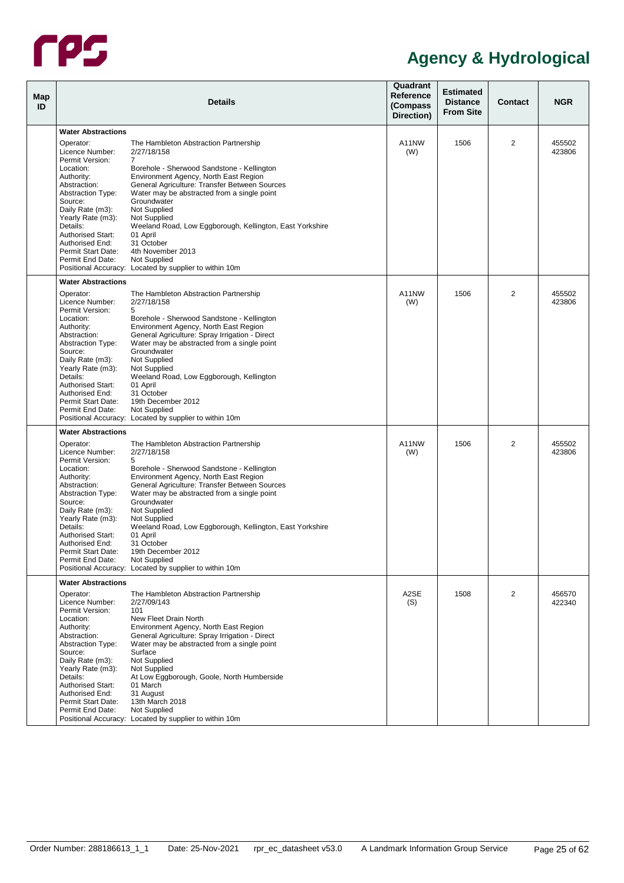

| Map<br>ID |                                                                                                                                                                                                                                                                                 | <b>Details</b>                                                                                                                                                                                                                                                                                                                                                                                                                                                                        | Quadrant<br>Reference<br>(Compass<br>Direction) | <b>Estimated</b><br><b>Distance</b><br><b>From Site</b> | <b>Contact</b> | <b>NGR</b>       |
|-----------|---------------------------------------------------------------------------------------------------------------------------------------------------------------------------------------------------------------------------------------------------------------------------------|---------------------------------------------------------------------------------------------------------------------------------------------------------------------------------------------------------------------------------------------------------------------------------------------------------------------------------------------------------------------------------------------------------------------------------------------------------------------------------------|-------------------------------------------------|---------------------------------------------------------|----------------|------------------|
|           | <b>Water Abstractions</b>                                                                                                                                                                                                                                                       |                                                                                                                                                                                                                                                                                                                                                                                                                                                                                       |                                                 |                                                         |                |                  |
|           | Operator:<br>Licence Number:                                                                                                                                                                                                                                                    | The Hambleton Abstraction Partnership<br>2/27/18/158                                                                                                                                                                                                                                                                                                                                                                                                                                  | A11NW<br>(W)                                    | 1506                                                    | 2              | 455502<br>423806 |
|           | Permit Version:<br>Location:<br>Authority:<br>Abstraction:<br><b>Abstraction Type:</b><br>Source:<br>Daily Rate (m3):<br>Yearly Rate (m3):<br>Details:<br><b>Authorised Start:</b><br>Authorised End:<br>Permit Start Date:<br>Permit End Date:                                 | 7<br>Borehole - Sherwood Sandstone - Kellington<br>Environment Agency, North East Region<br>General Agriculture: Transfer Between Sources<br>Water may be abstracted from a single point<br>Groundwater<br>Not Supplied<br>Not Supplied<br>Weeland Road, Low Eggborough, Kellington, East Yorkshire<br>01 April<br>31 October<br>4th November 2013<br>Not Supplied<br>Positional Accuracy: Located by supplier to within 10m                                                          |                                                 |                                                         |                |                  |
|           | <b>Water Abstractions</b>                                                                                                                                                                                                                                                       |                                                                                                                                                                                                                                                                                                                                                                                                                                                                                       |                                                 |                                                         |                |                  |
|           | Operator:<br>Licence Number:<br>Permit Version:<br>Location:<br>Authority:<br>Abstraction:<br><b>Abstraction Type:</b><br>Source:<br>Daily Rate (m3):<br>Yearly Rate (m3):<br>Details:<br><b>Authorised Start:</b><br>Authorised End:<br>Permit Start Date:<br>Permit End Date: | The Hambleton Abstraction Partnership<br>2/27/18/158<br>5<br>Borehole - Sherwood Sandstone - Kellington<br>Environment Agency, North East Region<br>General Agriculture: Spray Irrigation - Direct<br>Water may be abstracted from a single point<br>Groundwater<br>Not Supplied<br>Not Supplied<br>Weeland Road, Low Eggborough, Kellington<br>01 April<br>31 October<br>19th December 2012<br>Not Supplied<br>Positional Accuracy: Located by supplier to within 10m                | A11NW<br>(W)                                    | 1506                                                    | 2              | 455502<br>423806 |
|           | <b>Water Abstractions</b>                                                                                                                                                                                                                                                       |                                                                                                                                                                                                                                                                                                                                                                                                                                                                                       |                                                 |                                                         |                |                  |
|           | Operator:<br>Licence Number:<br>Permit Version:<br>Location:<br>Authority:<br>Abstraction:<br><b>Abstraction Type:</b><br>Source:<br>Daily Rate (m3):<br>Yearly Rate (m3):<br>Details:<br><b>Authorised Start:</b><br>Authorised End:<br>Permit Start Date:<br>Permit End Date: | The Hambleton Abstraction Partnership<br>2/27/18/158<br>5<br>Borehole - Sherwood Sandstone - Kellington<br>Environment Agency, North East Region<br>General Agriculture: Transfer Between Sources<br>Water may be abstracted from a single point<br>Groundwater<br>Not Supplied<br>Not Supplied<br>Weeland Road, Low Eggborough, Kellington, East Yorkshire<br>01 April<br>31 October<br>19th December 2012<br>Not Supplied<br>Positional Accuracy: Located by supplier to within 10m | A11NW<br>(W)                                    | 1506                                                    | 2              | 455502<br>423806 |
|           | <b>Water Abstractions</b>                                                                                                                                                                                                                                                       |                                                                                                                                                                                                                                                                                                                                                                                                                                                                                       |                                                 |                                                         |                |                  |
|           | Operator:<br>Licence Number:<br>Permit Version:<br>Location:<br>Authority:<br>Abstraction:<br><b>Abstraction Type:</b><br>Source:<br>Daily Rate (m3):<br>Yearly Rate (m3):<br>Details:<br>Authorised Start:<br>Authorised End:<br>Permit Start Date:<br>Permit End Date:        | The Hambleton Abstraction Partnership<br>2/27/09/143<br>101<br>New Fleet Drain North<br>Environment Agency, North East Region<br>General Agriculture: Spray Irrigation - Direct<br>Water may be abstracted from a single point<br>Surface<br>Not Supplied<br>Not Supplied<br>At Low Eggborough, Goole, North Humberside<br>01 March<br>31 August<br>13th March 2018<br>Not Supplied<br>Positional Accuracy: Located by supplier to within 10m                                         | A2SE<br>(S)                                     | 1508                                                    | 2              | 456570<br>422340 |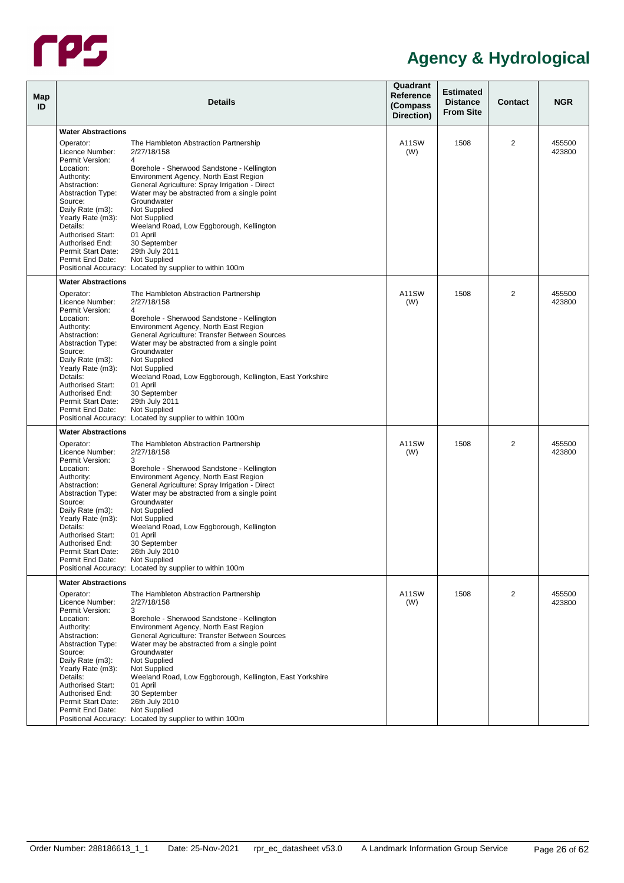

| <b>Map</b><br>ID |                                                           | <b>Details</b>                                                                                                                         | Quadrant<br>Reference<br>(Compass<br>Direction) | <b>Estimated</b><br><b>Distance</b><br><b>From Site</b> | <b>Contact</b> | <b>NGR</b>       |
|------------------|-----------------------------------------------------------|----------------------------------------------------------------------------------------------------------------------------------------|-------------------------------------------------|---------------------------------------------------------|----------------|------------------|
|                  | <b>Water Abstractions</b>                                 |                                                                                                                                        |                                                 |                                                         |                |                  |
|                  | Operator:<br>Licence Number:                              | The Hambleton Abstraction Partnership<br>2/27/18/158                                                                                   | A11SW<br>(W)                                    | 1508                                                    | 2              | 455500<br>423800 |
|                  | Permit Version:<br>Location:                              | 4<br>Borehole - Sherwood Sandstone - Kellington                                                                                        |                                                 |                                                         |                |                  |
|                  | Authority:<br>Abstraction:<br><b>Abstraction Type:</b>    | Environment Agency, North East Region<br>General Agriculture: Spray Irrigation - Direct<br>Water may be abstracted from a single point |                                                 |                                                         |                |                  |
|                  | Source:<br>Daily Rate (m3):<br>Yearly Rate (m3):          | Groundwater<br>Not Supplied<br>Not Supplied                                                                                            |                                                 |                                                         |                |                  |
|                  | Details:<br><b>Authorised Start:</b><br>Authorised End:   | Weeland Road, Low Eggborough, Kellington<br>01 April<br>30 September                                                                   |                                                 |                                                         |                |                  |
|                  | Permit Start Date:<br>Permit End Date:                    | 29th July 2011<br>Not Supplied                                                                                                         |                                                 |                                                         |                |                  |
|                  | <b>Water Abstractions</b>                                 | Positional Accuracy: Located by supplier to within 100m                                                                                |                                                 |                                                         |                |                  |
|                  | Operator:<br>Licence Number:                              | The Hambleton Abstraction Partnership<br>2/27/18/158                                                                                   | A11SW<br>(W)                                    | 1508                                                    | $\overline{2}$ | 455500<br>423800 |
|                  | Permit Version:<br>Location:                              | 4<br>Borehole - Sherwood Sandstone - Kellington                                                                                        |                                                 |                                                         |                |                  |
|                  | Authority:<br>Abstraction:                                | Environment Agency, North East Region<br>General Agriculture: Transfer Between Sources                                                 |                                                 |                                                         |                |                  |
|                  | <b>Abstraction Type:</b><br>Source:                       | Water may be abstracted from a single point<br>Groundwater<br>Not Supplied                                                             |                                                 |                                                         |                |                  |
|                  | Daily Rate (m3):<br>Yearly Rate (m3):<br>Details:         | Not Supplied<br>Weeland Road, Low Eggborough, Kellington, East Yorkshire                                                               |                                                 |                                                         |                |                  |
|                  | <b>Authorised Start:</b><br>Authorised End:               | 01 April<br>30 September                                                                                                               |                                                 |                                                         |                |                  |
|                  | Permit Start Date:<br>Permit End Date:                    | 29th July 2011<br>Not Supplied<br>Positional Accuracy: Located by supplier to within 100m                                              |                                                 |                                                         |                |                  |
|                  |                                                           |                                                                                                                                        |                                                 |                                                         |                |                  |
|                  | <b>Water Abstractions</b>                                 |                                                                                                                                        |                                                 |                                                         |                |                  |
|                  | Operator:<br>Licence Number:<br>Permit Version:           | The Hambleton Abstraction Partnership<br>2/27/18/158<br>3                                                                              | A11SW<br>(W)                                    | 1508                                                    | 2              | 455500<br>423800 |
|                  | Location:<br>Authority:                                   | Borehole - Sherwood Sandstone - Kellington<br>Environment Agency, North East Region                                                    |                                                 |                                                         |                |                  |
|                  | Abstraction:<br><b>Abstraction Type:</b>                  | General Agriculture: Spray Irrigation - Direct<br>Water may be abstracted from a single point                                          |                                                 |                                                         |                |                  |
|                  | Source:<br>Daily Rate (m3):<br>Yearly Rate (m3):          | Groundwater<br>Not Supplied<br>Not Supplied                                                                                            |                                                 |                                                         |                |                  |
|                  | Details:<br><b>Authorised Start:</b>                      | Weeland Road, Low Eggborough, Kellington<br>01 April                                                                                   |                                                 |                                                         |                |                  |
|                  | Authorised End:<br>Permit Start Date:                     | 30 September<br>26th July 2010                                                                                                         |                                                 |                                                         |                |                  |
|                  | Permit End Date:                                          | Not Supplied<br>Positional Accuracy: Located by supplier to within 100m                                                                |                                                 |                                                         |                |                  |
|                  | <b>Water Abstractions</b>                                 |                                                                                                                                        |                                                 |                                                         |                |                  |
|                  | Operator:<br>Licence Number:                              | The Hambleton Abstraction Partnership<br>2/27/18/158                                                                                   | A11SW<br>(W)                                    | 1508                                                    | 2              | 455500<br>423800 |
|                  | Permit Version:<br>Location:<br>Authority:                | 3<br>Borehole - Sherwood Sandstone - Kellington<br>Environment Agency, North East Region                                               |                                                 |                                                         |                |                  |
|                  | Abstraction:<br><b>Abstraction Type:</b>                  | General Agriculture: Transfer Between Sources<br>Water may be abstracted from a single point                                           |                                                 |                                                         |                |                  |
|                  | Source:<br>Daily Rate (m3):                               | Groundwater<br>Not Supplied                                                                                                            |                                                 |                                                         |                |                  |
|                  | Yearly Rate (m3):<br>Details:<br><b>Authorised Start:</b> | Not Supplied<br>Weeland Road, Low Eggborough, Kellington, East Yorkshire<br>01 April                                                   |                                                 |                                                         |                |                  |
|                  | Authorised End:<br>Permit Start Date:                     | 30 September<br>26th July 2010                                                                                                         |                                                 |                                                         |                |                  |
|                  | Permit End Date:                                          | Not Supplied<br>Positional Accuracy: Located by supplier to within 100m                                                                |                                                 |                                                         |                |                  |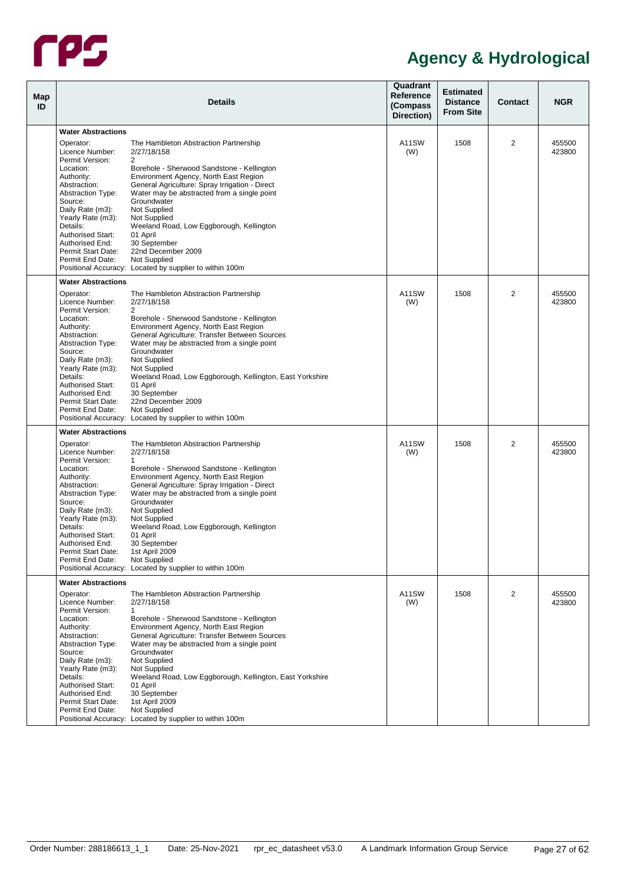

| <b>Map</b><br>ID |                                                           | <b>Details</b>                                                                                                                         | Quadrant<br>Reference<br>(Compass<br>Direction) | <b>Estimated</b><br><b>Distance</b><br><b>From Site</b> | <b>Contact</b> | <b>NGR</b>       |
|------------------|-----------------------------------------------------------|----------------------------------------------------------------------------------------------------------------------------------------|-------------------------------------------------|---------------------------------------------------------|----------------|------------------|
|                  | <b>Water Abstractions</b>                                 |                                                                                                                                        |                                                 |                                                         |                |                  |
|                  | Operator:<br>Licence Number:                              | The Hambleton Abstraction Partnership<br>2/27/18/158                                                                                   | A11SW<br>(W)                                    | 1508                                                    | 2              | 455500<br>423800 |
|                  | Permit Version:<br>Location:                              | 2<br>Borehole - Sherwood Sandstone - Kellington                                                                                        |                                                 |                                                         |                |                  |
|                  | Authority:<br>Abstraction:<br><b>Abstraction Type:</b>    | Environment Agency, North East Region<br>General Agriculture: Spray Irrigation - Direct<br>Water may be abstracted from a single point |                                                 |                                                         |                |                  |
|                  | Source:<br>Daily Rate (m3):                               | Groundwater<br>Not Supplied                                                                                                            |                                                 |                                                         |                |                  |
|                  | Yearly Rate (m3):<br>Details:<br><b>Authorised Start:</b> | Not Supplied<br>Weeland Road, Low Eggborough, Kellington<br>01 April                                                                   |                                                 |                                                         |                |                  |
|                  | Authorised End:<br>Permit Start Date:                     | 30 September<br>22nd December 2009                                                                                                     |                                                 |                                                         |                |                  |
|                  | Permit End Date:                                          | Not Supplied<br>Positional Accuracy: Located by supplier to within 100m                                                                |                                                 |                                                         |                |                  |
|                  | <b>Water Abstractions</b>                                 |                                                                                                                                        |                                                 |                                                         |                |                  |
|                  | Operator:<br>Licence Number:<br>Permit Version:           | The Hambleton Abstraction Partnership<br>2/27/18/158<br>$\overline{2}$                                                                 | A11SW<br>(W)                                    | 1508                                                    | $\overline{2}$ | 455500<br>423800 |
|                  | Location:<br>Authority:                                   | Borehole - Sherwood Sandstone - Kellington<br>Environment Agency, North East Region                                                    |                                                 |                                                         |                |                  |
|                  | Abstraction:<br><b>Abstraction Type:</b><br>Source:       | General Agriculture: Transfer Between Sources<br>Water may be abstracted from a single point<br>Groundwater                            |                                                 |                                                         |                |                  |
|                  | Daily Rate (m3):<br>Yearly Rate (m3):                     | Not Supplied<br>Not Supplied                                                                                                           |                                                 |                                                         |                |                  |
|                  | Details:<br><b>Authorised Start:</b><br>Authorised End:   | Weeland Road, Low Eggborough, Kellington, East Yorkshire<br>01 April<br>30 September                                                   |                                                 |                                                         |                |                  |
|                  | Permit Start Date:<br>Permit End Date:                    | 22nd December 2009<br>Not Supplied                                                                                                     |                                                 |                                                         |                |                  |
|                  |                                                           | Positional Accuracy: Located by supplier to within 100m                                                                                |                                                 |                                                         |                |                  |
|                  | <b>Water Abstractions</b>                                 |                                                                                                                                        |                                                 |                                                         |                |                  |
|                  | Operator:<br>Licence Number:<br>Permit Version:           | The Hambleton Abstraction Partnership<br>2/27/18/158<br>$\mathbf{1}$                                                                   | A11SW<br>(W)                                    | 1508                                                    | 2              | 455500<br>423800 |
|                  | Location:<br>Authority:                                   | Borehole - Sherwood Sandstone - Kellington<br>Environment Agency, North East Region                                                    |                                                 |                                                         |                |                  |
|                  | Abstraction:<br><b>Abstraction Type:</b><br>Source:       | General Agriculture: Spray Irrigation - Direct<br>Water may be abstracted from a single point<br>Groundwater                           |                                                 |                                                         |                |                  |
|                  | Daily Rate (m3):<br>Yearly Rate (m3):                     | Not Supplied<br>Not Supplied                                                                                                           |                                                 |                                                         |                |                  |
|                  | Details:<br><b>Authorised Start:</b><br>Authorised End:   | Weeland Road, Low Eggborough, Kellington<br>01 April<br>30 September                                                                   |                                                 |                                                         |                |                  |
|                  | Permit Start Date:<br>Permit End Date:                    | 1st April 2009<br>Not Supplied                                                                                                         |                                                 |                                                         |                |                  |
|                  |                                                           | Positional Accuracy: Located by supplier to within 100m                                                                                |                                                 |                                                         |                |                  |
|                  | <b>Water Abstractions</b>                                 |                                                                                                                                        |                                                 |                                                         |                |                  |
|                  | Operator:<br>Licence Number:<br>Permit Version:           | The Hambleton Abstraction Partnership<br>2/27/18/158<br>$\mathbf{1}$                                                                   | A11SW<br>(W)                                    | 1508                                                    | 2              | 455500<br>423800 |
|                  | Location:<br>Authority:                                   | Borehole - Sherwood Sandstone - Kellington<br>Environment Agency, North East Region                                                    |                                                 |                                                         |                |                  |
|                  | Abstraction:<br><b>Abstraction Type:</b><br>Source:       | General Agriculture: Transfer Between Sources<br>Water may be abstracted from a single point<br>Groundwater                            |                                                 |                                                         |                |                  |
|                  | Daily Rate (m3):<br>Yearly Rate (m3):                     | Not Supplied<br>Not Supplied                                                                                                           |                                                 |                                                         |                |                  |
|                  | Details:<br><b>Authorised Start:</b><br>Authorised End:   | Weeland Road, Low Eggborough, Kellington, East Yorkshire<br>01 April                                                                   |                                                 |                                                         |                |                  |
|                  | Permit Start Date:<br>Permit End Date:                    | 30 September<br>1st April 2009<br>Not Supplied                                                                                         |                                                 |                                                         |                |                  |
|                  |                                                           | Positional Accuracy: Located by supplier to within 100m                                                                                |                                                 |                                                         |                |                  |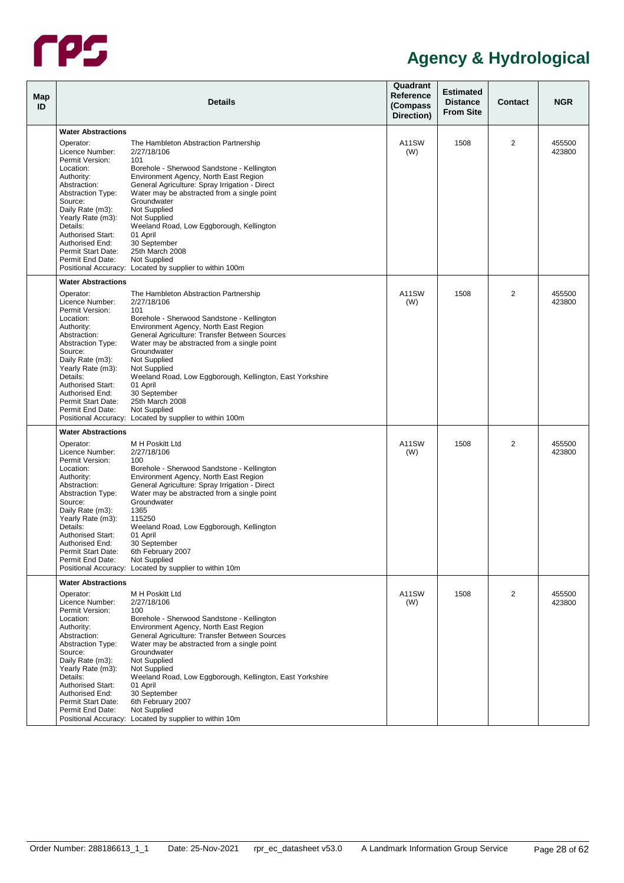

| Map<br>ID |                                                                   | <b>Details</b>                                                                                                                         | Quadrant<br>Reference<br>(Compass<br>Direction) | <b>Estimated</b><br><b>Distance</b><br><b>From Site</b> | <b>Contact</b> | <b>NGR</b>       |
|-----------|-------------------------------------------------------------------|----------------------------------------------------------------------------------------------------------------------------------------|-------------------------------------------------|---------------------------------------------------------|----------------|------------------|
|           | <b>Water Abstractions</b>                                         |                                                                                                                                        |                                                 |                                                         |                |                  |
|           | Operator:<br>Licence Number:                                      | The Hambleton Abstraction Partnership<br>2/27/18/106                                                                                   | A11SW<br>(W)                                    | 1508                                                    | 2              | 455500<br>423800 |
|           | Permit Version:<br>Location:                                      | 101<br>Borehole - Sherwood Sandstone - Kellington                                                                                      |                                                 |                                                         |                |                  |
|           | Authority:<br>Abstraction:<br><b>Abstraction Type:</b>            | Environment Agency, North East Region<br>General Agriculture: Spray Irrigation - Direct<br>Water may be abstracted from a single point |                                                 |                                                         |                |                  |
|           | Source:<br>Daily Rate (m3):<br>Yearly Rate (m3):                  | Groundwater<br>Not Supplied<br>Not Supplied                                                                                            |                                                 |                                                         |                |                  |
|           | Details:<br><b>Authorised Start:</b><br>Authorised End:           | Weeland Road, Low Eggborough, Kellington<br>01 April<br>30 September                                                                   |                                                 |                                                         |                |                  |
|           | Permit Start Date:<br>Permit End Date:                            | 25th March 2008<br><b>Not Supplied</b><br>Positional Accuracy: Located by supplier to within 100m                                      |                                                 |                                                         |                |                  |
|           | <b>Water Abstractions</b>                                         |                                                                                                                                        |                                                 |                                                         |                |                  |
|           | Operator:                                                         | The Hambleton Abstraction Partnership                                                                                                  | A11SW                                           | 1508                                                    | $\overline{2}$ | 455500           |
|           | Licence Number:<br>Permit Version:                                | 2/27/18/106<br>101                                                                                                                     | (W)                                             |                                                         |                | 423800           |
|           | Location:<br>Authority:                                           | Borehole - Sherwood Sandstone - Kellington<br>Environment Agency, North East Region                                                    |                                                 |                                                         |                |                  |
|           | Abstraction:<br><b>Abstraction Type:</b>                          | General Agriculture: Transfer Between Sources<br>Water may be abstracted from a single point                                           |                                                 |                                                         |                |                  |
|           | Source:<br>Daily Rate (m3):                                       | Groundwater<br>Not Supplied                                                                                                            |                                                 |                                                         |                |                  |
|           | Yearly Rate (m3):<br>Details:                                     | Not Supplied<br>Weeland Road, Low Eggborough, Kellington, East Yorkshire                                                               |                                                 |                                                         |                |                  |
|           | <b>Authorised Start:</b><br>Authorised End:<br>Permit Start Date: | 01 April<br>30 September<br>25th March 2008                                                                                            |                                                 |                                                         |                |                  |
|           | Permit End Date:                                                  | Not Supplied<br>Positional Accuracy: Located by supplier to within 100m                                                                |                                                 |                                                         |                |                  |
|           | <b>Water Abstractions</b>                                         |                                                                                                                                        |                                                 |                                                         |                |                  |
|           | Operator:                                                         | M H Poskitt Ltd                                                                                                                        | A11SW                                           | 1508                                                    | 2              | 455500           |
|           | Licence Number:<br>Permit Version:                                | 2/27/18/106<br>100                                                                                                                     | (W)                                             |                                                         |                | 423800           |
|           | Location:<br>Authority:                                           | Borehole - Sherwood Sandstone - Kellington<br>Environment Agency, North East Region                                                    |                                                 |                                                         |                |                  |
|           | Abstraction:<br><b>Abstraction Type:</b>                          | General Agriculture: Spray Irrigation - Direct<br>Water may be abstracted from a single point                                          |                                                 |                                                         |                |                  |
|           | Source:<br>Daily Rate (m3):                                       | Groundwater<br>1365                                                                                                                    |                                                 |                                                         |                |                  |
|           | Yearly Rate (m3):<br>Details:                                     | 115250<br>Weeland Road, Low Eggborough, Kellington                                                                                     |                                                 |                                                         |                |                  |
|           | <b>Authorised Start:</b><br>Authorised End:                       | 01 April<br>30 September                                                                                                               |                                                 |                                                         |                |                  |
|           | Permit Start Date:<br>Permit End Date:                            | 6th February 2007<br>Not Supplied                                                                                                      |                                                 |                                                         |                |                  |
|           |                                                                   | Positional Accuracy: Located by supplier to within 10m                                                                                 |                                                 |                                                         |                |                  |
|           | <b>Water Abstractions</b><br>Operator:                            | M H Poskitt Ltd                                                                                                                        | A11SW                                           | 1508                                                    | 2              | 455500           |
|           | Licence Number:<br>Permit Version:                                | 2/27/18/106<br>100                                                                                                                     | (W)                                             |                                                         |                | 423800           |
|           | Location:<br>Authority:                                           | Borehole - Sherwood Sandstone - Kellington<br>Environment Agency, North East Region                                                    |                                                 |                                                         |                |                  |
|           | Abstraction:<br><b>Abstraction Type:</b>                          | General Agriculture: Transfer Between Sources<br>Water may be abstracted from a single point                                           |                                                 |                                                         |                |                  |
|           | Source:<br>Daily Rate (m3):                                       | Groundwater<br>Not Supplied                                                                                                            |                                                 |                                                         |                |                  |
|           | Yearly Rate (m3):<br>Details:                                     | Not Supplied<br>Weeland Road, Low Eggborough, Kellington, East Yorkshire                                                               |                                                 |                                                         |                |                  |
|           | <b>Authorised Start:</b><br>Authorised End:                       | 01 April<br>30 September                                                                                                               |                                                 |                                                         |                |                  |
|           | Permit Start Date:<br>Permit End Date:                            | 6th February 2007<br>Not Supplied                                                                                                      |                                                 |                                                         |                |                  |
|           |                                                                   | Positional Accuracy: Located by supplier to within 10m                                                                                 |                                                 |                                                         |                |                  |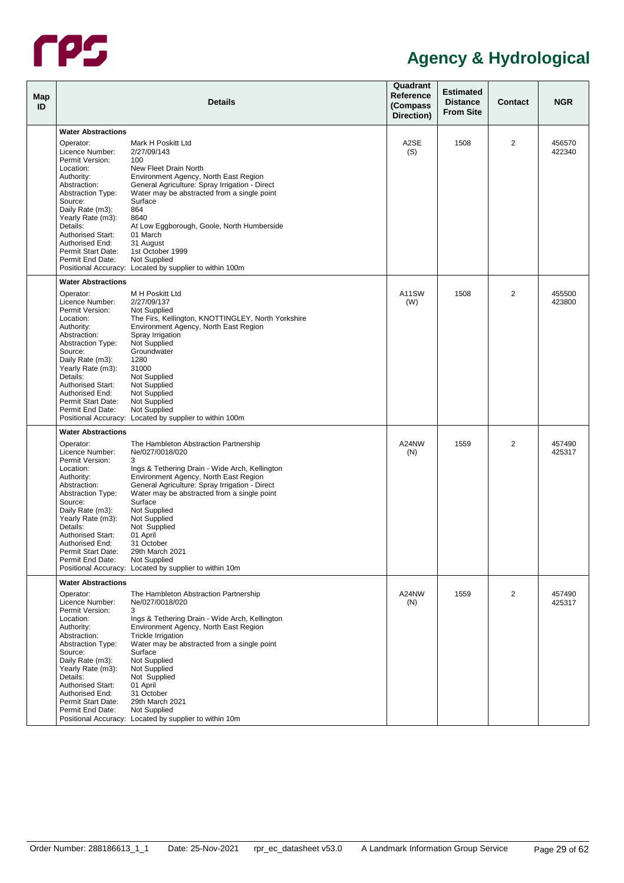

| Map<br>ID |                                                                                                                                                                                                                                                                                 | <b>Details</b>                                                                                                                                                                                                                                                                                                                                                                                                                              | Quadrant<br>Reference<br>(Compass<br>Direction) | <b>Estimated</b><br><b>Distance</b><br><b>From Site</b> | <b>Contact</b> | <b>NGR</b>       |
|-----------|---------------------------------------------------------------------------------------------------------------------------------------------------------------------------------------------------------------------------------------------------------------------------------|---------------------------------------------------------------------------------------------------------------------------------------------------------------------------------------------------------------------------------------------------------------------------------------------------------------------------------------------------------------------------------------------------------------------------------------------|-------------------------------------------------|---------------------------------------------------------|----------------|------------------|
|           | <b>Water Abstractions</b>                                                                                                                                                                                                                                                       |                                                                                                                                                                                                                                                                                                                                                                                                                                             |                                                 |                                                         |                |                  |
|           | Operator:<br>Licence Number:<br>Permit Version:<br>Location:<br>Authority:<br>Abstraction:<br><b>Abstraction Type:</b><br>Source:<br>Daily Rate (m3):<br>Yearly Rate (m3):<br>Details:<br><b>Authorised Start:</b><br>Authorised End:                                           | Mark H Poskitt Ltd<br>2/27/09/143<br>100<br>New Fleet Drain North<br>Environment Agency, North East Region<br>General Agriculture: Spray Irrigation - Direct<br>Water may be abstracted from a single point<br>Surface<br>864<br>8640<br>At Low Eggborough, Goole, North Humberside<br>01 March<br>31 August                                                                                                                                | A2SE<br>(S)                                     | 1508                                                    | 2              | 456570<br>422340 |
|           | Permit Start Date:<br>Permit End Date:                                                                                                                                                                                                                                          | 1st October 1999<br>Not Supplied<br>Positional Accuracy: Located by supplier to within 100m                                                                                                                                                                                                                                                                                                                                                 |                                                 |                                                         |                |                  |
|           | <b>Water Abstractions</b>                                                                                                                                                                                                                                                       |                                                                                                                                                                                                                                                                                                                                                                                                                                             |                                                 |                                                         |                |                  |
|           | Operator:<br>Licence Number:<br>Permit Version:<br>Location:<br>Authority:<br>Abstraction:<br><b>Abstraction Type:</b><br>Source:<br>Daily Rate (m3):<br>Yearly Rate (m3):<br>Details:<br><b>Authorised Start:</b><br>Authorised End:<br>Permit Start Date:<br>Permit End Date: | M H Poskitt Ltd<br>2/27/09/137<br>Not Supplied<br>The Firs, Kellington, KNOTTINGLEY, North Yorkshire<br>Environment Agency, North East Region<br>Spray Irrigation<br>Not Supplied<br>Groundwater<br>1280<br>31000<br>Not Supplied<br>Not Supplied<br>Not Supplied<br>Not Supplied<br>Not Supplied<br>Positional Accuracy: Located by supplier to within 100m                                                                                | A11SW<br>(W)                                    | 1508                                                    | $\overline{2}$ | 455500<br>423800 |
|           | <b>Water Abstractions</b>                                                                                                                                                                                                                                                       |                                                                                                                                                                                                                                                                                                                                                                                                                                             |                                                 |                                                         |                |                  |
|           | Operator:<br>Licence Number:<br>Permit Version:<br>Location:<br>Authority:<br>Abstraction:<br><b>Abstraction Type:</b><br>Source:<br>Daily Rate (m3):<br>Yearly Rate (m3):<br>Details:<br><b>Authorised Start:</b><br>Authorised End:<br>Permit Start Date:<br>Permit End Date: | The Hambleton Abstraction Partnership<br>Ne/027/0018/020<br>3<br>Ings & Tethering Drain - Wide Arch, Kellington<br>Environment Agency, North East Region<br>General Agriculture: Spray Irrigation - Direct<br>Water may be abstracted from a single point<br>Surface<br>Not Supplied<br>Not Supplied<br>Not Supplied<br>01 April<br>31 October<br>29th March 2021<br>Not Supplied<br>Positional Accuracy: Located by supplier to within 10m | A24NW<br>(N)                                    | 1559                                                    | 2              | 457490<br>425317 |
|           | <b>Water Abstractions</b>                                                                                                                                                                                                                                                       |                                                                                                                                                                                                                                                                                                                                                                                                                                             |                                                 |                                                         |                |                  |
|           | Operator:<br>Licence Number:<br>Permit Version:<br>Location:<br>Authority:<br>Abstraction:<br><b>Abstraction Type:</b><br>Source:<br>Daily Rate (m3):<br>Yearly Rate (m3):<br>Details:<br><b>Authorised Start:</b><br>Authorised End:<br>Permit Start Date:<br>Permit End Date: | The Hambleton Abstraction Partnership<br>Ne/027/0018/020<br>3<br>Ings & Tethering Drain - Wide Arch, Kellington<br>Environment Agency, North East Region<br>Trickle Irrigation<br>Water may be abstracted from a single point<br>Surface<br>Not Supplied<br>Not Supplied<br>Not Supplied<br>01 April<br>31 October<br>29th March 2021<br>Not Supplied<br>Positional Accuracy: Located by supplier to within 10m                             | A24NW<br>(N)                                    | 1559                                                    | 2              | 457490<br>425317 |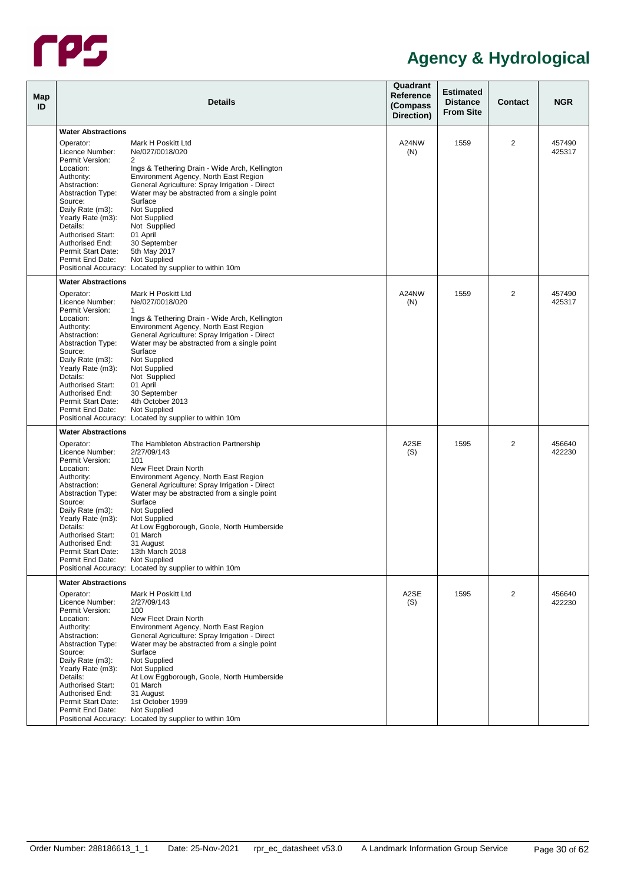

| <b>Map</b><br>ID |                                                                   | <b>Details</b>                                                                                                                         | Quadrant<br>Reference<br>(Compass<br>Direction) | <b>Estimated</b><br><b>Distance</b><br><b>From Site</b> | <b>Contact</b> | <b>NGR</b>       |
|------------------|-------------------------------------------------------------------|----------------------------------------------------------------------------------------------------------------------------------------|-------------------------------------------------|---------------------------------------------------------|----------------|------------------|
|                  | <b>Water Abstractions</b>                                         |                                                                                                                                        |                                                 |                                                         |                |                  |
|                  |                                                                   |                                                                                                                                        |                                                 |                                                         |                |                  |
|                  | Operator:<br>Licence Number:<br>Permit Version:                   | Mark H Poskitt Ltd<br>Ne/027/0018/020<br>$\overline{2}$                                                                                | A24NW<br>(N)                                    | 1559                                                    | 2              | 457490<br>425317 |
|                  | Location:<br>Authority:                                           | Ings & Tethering Drain - Wide Arch, Kellington<br>Environment Agency, North East Region                                                |                                                 |                                                         |                |                  |
|                  | Abstraction:<br><b>Abstraction Type:</b><br>Source:               | General Agriculture: Spray Irrigation - Direct<br>Water may be abstracted from a single point<br>Surface                               |                                                 |                                                         |                |                  |
|                  | Daily Rate (m3):<br>Yearly Rate (m3):<br>Details:                 | Not Supplied<br>Not Supplied                                                                                                           |                                                 |                                                         |                |                  |
|                  | <b>Authorised Start:</b><br>Authorised End:                       | Not Supplied<br>01 April<br>30 September                                                                                               |                                                 |                                                         |                |                  |
|                  | Permit Start Date:<br>Permit End Date:                            | 5th May 2017<br>Not Supplied                                                                                                           |                                                 |                                                         |                |                  |
|                  | <b>Water Abstractions</b>                                         | Positional Accuracy: Located by supplier to within 10m                                                                                 |                                                 |                                                         |                |                  |
|                  | Operator:                                                         | Mark H Poskitt Ltd                                                                                                                     | A24NW                                           | 1559                                                    | 2              | 457490           |
|                  | Licence Number:<br>Permit Version:                                | Ne/027/0018/020<br>$\mathbf{1}$                                                                                                        | (N)                                             |                                                         |                | 425317           |
|                  | Location:<br>Authority:                                           | Ings & Tethering Drain - Wide Arch, Kellington<br>Environment Agency, North East Region                                                |                                                 |                                                         |                |                  |
|                  | Abstraction:<br><b>Abstraction Type:</b><br>Source:               | General Agriculture: Spray Irrigation - Direct<br>Water may be abstracted from a single point<br>Surface                               |                                                 |                                                         |                |                  |
|                  | Daily Rate (m3):<br>Yearly Rate (m3):                             | Not Supplied<br>Not Supplied                                                                                                           |                                                 |                                                         |                |                  |
|                  | Details:<br><b>Authorised Start:</b>                              | Not Supplied<br>01 April                                                                                                               |                                                 |                                                         |                |                  |
|                  | Authorised End:<br>Permit Start Date:<br>Permit End Date:         | 30 September<br>4th October 2013<br>Not Supplied                                                                                       |                                                 |                                                         |                |                  |
|                  |                                                                   | Positional Accuracy: Located by supplier to within 10m                                                                                 |                                                 |                                                         |                |                  |
|                  | <b>Water Abstractions</b>                                         |                                                                                                                                        |                                                 |                                                         |                |                  |
|                  | Operator:<br>Licence Number:                                      | The Hambleton Abstraction Partnership<br>2/27/09/143                                                                                   | A2SE<br>(S)                                     | 1595                                                    | $\overline{2}$ | 456640<br>422230 |
|                  | Permit Version:<br>Location:                                      | 101<br>New Fleet Drain North                                                                                                           |                                                 |                                                         |                |                  |
|                  | Authority:<br>Abstraction:<br><b>Abstraction Type:</b>            | Environment Agency, North East Region<br>General Agriculture: Spray Irrigation - Direct<br>Water may be abstracted from a single point |                                                 |                                                         |                |                  |
|                  | Source:<br>Daily Rate (m3):                                       | Surface<br>Not Supplied                                                                                                                |                                                 |                                                         |                |                  |
|                  | Yearly Rate (m3):<br>Details:                                     | Not Supplied<br>At Low Eggborough, Goole, North Humberside                                                                             |                                                 |                                                         |                |                  |
|                  | <b>Authorised Start:</b><br>Authorised End:<br>Permit Start Date: | 01 March<br>31 August<br>13th March 2018                                                                                               |                                                 |                                                         |                |                  |
|                  | Permit End Date:                                                  | Not Supplied<br>Positional Accuracy: Located by supplier to within 10m                                                                 |                                                 |                                                         |                |                  |
|                  | <b>Water Abstractions</b>                                         |                                                                                                                                        |                                                 |                                                         |                |                  |
|                  | Operator:<br>Licence Number:                                      | Mark H Poskitt Ltd<br>2/27/09/143                                                                                                      | A2SE<br>(S)                                     | 1595                                                    | 2              | 456640<br>422230 |
|                  | Permit Version:<br>Location:<br>Authority:                        | 100<br>New Fleet Drain North<br>Environment Agency, North East Region                                                                  |                                                 |                                                         |                |                  |
|                  | Abstraction:<br><b>Abstraction Type:</b>                          | General Agriculture: Spray Irrigation - Direct<br>Water may be abstracted from a single point                                          |                                                 |                                                         |                |                  |
|                  | Source:<br>Daily Rate (m3):                                       | Surface<br>Not Supplied                                                                                                                |                                                 |                                                         |                |                  |
|                  | Yearly Rate (m3):<br>Details:<br>Authorised Start:                | Not Supplied<br>At Low Eggborough, Goole, North Humberside<br>01 March                                                                 |                                                 |                                                         |                |                  |
|                  | Authorised End:<br>Permit Start Date:                             | 31 August<br>1st October 1999                                                                                                          |                                                 |                                                         |                |                  |
|                  | Permit End Date:                                                  | Not Supplied<br>Positional Accuracy: Located by supplier to within 10m                                                                 |                                                 |                                                         |                |                  |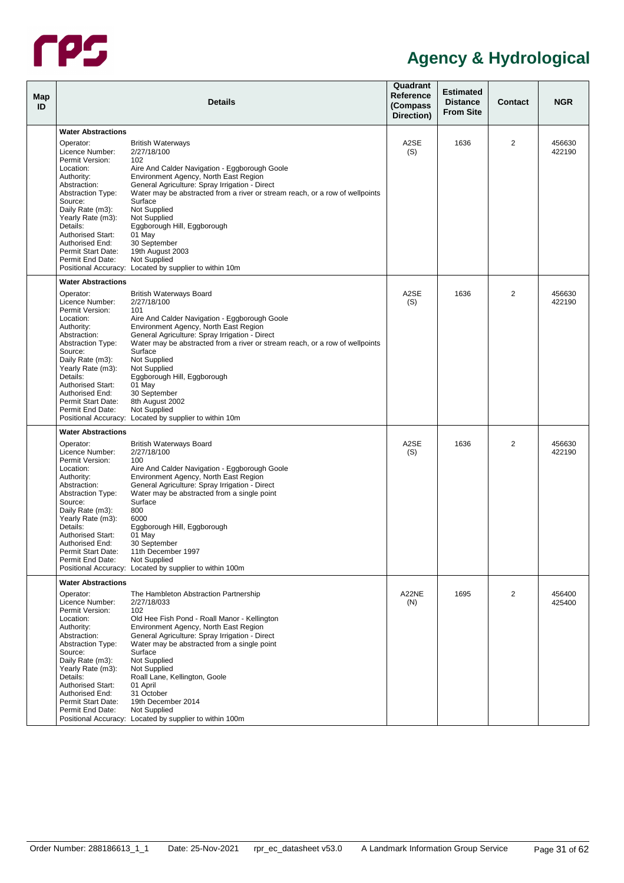

| <b>Map</b><br>ID | <b>Details</b>                                                    |                                                                                                                                                 |              | <b>Estimated</b><br><b>Distance</b><br><b>From Site</b> | <b>Contact</b> | <b>NGR</b>       |
|------------------|-------------------------------------------------------------------|-------------------------------------------------------------------------------------------------------------------------------------------------|--------------|---------------------------------------------------------|----------------|------------------|
|                  | <b>Water Abstractions</b>                                         |                                                                                                                                                 |              |                                                         |                |                  |
|                  | Operator:<br>Licence Number:                                      | <b>British Waterways</b><br>2/27/18/100                                                                                                         | A2SE<br>(S)  | 1636                                                    | 2              | 456630<br>422190 |
|                  | Permit Version:<br>Location:<br>Authority:<br>Abstraction:        | 102<br>Aire And Calder Navigation - Eggborough Goole<br>Environment Agency, North East Region<br>General Agriculture: Spray Irrigation - Direct |              |                                                         |                |                  |
|                  | <b>Abstraction Type:</b><br>Source:<br>Daily Rate (m3):           | Water may be abstracted from a river or stream reach, or a row of wellpoints<br>Surface<br>Not Supplied                                         |              |                                                         |                |                  |
|                  | Yearly Rate (m3):<br>Details:<br><b>Authorised Start:</b>         | Not Supplied<br>Eggborough Hill, Eggborough<br>01 May                                                                                           |              |                                                         |                |                  |
|                  | Authorised End:<br>Permit Start Date:<br>Permit End Date:         | 30 September<br>19th August 2003<br>Not Supplied                                                                                                |              |                                                         |                |                  |
|                  | <b>Water Abstractions</b>                                         | Positional Accuracy: Located by supplier to within 10m                                                                                          |              |                                                         |                |                  |
|                  | Operator:                                                         | <b>British Waterways Board</b>                                                                                                                  | A2SE         | 1636                                                    | $\overline{2}$ | 456630           |
|                  | Licence Number:<br>Permit Version:                                | 2/27/18/100<br>101                                                                                                                              | (S)          |                                                         |                | 422190           |
|                  | Location:<br>Authority:                                           | Aire And Calder Navigation - Eggborough Goole<br>Environment Agency, North East Region                                                          |              |                                                         |                |                  |
|                  | Abstraction:<br><b>Abstraction Type:</b><br>Source:               | General Agriculture: Spray Irrigation - Direct<br>Water may be abstracted from a river or stream reach, or a row of wellpoints<br>Surface       |              |                                                         |                |                  |
|                  | Daily Rate (m3):<br>Yearly Rate (m3):                             | Not Supplied<br>Not Supplied                                                                                                                    |              |                                                         |                |                  |
|                  | Details:<br><b>Authorised Start:</b>                              | Eggborough Hill, Eggborough<br>01 May                                                                                                           |              |                                                         |                |                  |
|                  | Authorised End:<br>Permit Start Date:<br>Permit End Date:         | 30 September<br>8th August 2002<br>Not Supplied                                                                                                 |              |                                                         |                |                  |
|                  |                                                                   | Positional Accuracy: Located by supplier to within 10m                                                                                          |              |                                                         |                |                  |
|                  | <b>Water Abstractions</b>                                         |                                                                                                                                                 |              |                                                         |                |                  |
|                  | Operator:<br>Licence Number:                                      | <b>British Waterways Board</b><br>2/27/18/100                                                                                                   | A2SE<br>(S)  | 1636                                                    | 2              | 456630<br>422190 |
|                  | Permit Version:<br>Location:                                      | 100<br>Aire And Calder Navigation - Eggborough Goole                                                                                            |              |                                                         |                |                  |
|                  | Authority:<br>Abstraction:<br><b>Abstraction Type:</b>            | Environment Agency, North East Region<br>General Agriculture: Spray Irrigation - Direct<br>Water may be abstracted from a single point          |              |                                                         |                |                  |
|                  | Source:<br>Daily Rate (m3):                                       | Surface<br>800                                                                                                                                  |              |                                                         |                |                  |
|                  | Yearly Rate (m3):<br>Details:                                     | 6000<br>Eggborough Hill, Eggborough                                                                                                             |              |                                                         |                |                  |
|                  | <b>Authorised Start:</b><br>Authorised End:<br>Permit Start Date: | 01 May<br>30 September<br>11th December 1997                                                                                                    |              |                                                         |                |                  |
|                  | Permit End Date:                                                  | Not Supplied<br>Positional Accuracy: Located by supplier to within 100m                                                                         |              |                                                         |                |                  |
|                  | <b>Water Abstractions</b>                                         |                                                                                                                                                 |              |                                                         |                |                  |
|                  | Operator:<br>Licence Number:                                      | The Hambleton Abstraction Partnership<br>2/27/18/033                                                                                            | A22NE<br>(N) | 1695                                                    | 2              | 456400<br>425400 |
|                  | Permit Version:<br>Location:                                      | 102<br>Old Hee Fish Pond - Roall Manor - Kellington                                                                                             |              |                                                         |                |                  |
|                  | Authority:<br>Abstraction:<br><b>Abstraction Type:</b>            | Environment Agency, North East Region<br>General Agriculture: Spray Irrigation - Direct<br>Water may be abstracted from a single point          |              |                                                         |                |                  |
|                  | Source:<br>Daily Rate (m3):                                       | Surface<br>Not Supplied                                                                                                                         |              |                                                         |                |                  |
|                  | Yearly Rate (m3):<br>Details:                                     | Not Supplied<br>Roall Lane, Kellington, Goole                                                                                                   |              |                                                         |                |                  |
|                  | <b>Authorised Start:</b><br>Authorised End:<br>Permit Start Date: | 01 April<br>31 October<br>19th December 2014                                                                                                    |              |                                                         |                |                  |
|                  | Permit End Date:                                                  | Not Supplied<br>Positional Accuracy: Located by supplier to within 100m                                                                         |              |                                                         |                |                  |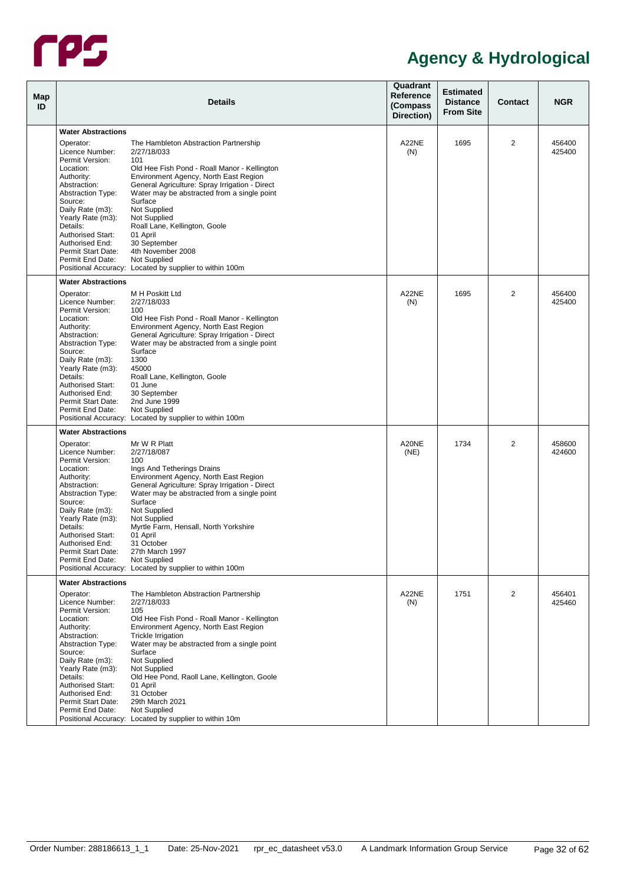

| Map<br>ID |                                                                                                                                                       | <b>Details</b>                                                                                                                                                                                                                                              | Quadrant<br>Reference<br>(Compass<br>Direction) | <b>Estimated</b><br><b>Distance</b><br><b>From Site</b> | <b>Contact</b> | <b>NGR</b>       |
|-----------|-------------------------------------------------------------------------------------------------------------------------------------------------------|-------------------------------------------------------------------------------------------------------------------------------------------------------------------------------------------------------------------------------------------------------------|-------------------------------------------------|---------------------------------------------------------|----------------|------------------|
|           | <b>Water Abstractions</b>                                                                                                                             |                                                                                                                                                                                                                                                             |                                                 |                                                         |                |                  |
|           | Operator:<br>Licence Number:<br>Permit Version:                                                                                                       | The Hambleton Abstraction Partnership<br>2/27/18/033<br>101                                                                                                                                                                                                 | A22NE<br>(N)                                    | 1695                                                    | 2              | 456400<br>425400 |
|           | Location:<br>Authority:<br>Abstraction:<br><b>Abstraction Type:</b><br>Source:                                                                        | Old Hee Fish Pond - Roall Manor - Kellington<br>Environment Agency, North East Region<br>General Agriculture: Spray Irrigation - Direct<br>Water may be abstracted from a single point<br>Surface                                                           |                                                 |                                                         |                |                  |
|           | Daily Rate (m3):<br>Yearly Rate (m3):<br>Details:<br><b>Authorised Start:</b><br>Authorised End:<br>Permit Start Date:                                | Not Supplied<br>Not Supplied<br>Roall Lane, Kellington, Goole<br>01 April<br>30 September<br>4th November 2008                                                                                                                                              |                                                 |                                                         |                |                  |
|           | Permit End Date:                                                                                                                                      | <b>Not Supplied</b><br>Positional Accuracy: Located by supplier to within 100m                                                                                                                                                                              |                                                 |                                                         |                |                  |
|           | <b>Water Abstractions</b>                                                                                                                             |                                                                                                                                                                                                                                                             |                                                 |                                                         |                |                  |
|           | Operator:<br>Licence Number:<br>Permit Version:<br>Location:<br>Authority:<br>Abstraction:<br><b>Abstraction Type:</b><br>Source:<br>Daily Rate (m3): | M H Poskitt Ltd<br>2/27/18/033<br>100<br>Old Hee Fish Pond - Roall Manor - Kellington<br>Environment Agency, North East Region<br>General Agriculture: Spray Irrigation - Direct<br>Water may be abstracted from a single point<br>Surface<br>1300          | A22NE<br>(N)                                    | 1695                                                    | $\overline{2}$ | 456400<br>425400 |
|           | Yearly Rate (m3):<br>Details:<br><b>Authorised Start:</b><br>Authorised End:<br>Permit Start Date:<br>Permit End Date:                                | 45000<br>Roall Lane, Kellington, Goole<br>01 June<br>30 September<br>2nd June 1999<br>Not Supplied<br>Positional Accuracy: Located by supplier to within 100m                                                                                               |                                                 |                                                         |                |                  |
|           | <b>Water Abstractions</b>                                                                                                                             |                                                                                                                                                                                                                                                             |                                                 |                                                         |                |                  |
|           | Operator:<br>Licence Number:<br>Permit Version:<br>Location:<br>Authority:<br>Abstraction:<br><b>Abstraction Type:</b><br>Source:<br>Daily Rate (m3): | Mr W R Platt<br>2/27/18/087<br>100<br>Ings And Tetherings Drains<br>Environment Agency, North East Region<br>General Agriculture: Spray Irrigation - Direct<br>Water may be abstracted from a single point<br>Surface<br>Not Supplied                       | A20NE<br>(NE)                                   | 1734                                                    | 2              | 458600<br>424600 |
|           | Yearly Rate (m3):<br>Details:<br><b>Authorised Start:</b><br>Authorised End:<br>Permit Start Date:<br>Permit End Date:                                | Not Supplied<br>Myrtle Farm, Hensall, North Yorkshire<br>01 April<br>31 October<br>27th March 1997<br>Not Supplied<br>Positional Accuracy: Located by supplier to within 100m                                                                               |                                                 |                                                         |                |                  |
|           | <b>Water Abstractions</b>                                                                                                                             |                                                                                                                                                                                                                                                             |                                                 |                                                         |                |                  |
|           | Operator:<br>Licence Number:<br>Permit Version:<br>Location:<br>Authority:<br>Abstraction:<br><b>Abstraction Type:</b><br>Source:<br>Daily Rate (m3): | The Hambleton Abstraction Partnership<br>2/27/18/033<br>105<br>Old Hee Fish Pond - Roall Manor - Kellington<br>Environment Agency, North East Region<br><b>Trickle Irrigation</b><br>Water may be abstracted from a single point<br>Surface<br>Not Supplied | A22NE<br>(N)                                    | 1751                                                    | 2              | 456401<br>425460 |
|           | Yearly Rate (m3):<br>Details:<br><b>Authorised Start:</b><br>Authorised End:<br>Permit Start Date:<br>Permit End Date:                                | Not Supplied<br>Old Hee Pond, Raoll Lane, Kellington, Goole<br>01 April<br>31 October<br>29th March 2021<br>Not Supplied<br>Positional Accuracy: Located by supplier to within 10m                                                                          |                                                 |                                                         |                |                  |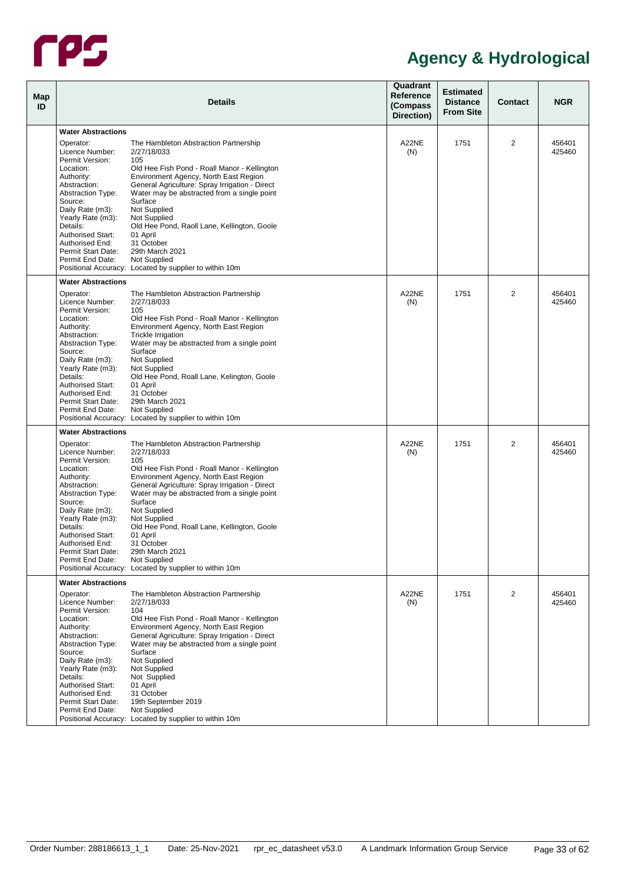

| Map<br>ID |                                                                                                                                                                                                                                                                                                              | <b>Details</b>                                                                                                                                                                                                                                                                                                                                                                                                                                                         | Quadrant<br>Reference<br>(Compass<br>Direction) | <b>Estimated</b><br><b>Distance</b><br><b>From Site</b> | <b>Contact</b> | <b>NGR</b>       |
|-----------|--------------------------------------------------------------------------------------------------------------------------------------------------------------------------------------------------------------------------------------------------------------------------------------------------------------|------------------------------------------------------------------------------------------------------------------------------------------------------------------------------------------------------------------------------------------------------------------------------------------------------------------------------------------------------------------------------------------------------------------------------------------------------------------------|-------------------------------------------------|---------------------------------------------------------|----------------|------------------|
|           |                                                                                                                                                                                                                                                                                                              |                                                                                                                                                                                                                                                                                                                                                                                                                                                                        |                                                 |                                                         |                |                  |
|           | <b>Water Abstractions</b><br>Operator:<br>Licence Number:<br>Permit Version:                                                                                                                                                                                                                                 | The Hambleton Abstraction Partnership<br>2/27/18/033<br>105                                                                                                                                                                                                                                                                                                                                                                                                            | A22NE<br>(N)                                    | 1751                                                    | 2              | 456401<br>425460 |
|           | Location:<br>Authority:<br>Abstraction:<br><b>Abstraction Type:</b><br>Source:<br>Daily Rate (m3):<br>Yearly Rate (m3):<br>Details:<br><b>Authorised Start:</b><br>Authorised End:<br>Permit Start Date:                                                                                                     | Old Hee Fish Pond - Roall Manor - Kellington<br>Environment Agency, North East Region<br>General Agriculture: Spray Irrigation - Direct<br>Water may be abstracted from a single point<br>Surface<br>Not Supplied<br>Not Supplied<br>Old Hee Pond, Raoll Lane, Kellington, Goole<br>01 April<br>31 October<br>29th March 2021                                                                                                                                          |                                                 |                                                         |                |                  |
|           | Permit End Date:                                                                                                                                                                                                                                                                                             | Not Supplied<br>Positional Accuracy: Located by supplier to within 10m                                                                                                                                                                                                                                                                                                                                                                                                 |                                                 |                                                         |                |                  |
|           | <b>Water Abstractions</b>                                                                                                                                                                                                                                                                                    |                                                                                                                                                                                                                                                                                                                                                                                                                                                                        |                                                 |                                                         |                |                  |
|           | Operator:<br>Licence Number:<br>Permit Version:<br>Location:<br>Authority:<br>Abstraction:<br><b>Abstraction Type:</b><br>Source:<br>Daily Rate (m3):<br>Yearly Rate (m3):<br>Details:<br><b>Authorised Start:</b><br>Authorised End:<br>Permit Start Date:<br>Permit End Date:                              | The Hambleton Abstraction Partnership<br>2/27/18/033<br>105<br>Old Hee Fish Pond - Roall Manor - Kellington<br>Environment Agency, North East Region<br><b>Trickle Irrigation</b><br>Water may be abstracted from a single point<br>Surface<br>Not Supplied<br>Not Supplied<br>Old Hee Pond, Roall Lane, Kelington, Goole<br>01 April<br>31 October<br>29th March 2021<br>Not Supplied<br>Positional Accuracy: Located by supplier to within 10m                       | A22NE<br>(N)                                    | 1751                                                    | $\overline{2}$ | 456401<br>425460 |
|           | <b>Water Abstractions</b>                                                                                                                                                                                                                                                                                    |                                                                                                                                                                                                                                                                                                                                                                                                                                                                        |                                                 |                                                         |                |                  |
|           | Operator:<br>Licence Number:<br>Permit Version:<br>Location:<br>Authority:<br>Abstraction:<br><b>Abstraction Type:</b><br>Source:<br>Daily Rate (m3):<br>Yearly Rate (m3):<br>Details:<br><b>Authorised Start:</b><br>Authorised End:<br>Permit Start Date:<br>Permit End Date:<br><b>Water Abstractions</b> | The Hambleton Abstraction Partnership<br>2/27/18/033<br>105<br>Old Hee Fish Pond - Roall Manor - Kellington<br>Environment Agency, North East Region<br>General Agriculture: Spray Irrigation - Direct<br>Water may be abstracted from a single point<br>Surface<br>Not Supplied<br>Not Supplied<br>Old Hee Pond, Roall Lane, Kellington, Goole<br>01 April<br>31 October<br>29th March 2021<br>Not Supplied<br>Positional Accuracy: Located by supplier to within 10m | A22NE<br>(N)                                    | 1751                                                    | 2              | 456401<br>425460 |
|           | Operator:<br>Licence Number:<br>Permit Version:<br>Location:<br>Authority:<br>Abstraction:<br><b>Abstraction Type:</b><br>Source:<br>Daily Rate (m3):<br>Yearly Rate (m3):<br>Details:<br>Authorised Start:<br>Authorised End:<br>Permit Start Date:<br>Permit End Date:                                     | The Hambleton Abstraction Partnership<br>2/27/18/033<br>104<br>Old Hee Fish Pond - Roall Manor - Kellington<br>Environment Agency, North East Region<br>General Agriculture: Spray Irrigation - Direct<br>Water may be abstracted from a single point<br>Surface<br>Not Supplied<br>Not Supplied<br>Not Supplied<br>01 April<br>31 October<br>19th September 2019<br>Not Supplied<br>Positional Accuracy: Located by supplier to within 10m                            | A22NE<br>(N)                                    | 1751                                                    | 2              | 456401<br>425460 |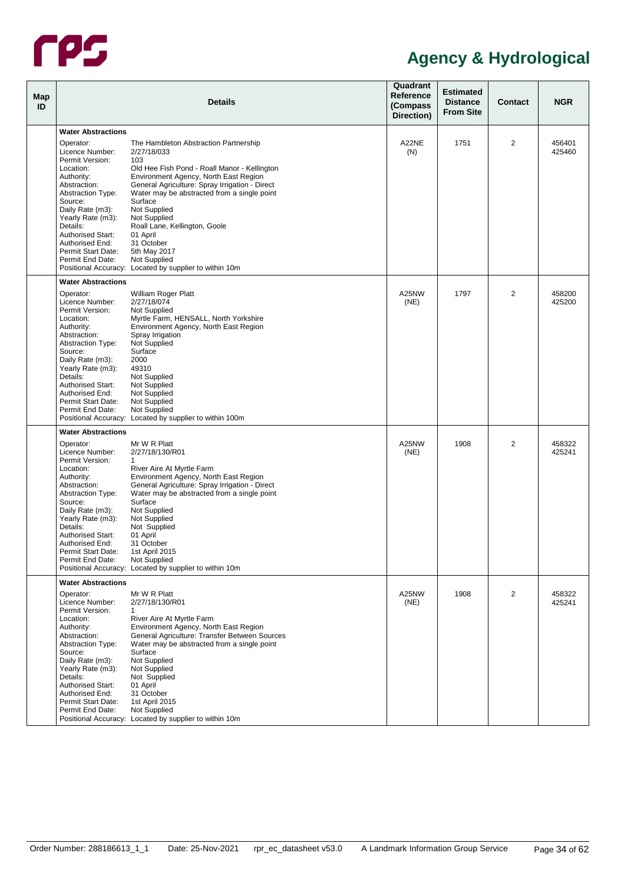

| Map<br>ID |                                                                                                                                                                                                                                                                                                              | <b>Details</b>                                                                                                                                                                                                                                                                                                                                                                                          | Quadrant<br>Reference<br>(Compass<br>Direction) | <b>Estimated</b><br><b>Distance</b><br><b>From Site</b> | <b>Contact</b> | <b>NGR</b>       |
|-----------|--------------------------------------------------------------------------------------------------------------------------------------------------------------------------------------------------------------------------------------------------------------------------------------------------------------|---------------------------------------------------------------------------------------------------------------------------------------------------------------------------------------------------------------------------------------------------------------------------------------------------------------------------------------------------------------------------------------------------------|-------------------------------------------------|---------------------------------------------------------|----------------|------------------|
|           | <b>Water Abstractions</b>                                                                                                                                                                                                                                                                                    |                                                                                                                                                                                                                                                                                                                                                                                                         |                                                 |                                                         |                |                  |
|           | Operator:<br>Licence Number:<br>Permit Version:<br>Location:<br>Authority:<br>Abstraction:<br><b>Abstraction Type:</b><br>Source:<br>Daily Rate (m3):<br>Yearly Rate (m3):<br>Details:<br><b>Authorised Start:</b><br>Authorised End:<br>Permit Start Date:<br>Permit End Date:                              | The Hambleton Abstraction Partnership<br>2/27/18/033<br>103<br>Old Hee Fish Pond - Roall Manor - Kellington<br>Environment Agency, North East Region<br>General Agriculture: Spray Irrigation - Direct<br>Water may be abstracted from a single point<br>Surface<br>Not Supplied<br>Not Supplied<br>Roall Lane, Kellington, Goole<br>01 April<br>31 October<br>5th May 2017<br>Not Supplied             | A22NE<br>(N)                                    | 1751                                                    | $\overline{2}$ | 456401<br>425460 |
|           |                                                                                                                                                                                                                                                                                                              | Positional Accuracy: Located by supplier to within 10m                                                                                                                                                                                                                                                                                                                                                  |                                                 |                                                         |                |                  |
|           | <b>Water Abstractions</b><br>Operator:<br>Licence Number:<br>Permit Version:<br>Location:<br>Authority:<br>Abstraction:<br><b>Abstraction Type:</b><br>Source:<br>Daily Rate (m3):<br>Yearly Rate (m3):<br>Details:<br><b>Authorised Start:</b><br>Authorised End:<br>Permit Start Date:<br>Permit End Date: | William Roger Platt<br>2/27/18/074<br>Not Supplied<br>Myrtle Farm, HENSALL, North Yorkshire<br>Environment Agency, North East Region<br>Spray Irrigation<br>Not Supplied<br>Surface<br>2000<br>49310<br>Not Supplied<br>Not Supplied<br>Not Supplied<br>Not Supplied<br>Not Supplied<br>Positional Accuracy: Located by supplier to within 100m                                                         | A25NW<br>(NE)                                   | 1797                                                    | $\overline{2}$ | 458200<br>425200 |
|           | <b>Water Abstractions</b>                                                                                                                                                                                                                                                                                    |                                                                                                                                                                                                                                                                                                                                                                                                         |                                                 |                                                         |                |                  |
|           | Operator:<br>Licence Number:<br>Permit Version:<br>Location:<br>Authority:<br>Abstraction:<br><b>Abstraction Type:</b><br>Source:<br>Daily Rate (m3):<br>Yearly Rate (m3):<br>Details:<br>Authorised Start:<br>Authorised End:<br>Permit Start Date:<br>Permit End Date:                                     | Mr W R Platt<br>2/27/18/130/R01<br>$\mathbf{1}$<br>River Aire At Myrtle Farm<br>Environment Agency, North East Region<br>General Agriculture: Spray Irrigation - Direct<br>Water may be abstracted from a single point<br>Surface<br>Not Supplied<br>Not Supplied<br>Not Supplied<br>01 April<br>31 October<br>1st April 2015<br>Not Supplied<br>Positional Accuracy: Located by supplier to within 10m | A25NW<br>(NE)                                   | 1908                                                    | 2              | 458322<br>425241 |
|           | <b>Water Abstractions</b>                                                                                                                                                                                                                                                                                    |                                                                                                                                                                                                                                                                                                                                                                                                         |                                                 |                                                         |                |                  |
|           | Operator:<br>Licence Number:<br>Permit Version:<br>Location:<br>Authority:<br>Abstraction:<br><b>Abstraction Type:</b><br>Source:<br>Daily Rate (m3):<br>Yearly Rate (m3):<br>Details:<br><b>Authorised Start:</b><br>Authorised End:<br>Permit Start Date:<br>Permit End Date:                              | Mr W R Platt<br>2/27/18/130/R01<br>1<br>River Aire At Myrtle Farm<br>Environment Agency, North East Region<br>General Agriculture: Transfer Between Sources<br>Water may be abstracted from a single point<br>Surface<br>Not Supplied<br>Not Supplied<br>Not Supplied<br>01 April<br>31 October<br>1st April 2015<br>Not Supplied<br>Positional Accuracy: Located by supplier to within 10m             | A25NW<br>(NE)                                   | 1908                                                    | 2              | 458322<br>425241 |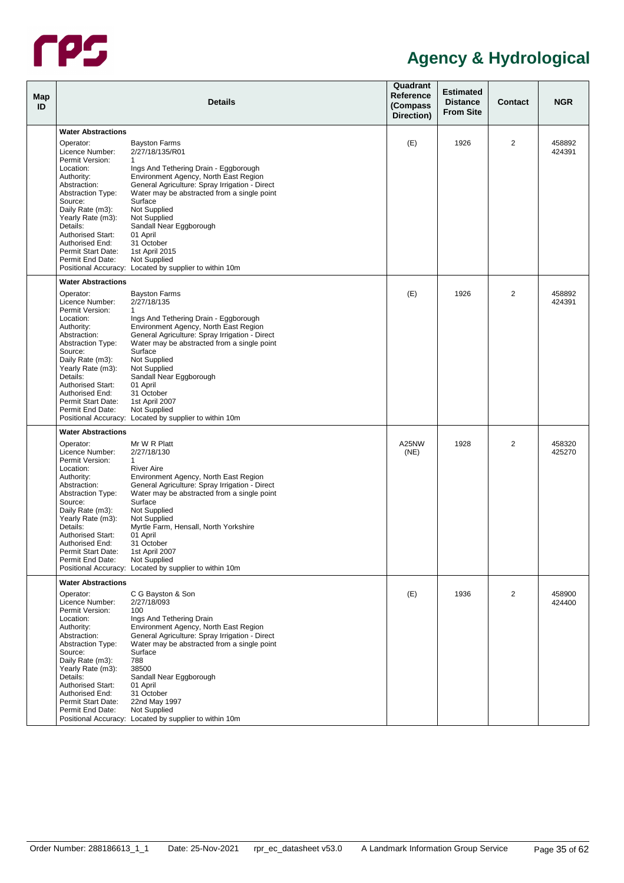

| Map<br>ID |                                                           | <b>Details</b>                                                                                                                         | Quadrant<br>Reference<br>(Compass<br>Direction) | <b>Estimated</b><br><b>Distance</b><br><b>From Site</b> | <b>Contact</b> | <b>NGR</b>       |
|-----------|-----------------------------------------------------------|----------------------------------------------------------------------------------------------------------------------------------------|-------------------------------------------------|---------------------------------------------------------|----------------|------------------|
|           | <b>Water Abstractions</b>                                 |                                                                                                                                        |                                                 |                                                         |                |                  |
|           | Operator:<br>Licence Number:                              | <b>Bayston Farms</b><br>2/27/18/135/R01                                                                                                | (E)                                             | 1926                                                    | 2              | 458892<br>424391 |
|           | Permit Version:<br>Location:                              | 1<br>Ings And Tethering Drain - Eggborough                                                                                             |                                                 |                                                         |                |                  |
|           | Authority:<br>Abstraction:<br><b>Abstraction Type:</b>    | Environment Agency, North East Region<br>General Agriculture: Spray Irrigation - Direct<br>Water may be abstracted from a single point |                                                 |                                                         |                |                  |
|           | Source:<br>Daily Rate (m3):<br>Yearly Rate (m3):          | Surface<br>Not Supplied<br>Not Supplied                                                                                                |                                                 |                                                         |                |                  |
|           | Details:<br><b>Authorised Start:</b>                      | Sandall Near Eggborough<br>01 April                                                                                                    |                                                 |                                                         |                |                  |
|           | Authorised End:<br>Permit Start Date:<br>Permit End Date: | 31 October<br>1st April 2015<br>Not Supplied                                                                                           |                                                 |                                                         |                |                  |
|           | <b>Water Abstractions</b>                                 | Positional Accuracy: Located by supplier to within 10m                                                                                 |                                                 |                                                         |                |                  |
|           | Operator:                                                 | <b>Bayston Farms</b>                                                                                                                   | (E)                                             | 1926                                                    | 2              | 458892           |
|           | Licence Number:<br>Permit Version:                        | 2/27/18/135<br>$\mathbf{1}$                                                                                                            |                                                 |                                                         |                | 424391           |
|           | Location:<br>Authority:                                   | Ings And Tethering Drain - Eggborough<br>Environment Agency, North East Region                                                         |                                                 |                                                         |                |                  |
|           | Abstraction:<br><b>Abstraction Type:</b><br>Source:       | General Agriculture: Spray Irrigation - Direct<br>Water may be abstracted from a single point<br>Surface                               |                                                 |                                                         |                |                  |
|           | Daily Rate (m3):                                          | Not Supplied                                                                                                                           |                                                 |                                                         |                |                  |
|           | Yearly Rate (m3):                                         | Not Supplied                                                                                                                           |                                                 |                                                         |                |                  |
|           | Details:<br><b>Authorised Start:</b>                      | Sandall Near Eggborough<br>01 April                                                                                                    |                                                 |                                                         |                |                  |
|           | Authorised End:                                           | 31 October                                                                                                                             |                                                 |                                                         |                |                  |
|           | Permit Start Date:                                        | 1st April 2007                                                                                                                         |                                                 |                                                         |                |                  |
|           | Permit End Date:                                          | Not Supplied<br>Positional Accuracy: Located by supplier to within 10m                                                                 |                                                 |                                                         |                |                  |
|           | <b>Water Abstractions</b>                                 |                                                                                                                                        |                                                 |                                                         |                |                  |
|           | Operator:                                                 | Mr W R Platt                                                                                                                           | A25NW                                           | 1928                                                    | 2              | 458320           |
|           | Licence Number:                                           | 2/27/18/130                                                                                                                            | (NE)                                            |                                                         |                | 425270           |
|           | Permit Version:<br>Location:                              | $\mathbf{1}$<br><b>River Aire</b>                                                                                                      |                                                 |                                                         |                |                  |
|           | Authority:                                                | Environment Agency, North East Region                                                                                                  |                                                 |                                                         |                |                  |
|           | Abstraction:                                              | General Agriculture: Spray Irrigation - Direct                                                                                         |                                                 |                                                         |                |                  |
|           | <b>Abstraction Type:</b><br>Source:                       | Water may be abstracted from a single point<br>Surface                                                                                 |                                                 |                                                         |                |                  |
|           | Daily Rate (m3):                                          | Not Supplied                                                                                                                           |                                                 |                                                         |                |                  |
|           | Yearly Rate (m3):                                         | Not Supplied                                                                                                                           |                                                 |                                                         |                |                  |
|           | Details:                                                  | Myrtle Farm, Hensall, North Yorkshire                                                                                                  |                                                 |                                                         |                |                  |
|           | <b>Authorised Start:</b><br>Authorised End:               | 01 April<br>31 October                                                                                                                 |                                                 |                                                         |                |                  |
|           | Permit Start Date:                                        | 1st April 2007                                                                                                                         |                                                 |                                                         |                |                  |
|           | Permit End Date:                                          | <b>Not Supplied</b>                                                                                                                    |                                                 |                                                         |                |                  |
|           | <b>Water Abstractions</b>                                 | Positional Accuracy: Located by supplier to within 10m                                                                                 |                                                 |                                                         |                |                  |
|           | Operator:                                                 | C G Bayston & Son                                                                                                                      | (E)                                             | 1936                                                    | 2              | 458900           |
|           | Licence Number:                                           | 2/27/18/093                                                                                                                            |                                                 |                                                         |                | 424400           |
|           | Permit Version:<br>Location:                              | 100<br>Ings And Tethering Drain                                                                                                        |                                                 |                                                         |                |                  |
|           | Authority:                                                | Environment Agency, North East Region                                                                                                  |                                                 |                                                         |                |                  |
|           | Abstraction:                                              | General Agriculture: Spray Irrigation - Direct                                                                                         |                                                 |                                                         |                |                  |
|           | <b>Abstraction Type:</b>                                  | Water may be abstracted from a single point                                                                                            |                                                 |                                                         |                |                  |
|           | Source:<br>Daily Rate (m3):                               | Surface<br>788                                                                                                                         |                                                 |                                                         |                |                  |
|           | Yearly Rate (m3):                                         | 38500                                                                                                                                  |                                                 |                                                         |                |                  |
|           | Details:                                                  | Sandall Near Eggborough                                                                                                                |                                                 |                                                         |                |                  |
|           | Authorised Start:<br>Authorised End:                      | 01 April<br>31 October                                                                                                                 |                                                 |                                                         |                |                  |
|           | Permit Start Date:                                        | 22nd May 1997                                                                                                                          |                                                 |                                                         |                |                  |
|           | Permit End Date:                                          | Not Supplied                                                                                                                           |                                                 |                                                         |                |                  |
|           |                                                           | Positional Accuracy: Located by supplier to within 10m                                                                                 |                                                 |                                                         |                |                  |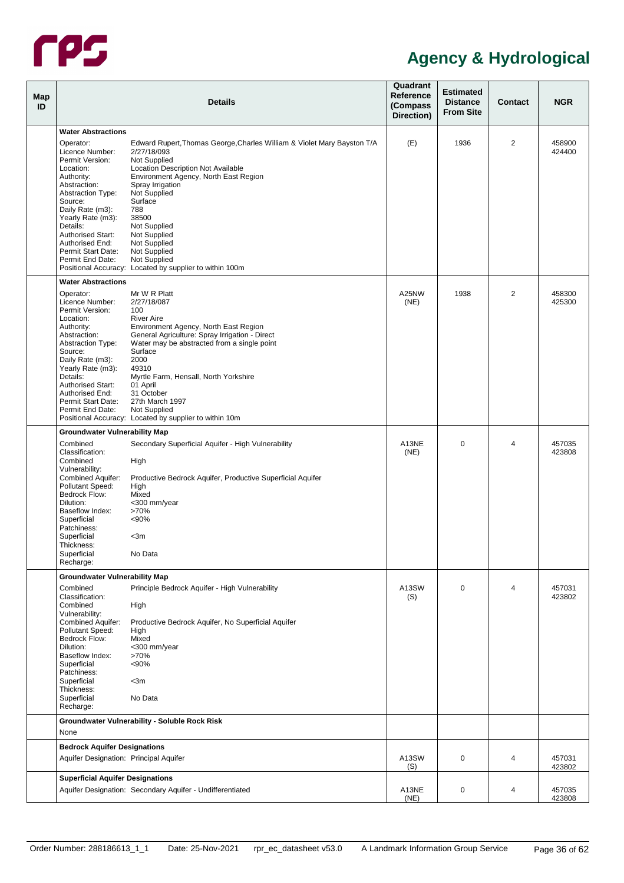

<span id="page-40-2"></span><span id="page-40-1"></span><span id="page-40-0"></span>

| Map<br>ID |                                                                                                                                                                                                                                                                                                              | <b>Details</b>                                                                                                                                                                                                                                                                                                                                                                                  | Quadrant<br><b>Reference</b><br>(Compass<br>Direction) | <b>Estimated</b><br><b>Distance</b><br><b>From Site</b> | <b>Contact</b> | <b>NGR</b>       |
|-----------|--------------------------------------------------------------------------------------------------------------------------------------------------------------------------------------------------------------------------------------------------------------------------------------------------------------|-------------------------------------------------------------------------------------------------------------------------------------------------------------------------------------------------------------------------------------------------------------------------------------------------------------------------------------------------------------------------------------------------|--------------------------------------------------------|---------------------------------------------------------|----------------|------------------|
|           | <b>Water Abstractions</b><br>Operator:<br>Licence Number:<br>Permit Version:<br>Location:<br>Authority:<br>Abstraction:<br><b>Abstraction Type:</b><br>Source:<br>Daily Rate (m3):<br>Yearly Rate (m3):<br>Details:<br><b>Authorised Start:</b><br>Authorised End:<br>Permit Start Date:<br>Permit End Date: | Edward Rupert, Thomas George, Charles William & Violet Mary Bayston T/A<br>2/27/18/093<br>Not Supplied<br>Location Description Not Available<br>Environment Agency, North East Region<br>Spray Irrigation<br>Not Supplied<br>Surface<br>788<br>38500<br>Not Supplied<br>Not Supplied<br>Not Supplied<br>Not Supplied<br>Not Supplied<br>Positional Accuracy: Located by supplier to within 100m | (E)                                                    | 1936                                                    | 2              | 458900<br>424400 |
|           | <b>Water Abstractions</b><br>Operator:<br>Licence Number:<br>Permit Version:<br>Location:<br>Authority:<br>Abstraction:<br><b>Abstraction Type:</b><br>Source:<br>Daily Rate (m3):<br>Yearly Rate (m3):<br>Details:<br><b>Authorised Start:</b><br>Authorised End:<br>Permit Start Date:<br>Permit End Date: | Mr W R Platt<br>2/27/18/087<br>100<br><b>River Aire</b><br>Environment Agency, North East Region<br>General Agriculture: Spray Irrigation - Direct<br>Water may be abstracted from a single point<br>Surface<br>2000<br>49310<br>Myrtle Farm, Hensall, North Yorkshire<br>01 April<br>31 October<br>27th March 1997<br>Not Supplied<br>Positional Accuracy: Located by supplier to within 10m   | A25NW<br>(NE)                                          | 1938                                                    | $\overline{2}$ | 458300<br>425300 |
|           | <b>Groundwater Vulnerability Map</b><br>Combined<br>Classification:<br>Combined<br>Vulnerability:<br>Combined Aquifer:<br>Pollutant Speed:<br>Bedrock Flow:<br>Dilution:<br>Baseflow Index:<br>Superficial<br>Patchiness:<br>Superficial<br>Thickness:<br>Superficial<br>Recharge:                           | Secondary Superficial Aquifer - High Vulnerability<br>High<br>Productive Bedrock Aquifer, Productive Superficial Aquifer<br>High<br>Mixed<br><300 mm/year<br>>70%<br>< 90%<br>$<$ 3m<br>No Data                                                                                                                                                                                                 | A13NE<br>(NE)                                          | 0                                                       | 4              | 457035<br>423808 |
|           | <b>Groundwater Vulnerability Map</b><br>Combined<br>Classification:<br>Combined<br>Vulnerability:<br>Combined Aquifer:<br>Pollutant Speed:<br>Bedrock Flow:<br>Dilution:<br>Baseflow Index:<br>Superficial<br>Patchiness:<br>Superficial<br>Thickness:<br>Superficial<br>Recharge:                           | Principle Bedrock Aquifer - High Vulnerability<br>High<br>Productive Bedrock Aquifer, No Superficial Aquifer<br>High<br>Mixed<br><300 mm/year<br>>70%<br>< 90%<br>$<$ 3m<br>No Data                                                                                                                                                                                                             | A13SW<br>(S)                                           | $\mathbf 0$                                             | 4              | 457031<br>423802 |
|           | None<br><b>Bedrock Aquifer Designations</b>                                                                                                                                                                                                                                                                  | Groundwater Vulnerability - Soluble Rock Risk                                                                                                                                                                                                                                                                                                                                                   |                                                        |                                                         |                |                  |
|           | Aquifer Designation: Principal Aquifer                                                                                                                                                                                                                                                                       |                                                                                                                                                                                                                                                                                                                                                                                                 | A13SW<br>(S)                                           | 0                                                       | 4              | 457031<br>423802 |
|           | <b>Superficial Aquifer Designations</b>                                                                                                                                                                                                                                                                      | Aquifer Designation: Secondary Aquifer - Undifferentiated                                                                                                                                                                                                                                                                                                                                       | A13NE<br>(NE)                                          | 0                                                       | 4              | 457035<br>423808 |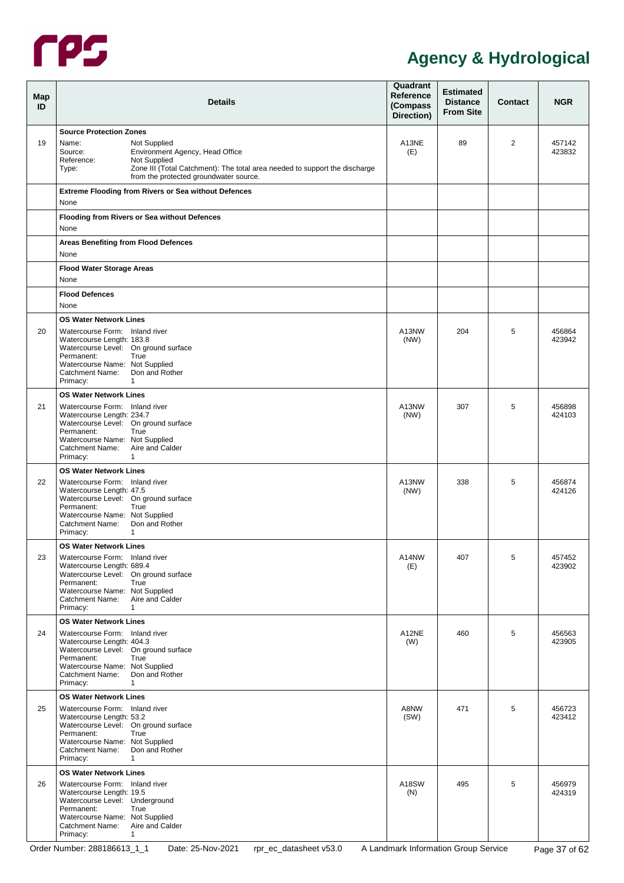

<span id="page-41-1"></span><span id="page-41-0"></span>

| Map<br>ID | <b>Details</b>                                                                                                                                                                                                                                                       | Quadrant<br>Reference<br>(Compass<br>Direction) | <b>Estimated</b><br><b>Distance</b><br><b>From Site</b> | Contact | <b>NGR</b>       |
|-----------|----------------------------------------------------------------------------------------------------------------------------------------------------------------------------------------------------------------------------------------------------------------------|-------------------------------------------------|---------------------------------------------------------|---------|------------------|
| 19        | <b>Source Protection Zones</b><br>Name:<br>Not Supplied<br>Environment Agency, Head Office<br>Source:<br>Reference:<br>Not Supplied<br>Zone III (Total Catchment): The total area needed to support the discharge<br>Type:<br>from the protected groundwater source. | A13NE<br>(E)                                    | 89                                                      | 2       | 457142<br>423832 |
|           | <b>Extreme Flooding from Rivers or Sea without Defences</b><br>None                                                                                                                                                                                                  |                                                 |                                                         |         |                  |
|           | <b>Flooding from Rivers or Sea without Defences</b><br>None                                                                                                                                                                                                          |                                                 |                                                         |         |                  |
|           | <b>Areas Benefiting from Flood Defences</b><br>None                                                                                                                                                                                                                  |                                                 |                                                         |         |                  |
|           | <b>Flood Water Storage Areas</b><br>None                                                                                                                                                                                                                             |                                                 |                                                         |         |                  |
|           | <b>Flood Defences</b><br>None                                                                                                                                                                                                                                        |                                                 |                                                         |         |                  |
| 20        | <b>OS Water Network Lines</b><br>Watercourse Form: Inland river<br>Watercourse Length: 183.8<br>Watercourse Level: On ground surface<br>Permanent:<br>True<br>Watercourse Name: Not Supplied<br>Don and Rother<br>Catchment Name:<br>Primacy:<br>1                   | A13NW<br>(NW)                                   | 204                                                     | 5       | 456864<br>423942 |
| 21        | <b>OS Water Network Lines</b><br>Watercourse Form: Inland river<br>Watercourse Length: 234.7<br>Watercourse Level: On ground surface<br>Permanent:<br>True<br>Watercourse Name: Not Supplied<br>Aire and Calder<br>Catchment Name:<br>Primacy:<br>1                  | A13NW<br>(NW)                                   | 307                                                     | 5       | 456898<br>424103 |
| 22        | <b>OS Water Network Lines</b><br>Watercourse Form: Inland river<br>Watercourse Length: 47.5<br>Watercourse Level: On ground surface<br>Permanent:<br>True<br>Watercourse Name: Not Supplied<br>Don and Rother<br><b>Catchment Name:</b><br>Primacy:<br>1             | A13NW<br>(NW)                                   | 338                                                     | 5       | 456874<br>424126 |
| 23        | <b>OS Water Network Lines</b><br>Watercourse Form: Inland river<br>Watercourse Length: 689.4<br>Watercourse Level: On ground surface<br>Permanent:<br>True<br>Watercourse Name: Not Supplied<br>Aire and Calder<br>Catchment Name:<br>Primacy:<br>$\mathbf{1}$       | A14NW<br>(E)                                    | 407                                                     | 5       | 457452<br>423902 |
| 24        | <b>OS Water Network Lines</b><br>Watercourse Form: Inland river<br>Watercourse Length: 404.3<br>Watercourse Level: On ground surface<br>Permanent:<br>True<br>Watercourse Name: Not Supplied<br>Don and Rother<br>Catchment Name:<br>Primacy:<br>$\mathbf{1}$        | A12NE<br>(W)                                    | 460                                                     | 5       | 456563<br>423905 |
| 25        | <b>OS Water Network Lines</b><br>Watercourse Form: Inland river<br>Watercourse Length: 53.2<br>Watercourse Level: On ground surface<br>Permanent:<br>True<br>Watercourse Name: Not Supplied<br>Don and Rother<br>Catchment Name:<br>Primacy:<br>$\mathbf{1}$         | A8NW<br>(SW)                                    | 471                                                     | 5       | 456723<br>423412 |
| 26        | <b>OS Water Network Lines</b><br>Watercourse Form: Inland river<br>Watercourse Length: 19.5<br>Watercourse Level: Underground<br>Permanent:<br>True<br>Watercourse Name: Not Supplied<br>Aire and Calder<br>Catchment Name:<br>Primacy:<br>$\mathbf{1}$              | A18SW<br>(N)                                    | 495                                                     | 5       | 456979<br>424319 |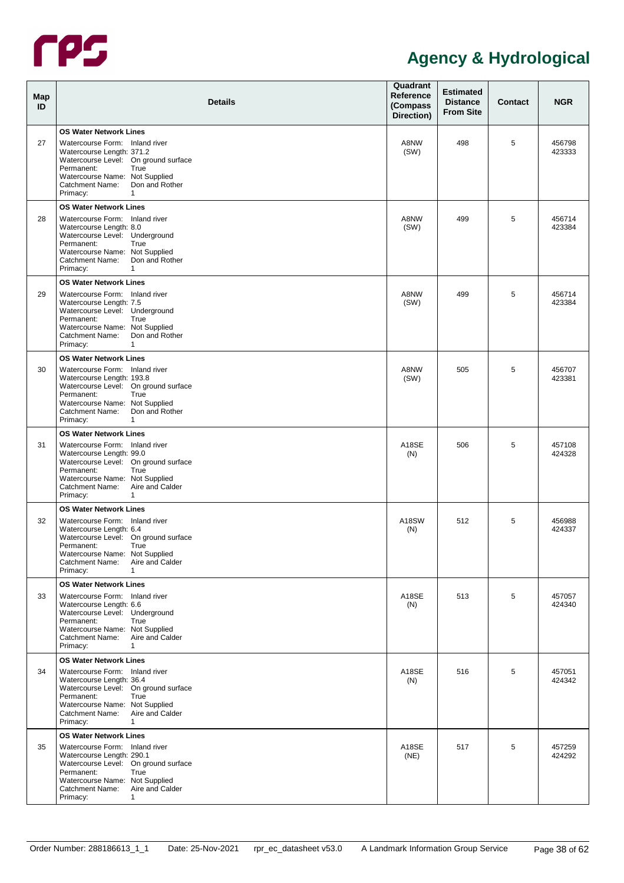

| Map<br>ID | <b>Details</b>                                                                                                                                                                                                                                                 | Quadrant<br>Reference<br>(Compass<br>Direction) | <b>Estimated</b><br><b>Distance</b><br><b>From Site</b> | Contact | <b>NGR</b>       |
|-----------|----------------------------------------------------------------------------------------------------------------------------------------------------------------------------------------------------------------------------------------------------------------|-------------------------------------------------|---------------------------------------------------------|---------|------------------|
| 27        | <b>OS Water Network Lines</b><br>Watercourse Form: Inland river<br>Watercourse Length: 371.2<br>Watercourse Level: On ground surface<br>Permanent:<br>True<br>Watercourse Name: Not Supplied<br>Don and Rother<br>Catchment Name:<br>Primacy:<br>1             | A8NW<br>(SW)                                    | 498                                                     | 5       | 456798<br>423333 |
| 28        | <b>OS Water Network Lines</b><br>Watercourse Form: Inland river<br>Watercourse Length: 8.0<br>Watercourse Level: Underground<br>Permanent:<br>True<br>Watercourse Name: Not Supplied<br>Don and Rother<br>Catchment Name:<br>Primacy:<br>1                     | A8NW<br>(SW)                                    | 499                                                     | 5       | 456714<br>423384 |
| 29        | <b>OS Water Network Lines</b><br>Watercourse Form: Inland river<br>Watercourse Length: 7.5<br>Watercourse Level: Underground<br>Permanent:<br>True<br>Watercourse Name: Not Supplied<br>Don and Rother<br>Catchment Name:<br>Primacy:<br>1                     | A8NW<br>(SW)                                    | 499                                                     | 5       | 456714<br>423384 |
| 30        | <b>OS Water Network Lines</b><br>Watercourse Form: Inland river<br>Watercourse Length: 193.8<br>Watercourse Level: On ground surface<br>Permanent:<br>True<br>Watercourse Name: Not Supplied<br>Don and Rother<br>Catchment Name:<br>Primacy:<br>1             | A8NW<br>(SW)                                    | 505                                                     | 5       | 456707<br>423381 |
| 31        | <b>OS Water Network Lines</b><br>Watercourse Form: Inland river<br>Watercourse Length: 99.0<br>Watercourse Level: On ground surface<br>Permanent:<br>True<br>Watercourse Name: Not Supplied<br>Aire and Calder<br>Catchment Name:<br>Primacy:<br>1             | A18SE<br>(N)                                    | 506                                                     | 5       | 457108<br>424328 |
| 32        | <b>OS Water Network Lines</b><br>Watercourse Form: Inland river<br>Watercourse Length: 6.4<br>Watercourse Level: On ground surface<br>Permanent:<br>True<br>Watercourse Name: Not Supplied<br>Aire and Calder<br>Catchment Name:<br>Primacy:<br>1              | A18SW<br>(N)                                    | 512                                                     | 5       | 456988<br>424337 |
| 33        | <b>OS Water Network Lines</b><br>Watercourse Form: Inland river<br>Watercourse Length: 6.6<br>Watercourse Level: Underground<br>Permanent:<br>True<br>Watercourse Name: Not Supplied<br>Catchment Name: Aire and Calder<br>Primacy:<br>1                       | A18SE<br>(N)                                    | 513                                                     | 5       | 457057<br>424340 |
| 34        | <b>OS Water Network Lines</b><br>Watercourse Form: Inland river<br>Watercourse Length: 36.4<br>Watercourse Level: On ground surface<br>Permanent:<br>True<br>Watercourse Name: Not Supplied<br>Catchment Name: Aire and Calder<br>Primacy:<br>1                | A18SE<br>(N)                                    | 516                                                     | 5       | 457051<br>424342 |
| 35        | <b>OS Water Network Lines</b><br>Watercourse Form: Inland river<br>Watercourse Length: 290.1<br>Watercourse Level: On ground surface<br>Permanent:<br>True<br>Watercourse Name: Not Supplied<br>Aire and Calder<br>Catchment Name:<br>Primacy:<br>$\mathbf{1}$ | A18SE<br>(NE)                                   | 517                                                     | 5       | 457259<br>424292 |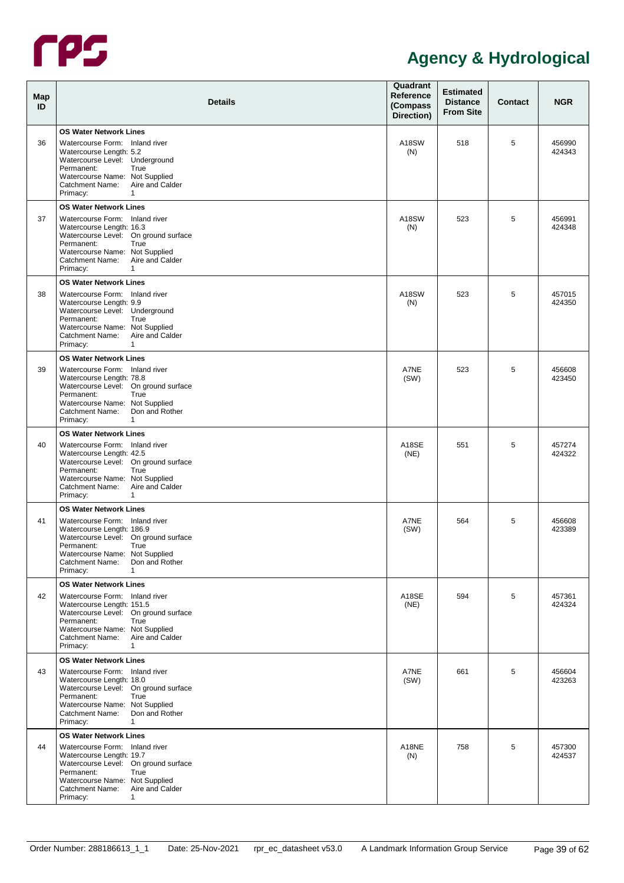

| Map<br>ID | <b>Details</b>                                                                                                                                                                                                                                                | Quadrant<br>Reference<br>(Compass<br>Direction) | <b>Estimated</b><br><b>Distance</b><br><b>From Site</b> | Contact | <b>NGR</b>       |
|-----------|---------------------------------------------------------------------------------------------------------------------------------------------------------------------------------------------------------------------------------------------------------------|-------------------------------------------------|---------------------------------------------------------|---------|------------------|
| 36        | <b>OS Water Network Lines</b><br>Watercourse Form: Inland river<br>Watercourse Length: 5.2<br>Watercourse Level: Underground<br>Permanent:<br>True<br>Watercourse Name: Not Supplied<br>Aire and Calder<br>Catchment Name:<br>Primacy:<br>1                   | A18SW<br>(N)                                    | 518                                                     | 5       | 456990<br>424343 |
| 37        | <b>OS Water Network Lines</b><br>Watercourse Form: Inland river<br>Watercourse Length: 16.3<br>Watercourse Level: On ground surface<br>Permanent:<br>True<br>Watercourse Name: Not Supplied<br>Aire and Calder<br>Catchment Name:<br>Primacy:<br>1            | A18SW<br>(N)                                    | 523                                                     | 5       | 456991<br>424348 |
| 38        | <b>OS Water Network Lines</b><br>Watercourse Form: Inland river<br>Watercourse Length: 9.9<br>Watercourse Level: Underground<br>Permanent:<br>True<br>Watercourse Name: Not Supplied<br>Aire and Calder<br>Catchment Name:<br>Primacy:<br>1                   | A18SW<br>(N)                                    | 523                                                     | 5       | 457015<br>424350 |
| 39        | <b>OS Water Network Lines</b><br>Watercourse Form: Inland river<br>Watercourse Length: 78.8<br>Watercourse Level: On ground surface<br>Permanent:<br>True<br>Watercourse Name: Not Supplied<br>Don and Rother<br>Catchment Name:<br>Primacy:<br>1             | A7NE<br>(SW)                                    | 523                                                     | 5       | 456608<br>423450 |
| 40        | <b>OS Water Network Lines</b><br>Watercourse Form: Inland river<br>Watercourse Length: 42.5<br>Watercourse Level: On ground surface<br>Permanent:<br>True<br>Watercourse Name: Not Supplied<br>Aire and Calder<br>Catchment Name:<br>Primacy:<br>1            | A18SE<br>(NE)                                   | 551                                                     | 5       | 457274<br>424322 |
| 41        | <b>OS Water Network Lines</b><br>Watercourse Form: Inland river<br>Watercourse Length: 186.9<br>Watercourse Level: On ground surface<br>Permanent:<br>True<br>Watercourse Name: Not Supplied<br>Don and Rother<br>Catchment Name:<br>Primacy:<br>1            | A7NE<br>(SW)                                    | 564                                                     | 5       | 456608<br>423389 |
| 42        | <b>OS Water Network Lines</b><br>Watercourse Form: Inland river<br>Watercourse Length: 151.5<br>Watercourse Level: On ground surface<br>Permanent:<br>True<br>Watercourse Name: Not Supplied<br>Catchment Name: Aire and Calder<br>Primacy:<br>1              | A18SE<br>(NE)                                   | 594                                                     | 5       | 457361<br>424324 |
| 43        | <b>OS Water Network Lines</b><br>Watercourse Form: Inland river<br>Watercourse Length: 18.0<br>Watercourse Level: On ground surface<br>Permanent:<br>True<br>Watercourse Name: Not Supplied<br>Don and Rother<br>Catchment Name:<br>Primacy:<br>1             | A7NE<br>(SW)                                    | 661                                                     | 5       | 456604<br>423263 |
| 44        | <b>OS Water Network Lines</b><br>Watercourse Form: Inland river<br>Watercourse Length: 19.7<br>Watercourse Level: On ground surface<br>Permanent:<br>True<br>Watercourse Name: Not Supplied<br>Aire and Calder<br>Catchment Name:<br>Primacy:<br>$\mathbf{1}$ | A18NE<br>(N)                                    | 758                                                     | 5       | 457300<br>424537 |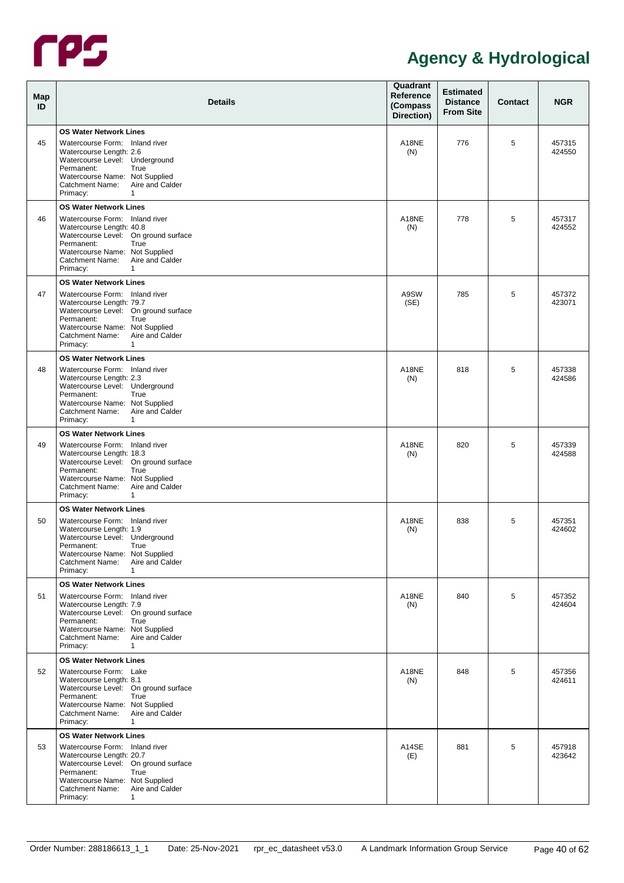

| Map<br>ID | <b>Details</b>                                                                                                                                                                                                                                     | Quadrant<br>Reference<br>(Compass<br>Direction) | <b>Estimated</b><br><b>Distance</b><br><b>From Site</b> | Contact | <b>NGR</b>       |
|-----------|----------------------------------------------------------------------------------------------------------------------------------------------------------------------------------------------------------------------------------------------------|-------------------------------------------------|---------------------------------------------------------|---------|------------------|
| 45        | <b>OS Water Network Lines</b><br>Watercourse Form: Inland river<br>Watercourse Length: 2.6<br>Watercourse Level: Underground<br>Permanent:<br>True<br>Watercourse Name: Not Supplied<br>Aire and Calder<br>Catchment Name:<br>Primacy:<br>1        | A18NE<br>(N)                                    | 776                                                     | 5       | 457315<br>424550 |
| 46        | <b>OS Water Network Lines</b><br>Watercourse Form: Inland river<br>Watercourse Length: 40.8<br>Watercourse Level: On ground surface<br>Permanent:<br>True<br>Watercourse Name: Not Supplied<br>Aire and Calder<br>Catchment Name:<br>Primacy:<br>1 | A18NE<br>(N)                                    | 778                                                     | 5       | 457317<br>424552 |
| 47        | <b>OS Water Network Lines</b><br>Watercourse Form: Inland river<br>Watercourse Length: 79.7<br>Watercourse Level: On ground surface<br>True<br>Permanent:<br>Watercourse Name: Not Supplied<br>Aire and Calder<br>Catchment Name:<br>Primacy:<br>1 | A9SW<br>(SE)                                    | 785                                                     | 5       | 457372<br>423071 |
| 48        | <b>OS Water Network Lines</b><br>Watercourse Form: Inland river<br>Watercourse Length: 2.3<br>Watercourse Level: Underground<br>True<br>Permanent:<br>Watercourse Name: Not Supplied<br>Aire and Calder<br>Catchment Name:<br>Primacy:<br>1        | A18NE<br>(N)                                    | 818                                                     | 5       | 457338<br>424586 |
| 49        | <b>OS Water Network Lines</b><br>Watercourse Form: Inland river<br>Watercourse Length: 18.3<br>Watercourse Level: On ground surface<br>Permanent:<br>True<br>Watercourse Name: Not Supplied<br>Aire and Calder<br>Catchment Name:<br>Primacy:<br>1 | A18NE<br>(N)                                    | 820                                                     | 5       | 457339<br>424588 |
| 50        | <b>OS Water Network Lines</b><br>Watercourse Form: Inland river<br>Watercourse Length: 1.9<br>Watercourse Level: Underground<br>Permanent:<br>True<br>Watercourse Name: Not Supplied<br>Catchment Name: Aire and Calder<br>Primacy:<br>1           | A18NE<br>(N)                                    | 838                                                     | 5       | 457351<br>424602 |
| 51        | <b>OS Water Network Lines</b><br>Watercourse Form: Inland river<br>Watercourse Length: 7.9<br>Watercourse Level: On ground surface<br>Permanent:<br>True<br>Watercourse Name: Not Supplied<br>Catchment Name: Aire and Calder<br>Primacy:<br>1     | A18NE<br>(N)                                    | 840                                                     | 5       | 457352<br>424604 |
| 52        | <b>OS Water Network Lines</b><br>Watercourse Form: Lake<br>Watercourse Length: 8.1<br>Watercourse Level: On ground surface<br>Permanent:<br>True<br>Watercourse Name: Not Supplied<br>Catchment Name: Aire and Calder<br>Primacy:<br>1             | A18NE<br>(N)                                    | 848                                                     | 5       | 457356<br>424611 |
| 53        | <b>OS Water Network Lines</b><br>Watercourse Form: Inland river<br>Watercourse Length: 20.7<br>Watercourse Level: On ground surface<br>Permanent:<br>True<br>Watercourse Name: Not Supplied<br>Catchment Name: Aire and Calder<br>Primacy:<br>1    | A14SE<br>(E)                                    | 881                                                     | 5       | 457918<br>423642 |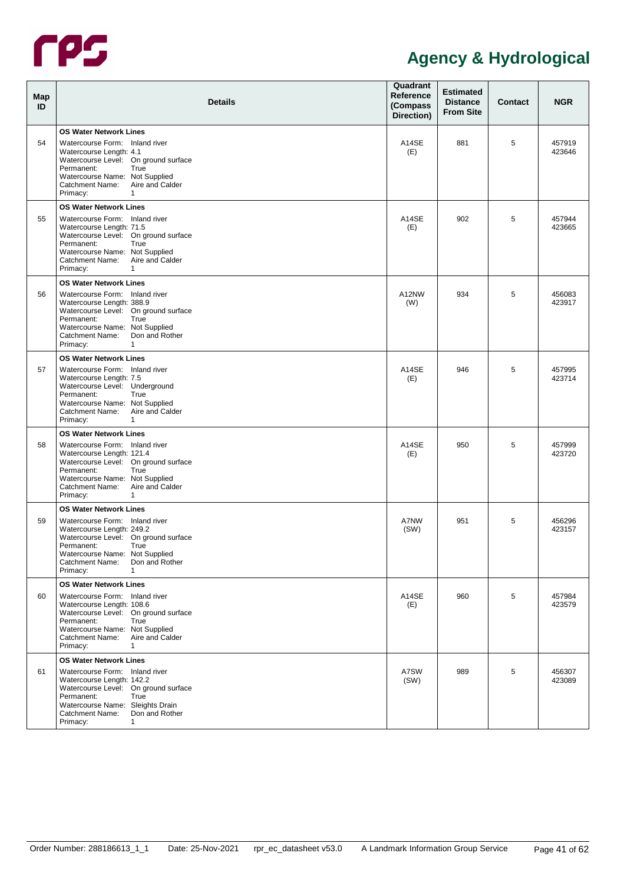

| Map<br>ID | <b>Details</b>                                                                                                                                                                                                                                                  | Quadrant<br><b>Reference</b><br>(Compass<br>Direction) | <b>Estimated</b><br><b>Distance</b><br><b>From Site</b> | <b>Contact</b> | <b>NGR</b>       |
|-----------|-----------------------------------------------------------------------------------------------------------------------------------------------------------------------------------------------------------------------------------------------------------------|--------------------------------------------------------|---------------------------------------------------------|----------------|------------------|
| 54        | <b>OS Water Network Lines</b><br>Watercourse Form: Inland river<br>Watercourse Length: 4.1<br>Watercourse Level: On ground surface<br>Permanent:<br>True<br>Watercourse Name: Not Supplied<br>Aire and Calder<br>Catchment Name:<br>Primacy:<br>1               | A14SE<br>(E)                                           | 881                                                     | 5              | 457919<br>423646 |
| 55        | <b>OS Water Network Lines</b><br>Watercourse Form: Inland river<br>Watercourse Length: 71.5<br>Watercourse Level: On ground surface<br>Permanent:<br>True<br>Watercourse Name: Not Supplied<br>Aire and Calder<br>Catchment Name:<br>Primacy:<br>1              | A14SE<br>(E)                                           | 902                                                     | 5              | 457944<br>423665 |
| 56        | <b>OS Water Network Lines</b><br>Watercourse Form: Inland river<br>Watercourse Length: 388.9<br>Watercourse Level: On ground surface<br>Permanent:<br>True<br>Watercourse Name: Not Supplied<br>Don and Rother<br>Catchment Name:<br>Primacy:<br>1              | A12NW<br>(W)                                           | 934                                                     | 5              | 456083<br>423917 |
| 57        | <b>OS Water Network Lines</b><br>Watercourse Form: Inland river<br>Watercourse Length: 7.5<br>Watercourse Level: Underground<br>True<br>Permanent:<br>Watercourse Name: Not Supplied<br>Aire and Calder<br>Catchment Name:<br>Primacy:<br>1                     | A14SE<br>(E)                                           | 946                                                     | 5              | 457995<br>423714 |
| 58        | <b>OS Water Network Lines</b><br>Watercourse Form: Inland river<br>Watercourse Length: 121.4<br>Watercourse Level: On ground surface<br>Permanent:<br>True<br>Watercourse Name: Not Supplied<br>Aire and Calder<br>Catchment Name:<br>Primacy:<br>1             | A14SE<br>(E)                                           | 950                                                     | 5              | 457999<br>423720 |
| 59        | <b>OS Water Network Lines</b><br>Watercourse Form: Inland river<br>Watercourse Length: 249.2<br>Watercourse Level: On ground surface<br>True<br>Permanent:<br>Watercourse Name: Not Supplied<br>Catchment Name:<br>Don and Rother<br>Primacy:<br>$\mathbf{1}$   | <b>A7NW</b><br>(SW)                                    | 951                                                     | 5              | 456296<br>423157 |
| 60        | <b>OS Water Network Lines</b><br>Watercourse Form: Inland river<br>Watercourse Length: 108.6<br>Watercourse Level: On ground surface<br>Permanent:<br>True<br>Watercourse Name: Not Supplied<br>Catchment Name: Aire and Calder<br>Primacy:<br>1                | A14SE<br>(E)                                           | 960                                                     | 5              | 457984<br>423579 |
| 61        | <b>OS Water Network Lines</b><br>Watercourse Form: Inland river<br>Watercourse Length: 142.2<br>Watercourse Level: On ground surface<br>Permanent:<br>True<br>Watercourse Name: Sleights Drain<br>Don and Rother<br>Catchment Name:<br>Primacy:<br>$\mathbf{1}$ | A7SW<br>(SW)                                           | 989                                                     | 5              | 456307<br>423089 |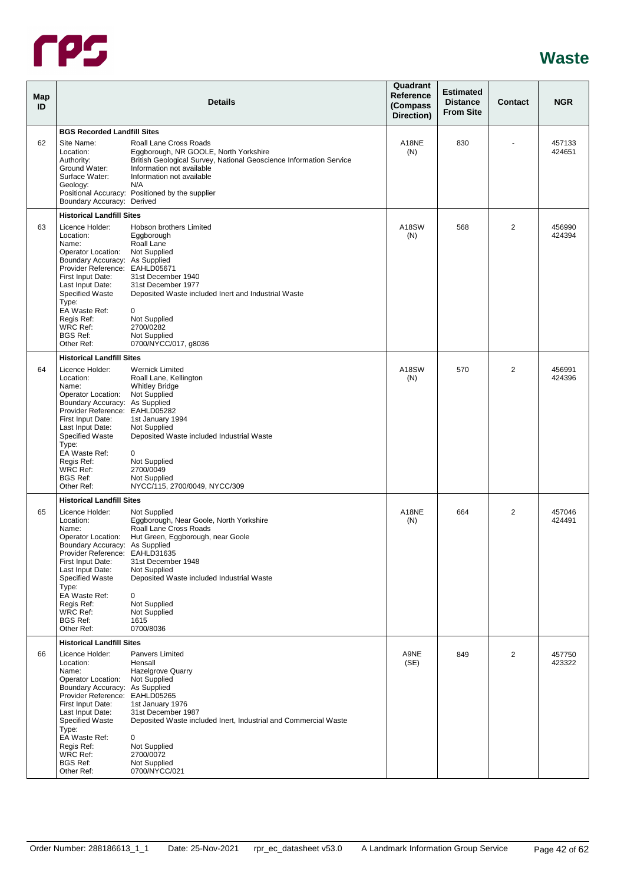

<span id="page-46-2"></span><span id="page-46-1"></span><span id="page-46-0"></span>

| Map<br>ID |                                                                                                                                                                                                                                                                                         | <b>Details</b>                                                                                                                                                                                                                                                      | Quadrant<br>Reference<br>(Compass<br>Direction) | <b>Estimated</b><br><b>Distance</b><br><b>From Site</b> | Contact        | <b>NGR</b>       |
|-----------|-----------------------------------------------------------------------------------------------------------------------------------------------------------------------------------------------------------------------------------------------------------------------------------------|---------------------------------------------------------------------------------------------------------------------------------------------------------------------------------------------------------------------------------------------------------------------|-------------------------------------------------|---------------------------------------------------------|----------------|------------------|
|           | <b>BGS Recorded Landfill Sites</b>                                                                                                                                                                                                                                                      |                                                                                                                                                                                                                                                                     |                                                 |                                                         |                |                  |
| 62        | Site Name:<br>Location:<br>Authority:<br>Ground Water:<br>Surface Water:<br>Geology:<br>Boundary Accuracy: Derived                                                                                                                                                                      | Roall Lane Cross Roads<br>Eggborough, NR GOOLE, North Yorkshire<br>British Geological Survey, National Geoscience Information Service<br>Information not available<br>Information not available<br>N/A<br>Positional Accuracy: Positioned by the supplier           | A18NE<br>(N)                                    | 830                                                     |                | 457133<br>424651 |
|           | <b>Historical Landfill Sites</b>                                                                                                                                                                                                                                                        |                                                                                                                                                                                                                                                                     |                                                 |                                                         |                |                  |
| 63        | Licence Holder:<br>Location:<br>Name:<br>Operator Location:<br>Boundary Accuracy: As Supplied<br>Provider Reference: EAHLD05671<br>First Input Date:<br>Last Input Date:<br>Specified Waste<br>Type:<br>EA Waste Ref:<br>Regis Ref:<br><b>WRC Ref:</b><br><b>BGS Ref:</b><br>Other Ref: | Hobson brothers Limited<br>Eggborough<br>Roall Lane<br>Not Supplied<br>31st December 1940<br>31st December 1977<br>Deposited Waste included Inert and Industrial Waste<br>0<br>Not Supplied<br>2700/0282<br>Not Supplied<br>0700/NYCC/017, g8036                    | A18SW<br>(N)                                    | 568                                                     | $\overline{2}$ | 456990<br>424394 |
|           | <b>Historical Landfill Sites</b>                                                                                                                                                                                                                                                        |                                                                                                                                                                                                                                                                     |                                                 |                                                         |                |                  |
| 64        | Licence Holder:<br>Location:<br>Name:<br>Operator Location:<br>Boundary Accuracy: As Supplied<br>Provider Reference: EAHLD05282<br>First Input Date:<br>Last Input Date:<br><b>Specified Waste</b><br>Type:<br>EA Waste Ref:<br>Regis Ref:<br>WRC Ref:                                  | <b>Wernick Limited</b><br>Roall Lane, Kellington<br><b>Whitley Bridge</b><br>Not Supplied<br>1st January 1994<br>Not Supplied<br>Deposited Waste included Industrial Waste<br>0<br>Not Supplied<br>2700/0049                                                        | A18SW<br>(N)                                    | 570                                                     | $\overline{2}$ | 456991<br>424396 |
|           | <b>BGS Ref:</b><br>Other Ref:                                                                                                                                                                                                                                                           | Not Supplied<br>NYCC/115, 2700/0049, NYCC/309                                                                                                                                                                                                                       |                                                 |                                                         |                |                  |
|           | <b>Historical Landfill Sites</b>                                                                                                                                                                                                                                                        |                                                                                                                                                                                                                                                                     |                                                 |                                                         |                |                  |
| 65        | Licence Holder:<br>Location:<br>Name:<br>Operator Location:<br>Boundary Accuracy: As Supplied<br>Provider Reference: EAHLD31635<br>First Input Date:<br>Last Input Date:<br>Specified Waste<br>Type:<br>EA Waste Ref:<br>Regis Ref:<br>WRC Ref:<br><b>BGS Ref:</b><br>Other Ref:        | Not Supplied<br>Eggborough, Near Goole, North Yorkshire<br>Roall Lane Cross Roads<br>Hut Green, Eggborough, near Goole<br>31st December 1948<br>Not Supplied<br>Deposited Waste included Industrial Waste<br>0<br>Not Supplied<br>Not Supplied<br>1615<br>0700/8036 | A18NE<br>(N)                                    | 664                                                     | 2              | 457046<br>424491 |
|           | <b>Historical Landfill Sites</b>                                                                                                                                                                                                                                                        |                                                                                                                                                                                                                                                                     |                                                 |                                                         |                |                  |
| 66        | Licence Holder:<br>Location:<br>Name:<br>Operator Location:<br>Boundary Accuracy: As Supplied<br>Provider Reference: EAHLD05265<br>First Input Date:<br>Last Input Date:<br><b>Specified Waste</b><br>Type:<br>EA Waste Ref:<br>Regis Ref:<br>WRC Ref:<br><b>BGS Ref:</b><br>Other Ref: | Panvers Limited<br>Hensall<br><b>Hazelgrove Quarry</b><br>Not Supplied<br>1st January 1976<br>31st December 1987<br>Deposited Waste included Inert, Industrial and Commercial Waste<br>0<br>Not Supplied<br>2700/0072<br>Not Supplied<br>0700/NYCC/021              | A9NE<br>(SE)                                    | 849                                                     | 2              | 457750<br>423322 |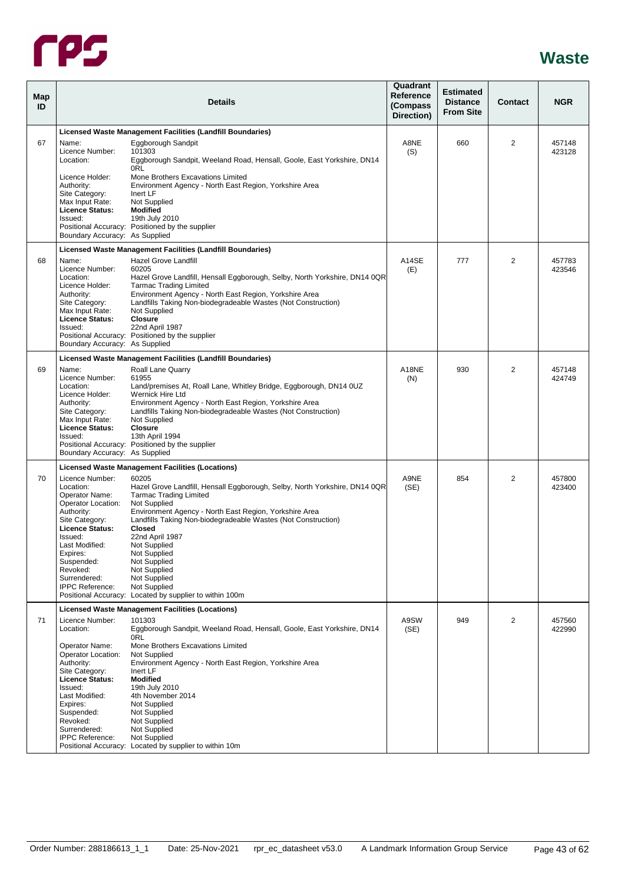

<span id="page-47-1"></span><span id="page-47-0"></span>

| <b>Map</b><br>ID |                                                                                                                                                                                                                                             | <b>Details</b>                                                                                                                                                                                                                                                                                                                                                                                                                                          | Quadrant<br>Reference<br>(Compass<br>Direction) | <b>Estimated</b><br><b>Distance</b><br><b>From Site</b> | Contact | <b>NGR</b>       |
|------------------|---------------------------------------------------------------------------------------------------------------------------------------------------------------------------------------------------------------------------------------------|---------------------------------------------------------------------------------------------------------------------------------------------------------------------------------------------------------------------------------------------------------------------------------------------------------------------------------------------------------------------------------------------------------------------------------------------------------|-------------------------------------------------|---------------------------------------------------------|---------|------------------|
|                  |                                                                                                                                                                                                                                             | Licensed Waste Management Facilities (Landfill Boundaries)                                                                                                                                                                                                                                                                                                                                                                                              |                                                 |                                                         |         |                  |
| 67               | Name:<br>Licence Number:<br>Location:                                                                                                                                                                                                       | Eggborough Sandpit<br>101303<br>Eggborough Sandpit, Weeland Road, Hensall, Goole, East Yorkshire, DN14<br>0RL                                                                                                                                                                                                                                                                                                                                           | A8NE<br>(S)                                     | 660                                                     | 2       | 457148<br>423128 |
|                  | Licence Holder:<br>Authority:<br>Site Category:<br>Max Input Rate:<br><b>Licence Status:</b>                                                                                                                                                | Mone Brothers Excavations Limited<br>Environment Agency - North East Region, Yorkshire Area<br>Inert LF<br>Not Supplied<br><b>Modified</b>                                                                                                                                                                                                                                                                                                              |                                                 |                                                         |         |                  |
|                  | Issued:<br>Boundary Accuracy: As Supplied                                                                                                                                                                                                   | 19th July 2010<br>Positional Accuracy: Positioned by the supplier                                                                                                                                                                                                                                                                                                                                                                                       |                                                 |                                                         |         |                  |
|                  |                                                                                                                                                                                                                                             | Licensed Waste Management Facilities (Landfill Boundaries)                                                                                                                                                                                                                                                                                                                                                                                              |                                                 |                                                         |         |                  |
| 68               | Name:<br>Licence Number:<br>Location:<br>Licence Holder:<br>Authority:<br>Site Category:<br>Max Input Rate:<br>Licence Status:<br>Issued:                                                                                                   | Hazel Grove Landfill<br>60205<br>Hazel Grove Landfill, Hensall Eggborough, Selby, North Yorkshire, DN14 0QR<br><b>Tarmac Trading Limited</b><br>Environment Agency - North East Region, Yorkshire Area<br>Landfills Taking Non-biodegradeable Wastes (Not Construction)<br>Not Supplied<br><b>Closure</b><br>22nd April 1987<br>Positional Accuracy: Positioned by the supplier                                                                         | A14SE<br>(E)                                    | 777                                                     | 2       | 457783<br>423546 |
|                  | Boundary Accuracy: As Supplied                                                                                                                                                                                                              |                                                                                                                                                                                                                                                                                                                                                                                                                                                         |                                                 |                                                         |         |                  |
|                  |                                                                                                                                                                                                                                             | Licensed Waste Management Facilities (Landfill Boundaries)                                                                                                                                                                                                                                                                                                                                                                                              |                                                 |                                                         |         |                  |
| 69               | Name:<br>Licence Number:<br>Location:<br>Licence Holder:<br>Authority:<br>Site Category:<br>Max Input Rate:<br>Licence Status:<br>Issued:<br>Boundary Accuracy: As Supplied                                                                 | Roall Lane Quarry<br>61955<br>Land/premises At, Roall Lane, Whitley Bridge, Eggborough, DN14 0UZ<br>Wernick Hire Ltd<br>Environment Agency - North East Region, Yorkshire Area<br>Landfills Taking Non-biodegradeable Wastes (Not Construction)<br>Not Supplied<br><b>Closure</b><br>13th April 1994<br>Positional Accuracy: Positioned by the supplier                                                                                                 | A18NE<br>(N)                                    | 930                                                     | 2       | 457148<br>424749 |
|                  |                                                                                                                                                                                                                                             | <b>Licensed Waste Management Facilities (Locations)</b>                                                                                                                                                                                                                                                                                                                                                                                                 |                                                 |                                                         |         |                  |
| 70               | Licence Number:<br>Location:<br>Operator Name:<br>Operator Location:<br>Authority:<br>Site Category:<br><b>Licence Status:</b><br>Issued:<br>Last Modified:<br>Expires:<br>Suspended:<br>Revoked:<br>Surrendered:<br><b>IPPC Reference:</b> | 60205<br>Hazel Grove Landfill, Hensall Eggborough, Selby, North Yorkshire, DN14 0QR<br><b>Tarmac Trading Limited</b><br>Not Supplied<br>Environment Agency - North East Region, Yorkshire Area<br>Landfills Taking Non-biodegradeable Wastes (Not Construction)<br>Closed<br>22nd April 1987<br>Not Supplied<br>Not Supplied<br>Not Supplied<br>Not Supplied<br>Not Supplied<br>Not Supplied<br>Positional Accuracy: Located by supplier to within 100m | A9NE<br>(SE)                                    | 854                                                     | 2       | 457800<br>423400 |
|                  |                                                                                                                                                                                                                                             | <b>Licensed Waste Management Facilities (Locations)</b>                                                                                                                                                                                                                                                                                                                                                                                                 |                                                 |                                                         |         |                  |
| 71               | Licence Number:<br>Location:<br>Operator Name:<br>Operator Location:<br>Authority:<br>Site Category:<br><b>Licence Status:</b><br>Issued:                                                                                                   | 101303<br>Eggborough Sandpit, Weeland Road, Hensall, Goole, East Yorkshire, DN14<br>0RL<br>Mone Brothers Excavations Limited<br>Not Supplied<br>Environment Agency - North East Region, Yorkshire Area<br>Inert LF<br><b>Modified</b><br>19th July 2010                                                                                                                                                                                                 | A9SW<br>(SE)                                    | 949                                                     | 2       | 457560<br>422990 |
|                  | Last Modified:<br>Expires:<br>Suspended:<br>Revoked:<br>Surrendered:<br><b>IPPC Reference:</b>                                                                                                                                              | 4th November 2014<br>Not Supplied<br>Not Supplied<br>Not Supplied<br>Not Supplied<br>Not Supplied<br>Positional Accuracy: Located by supplier to within 10m                                                                                                                                                                                                                                                                                             |                                                 |                                                         |         |                  |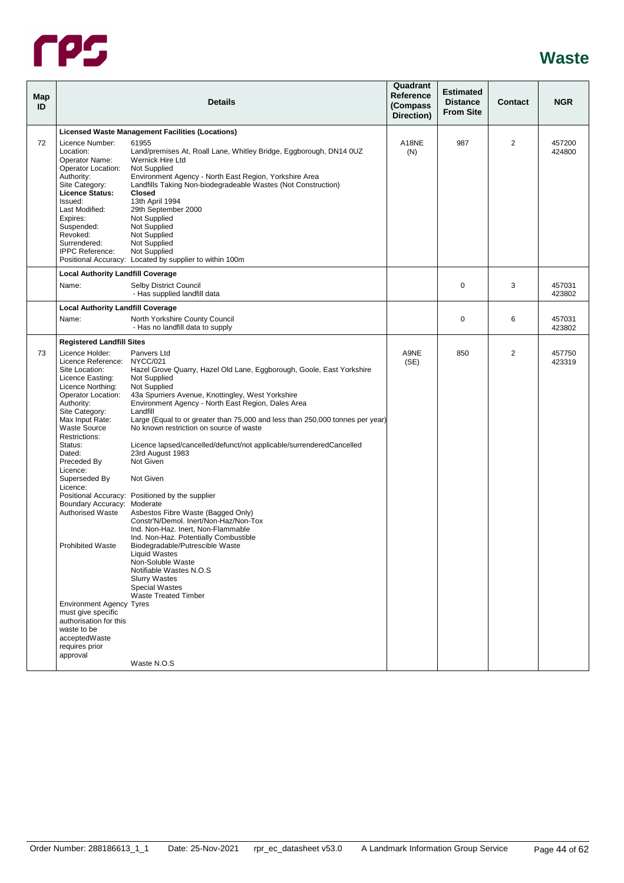

<span id="page-48-1"></span><span id="page-48-0"></span>

| Map<br>ID |                                                                                                                                                                                                                                                                                                                                                                                                                                                                                                                                               | <b>Details</b>                                                                                                                                                                                                                                                                                                                                                                                                                                                                                                                                                                                                                                                                                                                                                                                                                                                                                                    | Quadrant<br>Reference<br>(Compass<br>Direction) | <b>Estimated</b><br><b>Distance</b><br><b>From Site</b> | Contact | <b>NGR</b>       |
|-----------|-----------------------------------------------------------------------------------------------------------------------------------------------------------------------------------------------------------------------------------------------------------------------------------------------------------------------------------------------------------------------------------------------------------------------------------------------------------------------------------------------------------------------------------------------|-------------------------------------------------------------------------------------------------------------------------------------------------------------------------------------------------------------------------------------------------------------------------------------------------------------------------------------------------------------------------------------------------------------------------------------------------------------------------------------------------------------------------------------------------------------------------------------------------------------------------------------------------------------------------------------------------------------------------------------------------------------------------------------------------------------------------------------------------------------------------------------------------------------------|-------------------------------------------------|---------------------------------------------------------|---------|------------------|
|           |                                                                                                                                                                                                                                                                                                                                                                                                                                                                                                                                               | <b>Licensed Waste Management Facilities (Locations)</b>                                                                                                                                                                                                                                                                                                                                                                                                                                                                                                                                                                                                                                                                                                                                                                                                                                                           |                                                 |                                                         |         |                  |
| 72        | Licence Number:<br>Location:<br>Operator Name:<br>Operator Location:<br>Authority:<br>Site Category:<br>Licence Status:<br>Issued:<br>Last Modified:<br>Expires:<br>Suspended:<br>Revoked:<br>Surrendered:<br><b>IPPC Reference:</b>                                                                                                                                                                                                                                                                                                          | 61955<br>Land/premises At, Roall Lane, Whitley Bridge, Eggborough, DN14 0UZ<br>Wernick Hire Ltd<br>Not Supplied<br>Environment Agency - North East Region, Yorkshire Area<br>Landfills Taking Non-biodegradeable Wastes (Not Construction)<br><b>Closed</b><br>13th April 1994<br>29th September 2000<br>Not Supplied<br>Not Supplied<br>Not Supplied<br>Not Supplied<br>Not Supplied<br>Positional Accuracy: Located by supplier to within 100m                                                                                                                                                                                                                                                                                                                                                                                                                                                                  | A18NE<br>(N)                                    | 987                                                     | 2       | 457200<br>424800 |
|           | <b>Local Authority Landfill Coverage</b><br>Name:                                                                                                                                                                                                                                                                                                                                                                                                                                                                                             | Selby District Council                                                                                                                                                                                                                                                                                                                                                                                                                                                                                                                                                                                                                                                                                                                                                                                                                                                                                            |                                                 | $\mathbf 0$                                             | 3       | 457031           |
|           |                                                                                                                                                                                                                                                                                                                                                                                                                                                                                                                                               | - Has supplied landfill data                                                                                                                                                                                                                                                                                                                                                                                                                                                                                                                                                                                                                                                                                                                                                                                                                                                                                      |                                                 |                                                         |         | 423802           |
|           | <b>Local Authority Landfill Coverage</b><br>Name:                                                                                                                                                                                                                                                                                                                                                                                                                                                                                             | North Yorkshire County Council<br>- Has no landfill data to supply                                                                                                                                                                                                                                                                                                                                                                                                                                                                                                                                                                                                                                                                                                                                                                                                                                                |                                                 | 0                                                       | 6       | 457031<br>423802 |
|           | <b>Registered Landfill Sites</b>                                                                                                                                                                                                                                                                                                                                                                                                                                                                                                              |                                                                                                                                                                                                                                                                                                                                                                                                                                                                                                                                                                                                                                                                                                                                                                                                                                                                                                                   |                                                 |                                                         |         |                  |
| 73        | Licence Holder:<br>Licence Reference: NYCC/021<br>Site Location:<br>Licence Easting:<br>Licence Northing:<br>Operator Location:<br>Authority:<br>Site Category:<br>Max Input Rate:<br><b>Waste Source</b><br>Restrictions:<br>Status:<br>Dated:<br>Preceded By<br>Licence:<br>Superseded By<br>Licence:<br>Boundary Accuracy: Moderate<br><b>Authorised Waste</b><br><b>Prohibited Waste</b><br><b>Environment Agency Tyres</b><br>must give specific<br>authorisation for this<br>waste to be<br>acceptedWaste<br>requires prior<br>approval | Panvers Ltd<br>Hazel Grove Quarry, Hazel Old Lane, Eggborough, Goole, East Yorkshire<br>Not Supplied<br>Not Supplied<br>43a Spurriers Avenue, Knottingley, West Yorkshire<br>Environment Agency - North East Region, Dales Area<br>Landfill<br>Large (Equal to or greater than 75,000 and less than 250,000 tonnes per year)<br>No known restriction on source of waste<br>Licence lapsed/cancelled/defunct/not applicable/surrenderedCancelled<br>23rd August 1983<br>Not Given<br>Not Given<br>Positional Accuracy: Positioned by the supplier<br>Asbestos Fibre Waste (Bagged Only)<br>Constr'N/Demol. Inert/Non-Haz/Non-Tox<br>Ind. Non-Haz. Inert, Non-Flammable<br>Ind. Non-Haz. Potentially Combustible<br>Biodegradable/Putrescible Waste<br>Liquid Wastes<br>Non-Soluble Waste<br>Notifiable Wastes N.O.S<br><b>Slurry Wastes</b><br><b>Special Wastes</b><br><b>Waste Treated Timber</b><br>Waste N.O.S | A9NE<br>(SE)                                    | 850                                                     | 2       | 457750<br>423319 |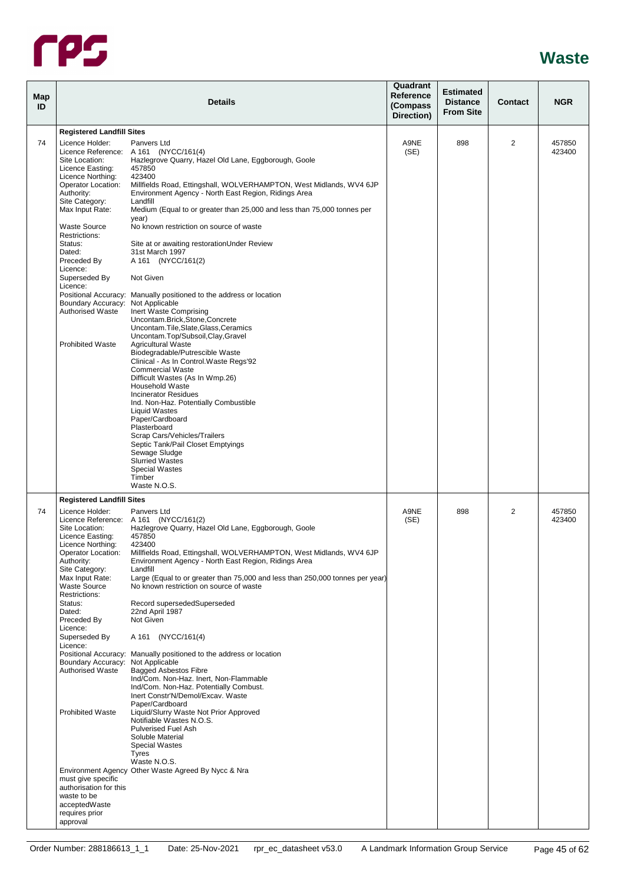

| Map<br>ID |                                                                                                                                                                                                                                                                                                                                                                                                         | <b>Details</b>                                                                                                                                                                                                                                                                                                                                                                                                                                                                                                                                                                                                                                                                                                                                                                                                                                                                                            | Quadrant<br>Reference<br>(Compass<br>Direction) | <b>Estimated</b><br><b>Distance</b><br><b>From Site</b> | <b>Contact</b> | <b>NGR</b>       |
|-----------|---------------------------------------------------------------------------------------------------------------------------------------------------------------------------------------------------------------------------------------------------------------------------------------------------------------------------------------------------------------------------------------------------------|-----------------------------------------------------------------------------------------------------------------------------------------------------------------------------------------------------------------------------------------------------------------------------------------------------------------------------------------------------------------------------------------------------------------------------------------------------------------------------------------------------------------------------------------------------------------------------------------------------------------------------------------------------------------------------------------------------------------------------------------------------------------------------------------------------------------------------------------------------------------------------------------------------------|-------------------------------------------------|---------------------------------------------------------|----------------|------------------|
|           | <b>Registered Landfill Sites</b>                                                                                                                                                                                                                                                                                                                                                                        |                                                                                                                                                                                                                                                                                                                                                                                                                                                                                                                                                                                                                                                                                                                                                                                                                                                                                                           |                                                 |                                                         |                |                  |
| 74        | Licence Holder:<br>Site Location:<br>Licence Easting:<br>Licence Northing:<br>Operator Location:<br>Authority:<br>Site Category:                                                                                                                                                                                                                                                                        | Panvers Ltd<br>Licence Reference: A 161 (NYCC/161(4)<br>Hazlegrove Quarry, Hazel Old Lane, Eggborough, Goole<br>457850<br>423400<br>Millfields Road, Ettingshall, WOLVERHAMPTON, West Midlands, WV4 6JP<br>Environment Agency - North East Region, Ridings Area<br>Landfill                                                                                                                                                                                                                                                                                                                                                                                                                                                                                                                                                                                                                               | A9NE<br>(SE)                                    | 898                                                     | 2              | 457850<br>423400 |
|           | Max Input Rate:<br><b>Waste Source</b>                                                                                                                                                                                                                                                                                                                                                                  | Medium (Equal to or greater than 25,000 and less than 75,000 tonnes per<br>year)<br>No known restriction on source of waste                                                                                                                                                                                                                                                                                                                                                                                                                                                                                                                                                                                                                                                                                                                                                                               |                                                 |                                                         |                |                  |
|           | Restrictions:<br>Status:<br>Dated:<br>Preceded By                                                                                                                                                                                                                                                                                                                                                       | Site at or awaiting restoration Under Review<br>31st March 1997<br>A 161 (NYCC/161(2)                                                                                                                                                                                                                                                                                                                                                                                                                                                                                                                                                                                                                                                                                                                                                                                                                     |                                                 |                                                         |                |                  |
|           | Licence:<br>Superseded By                                                                                                                                                                                                                                                                                                                                                                               | Not Given                                                                                                                                                                                                                                                                                                                                                                                                                                                                                                                                                                                                                                                                                                                                                                                                                                                                                                 |                                                 |                                                         |                |                  |
|           | Licence:<br>Boundary Accuracy: Not Applicable<br><b>Authorised Waste</b><br><b>Prohibited Waste</b>                                                                                                                                                                                                                                                                                                     | Positional Accuracy: Manually positioned to the address or location<br>Inert Waste Comprising<br>Uncontam.Brick,Stone,Concrete<br>Uncontam.Tile,Slate,Glass,Ceramics<br>Uncontam.Top/Subsoil,Clay,Gravel<br><b>Agricultural Waste</b>                                                                                                                                                                                                                                                                                                                                                                                                                                                                                                                                                                                                                                                                     |                                                 |                                                         |                |                  |
|           |                                                                                                                                                                                                                                                                                                                                                                                                         | Biodegradable/Putrescible Waste<br>Clinical - As In Control. Waste Regs'92<br><b>Commercial Waste</b><br>Difficult Wastes (As In Wmp.26)<br>Household Waste<br><b>Incinerator Residues</b><br>Ind. Non-Haz. Potentially Combustible<br><b>Liquid Wastes</b>                                                                                                                                                                                                                                                                                                                                                                                                                                                                                                                                                                                                                                               |                                                 |                                                         |                |                  |
|           |                                                                                                                                                                                                                                                                                                                                                                                                         | Paper/Cardboard<br>Plasterboard<br>Scrap Cars/Vehicles/Trailers<br>Septic Tank/Pail Closet Emptyings<br>Sewage Sludge<br><b>Slurried Wastes</b><br><b>Special Wastes</b><br>Timber                                                                                                                                                                                                                                                                                                                                                                                                                                                                                                                                                                                                                                                                                                                        |                                                 |                                                         |                |                  |
|           |                                                                                                                                                                                                                                                                                                                                                                                                         | Waste N.O.S.                                                                                                                                                                                                                                                                                                                                                                                                                                                                                                                                                                                                                                                                                                                                                                                                                                                                                              |                                                 |                                                         |                |                  |
| 74        | <b>Registered Landfill Sites</b><br>Licence Holder:<br>Site Location:<br>Licence Easting:<br>Licence Northing:<br>Operator Location:<br>Authority:<br>Site Category:<br>Max Input Rate:<br><b>Waste Source</b><br>Restrictions:<br>Status:<br>Dated:<br>Preceded By<br>Licence:<br>Superseded By<br>Licence:<br>Boundary Accuracy: Not Applicable<br><b>Authorised Waste</b><br><b>Prohibited Waste</b> | Panvers Ltd<br>Licence Reference: A 161 (NYCC/161(2)<br>Hazlegrove Quarry, Hazel Old Lane, Eggborough, Goole<br>457850<br>423400<br>Millfields Road, Ettingshall, WOLVERHAMPTON, West Midlands, WV4 6JP<br>Environment Agency - North East Region, Ridings Area<br>Landfill<br>Large (Equal to or greater than 75,000 and less than 250,000 tonnes per year)<br>No known restriction on source of waste<br>Record supersededSuperseded<br>22nd April 1987<br>Not Given<br>A 161 (NYCC/161(4)<br>Positional Accuracy: Manually positioned to the address or location<br><b>Bagged Asbestos Fibre</b><br>Ind/Com. Non-Haz. Inert, Non-Flammable<br>Ind/Com. Non-Haz. Potentially Combust.<br>Inert Constr'N/Demol/Excav. Waste<br>Paper/Cardboard<br>Liquid/Slurry Waste Not Prior Approved<br>Notifiable Wastes N.O.S.<br><b>Pulverised Fuel Ash</b><br>Soluble Material<br><b>Special Wastes</b><br>Tyres | A9NE<br>(SE)                                    | 898                                                     | 2              | 457850<br>423400 |
|           | must give specific<br>authorisation for this<br>waste to be<br>acceptedWaste<br>requires prior<br>approval                                                                                                                                                                                                                                                                                              | Waste N.O.S.<br>Environment Agency Other Waste Agreed By Nycc & Nra                                                                                                                                                                                                                                                                                                                                                                                                                                                                                                                                                                                                                                                                                                                                                                                                                                       |                                                 |                                                         |                |                  |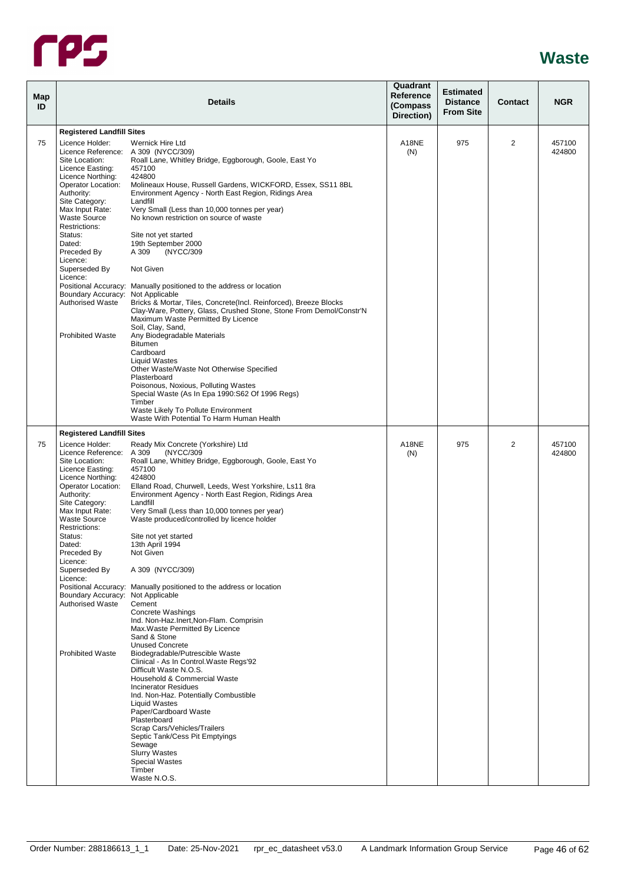

|                                                                                                                | <b>Details</b>                                                                                                                                                                                                                                  | Quadrant<br>Reference<br>(Compass<br>Direction)                                                                                                                                                                                                                                                                                                                                                                                                                                                                                             | <b>Estimated</b><br><b>Distance</b><br><b>From Site</b> | Contact | <b>NGR</b>       |
|----------------------------------------------------------------------------------------------------------------|-------------------------------------------------------------------------------------------------------------------------------------------------------------------------------------------------------------------------------------------------|---------------------------------------------------------------------------------------------------------------------------------------------------------------------------------------------------------------------------------------------------------------------------------------------------------------------------------------------------------------------------------------------------------------------------------------------------------------------------------------------------------------------------------------------|---------------------------------------------------------|---------|------------------|
|                                                                                                                |                                                                                                                                                                                                                                                 |                                                                                                                                                                                                                                                                                                                                                                                                                                                                                                                                             |                                                         |         |                  |
| Licence Holder:<br>Site Location:<br>Licence Easting:<br>Licence Northing:<br>Operator Location:<br>Authority: | Wernick Hire Ltd<br>Roall Lane, Whitley Bridge, Eggborough, Goole, East Yo<br>457100<br>424800<br>Molineaux House, Russell Gardens, WICKFORD, Essex, SS11 8BL<br>Environment Agency - North East Region, Ridings Area                           | A18NE<br>(N)                                                                                                                                                                                                                                                                                                                                                                                                                                                                                                                                | 975                                                     | 2       | 457100<br>424800 |
| Max Input Rate:<br><b>Waste Source</b><br>Restrictions:                                                        | Very Small (Less than 10,000 tonnes per year)<br>No known restriction on source of waste                                                                                                                                                        |                                                                                                                                                                                                                                                                                                                                                                                                                                                                                                                                             |                                                         |         |                  |
| Dated:<br>Preceded By<br>Licence:                                                                              | 19th September 2000<br>A 309<br>(NYCC/309                                                                                                                                                                                                       |                                                                                                                                                                                                                                                                                                                                                                                                                                                                                                                                             |                                                         |         |                  |
| Licence:                                                                                                       |                                                                                                                                                                                                                                                 |                                                                                                                                                                                                                                                                                                                                                                                                                                                                                                                                             |                                                         |         |                  |
| <b>Authorised Waste</b>                                                                                        | Bricks & Mortar, Tiles, Concrete(Incl. Reinforced), Breeze Blocks<br>Clay-Ware, Pottery, Glass, Crushed Stone, Stone From Demol/Constr'N<br>Maximum Waste Permitted By Licence                                                                  |                                                                                                                                                                                                                                                                                                                                                                                                                                                                                                                                             |                                                         |         |                  |
| <b>Prohibited Waste</b>                                                                                        | Any Biodegradable Materials<br>Bitumen<br>Cardboard<br><b>Liquid Wastes</b>                                                                                                                                                                     |                                                                                                                                                                                                                                                                                                                                                                                                                                                                                                                                             |                                                         |         |                  |
|                                                                                                                | Other Waste/Waste Not Otherwise Specified<br>Plasterboard<br>Poisonous, Noxious, Polluting Wastes<br>Special Waste (As In Epa 1990:S62 Of 1996 Regs)                                                                                            |                                                                                                                                                                                                                                                                                                                                                                                                                                                                                                                                             |                                                         |         |                  |
|                                                                                                                | Waste Likely To Pollute Environment<br>Waste With Potential To Harm Human Health                                                                                                                                                                |                                                                                                                                                                                                                                                                                                                                                                                                                                                                                                                                             |                                                         |         |                  |
|                                                                                                                |                                                                                                                                                                                                                                                 |                                                                                                                                                                                                                                                                                                                                                                                                                                                                                                                                             |                                                         |         |                  |
| Licence Holder:<br>Site Location:<br>Licence Easting:<br>Licence Northing:<br>Operator Location:<br>Authority: | Ready Mix Concrete (Yorkshire) Ltd<br>(NYCC/309<br>Roall Lane, Whitley Bridge, Eggborough, Goole, East Yo<br>457100<br>424800<br>Elland Road, Churwell, Leeds, West Yorkshire, Ls11 8ra<br>Environment Agency - North East Region, Ridings Area | A18NE<br>(N)                                                                                                                                                                                                                                                                                                                                                                                                                                                                                                                                | 975                                                     | 2       | 457100<br>424800 |
| Max Input Rate:<br><b>Waste Source</b><br>Restrictions:                                                        | Very Small (Less than 10,000 tonnes per year)<br>Waste produced/controlled by licence holder                                                                                                                                                    |                                                                                                                                                                                                                                                                                                                                                                                                                                                                                                                                             |                                                         |         |                  |
| Dated:<br>Preceded By<br>Licence:                                                                              | 13th April 1994<br>Not Given                                                                                                                                                                                                                    |                                                                                                                                                                                                                                                                                                                                                                                                                                                                                                                                             |                                                         |         |                  |
| Licence:                                                                                                       |                                                                                                                                                                                                                                                 |                                                                                                                                                                                                                                                                                                                                                                                                                                                                                                                                             |                                                         |         |                  |
| <b>Authorised Waste</b>                                                                                        | Cement<br>Concrete Washings<br>Ind. Non-Haz.Inert, Non-Flam. Comprisin<br>Max. Waste Permitted By Licence                                                                                                                                       |                                                                                                                                                                                                                                                                                                                                                                                                                                                                                                                                             |                                                         |         |                  |
| <b>Prohibited Waste</b>                                                                                        | Sand & Stone<br><b>Unused Concrete</b><br>Biodegradable/Putrescible Waste<br>Clinical - As In Control. Waste Regs'92                                                                                                                            |                                                                                                                                                                                                                                                                                                                                                                                                                                                                                                                                             |                                                         |         |                  |
|                                                                                                                | Household & Commercial Waste<br><b>Incinerator Residues</b><br>Ind. Non-Haz. Potentially Combustible<br><b>Liquid Wastes</b>                                                                                                                    |                                                                                                                                                                                                                                                                                                                                                                                                                                                                                                                                             |                                                         |         |                  |
|                                                                                                                | Paper/Cardboard Waste<br>Plasterboard<br>Scrap Cars/Vehicles/Trailers<br>Septic Tank/Cess Pit Emptyings                                                                                                                                         |                                                                                                                                                                                                                                                                                                                                                                                                                                                                                                                                             |                                                         |         |                  |
|                                                                                                                | <b>Slurry Wastes</b><br><b>Special Wastes</b><br>Timber<br>Waste N.O.S.                                                                                                                                                                         |                                                                                                                                                                                                                                                                                                                                                                                                                                                                                                                                             |                                                         |         |                  |
|                                                                                                                | Site Category:<br>Status:<br>Superseded By<br>Site Category:<br>Status:<br>Superseded By                                                                                                                                                        | <b>Registered Landfill Sites</b><br>Licence Reference: A 309 (NYCC/309)<br>Landfill<br>Site not yet started<br>Not Given<br>Positional Accuracy: Manually positioned to the address or location<br>Boundary Accuracy: Not Applicable<br>Soil, Clay, Sand,<br>Timber<br><b>Registered Landfill Sites</b><br>Licence Reference: A 309<br>Landfill<br>Site not yet started<br>A 309 (NYCC/309)<br>Positional Accuracy: Manually positioned to the address or location<br>Boundary Accuracy: Not Applicable<br>Difficult Waste N.O.S.<br>Sewage |                                                         |         |                  |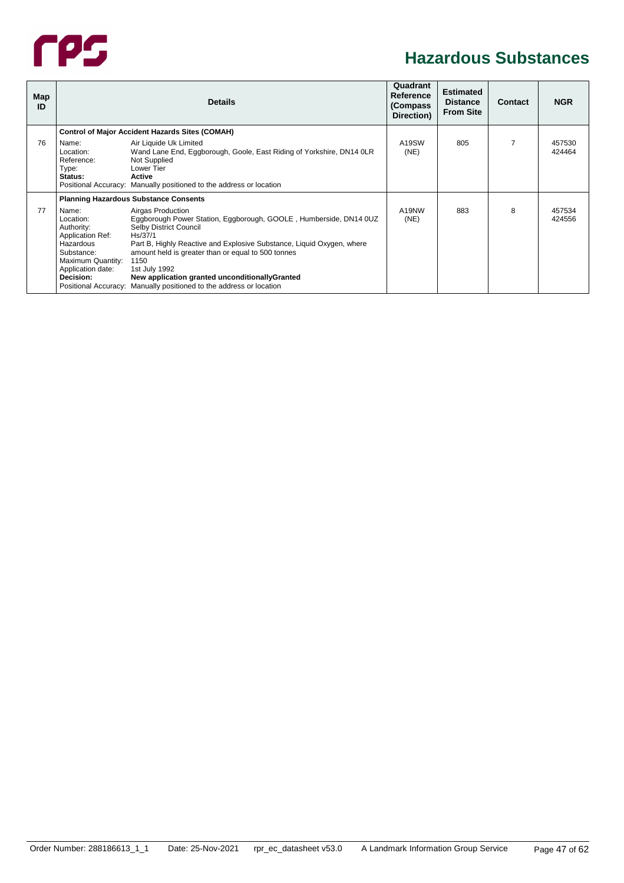

#### **Hazardous Substances**

<span id="page-51-2"></span><span id="page-51-1"></span><span id="page-51-0"></span>

| Map<br>ID |                                                                                                                                                                       | <b>Details</b>                                                                                                                                                                                                                                                                                                                                                                          | Quadrant<br>Reference<br>(Compass)<br>Direction) | <b>Estimated</b><br><b>Distance</b><br><b>From Site</b> | <b>Contact</b> | <b>NGR</b>       |
|-----------|-----------------------------------------------------------------------------------------------------------------------------------------------------------------------|-----------------------------------------------------------------------------------------------------------------------------------------------------------------------------------------------------------------------------------------------------------------------------------------------------------------------------------------------------------------------------------------|--------------------------------------------------|---------------------------------------------------------|----------------|------------------|
|           |                                                                                                                                                                       | <b>Control of Major Accident Hazards Sites (COMAH)</b>                                                                                                                                                                                                                                                                                                                                  |                                                  |                                                         |                |                  |
| 76        | Name:<br>Location:<br>Reference:<br>Type:<br>Status:                                                                                                                  | Air Liquide Uk Limited<br>Wand Lane End, Eggborough, Goole, East Riding of Yorkshire, DN14 OLR<br>Not Supplied<br>Lower Tier<br>Active<br>Positional Accuracy: Manually positioned to the address or location                                                                                                                                                                           | A19SW<br>(NE)                                    | 805                                                     | 7              | 457530<br>424464 |
|           |                                                                                                                                                                       | <b>Planning Hazardous Substance Consents</b>                                                                                                                                                                                                                                                                                                                                            |                                                  |                                                         |                |                  |
| 77        | Name:<br>Location:<br>Authority:<br><b>Application Ref:</b><br>Hazardous<br>Substance:<br>Maximum Quantity:<br>Application date:<br>Decision:<br>Positional Accuracy: | Airgas Production<br>Eggborough Power Station, Eggborough, GOOLE, Humberside, DN14 0UZ<br>Selby District Council<br>Hs/37/1<br>Part B, Highly Reactive and Explosive Substance, Liquid Oxygen, where<br>amount held is greater than or equal to 500 tonnes<br>1150<br>1st July 1992<br>New application granted unconditionallyGranted<br>Manually positioned to the address or location | A19NW<br>(NE)                                    | 883                                                     | 8              | 457534<br>424556 |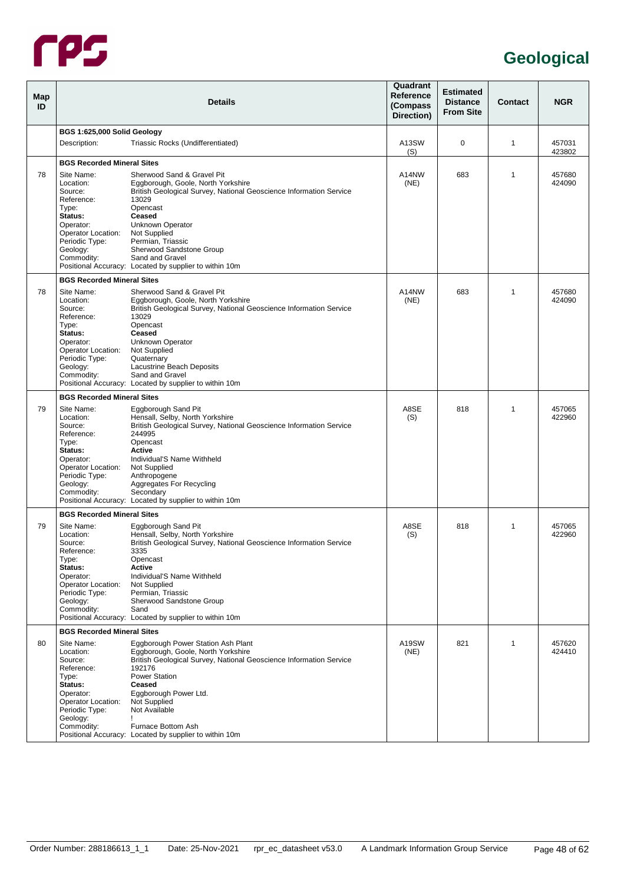

<span id="page-52-2"></span><span id="page-52-1"></span><span id="page-52-0"></span>

| Map<br>ID |                                                                                                                                                     | <b>Details</b>                                                                                                                                                                                                                                                                                                                            | Quadrant<br><b>Reference</b><br>(Compass<br>Direction) | <b>Estimated</b><br><b>Distance</b><br><b>From Site</b> | <b>Contact</b> | <b>NGR</b>       |
|-----------|-----------------------------------------------------------------------------------------------------------------------------------------------------|-------------------------------------------------------------------------------------------------------------------------------------------------------------------------------------------------------------------------------------------------------------------------------------------------------------------------------------------|--------------------------------------------------------|---------------------------------------------------------|----------------|------------------|
|           | BGS 1:625,000 Solid Geology                                                                                                                         |                                                                                                                                                                                                                                                                                                                                           |                                                        |                                                         |                |                  |
|           | Description:                                                                                                                                        | Triassic Rocks (Undifferentiated)                                                                                                                                                                                                                                                                                                         | A13SW<br>(S)                                           | 0                                                       | 1              | 457031<br>423802 |
|           | <b>BGS Recorded Mineral Sites</b>                                                                                                                   |                                                                                                                                                                                                                                                                                                                                           |                                                        |                                                         |                |                  |
| 78        | Site Name:<br>Location:<br>Source:<br>Reference:<br>Type:<br>Status:<br>Operator:<br>Operator Location:<br>Periodic Type:<br>Geology:<br>Commodity: | Sherwood Sand & Gravel Pit<br>Eggborough, Goole, North Yorkshire<br>British Geological Survey, National Geoscience Information Service<br>13029<br>Opencast<br>Ceased<br>Unknown Operator<br>Not Supplied<br>Permian, Triassic<br>Sherwood Sandstone Group<br>Sand and Gravel<br>Positional Accuracy: Located by supplier to within 10m   | A14NW<br>(NE)                                          | 683                                                     | 1              | 457680<br>424090 |
|           | <b>BGS Recorded Mineral Sites</b>                                                                                                                   |                                                                                                                                                                                                                                                                                                                                           |                                                        |                                                         |                |                  |
| 78        | Site Name:<br>Location:<br>Source:<br>Reference:<br>Type:<br>Status:<br>Operator:<br>Operator Location:<br>Periodic Type:<br>Geology:<br>Commodity: | Sherwood Sand & Gravel Pit<br>Eggborough, Goole, North Yorkshire<br>British Geological Survey, National Geoscience Information Service<br>13029<br>Opencast<br>Ceased<br>Unknown Operator<br>Not Supplied<br>Quaternary<br>Lacustrine Beach Deposits<br>Sand and Gravel<br>Positional Accuracy: Located by supplier to within 10m         | A14NW<br>(NE)                                          | 683                                                     | 1              | 457680<br>424090 |
|           | <b>BGS Recorded Mineral Sites</b>                                                                                                                   |                                                                                                                                                                                                                                                                                                                                           |                                                        |                                                         |                |                  |
| 79        | Site Name:<br>Location:<br>Source:<br>Reference:<br>Type:<br>Status:<br>Operator:<br>Operator Location:<br>Periodic Type:<br>Geology:<br>Commodity: | Eggborough Sand Pit<br>Hensall, Selby, North Yorkshire<br>British Geological Survey, National Geoscience Information Service<br>244995<br>Opencast<br>Active<br>Individual'S Name Withheld<br>Not Supplied<br>Anthropogene<br>Aggregates For Recycling<br>Secondary<br>Positional Accuracy: Located by supplier to within 10m             | A8SE<br>(S)                                            | 818                                                     | 1              | 457065<br>422960 |
|           | <b>BGS Recorded Mineral Sites</b>                                                                                                                   |                                                                                                                                                                                                                                                                                                                                           |                                                        |                                                         |                |                  |
| 79        | Site Name:<br>Location:<br>Source:<br>Reference:<br>Type:<br>Status:<br>Operator:<br>Operator Location:<br>Periodic Type:<br>Geology:<br>Commodity: | Eggborough Sand Pit<br>Hensall, Selby, North Yorkshire<br>British Geological Survey, National Geoscience Information Service<br>3335<br>Opencast<br>Active<br>Individual'S Name Withheld<br>Not Supplied<br>Permian, Triassic<br>Sherwood Sandstone Group<br>Sand<br>Positional Accuracy: Located by supplier to within 10m               | A8SE<br>(S)                                            | 818                                                     | 1              | 457065<br>422960 |
|           | <b>BGS Recorded Mineral Sites</b>                                                                                                                   |                                                                                                                                                                                                                                                                                                                                           |                                                        |                                                         |                |                  |
| 80        | Site Name:<br>Location:<br>Source:<br>Reference:<br>Type:<br>Status:<br>Operator:<br>Operator Location:<br>Periodic Type:<br>Geology:<br>Commodity: | Eggborough Power Station Ash Plant<br>Eggborough, Goole, North Yorkshire<br>British Geological Survey, National Geoscience Information Service<br>192176<br><b>Power Station</b><br>Ceased<br>Eggborough Power Ltd.<br>Not Supplied<br>Not Available<br>т<br>Furnace Bottom Ash<br>Positional Accuracy: Located by supplier to within 10m | A19SW<br>(NE)                                          | 821                                                     | 1              | 457620<br>424410 |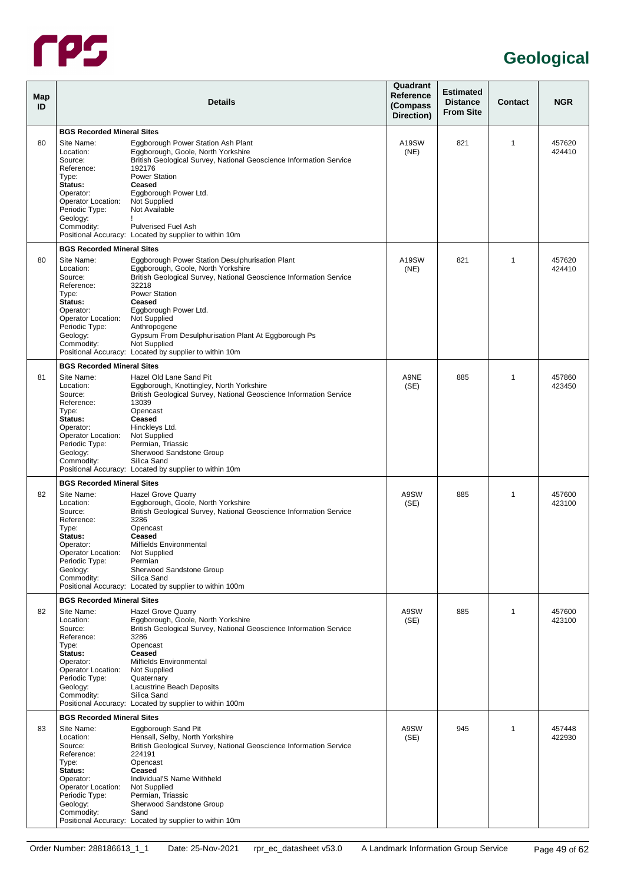

| Map<br>ID |                                                                                                                                                                                          | <b>Details</b>                                                                                                                                                                                                                                                                                                                                                                                   | Quadrant<br>Reference<br>(Compass<br>Direction) | <b>Estimated</b><br><b>Distance</b><br><b>From Site</b> | <b>Contact</b> | <b>NGR</b>       |
|-----------|------------------------------------------------------------------------------------------------------------------------------------------------------------------------------------------|--------------------------------------------------------------------------------------------------------------------------------------------------------------------------------------------------------------------------------------------------------------------------------------------------------------------------------------------------------------------------------------------------|-------------------------------------------------|---------------------------------------------------------|----------------|------------------|
|           | <b>BGS Recorded Mineral Sites</b>                                                                                                                                                        |                                                                                                                                                                                                                                                                                                                                                                                                  |                                                 |                                                         |                |                  |
| 80        | Site Name:<br>Location:<br>Source:<br>Reference:<br>Type:<br>Status:<br>Operator:<br>Operator Location:<br>Periodic Type:<br>Geology:<br>Commodity:                                      | Eggborough Power Station Ash Plant<br>Eggborough, Goole, North Yorkshire<br>British Geological Survey, National Geoscience Information Service<br>192176<br><b>Power Station</b><br>Ceased<br>Eggborough Power Ltd.<br>Not Supplied<br>Not Available<br><b>Pulverised Fuel Ash</b><br>Positional Accuracy: Located by supplier to within 10m                                                     | A19SW<br>(NE)                                   | 821                                                     | 1              | 457620<br>424410 |
|           |                                                                                                                                                                                          |                                                                                                                                                                                                                                                                                                                                                                                                  |                                                 |                                                         |                |                  |
| 80        | <b>BGS Recorded Mineral Sites</b><br>Site Name:<br>Location:<br>Source:<br>Reference:<br>Type:<br>Status:<br>Operator:<br>Operator Location:<br>Periodic Type:<br>Geology:<br>Commodity: | Eggborough Power Station Desulphurisation Plant<br>Eggborough, Goole, North Yorkshire<br>British Geological Survey, National Geoscience Information Service<br>32218<br><b>Power Station</b><br>Ceased<br>Eggborough Power Ltd.<br>Not Supplied<br>Anthropogene<br>Gypsum From Desulphurisation Plant At Eggborough Ps<br>Not Supplied<br>Positional Accuracy: Located by supplier to within 10m | A <sub>19</sub> SW<br>(NE)                      | 821                                                     | 1              | 457620<br>424410 |
|           | <b>BGS Recorded Mineral Sites</b>                                                                                                                                                        |                                                                                                                                                                                                                                                                                                                                                                                                  |                                                 |                                                         |                |                  |
| 81        | Site Name:<br>Location:<br>Source:<br>Reference:<br>Type:<br>Status:<br>Operator:<br>Operator Location:<br>Periodic Type:<br>Geology:<br>Commodity:                                      | Hazel Old Lane Sand Pit<br>Eggborough, Knottingley, North Yorkshire<br>British Geological Survey, National Geoscience Information Service<br>13039<br>Opencast<br>Ceased<br>Hinckleys Ltd.<br>Not Supplied<br>Permian, Triassic<br>Sherwood Sandstone Group<br>Silica Sand<br>Positional Accuracy: Located by supplier to within 10m                                                             | A9NE<br>(SE)                                    | 885                                                     | 1              | 457860<br>423450 |
|           | <b>BGS Recorded Mineral Sites</b>                                                                                                                                                        |                                                                                                                                                                                                                                                                                                                                                                                                  |                                                 |                                                         |                |                  |
| 82        | Site Name:<br>Location:<br>Source:<br>Reference:<br>Type:<br>Status:<br>Operator:<br>Operator Location:<br>Periodic Type:<br>Geology:<br>Commodity:                                      | <b>Hazel Grove Quarry</b><br>Eggborough, Goole, North Yorkshire<br>British Geological Survey, National Geoscience Information Service<br>3286<br>Opencast<br>Ceased<br>Milfields Environmental<br>Not Supplied<br>Permian<br>Sherwood Sandstone Group<br>Silica Sand<br>Positional Accuracy: Located by supplier to within 100m                                                                  | A9SW<br>(SE)                                    | 885                                                     | 1              | 457600<br>423100 |
|           | <b>BGS Recorded Mineral Sites</b>                                                                                                                                                        |                                                                                                                                                                                                                                                                                                                                                                                                  |                                                 |                                                         |                |                  |
| 82        | Site Name:<br>Location:<br>Source:<br>Reference:<br>Type:<br>Status:<br>Operator:<br>Operator Location:<br>Periodic Type:<br>Geology:<br>Commodity:                                      | <b>Hazel Grove Quarry</b><br>Eggborough, Goole, North Yorkshire<br>British Geological Survey, National Geoscience Information Service<br>3286<br>Opencast<br>Ceased<br>Milfields Environmental<br>Not Supplied<br>Quaternary<br>Lacustrine Beach Deposits<br>Silica Sand<br>Positional Accuracy: Located by supplier to within 100m                                                              | A9SW<br>(SE)                                    | 885                                                     | 1              | 457600<br>423100 |
|           | <b>BGS Recorded Mineral Sites</b>                                                                                                                                                        |                                                                                                                                                                                                                                                                                                                                                                                                  |                                                 |                                                         |                |                  |
| 83        | Site Name:<br>Location:<br>Source:<br>Reference:<br>Type:<br>Status:<br>Operator:<br>Operator Location:<br>Periodic Type:<br>Geology:<br>Commodity:                                      | Eggborough Sand Pit<br>Hensall, Selby, North Yorkshire<br>British Geological Survey, National Geoscience Information Service<br>224191<br>Opencast<br>Ceased<br>Individual'S Name Withheld<br>Not Supplied<br>Permian, Triassic<br>Sherwood Sandstone Group<br>Sand<br>Positional Accuracy: Located by supplier to within 10m                                                                    | A9SW<br>(SE)                                    | 945                                                     | 1              | 457448<br>422930 |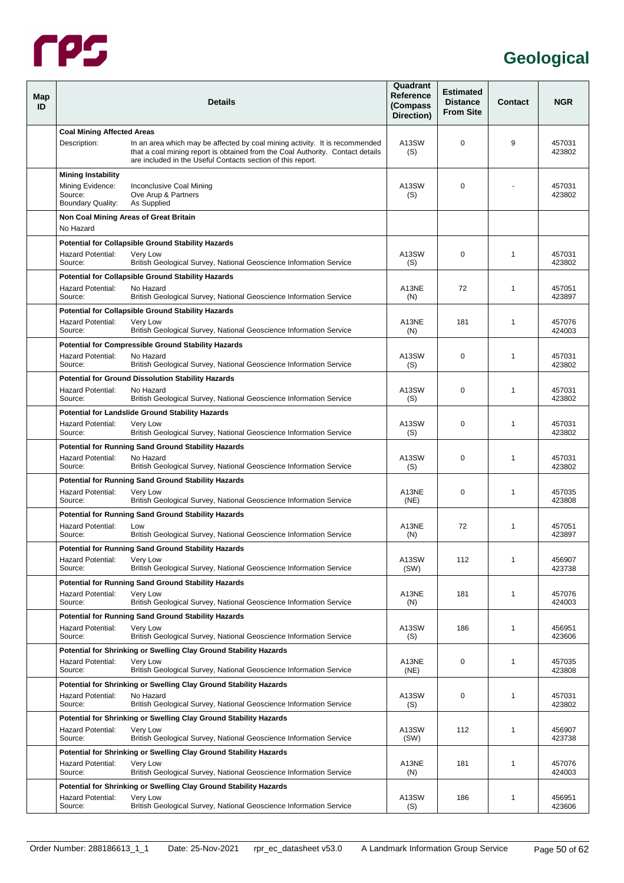

<span id="page-54-5"></span><span id="page-54-4"></span><span id="page-54-3"></span><span id="page-54-2"></span><span id="page-54-1"></span><span id="page-54-0"></span>

| Map<br>ID |                                                                                      | <b>Details</b>                                                                                                                                                                                                               | Quadrant<br>Reference<br>(Compass<br>Direction) | <b>Estimated</b><br><b>Distance</b><br><b>From Site</b> | <b>Contact</b> | <b>NGR</b>       |
|-----------|--------------------------------------------------------------------------------------|------------------------------------------------------------------------------------------------------------------------------------------------------------------------------------------------------------------------------|-------------------------------------------------|---------------------------------------------------------|----------------|------------------|
|           | <b>Coal Mining Affected Areas</b>                                                    |                                                                                                                                                                                                                              |                                                 |                                                         |                |                  |
|           | Description:                                                                         | In an area which may be affected by coal mining activity. It is recommended<br>that a coal mining report is obtained from the Coal Authority. Contact details<br>are included in the Useful Contacts section of this report. | A13SW<br>(S)                                    | $\Omega$                                                | 9              | 457031<br>423802 |
|           | <b>Mining Instability</b><br>Mining Evidence:<br>Source:<br><b>Boundary Quality:</b> | Inconclusive Coal Mining<br>Ove Arup & Partners<br>As Supplied                                                                                                                                                               | A13SW<br>(S)                                    | $\Omega$                                                |                | 457031<br>423802 |
|           | No Hazard                                                                            | Non Coal Mining Areas of Great Britain                                                                                                                                                                                       |                                                 |                                                         |                |                  |
|           |                                                                                      | <b>Potential for Collapsible Ground Stability Hazards</b>                                                                                                                                                                    |                                                 |                                                         |                |                  |
|           | <b>Hazard Potential:</b><br>Source:                                                  | Very Low<br>British Geological Survey, National Geoscience Information Service                                                                                                                                               | A13SW<br>(S)                                    | $\mathbf 0$                                             | $\mathbf{1}$   | 457031<br>423802 |
|           |                                                                                      | <b>Potential for Collapsible Ground Stability Hazards</b>                                                                                                                                                                    |                                                 |                                                         |                |                  |
|           | <b>Hazard Potential:</b><br>Source:                                                  | No Hazard<br>British Geological Survey, National Geoscience Information Service                                                                                                                                              | A13NE<br>(N)                                    | 72                                                      | $\mathbf{1}$   | 457051<br>423897 |
|           |                                                                                      | <b>Potential for Collapsible Ground Stability Hazards</b>                                                                                                                                                                    |                                                 |                                                         |                |                  |
|           | <b>Hazard Potential:</b><br>Source:                                                  | Very Low<br>British Geological Survey, National Geoscience Information Service                                                                                                                                               | A13NE<br>(N)                                    | 181                                                     | $\mathbf{1}$   | 457076<br>424003 |
|           |                                                                                      | <b>Potential for Compressible Ground Stability Hazards</b>                                                                                                                                                                   |                                                 |                                                         |                |                  |
|           | <b>Hazard Potential:</b><br>Source:                                                  | No Hazard<br>British Geological Survey, National Geoscience Information Service                                                                                                                                              | A13SW<br>(S)                                    | 0                                                       | $\mathbf{1}$   | 457031<br>423802 |
|           |                                                                                      | <b>Potential for Ground Dissolution Stability Hazards</b>                                                                                                                                                                    |                                                 |                                                         |                |                  |
|           | <b>Hazard Potential:</b><br>Source:                                                  | No Hazard<br>British Geological Survey, National Geoscience Information Service                                                                                                                                              | A13SW<br>(S)                                    | $\Omega$                                                | $\mathbf{1}$   | 457031<br>423802 |
|           |                                                                                      | <b>Potential for Landslide Ground Stability Hazards</b>                                                                                                                                                                      |                                                 |                                                         |                |                  |
|           | <b>Hazard Potential:</b><br>Source:                                                  | Very Low<br>British Geological Survey, National Geoscience Information Service                                                                                                                                               | A13SW<br>(S)                                    | 0                                                       | $\mathbf{1}$   | 457031<br>423802 |
|           |                                                                                      | <b>Potential for Running Sand Ground Stability Hazards</b>                                                                                                                                                                   |                                                 |                                                         |                |                  |
|           | <b>Hazard Potential:</b><br>Source:                                                  | No Hazard<br>British Geological Survey, National Geoscience Information Service                                                                                                                                              | A13SW<br>(S)                                    | $\Omega$                                                | 1              | 457031<br>423802 |
|           | <b>Hazard Potential:</b>                                                             | <b>Potential for Running Sand Ground Stability Hazards</b>                                                                                                                                                                   |                                                 | $\mathbf 0$                                             |                |                  |
|           | Source:                                                                              | Very Low<br>British Geological Survey, National Geoscience Information Service                                                                                                                                               | A13NE<br>(NE)                                   |                                                         | 1              | 457035<br>423808 |
|           |                                                                                      | <b>Potential for Running Sand Ground Stability Hazards</b>                                                                                                                                                                   |                                                 |                                                         |                |                  |
|           | <b>Hazard Potential:</b><br>Source:                                                  | Low<br>British Geological Survey, National Geoscience Information Service                                                                                                                                                    | A13NE<br>(N)                                    | 72                                                      | 1              | 457051<br>423897 |
|           |                                                                                      | <b>Potential for Running Sand Ground Stability Hazards</b>                                                                                                                                                                   |                                                 |                                                         |                |                  |
|           | <b>Hazard Potential:</b><br>Source:                                                  | Very Low<br>British Geological Survey, National Geoscience Information Service                                                                                                                                               | A13SW<br>(SW)                                   | 112                                                     | 1              | 456907<br>423738 |
|           |                                                                                      | <b>Potential for Running Sand Ground Stability Hazards</b>                                                                                                                                                                   |                                                 |                                                         |                |                  |
|           | <b>Hazard Potential:</b><br>Source:                                                  | Very Low<br>British Geological Survey, National Geoscience Information Service                                                                                                                                               | A13NE<br>(N)                                    | 181                                                     | 1              | 457076<br>424003 |
|           |                                                                                      | <b>Potential for Running Sand Ground Stability Hazards</b>                                                                                                                                                                   |                                                 |                                                         |                |                  |
|           | <b>Hazard Potential:</b><br>Source:                                                  | Very Low<br>British Geological Survey, National Geoscience Information Service                                                                                                                                               | A13SW<br>(S)                                    | 186                                                     | 1              | 456951<br>423606 |
|           |                                                                                      | Potential for Shrinking or Swelling Clay Ground Stability Hazards                                                                                                                                                            |                                                 |                                                         |                |                  |
|           | <b>Hazard Potential:</b><br>Source:                                                  | Very Low<br>British Geological Survey, National Geoscience Information Service                                                                                                                                               | A13NE<br>(NE)                                   | $\mathbf 0$                                             | 1              | 457035<br>423808 |
|           | <b>Hazard Potential:</b><br>Source:                                                  | Potential for Shrinking or Swelling Clay Ground Stability Hazards<br>No Hazard<br>British Geological Survey, National Geoscience Information Service                                                                         | A13SW<br>(S)                                    | $\mathbf 0$                                             | 1              | 457031<br>423802 |
|           |                                                                                      | Potential for Shrinking or Swelling Clay Ground Stability Hazards                                                                                                                                                            |                                                 |                                                         |                |                  |
|           | <b>Hazard Potential:</b><br>Source:                                                  | Very Low<br>British Geological Survey, National Geoscience Information Service                                                                                                                                               | A13SW<br>(SW)                                   | 112                                                     | 1              | 456907<br>423738 |
|           |                                                                                      | Potential for Shrinking or Swelling Clay Ground Stability Hazards                                                                                                                                                            |                                                 |                                                         |                |                  |
|           | <b>Hazard Potential:</b><br>Source:                                                  | Very Low<br>British Geological Survey, National Geoscience Information Service                                                                                                                                               | A13NE<br>(N)                                    | 181                                                     | 1              | 457076<br>424003 |
|           |                                                                                      | Potential for Shrinking or Swelling Clay Ground Stability Hazards                                                                                                                                                            |                                                 |                                                         |                |                  |
|           | Hazard Potential:<br>Source:                                                         | Very Low<br>British Geological Survey, National Geoscience Information Service                                                                                                                                               | A13SW<br>(S)                                    | 186                                                     | 1              | 456951<br>423606 |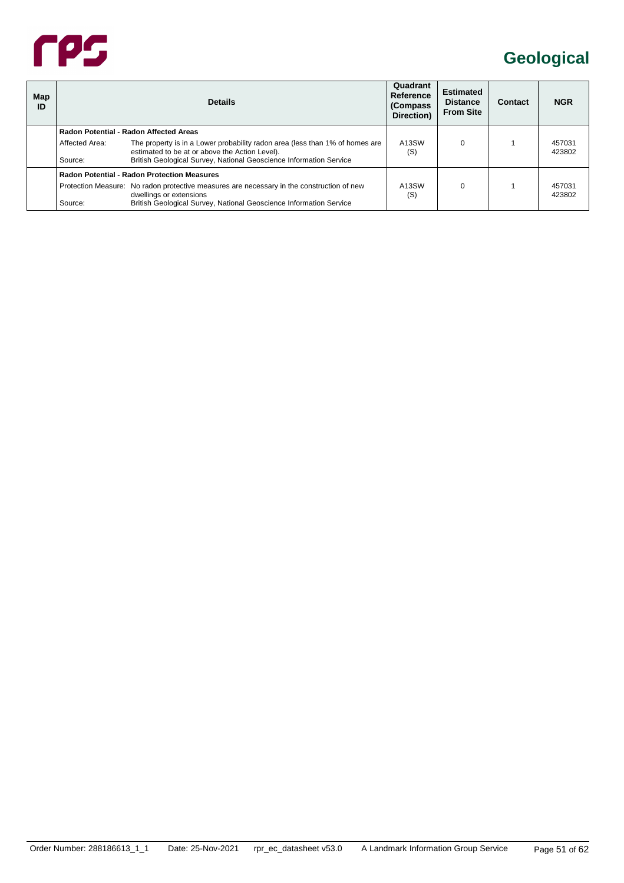

| Map<br>ID |                           | <b>Details</b>                                                                                                                                                                                       | Quadrant<br>Reference<br>(Compass)<br>Direction) | <b>Estimated</b><br><b>Distance</b><br><b>From Site</b> | Contact | <b>NGR</b>       |
|-----------|---------------------------|------------------------------------------------------------------------------------------------------------------------------------------------------------------------------------------------------|--------------------------------------------------|---------------------------------------------------------|---------|------------------|
|           |                           | Radon Potential - Radon Affected Areas                                                                                                                                                               |                                                  |                                                         |         |                  |
|           | Affected Area:<br>Source: | The property is in a Lower probability radon area (less than 1% of homes are<br>estimated to be at or above the Action Level).<br>British Geological Survey, National Geoscience Information Service | A <sub>13</sub> SW<br>(S)                        | $\Omega$                                                |         | 457031<br>423802 |
|           |                           | <b>Radon Potential - Radon Protection Measures</b>                                                                                                                                                   |                                                  |                                                         |         |                  |
|           | Source:                   | Protection Measure: No radon protective measures are necessary in the construction of new<br>dwellings or extensions<br>British Geological Survey, National Geoscience Information Service           | A <sub>13</sub> SW<br>(S)                        | $\Omega$                                                |         | 457031<br>423802 |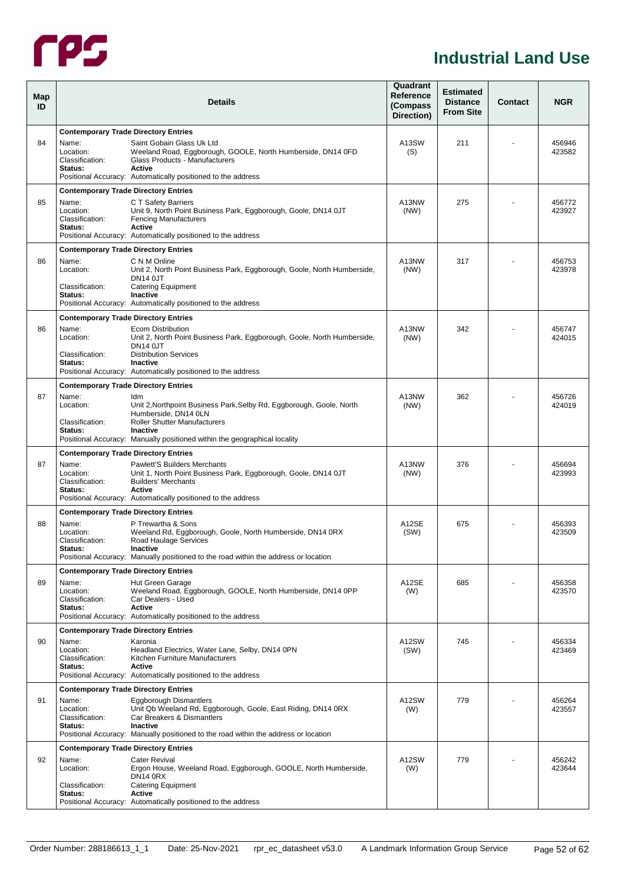

#### **Industrial Land Use**

<span id="page-56-1"></span><span id="page-56-0"></span>

| Map<br>ID |                                                  | <b>Details</b>                                                                                                                                                                                                                     | Quadrant<br>Reference<br>(Compass<br>Direction) | <b>Estimated</b><br><b>Distance</b><br><b>From Site</b> | Contact | <b>NGR</b>       |
|-----------|--------------------------------------------------|------------------------------------------------------------------------------------------------------------------------------------------------------------------------------------------------------------------------------------|-------------------------------------------------|---------------------------------------------------------|---------|------------------|
|           | <b>Contemporary Trade Directory Entries</b>      |                                                                                                                                                                                                                                    |                                                 |                                                         |         |                  |
| 84        | Name:<br>Location:<br>Classification:<br>Status: | Saint Gobain Glass Uk Ltd<br>Weeland Road, Eggborough, GOOLE, North Humberside, DN14 0FD<br>Glass Products - Manufacturers<br><b>Active</b><br>Positional Accuracy: Automatically positioned to the address                        | A13SW<br>(S)                                    | 211                                                     |         | 456946<br>423582 |
|           | <b>Contemporary Trade Directory Entries</b>      |                                                                                                                                                                                                                                    |                                                 |                                                         |         |                  |
| 85        | Name:<br>Location:<br>Classification:<br>Status: | C T Safety Barriers<br>Unit 9, North Point Business Park, Eggborough, Goole, DN14 0JT<br><b>Fencing Manufacturers</b><br>Active<br>Positional Accuracy: Automatically positioned to the address                                    | A13NW<br>(NW)                                   | 275                                                     |         | 456772<br>423927 |
|           | <b>Contemporary Trade Directory Entries</b>      |                                                                                                                                                                                                                                    |                                                 |                                                         |         |                  |
| 86        | Name:<br>Location:<br>Classification:<br>Status: | C N M Online<br>Unit 2, North Point Business Park, Eggborough, Goole, North Humberside,<br><b>DN14 0JT</b><br><b>Catering Equipment</b><br>Inactive<br>Positional Accuracy: Automatically positioned to the address                | A13NW<br>(NW)                                   | 317                                                     |         | 456753<br>423978 |
|           | <b>Contemporary Trade Directory Entries</b>      |                                                                                                                                                                                                                                    |                                                 |                                                         |         |                  |
| 86        | Name:<br>Location:<br>Classification:<br>Status: | <b>Ecom Distribution</b><br>Unit 2, North Point Business Park, Eggborough, Goole, North Humberside,<br><b>DN14 0JT</b><br><b>Distribution Services</b><br>Inactive<br>Positional Accuracy: Automatically positioned to the address | A13NW<br>(NW)                                   | 342                                                     |         | 456747<br>424015 |
|           | <b>Contemporary Trade Directory Entries</b>      |                                                                                                                                                                                                                                    |                                                 |                                                         |         |                  |
| 87        | Name:                                            | Idm                                                                                                                                                                                                                                | A13NW                                           | 362                                                     |         | 456726           |
|           | Location:<br>Classification:<br>Status:          | Unit 2, Northpoint Business Park, Selby Rd, Eggborough, Goole, North<br>Humberside, DN14 0LN<br><b>Roller Shutter Manufacturers</b><br>Inactive<br>Positional Accuracy: Manually positioned within the geographical locality       | (NW)                                            |                                                         |         | 424019           |
|           | <b>Contemporary Trade Directory Entries</b>      |                                                                                                                                                                                                                                    |                                                 |                                                         |         |                  |
| 87        | Name:<br>Location:<br>Classification:<br>Status: | Pawlett'S Builders Merchants<br>Unit 1, North Point Business Park, Eggborough, Goole, DN14 0JT<br><b>Builders' Merchants</b><br>Active<br>Positional Accuracy: Automatically positioned to the address                             | A13NW<br>(NW)                                   | 376                                                     |         | 456694<br>423993 |
|           | <b>Contemporary Trade Directory Entries</b>      |                                                                                                                                                                                                                                    |                                                 |                                                         |         |                  |
| 88        | Name:<br>Location:<br>Classification:<br>Status: | P Trewartha & Sons<br>Weeland Rd, Eggborough, Goole, North Humberside, DN14 0RX<br>Road Haulage Services<br>Inactive<br>Positional Accuracy: Manually positioned to the road within the address or location                        | A12SE<br>(SW)                                   | 675                                                     |         | 456393<br>423509 |
|           | <b>Contemporary Trade Directory Entries</b>      |                                                                                                                                                                                                                                    |                                                 |                                                         |         |                  |
| 89        | Name:<br>Location:<br>Classification:<br>Status: | Hut Green Garage<br>Weeland Road, Eggborough, GOOLE, North Humberside, DN14 0PP<br>Car Dealers - Used<br>Active<br>Positional Accuracy: Automatically positioned to the address                                                    | A12SE<br>(W)                                    | 685                                                     |         | 456358<br>423570 |
|           | <b>Contemporary Trade Directory Entries</b>      |                                                                                                                                                                                                                                    |                                                 |                                                         |         |                  |
| 90        | Name:<br>Location:<br>Classification:<br>Status: | Karonia<br>Headland Electrics, Water Lane, Selby, DN14 0PN<br>Kitchen Furniture Manufacturers<br>Active<br>Positional Accuracy: Automatically positioned to the address                                                            | A12SW<br>(SW)                                   | 745                                                     |         | 456334<br>423469 |
|           | <b>Contemporary Trade Directory Entries</b>      |                                                                                                                                                                                                                                    |                                                 |                                                         |         |                  |
| 91        | Name:<br>Location:<br>Classification:<br>Status: | <b>Eggborough Dismantlers</b><br>Unit Qb Weeland Rd, Eggborough, Goole, East Riding, DN14 0RX<br>Car Breakers & Dismantlers<br>Inactive<br>Positional Accuracy: Manually positioned to the road within the address or location     | A12SW<br>(W)                                    | 779                                                     |         | 456264<br>423557 |
|           | <b>Contemporary Trade Directory Entries</b>      |                                                                                                                                                                                                                                    |                                                 |                                                         |         |                  |
| 92        | Name:<br>Location:<br>Classification:            | <b>Cater Revival</b><br>Ergon House, Weeland Road, Eggborough, GOOLE, North Humberside,<br><b>DN14 0RX</b><br><b>Catering Equipment</b>                                                                                            | A12SW<br>(W)                                    | 779                                                     |         | 456242<br>423644 |
|           | Status:                                          | Active<br>Positional Accuracy: Automatically positioned to the address                                                                                                                                                             |                                                 |                                                         |         |                  |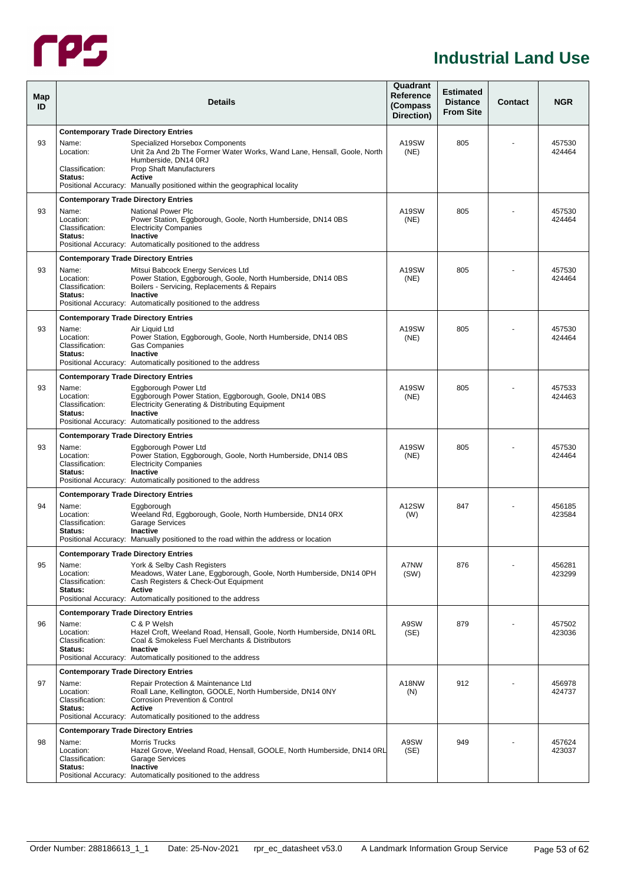

#### **Industrial Land Use**

| Map<br>ID |                                                                                      | <b>Details</b>                                                                                                                                                                                                                       | Quadrant<br>Reference<br>(Compass<br>Direction) | <b>Estimated</b><br><b>Distance</b><br><b>From Site</b> | Contact | <b>NGR</b>       |
|-----------|--------------------------------------------------------------------------------------|--------------------------------------------------------------------------------------------------------------------------------------------------------------------------------------------------------------------------------------|-------------------------------------------------|---------------------------------------------------------|---------|------------------|
| 93        | <b>Contemporary Trade Directory Entries</b><br>Name:<br>Location:<br>Classification: | Specialized Horsebox Components<br>Unit 2a And 2b The Former Water Works, Wand Lane, Hensall, Goole, North<br>Humberside, DN14 0RJ<br><b>Prop Shaft Manufacturers</b>                                                                | A19SW<br>(NE)                                   | 805                                                     |         | 457530<br>424464 |
|           | Status:                                                                              | Active<br>Positional Accuracy: Manually positioned within the geographical locality                                                                                                                                                  |                                                 |                                                         |         |                  |
| 93        | <b>Contemporary Trade Directory Entries</b><br>Name:                                 | National Power Plc                                                                                                                                                                                                                   | A19SW                                           | 805                                                     |         | 457530           |
|           | Location:<br>Classification:<br>Status:                                              | Power Station, Eggborough, Goole, North Humberside, DN14 0BS<br><b>Electricity Companies</b><br><b>Inactive</b><br>Positional Accuracy: Automatically positioned to the address                                                      | (NE)                                            |                                                         |         | 424464           |
|           | <b>Contemporary Trade Directory Entries</b>                                          |                                                                                                                                                                                                                                      |                                                 |                                                         |         |                  |
| 93        | Name:<br>Location:<br>Classification:<br>Status:                                     | Mitsui Babcock Energy Services Ltd<br>Power Station, Eggborough, Goole, North Humberside, DN14 0BS<br>Boilers - Servicing, Replacements & Repairs<br><b>Inactive</b><br>Positional Accuracy: Automatically positioned to the address | A19SW<br>(NE)                                   | 805                                                     |         | 457530<br>424464 |
|           | <b>Contemporary Trade Directory Entries</b>                                          |                                                                                                                                                                                                                                      |                                                 |                                                         |         |                  |
| 93        | Name:<br>Location:<br>Classification:<br>Status:                                     | Air Liquid Ltd<br>Power Station, Eggborough, Goole, North Humberside, DN14 0BS<br><b>Gas Companies</b><br><b>Inactive</b><br>Positional Accuracy: Automatically positioned to the address                                            | A19SW<br>(NE)                                   | 805                                                     |         | 457530<br>424464 |
|           | <b>Contemporary Trade Directory Entries</b>                                          |                                                                                                                                                                                                                                      |                                                 |                                                         |         |                  |
| 93        | Name:<br>Location:<br>Classification:<br>Status:                                     | Eggborough Power Ltd<br>Eggborough Power Station, Eggborough, Goole, DN14 0BS<br>Electricity Generating & Distributing Equipment<br><b>Inactive</b>                                                                                  | A19SW<br>(NE)                                   | 805                                                     |         | 457533<br>424463 |
|           | <b>Contemporary Trade Directory Entries</b>                                          | Positional Accuracy: Automatically positioned to the address                                                                                                                                                                         |                                                 |                                                         |         |                  |
| 93        | Name:<br>Location:<br>Classification:<br>Status:                                     | Eggborough Power Ltd<br>Power Station, Eggborough, Goole, North Humberside, DN14 0BS<br><b>Electricity Companies</b><br>Inactive<br>Positional Accuracy: Automatically positioned to the address                                     | A19SW<br>(NE)                                   | 805                                                     |         | 457530<br>424464 |
|           | <b>Contemporary Trade Directory Entries</b>                                          |                                                                                                                                                                                                                                      |                                                 |                                                         |         |                  |
| 94        | Name:<br>Location:<br>Classification:<br>Status:                                     | Eaaborouah<br>Weeland Rd, Eggborough, Goole, North Humberside, DN14 0RX<br><b>Garage Services</b><br><b>Inactive</b><br>Positional Accuracy: Manually positioned to the road within the address or location                          | A12SW<br>(W)                                    | 847                                                     |         | 456185<br>423584 |
|           | <b>Contemporary Trade Directory Entries</b>                                          |                                                                                                                                                                                                                                      |                                                 |                                                         |         |                  |
| 95        | Name:<br>Location:<br>Classification:<br>Status:                                     | York & Selby Cash Registers<br>Meadows, Water Lane, Eggborough, Goole, North Humberside, DN14 0PH<br>Cash Registers & Check-Out Equipment<br>Active<br>Positional Accuracy: Automatically positioned to the address                  | A7NW<br>(SW)                                    | 876                                                     |         | 456281<br>423299 |
|           | <b>Contemporary Trade Directory Entries</b>                                          |                                                                                                                                                                                                                                      |                                                 |                                                         |         |                  |
| 96        | Name:<br>Location:<br>Classification:<br>Status:                                     | C & P Welsh<br>Hazel Croft, Weeland Road, Hensall, Goole, North Humberside, DN14 0RL<br>Coal & Smokeless Fuel Merchants & Distributors<br><b>Inactive</b><br>Positional Accuracy: Automatically positioned to the address            | A9SW<br>(SE)                                    | 879                                                     |         | 457502<br>423036 |
|           | <b>Contemporary Trade Directory Entries</b>                                          |                                                                                                                                                                                                                                      |                                                 |                                                         |         |                  |
| 97        | Name:<br>Location:<br>Classification:<br>Status:                                     | Repair Protection & Maintenance Ltd<br>Roall Lane, Kellington, GOOLE, North Humberside, DN14 0NY<br><b>Corrosion Prevention &amp; Control</b><br>Active<br>Positional Accuracy: Automatically positioned to the address              | A18NW<br>(N)                                    | 912                                                     |         | 456978<br>424737 |
|           | <b>Contemporary Trade Directory Entries</b>                                          |                                                                                                                                                                                                                                      |                                                 |                                                         |         |                  |
| 98        | Name:<br>Location:<br>Classification:<br>Status:                                     | <b>Morris Trucks</b><br>Hazel Grove, Weeland Road, Hensall, GOOLE, North Humberside, DN14 0RL<br><b>Garage Services</b><br>Inactive                                                                                                  | A9SW<br>(SE)                                    | 949                                                     |         | 457624<br>423037 |
|           |                                                                                      | Positional Accuracy: Automatically positioned to the address                                                                                                                                                                         |                                                 |                                                         |         |                  |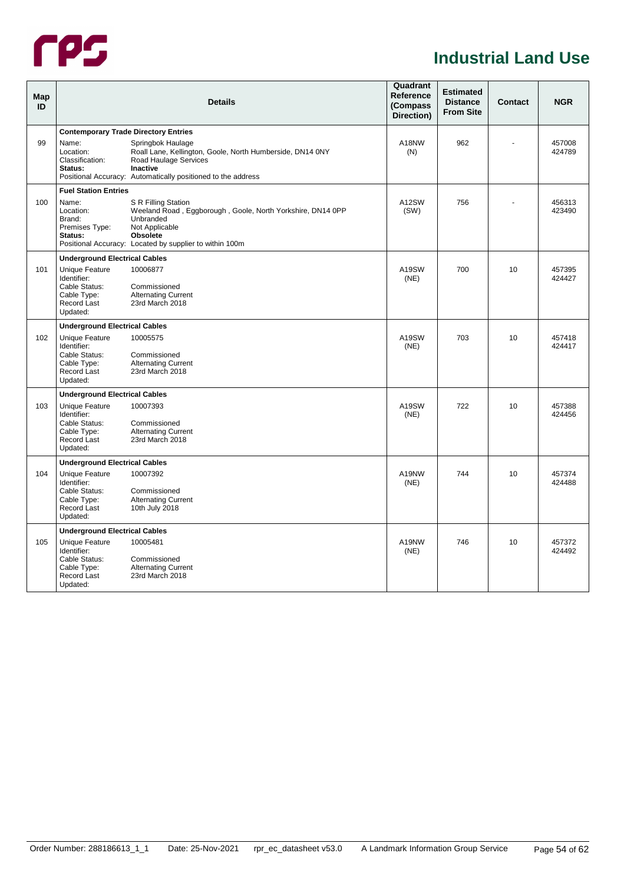

#### **Industrial Land Use**

<span id="page-58-1"></span><span id="page-58-0"></span>

| Map<br>ID |                                                                                          | <b>Details</b>                                                                                                                                                                                 | Quadrant<br>Reference<br>(Compass)<br>Direction) | <b>Estimated</b><br><b>Distance</b><br><b>From Site</b> | <b>Contact</b> | <b>NGR</b>       |
|-----------|------------------------------------------------------------------------------------------|------------------------------------------------------------------------------------------------------------------------------------------------------------------------------------------------|--------------------------------------------------|---------------------------------------------------------|----------------|------------------|
|           | <b>Contemporary Trade Directory Entries</b>                                              |                                                                                                                                                                                                |                                                  |                                                         |                |                  |
| 99        | Name:<br>Location:<br>Classification:<br>Status:                                         | Springbok Haulage<br>Roall Lane, Kellington, Goole, North Humberside, DN14 0NY<br>Road Haulage Services<br>Inactive<br>Positional Accuracy: Automatically positioned to the address            | A18NW<br>(N)                                     | 962                                                     |                | 457008<br>424789 |
|           | <b>Fuel Station Entries</b>                                                              |                                                                                                                                                                                                |                                                  |                                                         |                |                  |
| 100       | Name:<br>Location:<br>Brand:<br>Premises Type:<br>Status:                                | S R Filling Station<br>Weeland Road, Eggborough, Goole, North Yorkshire, DN14 0PP<br>Unbranded<br>Not Applicable<br><b>Obsolete</b><br>Positional Accuracy: Located by supplier to within 100m | A12SW<br>(SW)                                    | 756                                                     |                | 456313<br>423490 |
|           | <b>Underground Electrical Cables</b>                                                     |                                                                                                                                                                                                |                                                  |                                                         |                |                  |
| 101       | Unique Feature<br>Identifier:<br>Cable Status:<br>Cable Type:<br>Record Last<br>Updated: | 10006877<br>Commissioned<br><b>Alternating Current</b><br>23rd March 2018                                                                                                                      | A19SW<br>(NE)                                    | 700                                                     | 10             | 457395<br>424427 |
|           | <b>Underground Electrical Cables</b>                                                     |                                                                                                                                                                                                |                                                  |                                                         |                |                  |
| 102       | Unique Feature<br>Identifier:<br>Cable Status:<br>Cable Type:<br>Record Last<br>Updated: | 10005575<br>Commissioned<br><b>Alternating Current</b><br>23rd March 2018                                                                                                                      | A19SW<br>(NE)                                    | 703                                                     | 10             | 457418<br>424417 |
|           | <b>Underground Electrical Cables</b>                                                     |                                                                                                                                                                                                |                                                  |                                                         |                |                  |
| 103       | Unique Feature<br>Identifier:<br>Cable Status:<br>Cable Type:<br>Record Last<br>Updated: | 10007393<br>Commissioned<br><b>Alternating Current</b><br>23rd March 2018                                                                                                                      | A19SW<br>(NE)                                    | 722                                                     | 10             | 457388<br>424456 |
|           | <b>Underground Electrical Cables</b>                                                     |                                                                                                                                                                                                |                                                  |                                                         |                |                  |
| 104       | Unique Feature<br>Identifier:<br>Cable Status:<br>Cable Type:<br>Record Last<br>Updated: | 10007392<br>Commissioned<br><b>Alternating Current</b><br>10th July 2018                                                                                                                       | A19NW<br>(NE)                                    | 744                                                     | 10             | 457374<br>424488 |
|           | <b>Underground Electrical Cables</b>                                                     |                                                                                                                                                                                                |                                                  |                                                         |                |                  |
| 105       | Unique Feature<br>Identifier:<br>Cable Status:<br>Cable Type:<br>Record Last<br>Updated: | 10005481<br>Commissioned<br><b>Alternating Current</b><br>23rd March 2018                                                                                                                      | A19NW<br>(NE)                                    | 746                                                     | 10             | 457372<br>424492 |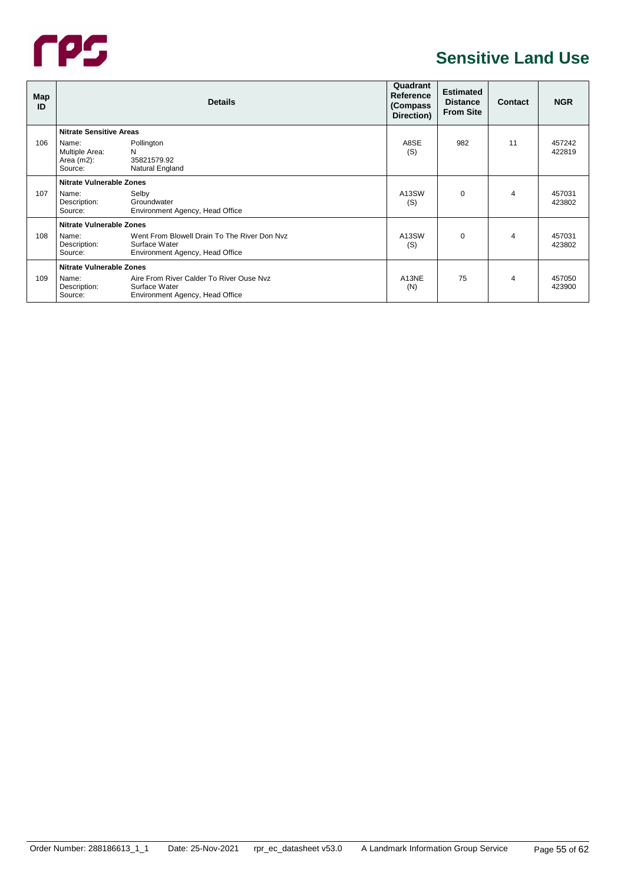

#### **Sensitive Land Use**

<span id="page-59-2"></span><span id="page-59-1"></span><span id="page-59-0"></span>

| Map<br>ID |                                                     | <b>Details</b>                                                                                   | Quadrant<br>Reference<br>(Compass<br>Direction) | <b>Estimated</b><br><b>Distance</b><br><b>From Site</b> | Contact        | <b>NGR</b>       |
|-----------|-----------------------------------------------------|--------------------------------------------------------------------------------------------------|-------------------------------------------------|---------------------------------------------------------|----------------|------------------|
|           | <b>Nitrate Sensitive Areas</b>                      |                                                                                                  |                                                 |                                                         |                |                  |
| 106       | Name:<br>Multiple Area:<br>Area $(m2)$ :<br>Source: | Pollington<br>N<br>35821579.92<br>Natural England                                                | A8SE<br>(S)                                     | 982                                                     | 11             | 457242<br>422819 |
|           | <b>Nitrate Vulnerable Zones</b>                     |                                                                                                  |                                                 |                                                         |                |                  |
| 107       | Name:<br>Description:<br>Source:                    | Selby<br>Groundwater<br>Environment Agency, Head Office                                          | A13SW<br>(S)                                    | $\Omega$                                                | $\overline{4}$ | 457031<br>423802 |
|           | <b>Nitrate Vulnerable Zones</b>                     |                                                                                                  |                                                 |                                                         |                |                  |
| 108       | Name:<br>Description:<br>Source:                    | Went From Blowell Drain To The River Don Nyz<br>Surface Water<br>Environment Agency, Head Office | A13SW<br>(S)                                    | $\Omega$                                                | 4              | 457031<br>423802 |
|           | <b>Nitrate Vulnerable Zones</b>                     |                                                                                                  |                                                 |                                                         |                |                  |
| 109       | Name:<br>Description:<br>Source:                    | Aire From River Calder To River Ouse Nyz<br>Surface Water<br>Environment Agency, Head Office     | A13NE<br>(N)                                    | 75                                                      | $\overline{4}$ | 457050<br>423900 |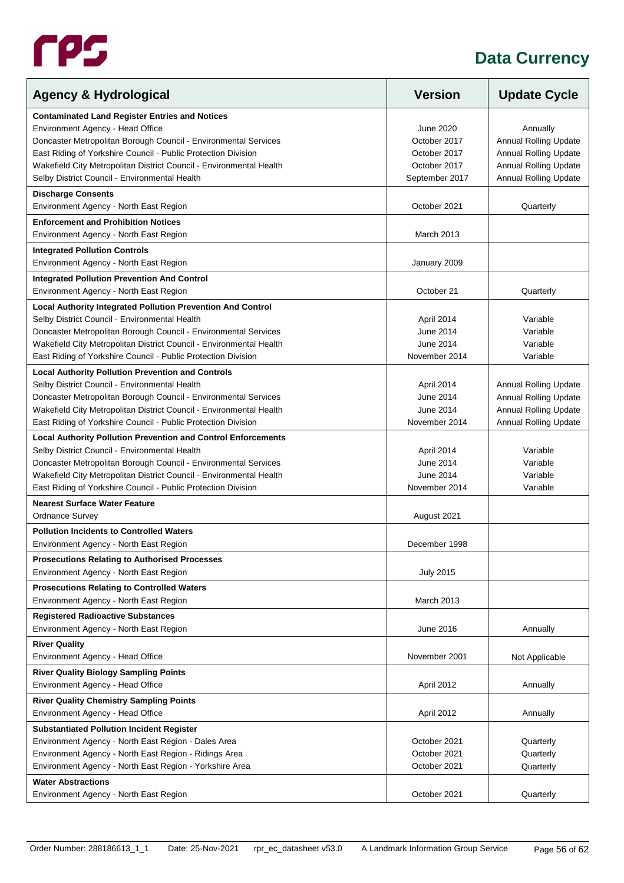

<span id="page-60-0"></span>

| <b>Agency &amp; Hydrological</b>                                                                             | <b>Version</b>               | <b>Update Cycle</b>          |
|--------------------------------------------------------------------------------------------------------------|------------------------------|------------------------------|
| <b>Contaminated Land Register Entries and Notices</b>                                                        |                              |                              |
| Environment Agency - Head Office                                                                             | June 2020                    | Annually                     |
| Doncaster Metropolitan Borough Council - Environmental Services                                              | October 2017                 | <b>Annual Rolling Update</b> |
| East Riding of Yorkshire Council - Public Protection Division                                                | October 2017                 | <b>Annual Rolling Update</b> |
| Wakefield City Metropolitan District Council - Environmental Health                                          | October 2017                 | <b>Annual Rolling Update</b> |
| Selby District Council - Environmental Health                                                                | September 2017               | Annual Rolling Update        |
| <b>Discharge Consents</b>                                                                                    |                              |                              |
| Environment Agency - North East Region                                                                       | October 2021                 | Quarterly                    |
| <b>Enforcement and Prohibition Notices</b>                                                                   |                              |                              |
| Environment Agency - North East Region                                                                       | March 2013                   |                              |
| <b>Integrated Pollution Controls</b>                                                                         |                              |                              |
| Environment Agency - North East Region                                                                       | January 2009                 |                              |
| <b>Integrated Pollution Prevention And Control</b>                                                           |                              |                              |
| Environment Agency - North East Region                                                                       | October 21                   | Quarterly                    |
| <b>Local Authority Integrated Pollution Prevention And Control</b>                                           |                              |                              |
| Selby District Council - Environmental Health                                                                | April 2014                   | Variable                     |
| Doncaster Metropolitan Borough Council - Environmental Services                                              | <b>June 2014</b>             | Variable                     |
| Wakefield City Metropolitan District Council - Environmental Health                                          | June 2014                    | Variable                     |
| East Riding of Yorkshire Council - Public Protection Division                                                | November 2014                | Variable                     |
| <b>Local Authority Pollution Prevention and Controls</b>                                                     |                              |                              |
| Selby District Council - Environmental Health                                                                | April 2014                   | Annual Rolling Update        |
| Doncaster Metropolitan Borough Council - Environmental Services                                              | June 2014                    | Annual Rolling Update        |
| Wakefield City Metropolitan District Council - Environmental Health                                          | June 2014                    | <b>Annual Rolling Update</b> |
| East Riding of Yorkshire Council - Public Protection Division                                                | November 2014                | Annual Rolling Update        |
| <b>Local Authority Pollution Prevention and Control Enforcements</b>                                         |                              |                              |
| Selby District Council - Environmental Health                                                                | April 2014                   | Variable                     |
| Doncaster Metropolitan Borough Council - Environmental Services                                              | June 2014                    | Variable                     |
| Wakefield City Metropolitan District Council - Environmental Health                                          | June 2014                    | Variable                     |
| East Riding of Yorkshire Council - Public Protection Division                                                | November 2014                | Variable                     |
| <b>Nearest Surface Water Feature</b>                                                                         |                              |                              |
| <b>Ordnance Survey</b>                                                                                       | August 2021                  |                              |
| <b>Pollution Incidents to Controlled Waters</b>                                                              |                              |                              |
| Environment Agency - North East Region                                                                       | December 1998                |                              |
| <b>Prosecutions Relating to Authorised Processes</b>                                                         |                              |                              |
| Environment Agency - North East Region                                                                       | <b>July 2015</b>             |                              |
| <b>Prosecutions Relating to Controlled Waters</b>                                                            |                              |                              |
| Environment Agency - North East Region                                                                       | March 2013                   |                              |
| <b>Registered Radioactive Substances</b>                                                                     |                              |                              |
| Environment Agency - North East Region                                                                       | June 2016                    | Annually                     |
| <b>River Quality</b>                                                                                         |                              |                              |
| Environment Agency - Head Office                                                                             | November 2001                | Not Applicable               |
| <b>River Quality Biology Sampling Points</b>                                                                 |                              |                              |
| Environment Agency - Head Office                                                                             | April 2012                   | Annually                     |
| <b>River Quality Chemistry Sampling Points</b><br>Environment Agency - Head Office                           | April 2012                   | Annually                     |
|                                                                                                              |                              |                              |
| <b>Substantiated Pollution Incident Register</b>                                                             |                              |                              |
| Environment Agency - North East Region - Dales Area<br>Environment Agency - North East Region - Ridings Area | October 2021<br>October 2021 | Quarterly<br>Quarterly       |
| Environment Agency - North East Region - Yorkshire Area                                                      | October 2021                 | Quarterly                    |
|                                                                                                              |                              |                              |
| <b>Water Abstractions</b><br>Environment Agency - North East Region                                          | October 2021                 | Quarterly                    |
|                                                                                                              |                              |                              |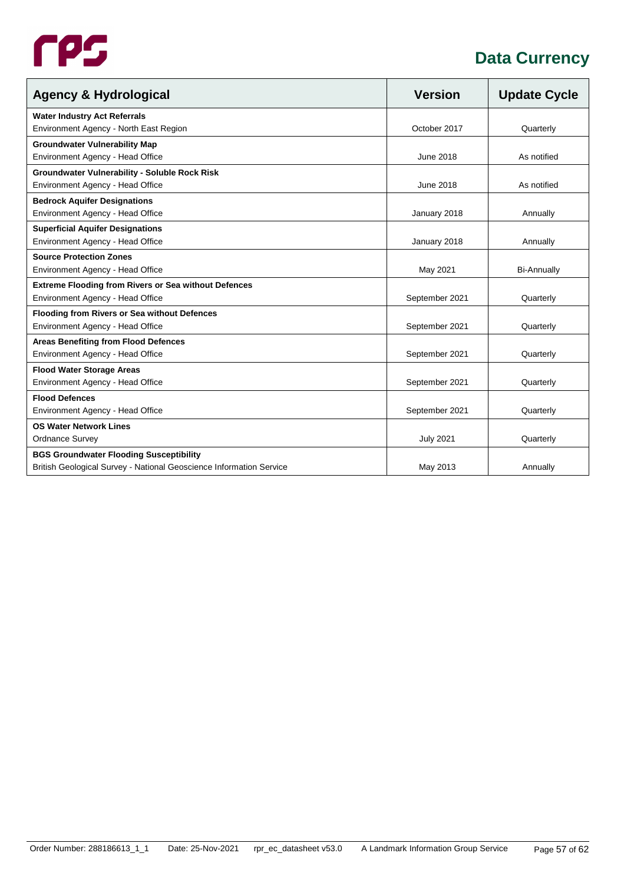

| <b>Agency &amp; Hydrological</b>                                    | <b>Version</b>   | <b>Update Cycle</b> |
|---------------------------------------------------------------------|------------------|---------------------|
| <b>Water Industry Act Referrals</b>                                 |                  |                     |
| Environment Agency - North East Region                              | October 2017     | Quarterly           |
| <b>Groundwater Vulnerability Map</b>                                |                  |                     |
| Environment Agency - Head Office                                    | <b>June 2018</b> | As notified         |
| <b>Groundwater Vulnerability - Soluble Rock Risk</b>                |                  |                     |
| Environment Agency - Head Office                                    | June 2018        | As notified         |
| <b>Bedrock Aquifer Designations</b>                                 |                  |                     |
| Environment Agency - Head Office                                    | January 2018     | Annually            |
| <b>Superficial Aquifer Designations</b>                             |                  |                     |
| Environment Agency - Head Office                                    | January 2018     | Annually            |
| <b>Source Protection Zones</b>                                      |                  |                     |
| Environment Agency - Head Office                                    | May 2021         | <b>Bi-Annually</b>  |
| <b>Extreme Flooding from Rivers or Sea without Defences</b>         |                  |                     |
| Environment Agency - Head Office                                    | September 2021   | Quarterly           |
| <b>Flooding from Rivers or Sea without Defences</b>                 |                  |                     |
| Environment Agency - Head Office                                    | September 2021   | Quarterly           |
| <b>Areas Benefiting from Flood Defences</b>                         |                  |                     |
| Environment Agency - Head Office                                    | September 2021   | Quarterly           |
| <b>Flood Water Storage Areas</b>                                    |                  |                     |
| Environment Agency - Head Office                                    | September 2021   | Quarterly           |
| <b>Flood Defences</b>                                               |                  |                     |
| Environment Agency - Head Office                                    | September 2021   | Quarterly           |
| <b>OS Water Network Lines</b>                                       |                  |                     |
| <b>Ordnance Survey</b>                                              | <b>July 2021</b> | Quarterly           |
| <b>BGS Groundwater Flooding Susceptibility</b>                      |                  |                     |
| British Geological Survey - National Geoscience Information Service | May 2013         | Annually            |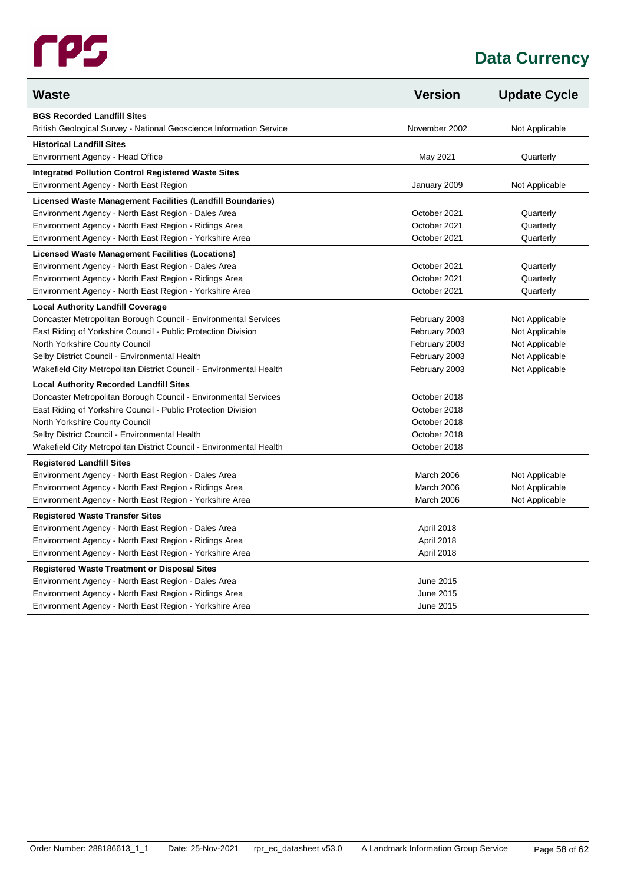| <b>Waste</b>                                                        | <b>Version</b> | <b>Update Cycle</b> |
|---------------------------------------------------------------------|----------------|---------------------|
| <b>BGS Recorded Landfill Sites</b>                                  |                |                     |
| British Geological Survey - National Geoscience Information Service | November 2002  | Not Applicable      |
| <b>Historical Landfill Sites</b>                                    |                |                     |
| Environment Agency - Head Office                                    | May 2021       | Quarterly           |
| <b>Integrated Pollution Control Registered Waste Sites</b>          |                |                     |
| Environment Agency - North East Region                              | January 2009   | Not Applicable      |
| Licensed Waste Management Facilities (Landfill Boundaries)          |                |                     |
| Environment Agency - North East Region - Dales Area                 | October 2021   | Quarterly           |
| Environment Agency - North East Region - Ridings Area               | October 2021   | Quarterly           |
| Environment Agency - North East Region - Yorkshire Area             | October 2021   | Quarterly           |
| Licensed Waste Management Facilities (Locations)                    |                |                     |
| Environment Agency - North East Region - Dales Area                 | October 2021   | Quarterly           |
| Environment Agency - North East Region - Ridings Area               | October 2021   | Quarterly           |
| Environment Agency - North East Region - Yorkshire Area             | October 2021   | Quarterly           |
| <b>Local Authority Landfill Coverage</b>                            |                |                     |
| Doncaster Metropolitan Borough Council - Environmental Services     | February 2003  | Not Applicable      |
| East Riding of Yorkshire Council - Public Protection Division       | February 2003  | Not Applicable      |
| North Yorkshire County Council                                      | February 2003  | Not Applicable      |
| Selby District Council - Environmental Health                       | February 2003  | Not Applicable      |
| Wakefield City Metropolitan District Council - Environmental Health | February 2003  | Not Applicable      |
| <b>Local Authority Recorded Landfill Sites</b>                      |                |                     |
| Doncaster Metropolitan Borough Council - Environmental Services     | October 2018   |                     |
| East Riding of Yorkshire Council - Public Protection Division       | October 2018   |                     |
| North Yorkshire County Council                                      | October 2018   |                     |
| Selby District Council - Environmental Health                       | October 2018   |                     |
| Wakefield City Metropolitan District Council - Environmental Health | October 2018   |                     |
| <b>Registered Landfill Sites</b>                                    |                |                     |
| Environment Agency - North East Region - Dales Area                 | March 2006     | Not Applicable      |
| Environment Agency - North East Region - Ridings Area               | March 2006     | Not Applicable      |
| Environment Agency - North East Region - Yorkshire Area             | March 2006     | Not Applicable      |
| <b>Registered Waste Transfer Sites</b>                              |                |                     |
| Environment Agency - North East Region - Dales Area                 | April 2018     |                     |
| Environment Agency - North East Region - Ridings Area               | April 2018     |                     |
| Environment Agency - North East Region - Yorkshire Area             | April 2018     |                     |
| <b>Registered Waste Treatment or Disposal Sites</b>                 |                |                     |
| Environment Agency - North East Region - Dales Area                 | June 2015      |                     |
| Environment Agency - North East Region - Ridings Area               | June 2015      |                     |
| Environment Agency - North East Region - Yorkshire Area             | June 2015      |                     |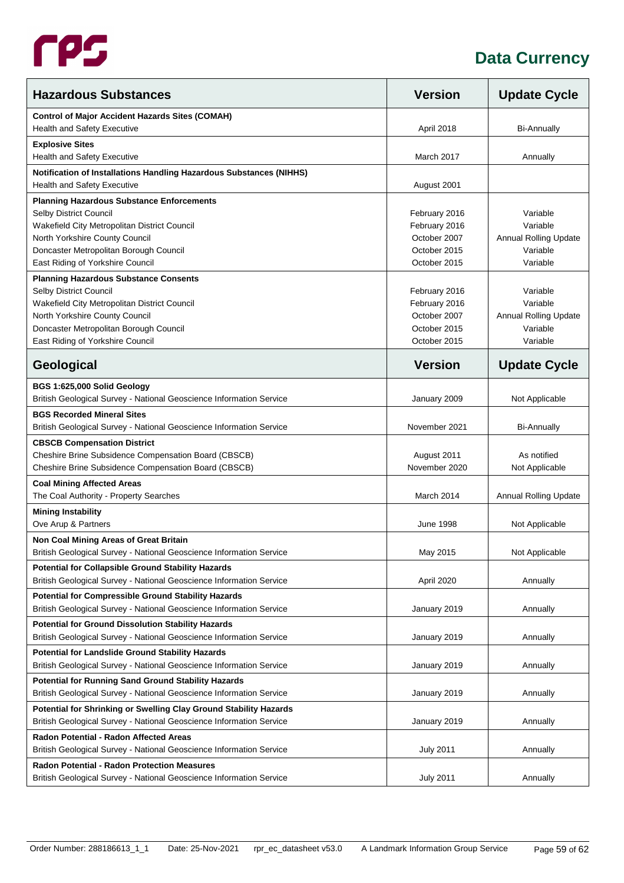

| <b>Hazardous Substances</b>                                                                                                      | <b>Version</b>   | <b>Update Cycle</b>          |
|----------------------------------------------------------------------------------------------------------------------------------|------------------|------------------------------|
| <b>Control of Major Accident Hazards Sites (COMAH)</b>                                                                           |                  |                              |
| <b>Health and Safety Executive</b>                                                                                               | April 2018       | <b>Bi-Annually</b>           |
| <b>Explosive Sites</b>                                                                                                           |                  |                              |
| <b>Health and Safety Executive</b>                                                                                               | March 2017       | Annually                     |
| Notification of Installations Handling Hazardous Substances (NIHHS)<br>Health and Safety Executive                               | August 2001      |                              |
| <b>Planning Hazardous Substance Enforcements</b>                                                                                 |                  |                              |
| Selby District Council                                                                                                           | February 2016    | Variable                     |
| Wakefield City Metropolitan District Council                                                                                     | February 2016    | Variable                     |
| North Yorkshire County Council                                                                                                   | October 2007     | <b>Annual Rolling Update</b> |
| Doncaster Metropolitan Borough Council                                                                                           | October 2015     | Variable                     |
| East Riding of Yorkshire Council                                                                                                 | October 2015     | Variable                     |
| <b>Planning Hazardous Substance Consents</b>                                                                                     |                  |                              |
| Selby District Council                                                                                                           | February 2016    | Variable                     |
| Wakefield City Metropolitan District Council                                                                                     | February 2016    | Variable                     |
| North Yorkshire County Council                                                                                                   | October 2007     | <b>Annual Rolling Update</b> |
| Doncaster Metropolitan Borough Council                                                                                           | October 2015     | Variable                     |
| East Riding of Yorkshire Council                                                                                                 | October 2015     | Variable                     |
| Geological                                                                                                                       | <b>Version</b>   | <b>Update Cycle</b>          |
| BGS 1:625,000 Solid Geology                                                                                                      |                  |                              |
| British Geological Survey - National Geoscience Information Service                                                              | January 2009     | Not Applicable               |
| <b>BGS Recorded Mineral Sites</b>                                                                                                |                  |                              |
| British Geological Survey - National Geoscience Information Service                                                              | November 2021    | <b>Bi-Annually</b>           |
| <b>CBSCB Compensation District</b>                                                                                               |                  |                              |
| Cheshire Brine Subsidence Compensation Board (CBSCB)                                                                             | August 2011      | As notified                  |
| Cheshire Brine Subsidence Compensation Board (CBSCB)                                                                             | November 2020    | Not Applicable               |
| <b>Coal Mining Affected Areas</b>                                                                                                |                  |                              |
| The Coal Authority - Property Searches                                                                                           | March 2014       | <b>Annual Rolling Update</b> |
| <b>Mining Instability</b>                                                                                                        |                  |                              |
| Ove Arup & Partners                                                                                                              | June 1998        | Not Applicable               |
| Non Coal Mining Areas of Great Britain                                                                                           |                  |                              |
| British Geological Survey - National Geoscience Information Service                                                              | May 2015         | Not Applicable               |
| <b>Potential for Collapsible Ground Stability Hazards</b><br>British Geological Survey - National Geoscience Information Service | April 2020       | Annually                     |
| <b>Potential for Compressible Ground Stability Hazards</b>                                                                       |                  |                              |
| British Geological Survey - National Geoscience Information Service                                                              | January 2019     | Annually                     |
| <b>Potential for Ground Dissolution Stability Hazards</b><br>British Geological Survey - National Geoscience Information Service | January 2019     | Annually                     |
| <b>Potential for Landslide Ground Stability Hazards</b>                                                                          |                  |                              |
| British Geological Survey - National Geoscience Information Service                                                              | January 2019     | Annually                     |
| <b>Potential for Running Sand Ground Stability Hazards</b>                                                                       |                  |                              |
| British Geological Survey - National Geoscience Information Service                                                              | January 2019     | Annually                     |
| Potential for Shrinking or Swelling Clay Ground Stability Hazards                                                                |                  |                              |
| British Geological Survey - National Geoscience Information Service                                                              | January 2019     | Annually                     |
| Radon Potential - Radon Affected Areas                                                                                           |                  |                              |
| British Geological Survey - National Geoscience Information Service                                                              | <b>July 2011</b> | Annually                     |
| <b>Radon Potential - Radon Protection Measures</b>                                                                               |                  |                              |
| British Geological Survey - National Geoscience Information Service                                                              | <b>July 2011</b> | Annually                     |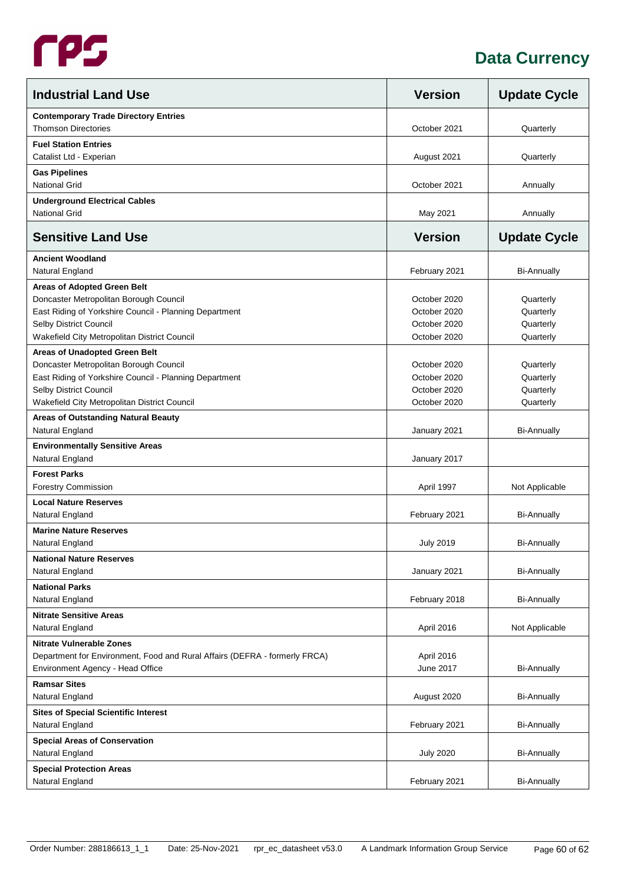

| <b>Industrial Land Use</b>                                                                                                                                                                                       | <b>Version</b>                                               | <b>Update Cycle</b>                              |
|------------------------------------------------------------------------------------------------------------------------------------------------------------------------------------------------------------------|--------------------------------------------------------------|--------------------------------------------------|
| <b>Contemporary Trade Directory Entries</b><br><b>Thomson Directories</b>                                                                                                                                        | October 2021                                                 | Quarterly                                        |
| <b>Fuel Station Entries</b><br>Catalist Ltd - Experian                                                                                                                                                           | August 2021                                                  | Quarterly                                        |
| <b>Gas Pipelines</b><br><b>National Grid</b>                                                                                                                                                                     | October 2021                                                 | Annually                                         |
| <b>Underground Electrical Cables</b><br><b>National Grid</b>                                                                                                                                                     | May 2021                                                     | Annually                                         |
| <b>Sensitive Land Use</b>                                                                                                                                                                                        | <b>Version</b>                                               | <b>Update Cycle</b>                              |
| <b>Ancient Woodland</b><br>Natural England                                                                                                                                                                       | February 2021                                                | <b>Bi-Annually</b>                               |
| <b>Areas of Adopted Green Belt</b><br>Doncaster Metropolitan Borough Council<br>East Riding of Yorkshire Council - Planning Department<br>Selby District Council<br>Wakefield City Metropolitan District Council | October 2020<br>October 2020<br>October 2020<br>October 2020 | Quarterly<br>Quarterly<br>Quarterly<br>Quarterly |
| Areas of Unadopted Green Belt<br>Doncaster Metropolitan Borough Council<br>East Riding of Yorkshire Council - Planning Department<br>Selby District Council<br>Wakefield City Metropolitan District Council      | October 2020<br>October 2020<br>October 2020<br>October 2020 | Quarterly<br>Quarterly<br>Quarterly<br>Quarterly |
| Areas of Outstanding Natural Beauty<br>Natural England                                                                                                                                                           | January 2021                                                 | <b>Bi-Annually</b>                               |
| <b>Environmentally Sensitive Areas</b><br>Natural England                                                                                                                                                        | January 2017                                                 |                                                  |
| <b>Forest Parks</b><br><b>Forestry Commission</b>                                                                                                                                                                | April 1997                                                   | Not Applicable                                   |
| <b>Local Nature Reserves</b><br>Natural England                                                                                                                                                                  | February 2021                                                | <b>Bi-Annually</b>                               |
| <b>Marine Nature Reserves</b><br>Natural England                                                                                                                                                                 | <b>July 2019</b>                                             | <b>Bi-Annually</b>                               |
| <b>National Nature Reserves</b><br>Natural England                                                                                                                                                               | January 2021                                                 | <b>Bi-Annually</b>                               |
| <b>National Parks</b><br>Natural England                                                                                                                                                                         | February 2018                                                | <b>Bi-Annually</b>                               |
| <b>Nitrate Sensitive Areas</b><br>Natural England                                                                                                                                                                | April 2016                                                   | Not Applicable                                   |
| <b>Nitrate Vulnerable Zones</b><br>Department for Environment, Food and Rural Affairs (DEFRA - formerly FRCA)<br>Environment Agency - Head Office                                                                | April 2016<br>June 2017                                      | <b>Bi-Annually</b>                               |
| <b>Ramsar Sites</b><br>Natural England                                                                                                                                                                           | August 2020                                                  | <b>Bi-Annually</b>                               |
| <b>Sites of Special Scientific Interest</b><br>Natural England                                                                                                                                                   | February 2021                                                | <b>Bi-Annually</b>                               |
| <b>Special Areas of Conservation</b><br>Natural England                                                                                                                                                          | <b>July 2020</b>                                             | <b>Bi-Annually</b>                               |
| <b>Special Protection Areas</b><br>Natural England                                                                                                                                                               | February 2021                                                | <b>Bi-Annually</b>                               |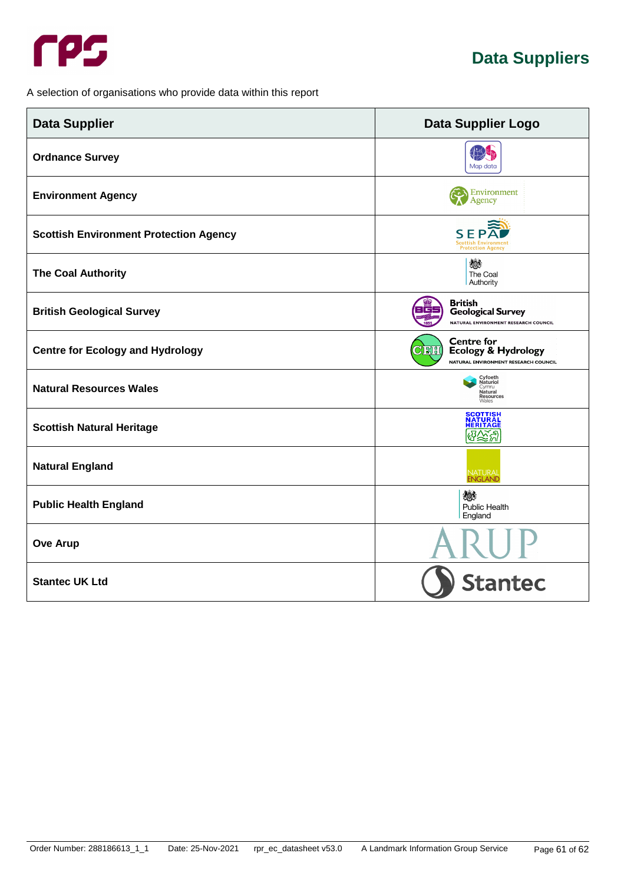

<span id="page-65-0"></span>A selection of organisations who provide data within this report

| <b>Data Supplier</b>                          | <b>Data Supplier Logo</b>                                                                                    |  |
|-----------------------------------------------|--------------------------------------------------------------------------------------------------------------|--|
| <b>Ordnance Survey</b>                        | Map data                                                                                                     |  |
| <b>Environment Agency</b>                     | <b>Environment</b><br>Agency                                                                                 |  |
| <b>Scottish Environment Protection Agency</b> | <b>SEPA</b><br><b>Scottish Environment</b><br><b>Protection Agency</b>                                       |  |
| <b>The Coal Authority</b>                     | 燃<br>The Coal<br>Authority                                                                                   |  |
| <b>British Geological Survey</b>              | British<br>3 C<br><b>Geological Survey</b><br>NATURAL ENVIRONMENT RESEARCH COUNCIL                           |  |
| <b>Centre for Ecology and Hydrology</b>       | <b>Centre for</b><br><u> Cient</u><br><b>Ecology &amp; Hydrology</b><br>NATURAL ENVIRONMENT RESEARCH COUNCIL |  |
| <b>Natural Resources Wales</b>                | Cyfoeth<br>Naturiol<br>Cvmru<br>Natural<br>Resources<br>Wales                                                |  |
| <b>Scottish Natural Heritage</b>              | <b>SCOTTISH</b><br>NATURAL<br><b>HERITAGE</b><br>ଔ∕⊗ଞ୍ଜ                                                      |  |
| <b>Natural England</b>                        | NATURAL<br>ENGLAND                                                                                           |  |
| <b>Public Health England</b>                  | 燃<br>Public Health<br>England                                                                                |  |
| <b>Ove Arup</b>                               |                                                                                                              |  |
| <b>Stantec UK Ltd</b>                         | <b>Stantec</b>                                                                                               |  |